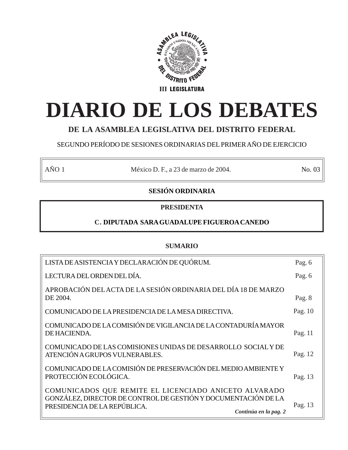

# **DIARIO DE LOS DEBATES**

# **DE LA ASAMBLEA LEGISLATIVA DEL DISTRITO FEDERAL**

# SEGUNDO PERÍODO DE SESIONES ORDINARIAS DEL PRIMER AÑO DE EJERCICIO

AÑO 1 México D. F., a 23 de marzo de 2004. No. 03

# **SESIÓN ORDINARIA**

# **PRESIDENTA**

# **C. DIPUTADA SARA GUADALUPE FIGUEROA CANEDO**

# **SUMARIO**

| LISTA DE ASISTENCIA Y DECLARACIÓN DE QUÓRUM.                                                                                                                                     | Pag. 6  |
|----------------------------------------------------------------------------------------------------------------------------------------------------------------------------------|---------|
| LECTURA DEL ORDEN DEL DÍA.                                                                                                                                                       | Pag. 6  |
| APROBACIÓN DEL ACTA DE LA SESIÓN ORDINARIA DEL DÍA 18 DE MARZO<br>DE 2004.                                                                                                       | Pag. 8  |
| COMUNICADO DE LA PRESIDENCIA DE LA MESA DIRECTIVA.                                                                                                                               | Pag. 10 |
| COMUNICADO DE LA COMISIÓN DE VIGILANCIA DE LA CONTADURÍA MAYOR<br>DE HACIENDA.                                                                                                   | Pag. 11 |
| COMUNICADO DE LAS COMISIONES UNIDAS DE DESARROLLO SOCIAL Y DE<br>ATENCIÓN A GRUPOS VULNERABLES.                                                                                  | Pag. 12 |
| COMUNICADO DE LA COMISIÓN DE PRESERVACIÓN DEL MEDIO AMBIENTE Y<br>PROTECCIÓN ECOLÓGICA.                                                                                          | Pag. 13 |
| COMUNICADOS QUE REMITE EL LICENCIADO ANICETO ALVARADO<br>GONZÁLEZ, DIRECTOR DE CONTROL DE GESTIÓN Y DOCUMENTACIÓN DE LA<br>PRESIDENCIA DE LA REPÚBLICA.<br>Continúa en la pag. 2 | Pag. 13 |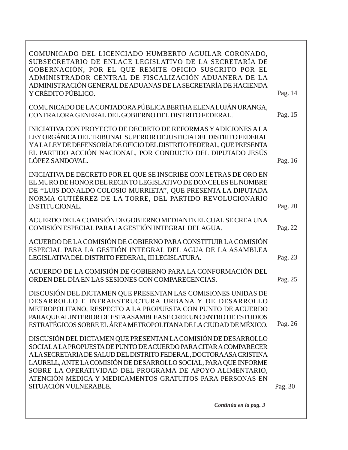| COMUNICADO DEL LICENCIADO HUMBERTO AGUILAR CORONADO,<br>SUBSECRETARIO DE ENLACE LEGISLATIVO DE LA SECRETARÍA DE<br>GOBERNACIÓN, POR EL QUE REMITE OFICIO SUSCRITO POR EL<br>ADMINISTRADOR CENTRAL DE FISCALIZACIÓN ADUANERA DE LA<br>ADMINISTRACIÓN GENERAL DE ADUANAS DE LA SECRETARÍA DE HACIENDA<br>Y CRÉDITO PÚBLICO.                                                                                                       | Pag. 14 |
|---------------------------------------------------------------------------------------------------------------------------------------------------------------------------------------------------------------------------------------------------------------------------------------------------------------------------------------------------------------------------------------------------------------------------------|---------|
| COMUNICADO DE LA CONTADORA PÚBLICA BERTHA ELENA LUJÁN URANGA,<br>CONTRALORA GENERAL DEL GOBIERNO DEL DISTRITO FEDERAL.                                                                                                                                                                                                                                                                                                          | Pag. 15 |
| INICIATIVA CON PROYECTO DE DECRETO DE REFORMAS Y ADICIONES A LA<br>LEY ORGÁNICA DEL TRIBUNAL SUPERIOR DE JUSTICIA DEL DISTRITO FEDERAL<br>YALALEY DE DEFENSORÍA DE OFICIO DEL DISTRITO FEDERAL, QUE PRESENTA<br>EL PARTIDO ACCIÓN NACIONAL, POR CONDUCTO DEL DIPUTADO JESÚS<br>LÓPEZ SANDOVAL.                                                                                                                                  | Pag. 16 |
| INICIATIVA DE DECRETO POR EL QUE SE INSCRIBE CON LETRAS DE ORO EN<br>EL MURO DE HONOR DEL RECINTO LEGISLATIVO DE DONCELES EL NOMBRE<br>DE "LUIS DONALDO COLOSIO MURRIETA", QUE PRESENTA LA DIPUTADA<br>NORMA GUTIÉRREZ DE LA TORRE, DEL PARTIDO REVOLUCIONARIO<br><b>INSTITUCIONAL.</b>                                                                                                                                         | Pag. 20 |
| ACUERDO DE LA COMISIÓN DE GOBIERNO MEDIANTE EL CUAL SE CREA UNA<br>COMISIÓN ESPECIAL PARA LA GESTIÓN INTEGRAL DEL AGUA.                                                                                                                                                                                                                                                                                                         | Pag. 22 |
| ACUERDO DE LA COMISIÓN DE GOBIERNO PARA CONSTITUIR LA COMISIÓN<br>ESPECIAL PARA LA GESTIÓN INTEGRAL DEL AGUA DE LA ASAMBLEA<br>LEGISLATIVA DEL DISTRITO FEDERAL, III LEGISLATURA.                                                                                                                                                                                                                                               | Pag. 23 |
| ACUERDO DE LA COMISIÓN DE GOBIERNO PARA LA CONFORMACIÓN DEL<br>ORDEN DEL DÍA EN LAS SESIONES CON COMPARECENCIAS.                                                                                                                                                                                                                                                                                                                | Pag. 25 |
| DISCUSIÓN DEL DICTAMEN QUE PRESENTAN LAS COMISIONES UNIDAS DE<br>DESARROLLO E INFRAESTRUCTURA URBANA Y DE DESARROLLO<br>METROPOLITANO, RESPECTO A LA PROPUESTA CON PUNTO DE ACUERDO<br>PARA QUE AL INTERIOR DE ESTA ASAMBLEA SE CREE UN CENTRO DE ESTUDIOS<br>ESTRATÉGICOS SOBRE EL ÁREA METROPOLITANA DE LA CIUDAD DE MÉXICO.                                                                                                  | Pag. 26 |
| DISCUSIÓN DEL DICTAMEN QUE PRESENTAN LA COMISIÓN DE DESARROLLO<br>SOCIAL A LA PROPUESTA DE PUNTO DE ACUERDO PARA CITAR A COMPARECER<br>ALA SECRETARIA DE SALUD DEL DISTRITO FEDERAL, DOCTORA ASA CRISTINA<br>LAURELL, ANTE LA COMISIÓN DE DESARROLLO SOCIAL, PARA QUE INFORME<br>SOBRE LA OPERATIVIDAD DEL PROGRAMA DE APOYO ALIMENTARIO,<br>ATENCIÓN MÉDICA Y MEDICAMENTOS GRATUITOS PARA PERSONAS EN<br>SITUACIÓN VULNERABLE. | Pag. 30 |
| Continúa en la pag. 3                                                                                                                                                                                                                                                                                                                                                                                                           |         |
|                                                                                                                                                                                                                                                                                                                                                                                                                                 |         |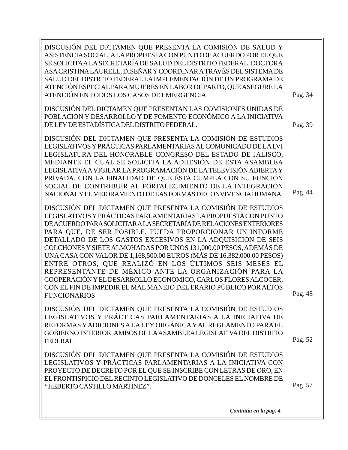Pag. 48 Pag. 34 Pag. 44 Pag. 57 Pag. 52 Pag. 39 DISCUSIÓN DEL DICTAMEN QUE PRESENTA LA COMISIÓN DE SALUD Y ASISTENCIA SOCIAL, A LA PROPUESTA CON PUNTO DE ACUERDO POR EL QUE SE SOLICITA A LA SECRETARÍA DE SALUD DEL DISTRITO FEDERAL, DOCTORA ASA CRISTINA LAURELL, DISEÑAR Y COORDINAR A TRAVÉS DEL SISTEMA DE SALUD DEL DISTRITO FEDERAL LA IMPLEMENTACIÓN DE UN PROGRAMA DE ATENCIÓN ESPECIAL PARA MUJERES EN LABOR DE PARTO, QUE ASEGURE LA ATENCIÓN EN TODOS LOS CASOS DE EMERGENCIA. DISCUSIÓN DEL DICTAMEN QUE PRESENTAN LAS COMISIONES UNIDAS DE POBLACIÓN Y DESARROLLO Y DE FOMENTO ECONÓMICO A LA INICIATIVA DE LEY DE ESTADÍSTICA DEL DISTRITO FEDERAL. DISCUSIÓN DEL DICTAMEN QUE PRESENTA LA COMISIÓN DE ESTUDIOS LEGISLATIVOS Y PRÁCTICAS PARLAMENTARIAS AL COMUNICADO DE LA LVI LEGISLATURA DEL HONORABLE CONGRESO DEL ESTADO DE JALISCO, MEDIANTE EL CUAL SE SOLICITA LA ADHESIÓN DE ESTA ASAMBLEA LEGISLATIVA A VIGILAR LA PROGRAMACIÓN DE LA TELEVISIÓN ABIERTA Y PRIVADA, CON LA FINALIDAD DE QUE ÉSTA CUMPLA CON SU FUNCIÓN SOCIAL DE CONTRIBUIR AL FORTALECIMIENTO DE LA INTEGRACIÓN NACIONAL Y EL MEJORAMIENTO DE LAS FORMAS DE CONVIVENCIA HUMANA. DISCUSIÓN DEL DICTAMEN QUE PRESENTA LA COMISIÓN DE ESTUDIOS LEGISLATIVOS Y PRÁCTICAS PARLAMENTARIAS LA PROPUESTA CON PUNTO DE ACUERDO PARA SOLICITAR A LA SECRETARÍA DE RELACIONES EXTERIORES PARA QUE, DE SER POSIBLE, PUEDA PROPORCIONAR UN INFORME DETALLADO DE LOS GASTOS EXCESIVOS EN LA ADQUISICIÓN DE SEIS COLCHONES Y SIETE ALMOHADAS POR UNOS 131,000.00 PESOS, ADEMÁS DE UNA CASA CON VALOR DE 1,168,500.00 EUROS (MÁS DE 16,382,000.00 PESOS) ENTRE OTROS, QUE REALIZÓ EN LOS ÚLTIMOS SEIS MESES EL REPRESENTANTE DE MÉXICO ANTE LA ORGANIZACIÓN PARA LA COOPERACIÓN Y EL DESARROLLO ECONÓMICO, CARLOS FLORES ALCOCER, CON EL FIN DE IMPEDIR EL MAL MANEJO DEL ERARIO PÚBLICO POR ALTOS FUNCIONARIOS DISCUSIÓN DEL DICTAMEN QUE PRESENTA LA COMISIÓN DE ESTUDIOS LEGISLATIVOS Y PRÁCTICAS PARLAMENTARIAS A LA INICIATIVA DE REFORMAS Y ADICIONES A LA LEY ORGÁNICA Y AL REGLAMENTO PARA EL GOBIERNO INTERIOR, AMBOS DE LA ASAMBLEA LEGISLATIVA DEL DISTRITO FEDERAL. DISCUSIÓN DEL DICTAMEN QUE PRESENTA LA COMISIÓN DE ESTUDIOS LEGISLATIVOS Y PRÁCTICAS PARLAMENTARIAS A LA INICIATIVA CON PROYECTO DE DECRETO POR EL QUE SE INSCRIBE CON LETRAS DE ORO, EN EL FRONTISPICIO DEL RECINTO LEGISLATIVO DE DONCELES EL NOMBRE DE ''HEBERTO CASTILLO MARTÍNEZ''.

*Continúa en la pag. 4*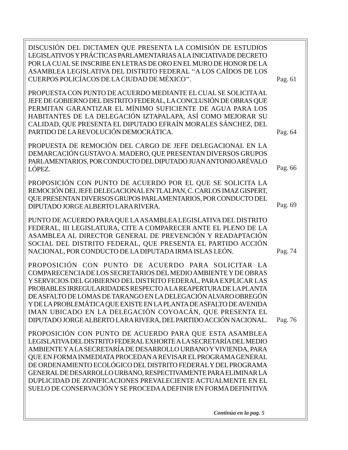Pag. 76 Pag. 66 Pag. 74 Pag. 69 DISCUSIÓN DEL DICTAMEN QUE PRESENTA LA COMISIÓN DE ESTUDIOS LEGISLATIVOS Y PRÁCTICAS PARLAMENTARIAS A LA INICIATIVA DE DECRETO POR LA CUAL SE INSCRIBE EN LETRAS DE ORO EN EL MURO DE HONOR DE LA ASAMBLEA LEGISLATIVA DEL DISTRITO FEDERAL ''A LOS CAÍDOS DE LOS CUERPOS POLICÍACOS DE LA CIUDAD DE MÉXICO''. PROPUESTA CON PUNTO DE ACUERDO MEDIANTE EL CUAL SE SOLICITA AL JEFE DE GOBIERNO DEL DISTRITO FEDERAL, LA CONCLUSIÓN DE OBRAS QUE PERMITAN GARANTIZAR EL MÍNIMO SUFICIENTE DE AGUA PARA LOS HABITANTES DE LA DELEGACIÓN IZTAPALAPA, ASÍ COMO MEJORAR SU CALIDAD, QUE PRESENTA EL DIPUTADO EFRAÍN MORALES SÁNCHEZ, DEL PARTIDO DE LA REVOLUCIÓN DEMOCRÁTICA. PROPUESTA DE REMOCIÓN DEL CARGO DE JEFE DELEGACIONAL EN LA DEMARCACIÓN GUSTAVO A. MADERO, QUE PRESENTAN DIVERSOS GRUPOS PARLAMENTARIOS, POR CONDUCTO DEL DIPUTADO JUAN ANTONIO ARÉVALO LÓPEZ. PROPOSICIÓN CON PUNTO DE ACUERDO POR EL QUE SE SOLICITA LA REMOCIÓN DEL JEFE DELEGACIONAL EN TLALPAN, C. CARLOS IMAZ GISPERT, QUE PRESENTAN DIVERSOS GRUPOS PARLAMENTARIOS, POR CONDUCTO DEL DIPUTADO JORGE ALBERTO LARA RIVERA. PUNTO DE ACUERDO PARA QUE LA ASAMBLEA LEGISLATIVA DEL DISTRITO FEDERAL, III LEGISLATURA, CITE A COMPARECER ANTE EL PLENO DE LA ASAMBLEA AL DIRECTOR GENERAL DE PREVENCIÓN Y READAPTACIÓN SOCIAL DEL DISTRITO FEDERAL, QUE PRESENTA EL PARTIDO ACCIÓN NACIONAL, POR CONDUCTO DE LA DIPUTADA IRMA ISLAS LEÓN. PROPOSICIÓN CON PUNTO DE ACUERDO PARA SOLICITAR LA COMPARECENCIA DE LOS SECRETARIOS DEL MEDIO AMBIENTE Y DE OBRAS Y SERVICIOS DEL GOBIERNO DEL DISTRITO FEDERAL, PARA EXPLICAR LAS PROBABLES IRREGULARIDADES RESPECTO A LA REAPERTURA DE LA PLANTA DE ASFALTO DE LOMAS DE TARANGO EN LA DELEGACIÓN ALVARO OBREGÓN Y DE LA PROBLEMÁTICA QUE EXISTE EN LA PLANTA DE ASFALTO DE AVENIDA IMAN UBICADO EN LA DELEGACIÓN COYOACÁN, QUE PRESENTA EL DIPUTADO JORGE ALBERTO LARA RIVERA, DEL PARTIDO ACCIÓN NACIONAL. PROPOSICIÓN CON PUNTO DE ACUERDO PARA QUE ESTA ASAMBLEA LEGISLATIVA DEL DISTRITO FEDERAL EXHORTE A LA SECRETARÍA DEL MEDIO AMBIENTE Y A LA SECRETARÍA DE DESARROLLO URBANO Y VIVIENDA, PARA QUE EN FORMA INMEDIATA PROCEDAN A REVISAR EL PROGRAMA GENERAL DE ORDENAMIENTO ECOLÓGICO DEL DISTRITO FEDERAL Y DEL PROGRAMA GENERAL DE DESARROLLO URBANO, RESPECTIVAMENTE PARA ELIMINAR LA DUPLICIDAD DE ZONIFICACIONES PREVALECIENTE ACTUALMENTE EN EL SUELO DE CONSERVACIÓN Y SE PROCEDA A DEFINIR EN FORMA DEFINITIVA Pag. 64 Pag. 61

*Continúa en la pag. 5*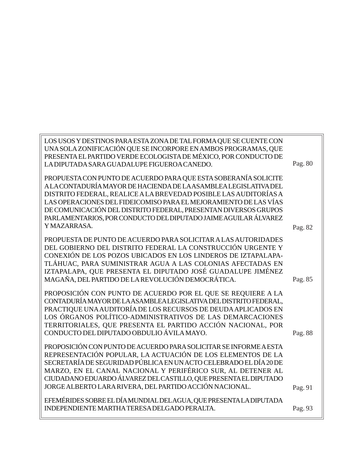| LOS USOS Y DESTINOS PARA ESTA ZONA DE TAL FORMA QUE SE CUENTE CON  |         |
|--------------------------------------------------------------------|---------|
| UNA SOLA ZONIFICACIÓN QUE SE INCORPORE EN AMBOS PROGRAMAS, QUE     |         |
| PRESENTA EL PARTIDO VERDE ECOLOGISTA DE MÉXICO, POR CONDUCTO DE    |         |
| LA DIPUTADA SARA GUADALUPE FIGUEROA CANEDO.                        | Pag. 80 |
|                                                                    |         |
| PROPUESTA CON PUNTO DE ACUERDO PARA QUE ESTA SOBERANÍA SOLICITE    |         |
| A LA CONTADURÍA MAYOR DE HACIENDA DE LA ASAMBLEA LEGISLATIVA DEL   |         |
| DISTRITO FEDERAL, REALICE A LA BREVEDAD POSIBLE LAS AUDITORÍAS A   |         |
| LAS OPERACIONES DEL FIDEICOMISO PARA EL MEJORAMIENTO DE LAS VÍAS   |         |
| DE COMUNICACIÓN DEL DISTRITO FEDERAL, PRESENTAN DIVERSOS GRUPOS    |         |
| PARLAMENTARIOS, POR CONDUCTO DEL DIPUTADO JAIME AGUILAR ÁLVAREZ    |         |
| YMAZARRASA.                                                        | Pag. 82 |
| PROPUESTA DE PUNTO DE ACUERDO PARA SOLICITAR A LAS AUTORIDADES     |         |
| DEL GOBIERNO DEL DISTRITO FEDERAL LA CONSTRUCCIÓN URGENTE Y        |         |
| CONEXIÓN DE LOS POZOS UBICADOS EN LOS LINDEROS DE IZTAPALAPA-      |         |
| TLÁHUAC, PARA SUMINISTRAR AGUA A LAS COLONIAS AFECTADAS EN         |         |
| IZTAPALAPA, QUE PRESENTA EL DIPUTADO JOSÉ GUADALUPE JIMÉNEZ        |         |
| MAGAÑA, DEL PARTIDO DE LA REVOLUCIÓN DEMOCRÁTICA.                  | Pag. 85 |
|                                                                    |         |
| PROPOSICIÓN CON PUNTO DE ACUERDO POR EL QUE SE REQUIERE A LA       |         |
| CONTADURÍA MAYOR DE LA ASAMBLEA LEGISLATIVA DEL DISTRITO FEDERAL,  |         |
| PRACTIQUE UNA AUDITORÍA DE LOS RECURSOS DE DEUDA APLICADOS EN      |         |
| LOS ÓRGANOS POLÍTICO-ADMINISTRATIVOS DE LAS DEMARCACIONES          |         |
| TERRITORIALES, QUE PRESENTA EL PARTIDO ACCIÓN NACIONAL, POR        |         |
| CONDUCTO DEL DIPUTADO OBDULIO ÁVILA MAYO.                          | Pag. 88 |
| PROPOSICIÓN CON PUNTO DE ACUERDO PARA SOLICITAR SE INFORME A ESTA  |         |
| REPRESENTACIÓN POPULAR, LA ACTUACIÓN DE LOS ELEMENTOS DE LA        |         |
| SECRETARÍA DE SEGURIDAD PÚBLICA EN UN ACTO CELEBRADO EL DÍA 20 DE  |         |
| MARZO, EN EL CANAL NACIONAL Y PERIFÉRICO SUR, AL DETENER AL        |         |
| CIUDADANO EDUARDO ÁLVAREZ DEL CASTILLO, QUE PRESENTA EL DIPUTADO   |         |
| JORGE ALBERTO LARA RIVERA, DEL PARTIDO ACCIÓN NACIONAL.            | Pag. 91 |
|                                                                    |         |
| EFEMÉRIDES SOBRE EL DÍA MUNDIAL DEL AGUA, QUE PRESENTA LA DIPUTADA |         |
| INDEPENDIENTE MARTHA TERESA DELGADO PERALTA.                       | Pag. 93 |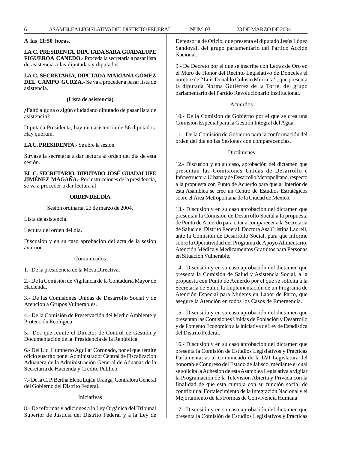# **A las 11:50 horas.**

**LA C. PRESIDENTA, DIPUTADA SARA GUADALUPE FIGUEROA CANEDO.-** Proceda la secretaría a pasar lista de asistencia a las diputadas y diputados.

**LA C. SECRETARIA, DIPUTADA MARIANA GÓMEZ DEL CAMPO GURZA.-** Se va a proceder a pasar lista de asistencia.

#### **(Lista de asistencia)**

¿Faltó alguna o algún ciudadano diputado de pasar lista de asistencia?

Diputada Presidenta, hay una asistencia de 56 diputados. Hay quórum.

**LA C. PRESIDENTA.-** Se abre la sesión.

Sírvase la secretaría a dar lectura al orden del día de esta sesión.

## **EL C. SECRETARIO, DIPUTADO JOSÉ GUADALUPE JIMÉNEZ MAGAÑA.-** Por instrucciones de la presidencia,

se va a proceder a dar lectura al

# **ORDEN DEL DÍA**

Sesión ordinaria. 23 de marzo de 2004.

Lista de asistencia.

Lectura del orden del día.

Discusión y en su caso aprobación del acta de la sesión anterior.

#### Comunicados

1.- De la presidencia de la Mesa Directiva.

2.- De la Comisión de Vigilancia de la Contaduría Mayor de Hacienda.

3.- De las Comisiones Unidas de Desarrollo Social y de Atención a Grupos Vulnerables.

4.- De la Comisión de Preservación del Medio Ambiente y Protección Ecológica.

5.- Dos que remite el Director de Control de Gestión y Documentación de la Presidencia de la República.

6.- Del Lic. Humberto Aguilar Coronado, por el que remite oficio suscrito por el Administrador Central de Fiscalización Aduanera de la Administración General de Aduanas de la Secretaría de Hacienda y Crédito Público.

7.- De la C. P. Bertha Elena Luján Uranga, Contralora General del Gobierno del Distrito Federal.

# Iniciativas

8.- De reformas y adiciones a la Ley Orgánica del Tribunal Superior de Justicia del Distrito Federal y a la Ley de Defensoría de Oficio, que presenta el diputado Jesús López Sandoval, del grupo parlamentario del Partido Acción Nacional.

9.- De Decreto por el que se inscribe con Letras de Oro en el Muro de Honor del Recinto Legislativo de Donceles el nombre de ''Luis Donaldo Colosio Murrieta'', que presenta la diputada Norma Gutiérrez de la Torre, del grupo parlamentario del Partido Revolucionario Institucional.

#### Acuerdos

10.- De la Comisión de Gobierno por el que se crea una Comisión Especial para la Gestión Integral del Agua.

11.- De la Comisión de Gobierno para la conformación del orden del día en las Sesiones con comparecencias.

#### Dictámenes

12.- Discusión y en su caso, aprobación del dictamen que presentan las Comisiones Unidas de Desarrollo e Infraestructura Urbana y de Desarrollo Metropolitano, respecto a la propuesta con Punto de Acuerdo para que al Interior de esta Asamblea se cree un Centro de Estudios Estratégicos sobre el Área Metropolitana de la Ciudad de México.

13.- Discusión y en su caso aprobación del dictamen que presentan la Comisión de Desarrollo Social a la propuesta de Punto de Acuerdo para citar a comparecer a la Secretaria de Salud del Distrito Federal, Doctora Asa Cristina Laurell, ante la Comisión de Desarrollo Social, para que informe sobre la Operatividad del Programa de Apoyo Alimentario, Atención Médica y Medicamentos Gratuitos para Personas en Situación Vulnerable.

14.- Discusión y en su caso aprobación del dictamen que presenta la Comisión de Salud y Asistencia Social, a la propuesta con Punto de Acuerdo por el que se solicita a la Secretaría de Salud la Implementación de un Programa de Atención Especial para Mujeres en Labor de Parto, que asegure la Atención en todos los Casos de Emergencia.

15.- Discusión y en su caso aprobación del dictamen que presentan las Comisiones Unidas de Población y Desarrollo y de Fomento Económico a la iniciativa de Ley de Estadística del Distrito Federal.

16.- Discusión y en su caso aprobación del dictamen que presenta la Comisión de Estudios Legislativos y Prácticas Parlamentarias al comunicado de la LVI Legislatura del honorable Congreso del Estado de Jalisco, mediante el cual se solicita la Adhesión de esta Asamblea Legislativa a vigilar la Programación de la Televisión Abierta y Privada con la finalidad de que esta cumpla con su función social de contribuir al Fortalecimiento de la Integración Nacional y el Mejoramiento de las Formas de Convivencia Humana.

17.- Discusión y en su caso aprobación del dictamen que presenta la Comisión de Estudios Legislativos y Prácticas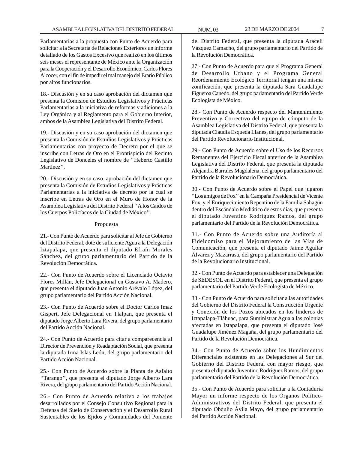Parlamentarias a la propuesta con Punto de Acuerdo para solicitar a la Secretaría de Relaciones Exteriores un informe detallado de los Gastos Excesivo que realizó en los últimos seis meses el representante de México ante la Organización para la Cooperación y el Desarrollo Económico, Carlos Flores Alcocer, con el fin de impedir el mal manejo del Erario Público por altos funcionarios.

18.- Discusión y en su caso aprobación del dictamen que presenta la Comisión de Estudios Legislativos y Prácticas Parlamentarias a la iniciativa de reformas y adiciones a la Ley Orgánica y al Reglamento para el Gobierno Interior, ambos de la Asamblea Legislativa del Distrito Federal.

19.- Discusión y en su caso aprobación del dictamen que presenta la Comisión de Estudios Legislativos y Prácticas Parlamentarias con proyecto de Decreto por el que se inscribe con Letras de Oro en el Frontispicio del Recinto Legislativo de Donceles el nombre de ''Heberto Castillo Martínez''.

20.- Discusión y en su caso, aprobación del dictamen que presenta la Comisión de Estudios Legislativos y Prácticas Parlamentarias a la iniciativa de decreto por la cual se inscribe en Letras de Oro en el Muro de Honor de la Asamblea Legislativa del Distrito Federal ''A los Caídos de los Cuerpos Policíacos de la Ciudad de México''.

#### Propuesta

21.- Con Punto de Acuerdo para solicitar al Jefe de Gobierno del Distrito Federal, dote de suficiente Agua a la Delegación Iztapalapa, que presenta el diputado Efraín Morales Sánchez, del grupo parlamentario del Partido de la Revolución Democrática.

22.- Con Punto de Acuerdo sobre el Licenciado Octavio Flores Millán, Jefe Delegacional en Gustavo A. Madero, que presenta el diputado Juan Antonio Arévalo López, del grupo parlamentario del Partido Acción Nacional.

23.- Con Punto de Acuerdo sobre el Doctor Carlos Imaz Gispert, Jefe Delegacional en Tlalpan, que presenta el diputado Jorge Alberto Lara Rivera, del grupo parlamentario del Partido Acción Nacional.

24.- Con Punto de Acuerdo para citar a comparecencia al Director de Prevención y Readaptación Social, que presenta la diputada Irma Islas León, del grupo parlamentario del Partido Acción Nacional.

25.- Con Punto de Acuerdo sobre la Planta de Asfalto ''Tarango'', que presenta el diputado Jorge Alberto Lara Rivera, del grupo parlamentario del Partido Acción Nacional.

26.- Con Punto de Acuerdo relativo a los trabajos desarrollados por el Consejo Consultivo Regional para la Defensa del Suelo de Conservación y el Desarrollo Rural Sustentables de los Ejidos y Comunidades del Poniente

del Distrito Federal, que presenta la diputada Araceli Vázquez Camacho, del grupo parlamentario del Partido de la Revolución Democrática.

27.- Con Punto de Acuerdo para que el Programa General de Desarrollo Urbano y el Programa General Reordenamiento Ecológico Territorial tengan una misma zonificación, que presenta la diputada Sara Guadalupe Figueroa Canedo, del grupo parlamentario del Partido Verde Ecologista de México.

28.- Con Punto de Acuerdo respecto del Mantenimiento Preventivo y Correctivo del equipo de cómputo de la Asamblea Legislativa del Distrito Federal, que presenta la diputada Claudia Esqueda Llanes, del grupo parlamentario del Partido Revolucionario Institucional.

29.- Con Punto de Acuerdo sobre el Uso de los Recursos Remanentes del Ejercicio Fiscal anterior de la Asamblea Legislativa del Distrito Federal, que presenta la diputada Alejandra Barrales Magdalena, del grupo parlamentario del Partido de la Revolucionario Democrática.

30.- Con Punto de Acuerdo sobre el Papel que jugaron ''Los amigos de Fox'' en la Campaña Presidencial de Vicente Fox, y el Enriquecimiento Repentino de la Familia Sahagún dentro del Escándalo Mediático de estos días, que presenta el diputado Juventino Rodríguez Ramos, del grupo parlamentario del Partido de la Revolución Democrática.

31.- Con Punto de Acuerdo sobre una Auditoría al Fideicomiso para el Mejoramiento de las Vías de Comunicación, que presenta el diputado Jaime Aguilar Álvarez y Mazarrasa, del grupo parlamentario del Partido de la Revolucionario Institucional.

32.- Con Punto de Acuerdo para establecer una Delegación de SEDESOL en el Distrito Federal, que presenta el grupo parlamentario del Partido Verde Ecologista de México.

33.- Con Punto de Acuerdo para solicitar a las autoridades del Gobierno del Distrito Federal la Construcción Urgente y Conexión de los Pozos ubicados en los linderos de Iztapalapa-Tláhuac, para Suministrar Agua a las colonias afectadas en Iztapalapa, que presenta el diputado José Guadalupe Jiménez Magaña, del grupo parlamentario del Partido de la Revolución Democrática.

34.- Con Punto de Acuerdo sobre los Hundimientos Diferenciales existentes en las Delegaciones al Sur del Gobierno del Distrito Federal con mayor riesgo, que presenta el diputado Juventino Rodríguez Ramos, del grupo parlamentario del Partido de la Revolución Democrática.

35.- Con Punto de Acuerdo para solicitar a la Contaduría Mayor un informe respecto de los Órganos Político-Administrativos del Distrito Federal, que presenta el diputado Obdulio Ávila Mayo, del grupo parlamentario del Partido Acción Nacional.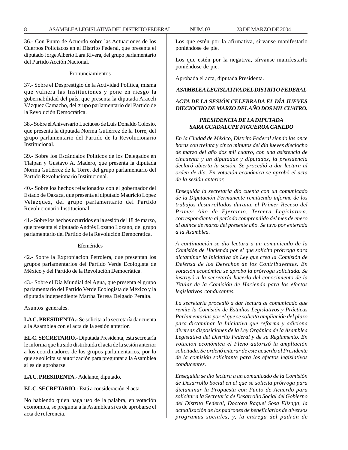36.- Con Punto de Acuerdo sobre las Actuaciones de los Cuerpos Policíacos en el Distrito Federal, que presenta el diputado Jorge Alberto Lara Rivera, del grupo parlamentario del Partido Acción Nacional.

#### Pronunciamientos

37.- Sobre el Desprestigio de la Actividad Política, misma que vulnera las Instituciones y pone en riesgo la gobernabilidad del país, que presenta la diputada Araceli Vázquez Camacho, del grupo parlamentario del Partido de la Revolución Democrática.

38.- Sobre el Aniversario Luctuoso de Luis Donaldo Colosio, que presenta la diputada Norma Gutiérrez de la Torre, del grupo parlamentario del Partido de la Revolucionario Institucional.

39.- Sobre los Escándalos Políticos de los Delegados en Tlalpan y Gustavo A. Madero, que presenta la diputada Norma Gutiérrez de la Torre, del grupo parlamentario del Partido Revolucionario Institucional.

40.- Sobre los hechos relacionados con el gobernador del Estado de Oaxaca, que presenta el diputado Mauricio López Velázquez, del grupo parlamentario del Partido Revolucionario Institucional.

41.- Sobre los hechos ocurridos en la sesión del 18 de marzo, que presenta el diputado Andrés Lozano Lozano, del grupo parlamentario del Partido de la Revolución Democrática.

#### Efemérides

42.- Sobre la Expropiación Petrolera, que presentan los grupos parlamentarios del Partido Verde Ecologista de México y del Partido de la Revolución Democrática.

43.- Sobre el Día Mundial del Agua, que presenta el grupo parlamentario del Partido Verde Ecologista de México y la diputada independiente Martha Teresa Delgado Peralta.

Asuntos generales.

**LA C. PRESIDENTA.-** Se solicita a la secretaría dar cuenta a la Asamblea con el acta de la sesión anterior.

**EL C. SECRETARIO.-** Diputada Presidenta, esta secretaría le informa que ha sido distribuida el acta de la sesión anterior a los coordinadores de los grupos parlamentarios, por lo que se solicita su autorización para preguntar a la Asamblea si es de aprobarse.

**LA C. PRESIDENTA.-** Adelante, diputado.

**EL C. SECRETARIO.-** Está a consideración el acta.

No habiendo quien haga uso de la palabra, en votación económica, se pregunta a la Asamblea si es de aprobarse el acta de referencia.

Los que estén por la afirmativa, sírvanse manifestarlo poniéndose de pie.

Los que estén por la negativa, sírvanse manifestarlo poniéndose de pie.

Aprobada el acta, diputada Presidenta.

## *ASAMBLEA LEGISLATIVA DEL DISTRITO FEDERAL*

# *ACTA DE LA SESIÓN CELEBRADA EL DÍA JUEVES DIECIOCHO DE MARZO DEL AÑO DOS MIL CUATRO.*

# *PRESIDENCIA DE LA DIPUTADA SARA GUADALUPE FIGUEROA CANEDO*

*En la Ciudad de México, Distrito Federal siendo las once horas con treinta y cinco minutos del día jueves dieciocho de marzo del año dos mil cuatro, con una asistencia de cincuenta y un diputadas y diputados, la presidencia declaró abierta la sesión. Se procedió a dar lectura al orden de día. En votación económica se aprobó el acta de la sesión anterior.*

*Enseguida la secretaría dio cuenta con un comunicado de la Diputación Permanente remitiendo informe de los trabajos desarrollados durante el Primer Receso del Primer Año de Ejercicio, Tercera Legislatura, correspondiente al período comprendido del mes de enero al quince de marzo del presente año. Se tuvo por enterada a la Asamblea.*

*A continuación se dio lectura a un comunicado de la Comisión de Hacienda por el que solicita prórroga para dictaminar la Iniciativa de Ley que crea la Comisión de Defensa de los Derechos de los Contribuyentes. En votación económica se aprobó la prórroga solicitada. Se instruyó a la secretaría hacerlo del conocimiento de la Titular de la Comisión de Hacienda para los efectos legislativos conducentes.*

*La secretaría procedió a dar lectura al comunicado que remite la Comisión de Estudios Legislativos y Prácticas Parlamentarias por el que se solicita ampliación del plazo para dictaminar la Iniciativa que reforma y adiciona diversas disposiciones de la Ley Orgánica de la Asamblea Legislativa del Distrito Federal y de su Reglamento. En votación económica el Pleno autorizó la ampliación solicitada. Se ordenó enterar de este acuerdo al Presidente de la comisión solicitante para los efectos legislativos conducentes.*

*Enseguida se dio lectura a un comunicado de la Comisión de Desarrollo Social en el que se solicita prórroga para dictaminar la Propuesta con Punto de Acuerdo para solicitar a la Secretaria de Desarrollo Social del Gobierno del Distrito Federal, Doctora Raquel Sosa Elízaga, la actualización de los padrones de beneficiarios de diversos programas sociales, y, la entrega del padrón de*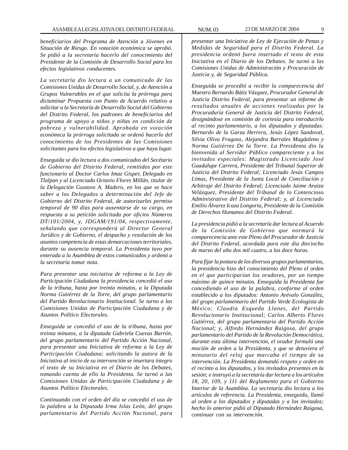*beneficiarios del Programa de Atención a Jóvenes en Situación de Riesgo. En votación económica se aprobó. Se pidió a la secretaría hacerlo del conocimiento del Presidente de la Comisión de Desarrollo Social para los efectos legislativos conducentes.*

*La secretaría dio lectura a un comunicado de las Comisiones Unidas de Desarrollo Social, y, de Atención a Grupos Vulnerables en el que solicita la prórroga para dictaminar Propuesta con Punto de Acuerdo relativo a solicitar a la Secretaría de Desarrollo Social del Gobierno del Distrito Federal, los padrones de beneficiarios del programa de apoyo a niños y niñas en condición de pobreza y vulnerabilidad. Aprobada en votación económica la prórroga solicitada se ordenó hacerlo del conocimiento de los Presidentes de las Comisiones solicitantes para los efectos legislativos a que haya lugar.*

*Enseguida se dio lectura a dos comunicados del Secétario de Gobierno del Distrito Federal, remitidos por este funcionario al Doctor Carlos Imaz Gisper, Delegado en Tlalpan y al Licenciado Octavio Flores Millán, titular de la Delegación Gustavo A. Madero, en los que se hace saber a los Delegados a determinación del Jefe de Gobierno del Distrito Federal, de autorizarles permiso temporal de 90 días para ausentarse de su cargo, en respuesta a su petición solicitada por oficios Números DT/101/2004, y, JDGAM/191/04, respectivamente, señalando que corresponderá al Director General Jurídico y de Gobierno, el despacho y resolución de los asuntos competencia de estas demarcaciones territoriales, durante su ausencia temporal. La Presidenta tuvo por enterada a la Asamblea de estos comunicados y ordenó a la secretaría tomar nota.*

*Para presentar una iniciativa de reforma a la Ley de Participación Ciudadana la presidencia concedió el uso de la tribuna, hasta por treinta minutos, a la Diputada Norma Gutiérrez de la Torre, del grupo parlamentario del Partido Revolucionario Institucional. Se turno a las Comisiones Unidas de Participación Ciudadana y de Asuntos Político Electorales.*

*Enseguida se concedió el uso de la tribuna, hasta por treinta minutos, a la diputada Gabriela Cuevas Barrón, del grupo parlamentario del Partido Acción Nacional, para presentar una Iniciativa de reforma a la Ley de Participación Ciudadana; solicitando la autora de la Iniciativa al inicio de su intervención se insertara íntegro el texto de su Iniciativa en el Diario de los Debates, tomando cuenta de ello la Presidenta. Se turnó a las Comisiones Unidas de Participación Ciudadana y de Asuntos Político Electorales.*

*Continuando con el orden del día se concedió el uso de la palabra a la Diputada Irma Islas León, del grupo parlamentario del Partido Acción Nacional, para* *presentar una Iniciativa de Ley de Ejecución de Penas y Medidas de Seguridad para el Distrito Federal. La presidencia ordenó fuera insertado el texto de esta Iniciativa en el Diario de los Debates. Se turnó a las Comisiones Unidas de Administración y Procuración de Justicia y, de Seguridad Pública.*

*Enseguida se procedió a recibir la comparecencia del Maestro Bernardo Bátiz Vázquez, Procurador General de Justicia Distrito Federal, para presentar un informe de resultados anuales de acciones realizadas por la Procuraduría General de Justicia del Distrito Federal, designándose en comisión de cortesía para introducirlo al recinto parlamentario, a los diputados y diputadas: Bernardo de la Garza Herrera, Jesús López Sandoval, Silvia Oliva Fragoso, Alejandra Barrales Magdaleno y Norma Gutiérrez De la Torre. La Presidenta dio la bienvenida al Servidor Público compareciente y a los invitados especiales: Magistrado Licenciado José Guadalupe Carrera, Presidente del Tribunal Superior de Justicia del Distrito Federal; Licenciado Jesús Campos Limas, Presidente de la Junta Local de Conciliación y Arbitraje del Distrito Federal; Licenciado Jaime Araiza Velázquez, Presidente del Tribunal de lo Contencioso Administrativo del Distrito Federal; y, al Licenciado Emilio Álvarez Icaza Longoria, Presidente de la Comisión de Derechos Humanos del Distrito Federal.*

*La presidencia pidió a la secretaría dar lectura al Acuerdo de la Comisión de Gobierno que normará la comparecencia ante este Pleno del Procurador de Justicia del Distrito Federal, acordada para este día dieciocho de marzo del año dos mil cuatro, a las doce horas.*

*Para fijar la postura de los diversos grupos parlamentarios, la presidencia hizo del conocimiento del Pleno el orden en el que participarían los oradores, por un tiempo máximo de quince minutos. Enseguida la Presidenta fue concediendo el uso de la palabra, conforme al orden establecido a los diputados: Antonio Arévalo González, del grupo parlamentario del Partido Verde Ecologista de México; Claudia Esqueda Llanes, del Partido Revolucionario Institucional; Carlos Alberto Flores Gutiérrez, del grupo parlamentario del Partido Acción Nacional; y, Alfredo Hernández Raigosa, del grupo parlamentario del Partido de la Revolución Democrática, durante esta última intervención, el orador formuló una moción de orden a la Presidenta, y que se detuviera el minutario del reloj que marcaba el tiempo de su intervención. La Presidenta demandó respeto y orden en el recinto a los diputados, y los invitados presentes en la sesión; e instruyó a la secretaría dar lectura a los artículos 18, 20, 109, y 111 del Reglamento para el Gobierno Interior de la Asamblea. La secretaría dio lectura a los artículos de referencia. La Presidenta, enseguida, llamó al orden a los diputados y diputadas y a los invitados; hecho lo anterior pidió al Diputado Hernández Raigosa, continuar con su intervención.*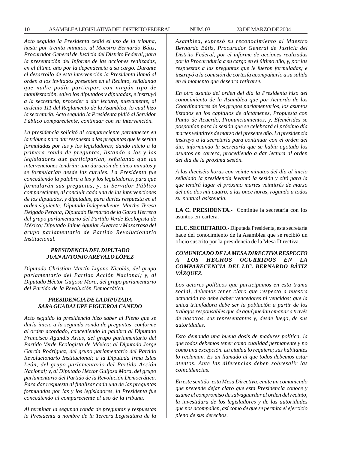*Acto seguido la Presidenta cedió el uso de la tribuna, hasta por treinta minutos, al Maestro Bernardo Bátiz, Procurador General de Justicia del Distrito Federal, para la presentación del Informe de las acciones realizadas, en el último año por la dependencia a su cargo. Durante el desarrollo de esta intervención la Presidenta llamó al orden a los invitados presentes en el Recinto, señalando que nadie podía participar, con ningún tipo de manifestación, salvo los diputados y diputadas, e instruyó a la secretaría, proceder a dar lectura, nuevamente, al artículo 111 del Reglamento de la Asamblea, lo cual hizo la secretaría. Acto seguido la Presidenta pidió al Servidor Público compareciente, continuar con su intervención.*

*La presidencia solicitó al compareciente permanecer en la tribuna para dar respuesta a las preguntas que le serían formuladas por las y los legisladores; dando inicio a la primera ronda de preguntas, listando a los y las legisladores que participarían, señalando que las intervenciones tendrían una duración de cinco minutos y se formularían desde las curules. La Presidenta fue concediendo la palabra a las y los legisladores, para que formularán sus preguntas, y, al Servidor Público compareciente, al concluir cada una de las intervenciones de los diputados, y diputadas, para darles respuesta en el orden siguiente: Diputada Independiente, Martha Teresa Delgado Peralta; Diputado Bernardo de la Garza Herrera del grupo parlamentario del Partido Verde Ecologista de México; Diputado Jaime Aguilar Álvarez y Mazarrasa del grupo parlamentario de Partido Revolucionario Institucional.*

#### *PRESIDENCIA DEL DIPUTADO JUAN ANTONIO ARÉVALO LÓPEZ*

*Diputado Christian Martín Lujano Nicolás, del grupo parlamentario del Partido Acción Nacional; y, al Diputado Héctor Guijosa Mora, del grupo parlamentario del Partido de la Revolución Democrática.*

# *PRESIDENCIA DE LA DIPUTADA SARA GUADALUPE FIGUEROA CANEDO*

*Acto seguido la presidencia hizo saber al Pleno que se daría inicio a la segunda ronda de preguntas, conforme al orden acordado, concediendo la palabra al Diputado Francisco Agundis Arias, del grupo parlamentario del Partido Verde Ecologista de México; al Diputado Jorge García Rodríguez, del grupo parlamentario del Partido Revolucionario Institucional; a la Diputada Irma Islas León, del grupo parlamentario del Partido Acción Nacional; y, al Diputado Héctor Guijosa Mora, del grupo parlamentario del Partido de la Revolución Democrática. Para dar respuesta al finalizar cada una de las preguntas formuladas por las y los legisladores, la Presidenta fue concediendo al compareciente el uso de la tribuna.*

*Al terminar la segunda ronda de preguntas y respuestas la Presidenta a nombre de la Tercera Legislatura de la*

*Asamblea, expresó su reconocimiento al Maestro Bernardo Bátiz, Procurador General de Justicia del Distrito Federal, por el informe de acciones realizadas por la Procuraduría a su cargo en el último año, y, por las respuestas a las preguntas que le fueron formuladas; e instruyó a la comisión de cortesía acompañarlo a su salida en el momento que deseara retirarse.*

*En otro asunto del orden del día la Presidenta hizo del conocimiento de la Asamblea que por Acuerdo de los Coordinadores de los grupos parlamentarios, los asuntos listados en los capítulos de dictámenes, Propuesta con Punto de Acuerdo, Pronunciamientos, y, Efemérides se posponían para la sesión que se celebrará el próximo día martes veintitrés de marzo del presente año. La presidencia instruyó a la secretaría para continuar con el orden del día, informando la secretaría que se había agotado los asuntos en cartera, procediendo a dar lectura al orden del día de la próxima sesión.*

*A las dieciséis horas con veinte minutos del día al inicio señalado la presidencia levantó la sesión y citó para la que tendrá lugar el próximo martes veintitrés de marzo del año dos mil cuatro, a las once horas, rogando a todos su puntual asistencia.*

**LA C. PRESIDENTA.-** Continúe la secretaría con los asuntos en cartera.

**EL C. SECRETARIO.-** Diputada Presidenta, esta secretaría hace del conocimiento de la Asamblea que se recibió un oficio suscrito por la presidencia de la Mesa Directiva.

# *COMUNICADO DE LA MESA DIRECTIVA RESPECTO A LOS HECHOS OCURRIDOS EN LA COMPARECENCIA DEL LIC. BERNARDO BÁTIZ VÁZQUEZ.*

*Los actores políticos que participamos en esta trama social, debemos tener claro que respecto a nuestra actuación no debe haber vencedores ni vencidos; que la única triunfadora debe ser la población a partir de los trabajos responsables que de aquí puedan emanar a través de nosotros, sus representantes y, desde luego, de sus autoridades.*

*Esto demanda una buena dosis de madurez política, la que todos debemos tener como cualidad permanente y no como una excepción. La ciudad lo requiere; sus habitantes lo reclaman. Es un llamado al que todos debemos estar atentos. Ante las diferencias deben sobresalir las coincidencias.*

*En este sentido, esta Mesa Directiva, emite un comunicado que pretende dejar claro que esta Presidencia conoce y asume el compromiso de salvaguardar el orden del recinto, la investidura de los legisladores y de las autoridades que nos acompañen, así como de que se permita el ejercicio pleno de sus derechos.*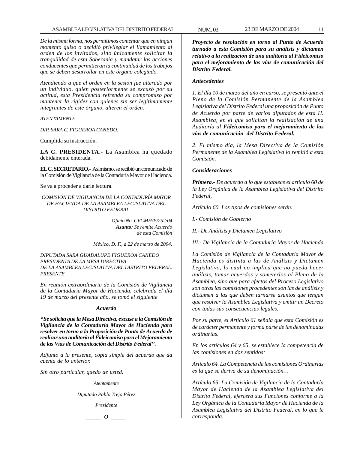*De la misma forma, nos permitimos comentar que en ningún momento quiso o decidió privilegiar el llamamiento al orden de los invitados, sino únicamente solicitar la tranquilidad de esta Soberanía y mandatar las acciones conducentes que permitieran la continuidad de los trabajos que se deben desarrollar en este órgano colegiado.*

*Atendiendo a que el orden en la sesión fue alterado por un individuo, quien posteriormente se excusó por su actitud, esta Presidencia refrenda su compromiso por mantener la rigidez con quienes sin ser legítimamente integrantes de este órgano, alteren el orden.*

#### *ATENTAMENTE*

*DIP. SARA G. FIGUEROA CANEDO.*

Cumplida su instrucción.

**LA C. PRESIDENTA.-** La Asamblea ha quedado debidamente enterada.

**EL C. SECRETARIO.-** Asimismo, se recibió un comunicado de la Comisión de Vigilancia de la Contaduría Mayor de Hacienda.

Se va a proceder a darle lectura.

*COMISIÓN DE VIGILANCIA DE LA CONTADURÍA MAYOR DE HACIENDA DE LA ASAMBLEA LEGISLATIVA DEL DISTRITO FEDERAL*

> *Oficio No. CVCMH/P/252/04 Asunto: Se remite Acuerdo de esta Comisión*

*México, D. F., a 22 de marzo de 2004.*

*DIPUTADA SARA GUADALUPE FIGUEROA CANEDO PRESIDENTA DE LA MESA DIRECTIVA DE LA ASAMBLEA LEGISLATIVA DEL DISTRITO FEDERAL. PRESENTE*

*En reunión extraordinaria de la Comisión de Vigilancia de la Contaduría Mayor de Hacienda, celebrada el día 19 de marzo del presente año, se tomó el siguiente*

#### *Acuerdo*

*''Se solicita que la Mesa Directiva, excuse a la Comisión de Vigilancia de la Contaduría Mayor de Hacienda para resolver en torno a la Proposición de Punto de Acuerdo de realizar una auditoría al Fideicomiso para el Mejoramiento de las Vías de Comunicación del Distrito Federal''.*

*Adjunto a la presente, copia simple del acuerdo que da cuenta de lo anterior.*

*Sin otro particular, quedo de usted.*

*Atentamente*

*Diputado Pablo Trejo Pérez*

*Presidente*

*\_\_\_\_\_ O \_\_\_\_\_*

*Proyecto de resolución en torno al Punto de Acuerdo turnado a esta Comisión para su análisis y dictamen relativo a la realización de una auditoría al Fideicomiso para el mejoramiento de las vías de comunicación del Distrito Federal.*

# *Antecedentes*

*1. El día 10 de marzo del año en curso, se presentó ante el Pleno de la Comisión Permanente de la Asamblea Legislativa del Distrito Federal una proposición de Punto de Acuerdo por parte de varios diputados de esta H. Asamblea, en el que solicitan la realización de una Auditoría al Fideicomiso para el mejoramiento de las vías de comunicación del Distrito Federal.*

*2. El mismo día, la Mesa Directiva de la Comisión Permanente de la Asamblea Legislativa lo remitió a esta Comisión.*

#### *Consideraciones*

*Primera.- De acuerdo a lo que establece el artículo 60 de la Ley Orgánica de la Asamblea Legislativa del Distrito Federal,*

*Artículo 60. Los tipos de comisiones serán:*

*I.- Comisión de Gobierno*

*II.- De Análisis y Dictamen Legislativo*

*III.- De Vigilancia de la Contaduría Mayor de Hacienda*

*La Comisión de Vigilancia de la Contaduría Mayor de Hacienda es distinta a las de Análisis y Dictamen Legislativo, lo cual no implica que no pueda hacer análisis, tomar acuerdos y someterlos al Pleno de la Asamblea, sino que para efectos del Proceso Legislativo son otras las comisiones procedentes son las de análisis y dictamen a las que deben turnarse asuntos que tengan que resolver la Asamblea Legislativa y emitir un Decreto con todas sus consecuencias legales.*

*Por su parte, el Artículo 61 señala que esta Comisión es de carácter permanente y forma parte de las denominadas ordinarias.*

*En los artículos 64 y 65, se establece la competencia de las comisiones en dos sentidos:*

*Artículo 64. La Competencia de las comisiones Ordinarias es la que se deriva de su denominación…*

*Artículo 65. La Comisión de Vigilancia de la Contaduría Mayor de Hacienda de la Asamblea Legislativa del Distrito Federal, ejercerá sus Funciones conforme a la Ley Orgánica de la Contaduría Mayor de Hacienda de la Asamblea Legislativa del Distrito Federal, en lo que le corresponda.*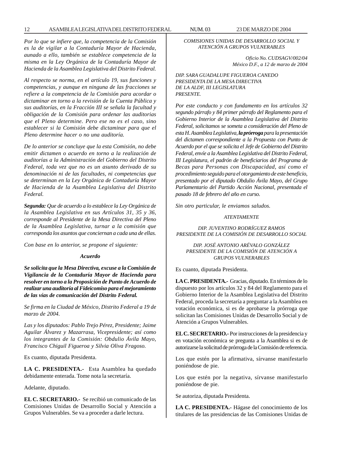*Por lo que se infiere que, la competencia de la Comisión es la de vigilar a la Contaduría Mayor de Hacienda, aunado a ello, también se establece competencia de la misma en la Ley Orgánica de la Contaduría Mayor de Hacienda de la Asamblea Legislativa del Distrito Federal.*

*Al respecto se norma, en el artículo 19, sus funciones y competencias, y aunque en ninguna de las fracciones se refiere a la competencia de la Comisión para acordar o dictaminar en torno a la revisión de la Cuenta Pública y sus auditorías, en la Fracción III se señala la facultad y obligación de la Comisión para ordenar las auditorias que el Pleno determine. Pero ese no es el caso, sino establecer si la Comisión debe dictaminar para que el Pleno determine hacer o no una auditoría.*

*De lo anterior se concluye que la esta Comisión, no debe emitir dictamen o acuerdo en torno a la realización de auditorías a la Administración del Gobierno del Distrito Federal, toda vez que no es un asunto derivado de su denominación ni de las facultades, ni competencias que se determinan en la Ley Orgánica de Contaduría Mayor de Hacienda de la Asamblea Legislativa del Distrito Federal.*

*Segunda: Que de acuerdo a lo establece la Ley Orgánica de la Asamblea Legislativa en sus Artículos 31, 35 y 36, corresponde al Presidente de la Mesa Directiva del Pleno de la Asamblea Legislativa, turnar a la comisión que corresponda los asuntos que conciernan a cada una de ellas.*

*Con base en lo anterior, se propone el siguiente:*

#### *Acuerdo*

*Se solicita que la Mesa Directiva, excuse a la Comisión de Vigilancia de la Contaduría Mayor de Hacienda para resolver en torno a la Proposición de Punto de Acuerdo de realizar una auditoría al Fideicomiso para el mejoramiento de las vías de comunicación del Distrito Federal.*

*Se firma en la Ciudad de México, Distrito Federal a 19 de marzo de 2004.*

*Las y los diputados: Pablo Trejo Pérez, Presidente; Jaime Aguilar Álvarez y Mazarrasa, Vicepresidente; así como los integrantes de la Comisión: Obdulio Ávila Mayo, Francisco Chiguil Figueroa y Silvia Oliva Fragoso.*

Es cuanto, diputada Presidenta.

**LA C. PRESIDENTA.-** Esta Asamblea ha quedado debidamente enterada. Tome nota la secretaría.

Adelante, diputado.

**EL C. SECRETARIO.-** Se recibió un comunicado de las Comisiones Unidas de Desarrollo Social y Atención a Grupos Vulnerables. Se va a proceder a darle lectura.

*COMISIONES UNIDAS DE DESARROLLO SOCIAL Y ATENCIÓN A GRUPOS VULNERABLES*

> *Oficio No. CUDSAGV/002/04 México D.F., a 12 de marzo de 2004*

*DIP. SARA GUADALUPE FIGUEROA CANEDO PRESIDENTA DE LA MESA DIRECTIVA DE LA ALDF, III LEGISLATURA PRESENTE.*

*Por este conducto y con fundamento en los artículos 32 segundo párrafo y 84 primer párrafo del Reglamento para el Gobierno Interior de la Asamblea Legislativa del Distrito Federal, solicitamos se someta a consideración del Pleno de esta H. Asamblea Legislativa, la prórroga para la presentación del dictamen correspondiente a la Propuesta con Punto de Acuerdo por el que se solicita el Jefe de Gobierno del Distrito Federal, envíe a la Asamblea Legislativa del Distrito Federal, III Legislatura, el padrón de beneficiarios del Programa de Becas para Personas con Discapacidad, así como el procedimiento seguido para el otorgamiento de este beneficio, presentado por el diputado Obdulio Ávila Mayo, del Grupo Parlamentario del Partido Acción Nacional, presentada el pasado 18 de febrero del año en curso.*

*Sin otro particular, le enviamos saludos.*

#### *ATENTAMENTE*

*DIP. JUVENTINO RODRÍGUEZ RAMOS PRESIDENTE DE LA COMISIÓN DE DESARROLLO SOCIAL*

*DIP. JOSÉ ANTONIO ARÉVALO GONZÁLEZ PRESIDENTE DE LA COMISIÓN DE ATENCIÓN A GRUPOS VULNERABLES*

Es cuanto, diputada Presidenta.

**LA C. PRESIDENTA.-** Gracias, diputado. En términos de lo dispuesto por los artículos 32 y 84 del Reglamento para el Gobierno Interior de la Asamblea Legislativa del Distrito Federal, proceda la secretaría a preguntar a la Asamblea en votación económica, si es de aprobarse la prórroga que solicitan las Comisiones Unidas de Desarrollo Social y de Atención a Grupos Vulnerables.

**EL C. SECRETARIO.-** Por instrucciones de la presidencia y en votación económica se pregunta a la Asamblea si es de autorizarse la solicitud de prórroga de la Comisión de referencia.

Los que estén por la afirmativa, sírvanse manifestarlo poniéndose de pie.

Los que estén por la negativa, sírvanse manifestarlo poniéndose de pie.

Se autoriza, diputada Presidenta.

**LA C. PRESIDENTA.-** Hágase del conocimiento de los titulares de las presidencias de las Comisiones Unidas de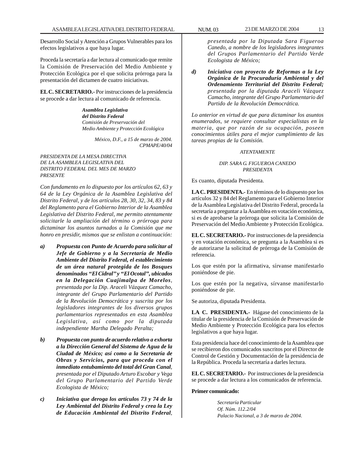Desarrollo Social y Atención a Grupos Vulnerables para los efectos legislativos a que haya lugar.

Proceda la secretaría a dar lectura al comunicado que remite la Comisión de Preservación del Medio Ambiente y Protección Ecológica por el que solicita prórroga para la presentación del dictamen de cuatro iniciativas.

**EL C. SECRETARIO.-** Por instrucciones de la presidencia se procede a dar lectura al comunicado de referencia.

> *Asamblea Legislativa del Distrito Federal Comisión de Preservación del Medio Ambiente y Protección Ecológica*

> > *México, D.F., a 15 de marzo de 2004. CPMAPE/40/04*

## *PRESIDENTA DE LA MESA DIRECTIVA DE LA ASAMBLEA LEGISLATIVA DEL DISTRITO FEDERAL DEL MES DE MARZO PRESENTE*

*Con fundamento en lo dispuesto por los artículos 62, 63 y 64 de la Ley Orgánica de la Asamblea Legislativa del Distrito Federal, y de los artículos 28, 30, 32, 34, 83 y 84 del Reglamento para el Gobierno Interior de la Asamblea Legislativa del Distrito Federal, me permito atentamente solicitarle la ampliación del término o prórroga para dictaminar los asuntos turnados a la Comisión que me honro en presidir, mismos que se enlistan a continuación:*

- *a) Propuesta con Punto de Acuerdo para solicitar al Jefe de Gobierno y a la Secretaría de Medio Ambiente del Distrito Federal, el establecimiento de un área natural protegida de los Bosques denominados ''El Cidral'' y ''El Ocotal'', ubicados en la Delegación Cuajimalpa de Morelos, presentada por la Dip. Araceli Vázquez Camacho, integrante del Grupo Parlamentario del Partido de la Revolución Democrática y suscrita por los legisladores integrantes de los diversos grupos parlamentarios representados en esta Asamblea Legislativa, así como por la diputada independiente Martha Delegado Peralta;*
- *b) Propuesta con punto de acuerdo relativo a exhorta a la Dirección General del Sistema de Agua de la Ciudad de México; así como a la Secretaría de Obras y Servicios, para que proceda con el inmediato entubamiento del total del Gran Canal, presentada por el Diputado Arturo Escobar y Vega del Grupo Parlamentario del Partido Verde Ecologista de México;*
- *c) Iniciativa que deroga los artículos 73 y 74 de la Ley Ambiental del Distrito Federal y crea la Ley de Educación Ambiental del Distrito Federal,*

*presentada por la Diputada Sara Figueroa Canedo, a nombre de los legisladores integrantes del Grupos Parlamentario del Partido Verde Ecologista de México;*

*d) Iniciativa con proyecto de Reformas a la Ley Orgánica de la Procuraduría Ambiental y del Ordenamiento Territorial del Distrito Federal; presentada por la diputada Araceli Vázquez Camacho, integrante del Grupo Parlamentario del Partido de la Revolución Democrática.*

*Lo anterior en virtud de que para dictaminar los asuntos enumerados, se requiere consultar especialistas en la materia, que por razón de su ocupación, poseen conocimientos útiles para el mejor cumplimiento de las tareas propias de la Comisión.*

#### *ATENTAMENTE*

#### *DIP. SARA G. FIGUEROA CANEDO PRESIDENTA*

Es cuanto, diputada Presidenta.

**LA C. PRESIDENTA.-** En términos de lo dispuesto por los artículos 32 y 84 del Reglamento para el Gobierno Interior de la Asamblea Legislativa del Distrito Federal, proceda la secretaría a preguntar a la Asamblea en votación económica, si es de aprobarse la prórroga que solicita la Comisión de Preservación del Medio Ambiente y Protección Ecológica.

**EL C. SECRETARIO.-** Por instrucciones de la presidencia y en votación económica, se pregunta a la Asamblea si es de autorizarse la solicitud de prórroga de la Comisión de referencia.

Los que estén por la afirmativa, sírvanse manifestarlo poniéndose de pie.

Los que estén por la negativa, sírvanse manifestarlo poniéndose de pie.

Se autoriza, diputada Presidenta.

**LA C. PRESIDENTA.-** Hágase del conocimiento de la titular de la presidencia de la Comisión de Preservación de Medio Ambiente y Protección Ecológica para los efectos legislativos a que haya lugar.

Esta presidencia hace del conocimiento de la Asamblea que se recibieron dos comunicados suscritos por el Director de Control de Gestión y Documentación de la presidencia de la República. Proceda la secretaría a darles lectura.

**EL C. SECRETARIO.-** Por instrucciones de la presidencia se procede a dar lectura a los comunicados de referencia.

#### **Primer comunicado:**

*Secretaría Particular Of. Núm. 112.2/04 Palacio Nacional, a 3 de marzo de 2004.*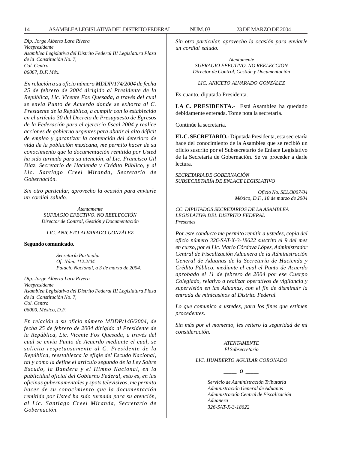*Dip. Jorge Alberto Lara Rivera Vicepresidente Asamblea Legislativa del Distrito Federal III Legislatura Plaza de la Constitución No. 7, Col. Centro 06067, D.F. Méx.*

*En relación a su oficio número MDDP/174/2004 de fecha 25 de febrero de 2004 dirigido al Presidente de la República, Lic. Vicente Fox Quesada, a través del cual se envía Punto de Acuerdo donde se exhorta al C. Presidente de la República, a cumplir con lo establecido en el artículo 30 del Decreto de Presupuesto de Egresos de la Federación para el ejercicio fiscal 2004 y realice acciones de gobierno urgentes para abatir el alto déficit de empleo y garantizar la contención del deterioro de vida de la población mexicana, me permito hacer de su conocimiento que la documentación remitida por Usted ha sido turnada para su atención, al Lic. Francisco Gil Díaz, Secretario de Hacienda y Crédito Público, y al Lic. Santiago Creel Miranda, Secretario de Gobernación.*

*Sin otro particular, aprovecho la ocasión para enviarle un cordial saludo.*

> *Atentamente SUFRAGIO EFECTIVO. NO REELECCIÓN Director de Control, Gestión y Documentación*

#### *LIC. ANICETO ALVARADO GONZÁLEZ*

#### **Segundo comunicado.**

*Secretaría Particular Of. Núm. 112.2/04 Palacio Nacional, a 3 de marzo de 2004.*

*Dip. Jorge Alberto Lara Rivera Vicepresidente Asamblea Legislativa del Distrito Federal III Legislatura Plaza de la Constitución No. 7, Col. Centro 06000, México, D.F.*

*En relación a su oficio número MDDP/146/2004, de fecha 25 de febrero de 2004 dirigido al Presidente de la República, Lic. Vicente Fox Quesada, a través del cual se envía Punto de Acuerdo mediante el cual, se solicita respetuosamente al C. Presidente de la República, reestablezca la efigie del Escudo Nacional, tal y como la define el artículo segundo de la Ley Sobre Escudo, la Bandera y el Himno Nacional, en la publicidad oficial del Gobierno Federal, esto es, en las oficinas gubernamentales y spots televisivos, me permito hacer de su conocimiento que la documentación remitida por Usted ha sido turnada para su atención, al Lic. Santiago Creel Miranda, Secretario de Gobernación.*

*Sin otro particular, aprovecho la ocasión para enviarle un cordial saludo.*

> *Atentamente SUFRAGIO EFECTIVO. NO REELECCIÓN Director de Control, Gestión y Documentación*

*LIC. ANICETO ALVARADO GONZÁLEZ*

Es cuanto, diputada Presidenta.

**LA C. PRESIDENTA.-** Está Asamblea ha quedado debidamente enterada. Tome nota la secretaría.

Continúe la secretaría.

**EL C. SECRETARIO.-** Diputada Presidenta, esta secretaría hace del conocimiento de la Asamblea que se recibió un oficio suscrito por el Subsecretario de Enlace Legislativo de la Secretaría de Gobernación. Se va proceder a darle lectura.

*SECRETARIA DE GOBERNACIÓN SUBSECRETARÍA DE ENLACE LEGISLATIVO*

> *Oficio No. SEL/3007/04 México, D.F., 18 de marzo de 2004*

*CC. DIPUTADOS SECRETARIOS DE LA ASAMBLEA LEGISLATIVA DEL DISTRITO FEDERAL Presentes*

*Por este conducto me permito remitir a ustedes, copia del oficio número 326-SAT-X-3-18622 suscrito el 9 del mes en curso, por el Lic. Mario Córdova López, Administrador Central de Fiscalización Aduanera de la Administración General de Aduanas de la Secretaría de Hacienda y Crédito Público, mediante el cual el Punto de Acuerdo aprobado el 11 de febrero de 2004 por ese Cuerpo Colegiado, relativo a realizar operativos de vigilancia y supervisión en las Aduanas, con el fin de disminuir la entrada de minicasinos al Distrito Federal.*

*Lo que comunico a ustedes, para los fines que estimen procedentes.*

*Sin más por el momento, les reitero la seguridad de mi consideración.*

> *ATENTAMENTE El Subsecretario*

*LIC. HUMBERTO AGUILAR CORONADO*

 $\begin{array}{cc} \begin{array}{c} \end{array}$ 

*Servicio de Administración Tributaria Administración General de Aduanas Administración Central de Fiscalización Aduanera 326-SAT-X-3-18622*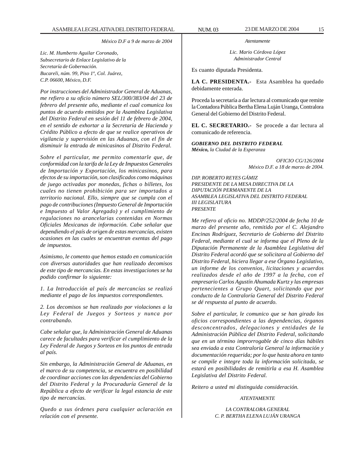*México D.F a 9 de marzo de 2004*

*Lic. M. Humberto Aguilar Coronado, Subsecretario de Enlace Legislativo de la Secretaría de Gobernación. Bucareli, núm. 99, Piso 1º, Col. Juárez, C.P. 06600, México, D.F.*

*Por instrucciones del Administrador General de Aduanas, me refiero a su oficio número SEL/300/383/04 del 23 de febrero del presente año, mediante el cual comunica los puntos de acuerdo emitidos por la Asamblea Legislativa del Distrito Federal en sesión del 11 de febrero de 2004, en el sentido de exhortar a la Secretaría de Hacienda y Crédito Público a efecto de que se realice operativos de vigilancia y supervisión en las Aduanas, con el fin de disminuir la entrada de minicasinos al Distrito Federal.*

*Sobre el particular, me permito comentarle que, de conformidad con la tarifa de la Ley de Impuestos Generales de Importación y Exportación, los minicasinos, para efectos de su importación, son clasificados como máquinas de juego activadas por monedas, fichas o billetes, los cuales no tienen prohibición para ser importados a territorio nacional. Ello, siempre que se cumpla con el pago de contribuciones (Impuesto General de Importación e Impuesto al Valor Agregado) y el cumplimiento de regulaciones no arancelarias contenidas en Normas Oficiales Mexicanas de información. Cabe señalar que dependiendo el país de origen de estas mercancías, existen ocasiones en las cuales se encuentran exentas del pago de impuestos.*

*Asimismo, le comento que hemos estado en comunicación con diversas autoridades que han realizado decomisos de este tipo de mercancías. En estas investigaciones se ha podido confirmar lo siguiente:*

*1. La Introducción al país de mercancías se realizó mediante el pago de los impuestos correspondientes.*

*2. Los decomisos se han realizado por violaciones a la Ley Federal de Juegos y Sorteos y nunca por contrabando.*

*Cabe señalar que, la Administración General de Aduanas carece de facultades para verificar el cumplimiento de la Ley Federal de Juegos y Sorteos en los puntos de entrada al país.*

*Sin embargo, la Administración General de Aduanas, en el marco de su competencia, se encuentra en posibilidad de coordinar acciones con las dependencias del Gobierno del Distrito Federal y la Procuraduría General de la República a efecto de verificar la legal estancia de este tipo de mercancías.*

*Quedo a sus órdenes para cualquier aclaración en relación con el presente.*

*Atentamente*

*Lic. Mario Córdova López Administrador Central*

Es cuanto diputada Presidenta.

**LA C. PRESIDENTA.-** Esta Asamblea ha quedado debidamente enterada.

Proceda la secretaría a dar lectura al comunicado que remite la Contadora Pública Bertha Elena Luján Uranga, Contralora General del Gobierno del Distrito Federal.

**EL C. SECRETARIO.-** Se procede a dar lectura al comunicado de referencia.

*GOBIERNO DEL DISTRITO FEDERAL México, la Ciudad de la Esperanza*

> *OFICIO CG/126/2004 México D.F. a 18 de marzo de 2004.*

*DIP. ROBERTO REYES GÁMIZ PRESIDENTE DE LA MESA DIRECTIVA DE LA DIPUTACIÓN PERMANENTE DE LA ASAMBLEA LEGISLATIVA DEL DISTRITO FEDERAL III LEGISLATURA PRESENTE*

*Me refiero al oficio no. MDDP/252/2004 de fecha 10 de marzo del presente año, remitido por el C. Alejandro Encinas Rodríguez, Secretario de Gobierno del Distrito Federal, mediante el cual se informa que el Pleno de la Diputación Permanente de la Asamblea Legislativa del Distrito Federal acordó que se solicitara al Gobierno del Distrito Federal, hiciera llegar a ese Órgano Legislativo, un informe de los convenios, licitaciones y acuerdos realizados desde el año de 1997 a la fecha, con el empresario Carlos Agustín Ahumada Kurtz y las empresas pertenecientes a Grupo Quart, solicitando que por conducto de la Contraloría General del Distrito Federal se dé respuesta al punto de acuerdo.*

*Sobre el particular, le comunico que se han girado los oficios correspondientes a las dependencias, órganos desconcentrados, delegaciones y entidades de la Administración Pública del Distrito Federal, solicitando que en un término improrrogable de cinco días hábiles sea enviada a esta Contraloría General la información y documentación requerida; por lo que hasta ahora en tanto se compile e integre toda la información solicitada, se estará en posibilidades de remitirla a esa H. Asamblea Legislativa del Distrito Federal.*

*Reitero a usted mi distinguida consideración.*

#### *ATENTAMENTE*

*LA CONTRALORA GENERAL C. P. BERTHA ELENA LUJÁN URANGA*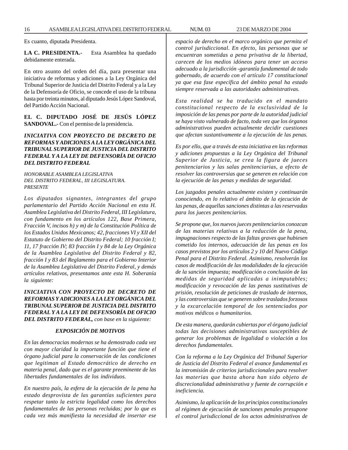Es cuanto, diputada Presidenta.

**LA C. PRESIDENTA.-** Esta Asamblea ha quedado debidamente enterada.

En otro asunto del orden del día, para presentar una iniciativa de reformas y adiciones a la Ley Orgánica del Tribunal Superior de Justicia del Distrito Federal y a la Ley de la Defensoría de Oficio, se concede el uso de la tribuna hasta por treinta minutos, al diputado Jesús López Sandoval, del Partido Acción Nacional.

**EL C. DIPUTADO JOSÉ DE JESÚS LÓPEZ SANDOVAL.-** Con el permiso de la presidencia.

# *INICIATIVA CON PROYECTO DE DECRETO DE REFORMAS Y ADICIONES A LA LEY ORGÁNICA DEL TRIBUNAL SUPERIOR DE JUSTICIA DEL DISTRITO FEDERAL Y A LA LEY DE DEFENSORÍA DE OFICIO DEL DISTRITO FEDERAL*

*HONORABLE ASAMBLEA LEGISLATIVA DEL DISTRITO FEDERAL, III LEGISLATURA. PRESENTE*

*Los diputados signantes, integrantes del grupo parlamentario del Partido Acción Nacional en esta H. Asamblea Legislativa del Distrito Federal, III Legislatura, con fundamento en los artículos 122, Base Primera, Fracción V, incisos h) y m) de la Constitución Política de los Estados Unidos Mexicanos; 42, fracciones VI y XII del Estatuto de Gobierno del Distrito Federal; 10 fracción I; 11, 17 fracción IV; 83 fracción I y 84 de la Ley Orgánica de la Asamblea Legislativa del Distrito Federal y 82, fracción I y 83 del Reglamento para el Gobierno Interior de la Asamblea Legislativa del Distrito Federal, y demás artículos relativos, presentamos ante esta H. Soberanía la siguiente:*

# *INICIATIVA CON PROYECTO DE DECRETO DE REFORMAS Y ADICIONES A LA LEY ORGÁNICA DEL TRIBUNAL SUPERIOR DE JUSTICIA DEL DISTRITO FEDERAL Y A LA LEY DE DEFENSORÍA DE OFICIO DEL DISTRITO FEDERAL, con base en la siguiente:*

#### *EXPOSICIÓN DE MOTIVOS*

*En las democracias modernas se ha demostrado cada vez con mayor claridad la importante función que tiene el órgano judicial para la conservación de las condiciones que legitiman al Estado democrático de derecho en materia penal, dado que es el garante preeminente de las libertades fundamentales de los individuos.*

*En nuestro país, la esfera de la ejecución de la pena ha estado desprovista de las garantías suficientes para respetar tanto la estricta legalidad como los derechos fundamentales de las personas recluidas; por lo que es cada vez más manifiesta la necesidad de insertar ese* *espacio de derecho en el marco orgánico que permita el control jurisdiccional. En efecto, las personas que se encuentran sometidas a pena privativa de la libertad, carecen de los medios idóneos para tener un acceso adecuado a la jurisdicción -garantía fundamental de todo gobernado, de acuerdo con el artículo 17 constitucional ya que esa fase específica del ámbito penal ha estado siempre reservada a las autoridades administrativas.*

*Esta realidad se ha traducido en el mandato constitucional respecto de la exclusividad de la imposición de las penas por parte de la autoridad judicial se haya visto vulnerado de facto, toda vez que los órganos administrativos pueden actualmente decidir cuestiones que afectan sustantivamente a la ejecución de las penas.*

*Es por ello, que a través de esta iniciativa en las reformas y adiciones propuestas a la Ley Orgánica del Tribunal Superior de Justicia, se crea la figura de jueces penitenciarios y las salas penitenciarias, a efecto de resolver las controversias que se generen en relación con la ejecución de las penas y medidas de seguridad.*

*Los juzgados penales actualmente existen y continuarán conociendo, en lo relativo el ámbito de la ejecución de las penas, de aquellas sanciones distintas a las reservadas para los jueces penitenciarios.*

*Se propone que, los nuevos jueces penitenciarios conozcan de las materias relativas a la reducción de la pena, impugnaciones respecto de las faltas graves que hubiesen cometido los internos, adecuación de las penas en los casos previstos por los artículos 2 y 10 del Nuevo Código Penal para el Distrito Federal. Asimismo, resolverán los casos de modificación de las modalidades de la ejecución de la sanción impuesta; modificación o conclusión de las medidas de seguridad aplicadas a inimputables; modificación y revocación de las penas sustitutivas de prisión, resolución de peticiones de traslado de internos, y las controversias que se generen sobre traslados forzosos y la excarcelación temporal de los sentenciados por motivos médicos o humanitarios.*

*De esta manera, quedarán cubiertas por el órgano judicial todas las decisiones administrativas susceptibles de generar los problemas de legalidad o violación a los derechos fundamentales.*

*Con la reforma a la Ley Orgánica del Tribunal Superior de Justicia del Distrito Federal el avance fundamental es la intromisión de criterios jurisdiccionales para resolver las materias que hasta ahora han sido objeto de discrecionalidad administrativa y fuente de corrupción e ineficiencia.*

*Asimismo, la aplicación de los principios constitucionales al régimen de ejecución de sanciones penales presupone el control jurisdiccional de los actos administrativos de*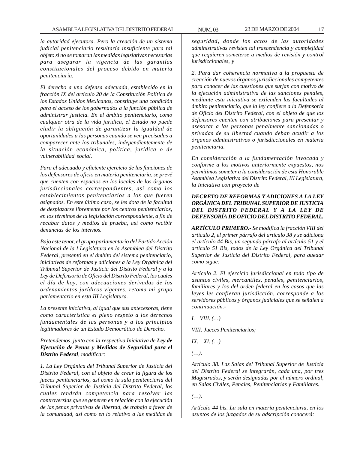*la autoridad ejecutora. Pero la creación de un sistema judicial penitenciario resultaría insuficiente para tal objeto si no se tomaran las medidas legislativas necesarias para asegurar la vigencia de las garantías constitucionales del proceso debido en materia penitenciaria.*

*El derecho a una defensa adecuada, establecido en la fracción IX del artículo 20 de la Constitución Política de los Estados Unidos Mexicanos, constituye una condición para el acceso de los gobernados a la función pública de administrar justicia. En el ámbito penitenciario, como cualquier otra de la vida jurídica, el Estado no puede eludir la obligación de garantizar la igualdad de oportunidades a las personas cuando se ven precisadas a comparecer ante los tribunales, independientemente de la situación económica, política, jurídica o de vulnerabilidad social.*

*Para el adecuado y eficiente ejercicio de las funciones de los defensores de oficio en materia penitenciaria, se prevé que cuenten con espacios en los locales de los órganos jurisdiccionales correspondientes, así como los establecimientos penitenciarios a los que fueren asignados. En este último caso, se les dota de la facultad de desplazarse libremente por los centros penitenciarios, en los términos de la legislación correspondiente, a fin de recabar datos y medios de prueba, así como recibir denuncias de los internos.*

*Bajo este tenor, el grupo parlamentario del Partido Acción Nacional de la I Legislatura en la Asamblea del Distrito Federal, presentó en el ámbito del sistema penitenciario, iniciativas de reformas y adiciones a la Ley Orgánica del Tribunal Superior de Justicia del Distrito Federal y a la Ley de Defensoría de Oficio del Distrito Federal, las cuales el día de hoy, con adecuaciones derivadas de los ordenamientos jurídicos vigentes, retoma mi grupo parlamentario en esta III Legislatura.*

*La presente iniciativa, al igual que sus antecesoras, tiene como característica el pleno respeto a los derechos fundamentales de las personas y a los principios legitimadores de un Estado Democrático de Derecho.*

# *Pretendemos, junto con la respectiva Iniciativa de Ley de Ejecución de Penas y Medidas de Seguridad para el Distrito Federal, modificar:*

*1. La Ley Orgánica del Tribunal Superior de Justicia del Distrito Federal, con el objeto de crear la figura de los jueces penitenciarios, así como la sala penitenciaria del Tribunal Superior de Justicia del Distrito Federal, los cuales tendrán competencia para resolver las controversias que se generen en relación con la ejecución de las penas privativas de libertad, de trabajo a favor de la comunidad, así como en lo relativo a las medidas de*

*seguridad, donde los actos de las autoridades administrativas revisten tal trascendencia y complejidad que requieren someterse a medios de revisión y control jurisdiccionales, y*

*2. Para dar coherencia normativa a la propuesta de creación de nuevos órganos jurisdiccionales competentes para conocer de las cuestiones que surjan con motivo de la ejecución administrativa de las sanciones penales, mediante esta iniciativa se extienden las facultades al ámbito penitenciario, que la ley confiere a la Defensoría de Oficio del Distrito Federal, con el objeto de que los defensores cuenten con atribuciones para presentar y asesorar a las personas penalmente sancionadas o privadas de su libertad cuando deban acudir a los órganos administrativos o jurisdiccionales en materia penitenciaria.*

*En consideración a la fundamentación invocada y conforme a los motivos anteriormente expuestos, nos permitimos someter a la consideración de esta Honorable Asamblea Legislativa del Distrito Federal, III Legislatura, la Iniciativa con proyecto de*

# *DECRETO DE REFORMAS Y ADICIONES A LA LEY ORGÁNICA DEL TRIBUNAL SUPERIOR DE JUSTICIA DEL DISTRITO FEDERAL Y A LA LEY DE DEFENSORÍA DE OFICIO DEL DISTRITO FEDERAL.*

*ARTÍCULO PRIMERO.- Se modifica la fracción VIII del artículo 2, el primer párrafo del artículo 38 y se adiciona el artículo 44 Bis, un segundo párrafo al artículo 51 y el artículo 51 Bis, todos de la Ley Orgánica del Tribunal Superior de Justicia del Distrito Federal, para quedar como sigue:*

*Artículo 2. El ejercicio jurisdiccional en todo tipo de asuntos civiles, mercantiles, penales, penitenciarios, familiares y los del orden federal en los casos que las leyes les confieran jurisdicción, corresponde a los servidores públicos y órganos judiciales que se señalen a continuación.-*

*I. VIII. (…)*

*VIII. Jueces Penitenciarios;*

*IX. XI. (…)*

*(…).*

*Artículo 38. Las Salas del Tribunal Superior de Justicia del Distrito Federal se integrarán, cada una, por tres Magistrados, y serán designadas por el número ordinal, en Salas Civiles, Penales, Penitenciarias y Familiares.*

*(…).*

*Artículo 44 bis. La sala en materia penitenciaria, en los asuntos de los juzgados de su adscripción conocerá:*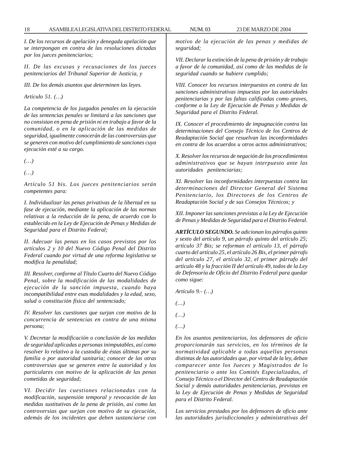*I. De los recursos de apelación y denegada apelación que se interpongan en contra de las resoluciones dictadas por los jueces penitenciarios;*

*II. De las excusas y recusaciones de los jueces penitenciarios del Tribunal Superior de Justicia, y*

*III. De los demás asuntos que determinen las leyes.*

*Artículo 51. (…)*

*La competencia de los juzgados penales en la ejecución de las sentencias penales se limitará a las sanciones que no consistan en pena de prisión ni en trabajo a favor de la comunidad, o en la aplicación de las medidas de seguridad, igualmente conocerán de las controversias que se generen con motivo del cumplimiento de sanciones cuya ejecución esté a su cargo.*

*(…)*

*(…)*

*Artículo 51 bis. Los jueces penitenciarios serán competentes para:*

*I. Individualizar las penas privativas de la libertad en su fase de ejecución, mediante la aplicación de las normas relativas a la reducción de la pena, de acuerdo con lo establecido en la Ley de Ejecución de Penas y Medidas de Seguridad para el Distrito Federal;*

*II. Adecuar las penas en los casos previstos por los artículos 2 y 10 del Nuevo Código Penal del Distrito Federal cuando por virtud de una reforma legislativa se modifica la penalidad;*

*III. Resolver, conforme al Título Cuarto del Nuevo Código Penal, sobre la modificación de las modalidades de ejecución de la sanción impuesta, cuando haya incompatibilidad entre esas modalidades y la edad, sexo, salud o constitución física del sentenciado;*

*IV. Resolver las cuestiones que surjan con motivo de la concurrencia de sentencias en contra de una misma persona;*

*V. Decretar la modificación o conclusión de las medidas de seguridad aplicadas a personas inimputables, así como resolver lo relativo a la custodia de éstas últimas por su familia o por autoridad sanitaria; conocer de las otras controversias que se generen entre la autoridad y los particulares con motivo de la aplicación de las penas cometidas de seguridad;*

*VI. Decidir las cuestiones relacionadas con la modificación, suspensión temporal y revocación de las medidas sustitutivas de la pena de prisión, así como las controversias que surjan con motivo de su ejecución, además de los incidentes que deben sustanciarse con* *motivo de la ejecución de las penas y medidas de seguridad;*

*VII. Declarar la extinción de la pena de prisión y de trabajo a favor de la comunidad, así como de las medidas de la seguridad cuando se hubiere cumplido;*

*VIII. Conocer los recursos interpuestos en contra de las sanciones administrativas impuestas por las autoridades penitenciarias y por las faltas calificadas como graves, conforme a la Ley de Ejecución de Penas y Medidas de Seguridad para el Distrito Federal.*

*IX. Conocer el procedimiento de impugnación contra las determinaciones del Consejo Técnico de los Centros de Readaptación Social que resuelvan las inconformidades en contra de los acuerdos u otros actos administrativos;*

*X. Resolver los recursos de negación de los procedimientos administrativos que se hayan interpuesto ante las autoridades penitenciarias;*

*XI. Resolver las inconformidades interpuestas contra las determinaciones del Director General del Sistema Penitenciario, los Directores de los Centros de Readaptación Social y de sus Consejos Técnicos; y*

*XII. Imponer las sanciones previstas a la Ley de Ejecución de Penas y Medidas de Seguridad para el Distrito Federal.*

*ARTÍCULO SEGUNDO. Se adicionan los párrafos quinto y sexto del artículo 9, un párrafo quinto del artículo 25; artículo 37 Bis; se reforman el artículo 13, el párrafo cuarto del artículo 25, el artículo 26 Bis, el primer párrafo del artículo 27, el artículo 32, el primer párrafo del artículo 48 y la fracción II del artículo 49, todos de la Ley de Defensoría de Oficio del Distrito Federal para quedar como sigue:*

*Artículo 9.- (…)*

- *(…)*
- *(…)*
- *(…)*

*En los asuntos penitenciarios, los defensores de oficio proporcionarán sus servicios, en los términos de la normatividad aplicable a todas aquellas personas distintas de las autoridades que, por virtud de la ley, deban comparecer ante los Jueces y Magistrados de lo penitenciario o ante los Comités Especializados, el Consejo Técnico o el Director del Centro de Readaptación Social y demás autoridades penitenciarias, previstas en la Ley de Ejecución de Penas y Medidas de Seguridad para el Distrito Federal.*

*Los servicios prestados por los defensores de oficio ante las autoridades jurisdiccionales y administrativas del*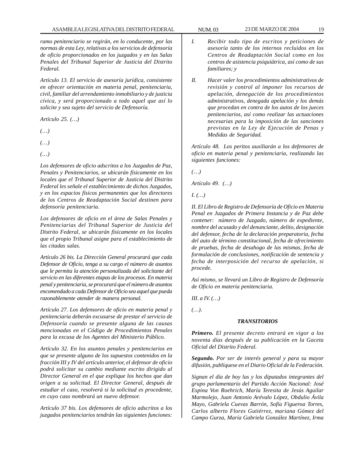*ramo penitenciario se regirán, en lo conducente, por las normas de esta Ley, relativas a los servicios de defensoría de oficio proporcionados en los juzgados y en las Salas Penales del Tribunal Superior de Justicia del Distrito Federal.*

*Artículo 13. El servicio de asesoría jurídica, consistente en ofrecer orientación en materia penal, penitenciaria, civil, familiar del arrendamiento inmobiliario y de justicia cívica, y será proporcionado a todo aquel que así lo solicite y sea sujeto del servicio de Defensoría.*

*Artículo 25. (…)*

*(…)*

*(…)*

*(…)*

*Los defensores de oficio adscritos a los Juzgados de Paz, Penales y Penitenciarios, se ubicarán físicamente en los locales que el Tribunal Superior de Justicia del Distrito Federal les señale el establecimiento de dichos Juzgados, y en los espacios físicos permanentes que los directores de los Centros de Readaptación Social destinen para defensoría penitenciaria.*

*Los defensores de oficio en el área de Salas Penales y Penitenciarias del Tribunal Superior de Justicia del Distrito Federal, se ubicarán físicamente en los locales que el propio Tribunal asigne para el establecimiento de las citadas salas.*

*Artículo 26 bis. La Dirección General procurará que cada Defensor de Oficio, tenga a su cargo el número de asuntos que le permita la atención personalizada del solicitante del servicio en las diferentes etapas de los procesos. En materia penal y penitenciaria, se procurará que el número de asuntos encomendado a cada Defensor de Oficio sea aquel que pueda razonablemente atender de manera personal.*

*Artículo 27. Los defensores de oficio en materia penal y penitenciaria deberán excusarse de prestar el servicio de Defensoría cuando se presente alguna de las causas mencionadas en el Código de Procedimientos Penales para la excusa de los Agentes del Ministerio Público.*

*Artículo 32. En los asuntos penales y penitenciarios en que se presente alguno de los supuestos contenidos en la fracción III y IV del artículo anterior, el defensor de oficio podrá solicitar su cambio mediante escrito dirigido al Director General en el que explique los hechos que dan origen a su solicitud. El Director General, después de estudiar el caso, resolverá si la solicitud es procedente, en cuyo caso nombrará un nuevo defensor.*

*Artículo 37 bis. Los defensores de oficio adscritos a los juzgados penitenciarios tendrán las siguientes funciones:*

- *I. Recibir todo tipo de escritos y peticiones de asesoría tanto de los internos recluidos en los Centros de Readaptación Social como en los centros de asistencia psiquiátrica, así como de sus familiares; y*
- *II. Hacer valer los procedimientos administrativos de revisión y control al imponer los recursos de apelación, denegación de los procedimientos administrativos, denegada apelación y los demás que procedan en contra de los autos de los jueces penitenciarios, así como realizar las actuaciones necesarias para la imposición de las sanciones previstas en la Ley de Ejecución de Penas y Medidas de Seguridad.*

*Artículo 48. Los peritos auxiliarán a los defensores de oficio en materia penal y penitenciaria, realizando las siguientes funciones:*

*(…)*

*Artículo 49. (…)*

*I. (…)*

*II. El Libro de Registro de Defensoría de Oficio en Materia Penal en Juzgados de Primera Instancia y de Paz debe contener: número de Juzgado, número de expediente, nombre del acusado y del denunciante, delito, designación del defensor, fecha de la declaración preparatoria, fecha del auto de término constitucional, fecha de ofrecimiento de pruebas, fecha de desahogo de las mismas, fecha de formulación de conclusiones, notificación de sentencia y fecha de interposición del recurso de apelación, si procede.*

*Así mismo, se llevará un Libro de Registro de Defensoría de Oficio en materia penitenciaria.*

*III. a IV. (…)*

*(…).*

### *TRANSITORIOS*

*Primero. El presente decreto entrará en vigor a los noventa días después de su publicación en la Gaceta Oficial del Distrito Federal.*

*Segundo. Por ser de interés general y para su mayor difusión, publíquese en el Diario Oficial de la Federación.*

*Signan el día de hoy las y los diputados integrantes del grupo parlamentario del Partido Acción Nacional: José Espina Von Roehrich, María Teresita de Jesús Aguilar Marmolejo, Juan Antonio Arévalo López, Obdulio Ávila Mayo, Gabriela Cuevas Barrón, Sofía Figueroa Torres, Carlos alberto Flores Gutiérrez, mariana Gómez del Campo Gurza, María Gabriela González Martínez, Irma*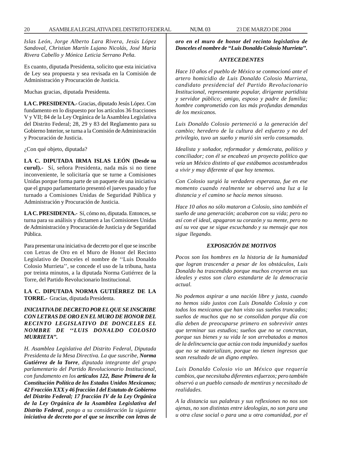*Islas León, Jorge Alberto Lara Rivera, Jesús López Sandoval, Christian Martín Lujano Nicolás, José María Rivera Cabello y Mónica Leticia Serrano Peña.*

Es cuanto, diputada Presidenta, solicito que esta iniciativa de Ley sea propuesta y sea revisada en la Comisión de Administración y Procuración de Justicia.

Muchas gracias, diputada Presidenta.

**LA C. PRESIDENTA.-** Gracias, diputado Jesús López. Con fundamento en lo dispuesto por los artículos 36 fracciones V y VII; 84 de la Ley Orgánica de la Asamblea Legislativa del Distrito Federal; 28, 29 y 83 del Reglamento para su Gobierno Interior, se turna a la Comisión de Administración y Procuración de Justicia.

¿Con qué objeto, diputada?

**LA C. DIPUTADA IRMA ISLAS LEÓN (Desde su curul).-** Sí, señora Presidenta, nada más si no tiene inconveniente, le solicitaría que se turne a Comisiones Unidas porque forma parte de un paquete de una iniciativa que el grupo parlamentario presentó el jueves pasado y fue turnado a Comisiones Unidas de Seguridad Pública y Administración y Procuración de Justicia.

**LA C. PRESIDENTA.-** Sí, cómo no, diputada. Entonces, se turna para su análisis y dictamen a las Comisiones Unidas de Administración y Procuración de Justicia y de Seguridad Pública.

Para presentar una iniciativa de decreto por el que se inscribe con Letras de Oro en el Muro de Honor del Recinto Legislativo de Donceles el nombre de ''Luis Donaldo Colosio Murrieta'', se concede el uso de la tribuna, hasta por treinta minutos, a la diputada Norma Gutiérrez de la Torre, del Partido Revolucionario Institucional.

# **LA C. DIPUTADA NORMA GUTIÉRREZ DE LA TORRE.-** Gracias, diputada Presidenta.

# *INICIATIVA DE DECRETO POR EL QUE SE INSCRIBE CON LETRAS DE ORO EN EL MURO DE HONOR DEL RECINTO LEGISLATIVO DE DONCELES EL NOMBRE DE ''LUIS DONALDO COLOSIO MURRIETA''.*

*H. Asamblea Legislativa del Distrito Federal, Diputada Presidenta de la Mesa Directiva. La que suscribe, Norma Gutiérrez de la Torre, diputada integrante del grupo parlamentario del Partido Revolucionario Institucional, con fundamento en los artículos 122, Base Primera de la Constitución Política de los Estados Unidos Mexicanos; 42 Fracción XXX y 46 fracción I del Estatuto de Gobierno del Distrito Federal; 17 fracción IV de la Ley Orgánica de la Ley Orgánica de la Asamblea Legislativa del Distrito Federal, pongo a su consideración la siguiente iniciativa de decreto por el que se inscribe con letras de*

*oro en el muro de honor del recinto legislativo de Donceles el nombre de ''Luis Donaldo Colosio Murrieta''.*

# *ANTECEDENTES*

*Hace 10 años el pueblo de México se conmocionó ante el artero homicidio de Luis Donaldo Colosio Murrieta, candidato presidencial del Partido Revolucionario Institucional, representante popular, dirigente partidista y servidor público; amigo, esposo y padre de familia; hombre comprometido con las más profundas demandas de los mexicanos.*

*Luis Donaldo Colosio perteneció a la generación del cambio; heredero de la cultura del esfuerzo y no del privilegio, tuvo un sueño y murió sin verlo consumado.*

*Idealista y soñador, reformador y demócrata, político y conciliador; con él se encabezó un proyecto político que veía un México distinto al que estábamos acostumbrados a vivir y muy diferente al que hoy tenemos.*

*Con Colosio surgió la verdadera esperanza, fue en ese momento cuando realmente se observó una luz a la distancia y el camino se hacía menos sinuoso.*

*Hace 10 años no sólo mataron a Colosio, sino también el sueño de una generación; acabaron con su vida; pero no así con el ideal, apagaron su corazón y su mente, pero no así su voz que se sigue escuchando y su mensaje que nos sigue llegando.*

# *EXPOSICIÓN DE MOTIVOS*

*Pocos son los hombres en la historia de la humanidad que logran trascender a pesar de los obstáculos, Luis Donaldo ha trascendido porque muchos creyeron en sus ideales y estos son claro estandarte de la democracia actual.*

*No podemos aspirar a una nación libre y justa, cuando no hemos sido justos con Luis Donaldo Colosio y con todos los mexicanos que han visto sus sueños truncados; sueños de muchos que no se consolidan porque día con día deben de preocuparse primero en sobrevivir antes que terminar sus estudios; sueños que no se concretan, porque sus bienes y su vida le son arrebatados a manos de la delincuencia que actúa con toda impunidad y sueños que no se materializan, porque no tienen ingresos que sean resultado de un digno empleo.*

*Luis Donaldo Colosio vio un México que requería cambios, que necesitaba diferentes esfuerzos; pero también observó a un pueblo cansado de mentiras y necesitado de realidades.*

*A la distancia sus palabras y sus reflexiones no nos son ajenas, no son distintas entre ideologías, no son para una u otra clase social o para una u otra comunidad, por el*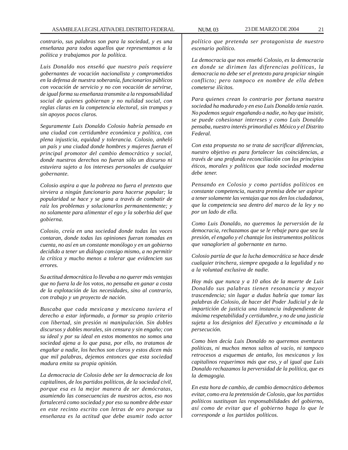*contrario, sus palabras son para la sociedad, y es una enseñanza para todos aquellos que representamos a la política y trabajamos por la política.*

*Luis Donaldo nos enseñó que nuestro país requiere gobernantes de vocación nacionalista y comprometidos en la defensa de nuestra soberanía, funcionarios públicos con vocación de servicio y no con vocación de servirse, de igual forma su enseñanza transmite a la responsabilidad social de quienes gobiernan y no nulidad social, con reglas claras en la competencia electoral, sin trampas y sin apoyos pocos claros.*

*Seguramente Luis Donaldo Colosio habría pensado en una ciudad con certidumbre económica y política, con plena injusticia, equidad y tolerancia. Colosio, anheló un país y una ciudad donde hombres y mujeres fueran el principal promotor del cambio democrático y social, donde nuestros derechos no fueran sólo un discurso ni estuviera sujeto a los intereses personales de cualquier gobernante.*

*Colosio aspira a que la pobreza no fuera el pretexto que sirviera a ningún funcionario para hacerse popular; la popularidad se hace y se gana a través de combatir de raíz los problemas y solucionarlos permanentemente; y no solamente para alimentar el ego y la soberbia del que gobierna.*

*Colosio, creía en una sociedad donde todas las voces contaran, donde todas las opiniones fueran tomadas en cuenta, no así en un constante monólogo y en un gobierno decidido a tener un diálogo consigo mismo, a no permitir la crítica y mucho menos a tolerar que evidencien sus errores.*

*Su actitud democrática lo llevaba a no querer más ventajas que no fuera la de los votos, no pensaba en ganar a costa de la explotación de las necesidades, sino al contrario, con trabajo y un proyecto de nación.*

*Buscaba que cada mexicana y mexicano tuviera el derecho a estar informado, a formar su propio criterio con libertad, sin presión ni manipulación. Sin dobles discursos y dobles morales, sin censura y sin engaño; con su ideal y por su ideal en estos momentos no somos una sociedad ajena a lo que pasa, por ello, no tratamos de engañar a nadie, los hechos son claros y estos dicen más que mil palabras, dejemos entonces que esta sociedad madura emita su propia opinión.*

*La democracia de Colosio debe ser la democracia de los capitalinos, de los partidos políticos, de la sociedad civil, porque esa es la mejor manera de ser demócratas, asumiendo las consecuencias de nuestros actos, eso nos fortalecerá como sociedad y por eso su nombre debe estar en este recinto escrito con letras de oro porque su enseñanza es la actitud que debe asumir todo actor* *político que pretenda ser protagonista de nuestro escenario político.*

*La democracia que nos enseñó Colosio, es la democracia en donde se dirimen las diferencias políticas, la democracia no debe ser el pretexto para propiciar ningún conflicto; pero tampoco en nombre de ella deben cometerse ilícitos.*

*Para quienes crean lo contrario por fortuna nuestra sociedad ha madurado y en eso Luis Donaldo tenía razón. No podemos seguir engañando a nadie, no hay que insistir, se puede cohesionar intereses y como Luis Donaldo pensaba, nuestro interés primordial es México y el Distrito Federal.*

*Con esta propuesta no se trata de sacrificar diferencias, nuestro objetivo es para fortalecer las coincidencias, a través de una profunda reconciliación con los principios éticos, morales y políticos que toda sociedad moderna debe tener.*

*Pensando en Colosio y como partidos políticos en constante competencia, nuestra premisa debe ser aspirar a tener solamente las ventajas que nos den los ciudadanos, que la competencia sea dentro del marco de la ley y no por un lado de ella.*

*Como Luis Donaldo, no queremos la perversión de la democracia, rechazamos que se le rebaje para que sea la presión, el engaño y el chantaje los instrumentos políticos que vanaglorien al gobernante en turno.*

*Colosio partía de que la lucha democrática se hace desde cualquier trinchera, siempre apegada a la legalidad y no a la voluntad exclusiva de nadie.*

*Hoy más que nunca y a 10 años de la muerte de Luis Donaldo sus palabras tienen resonancia y mayor trascendencia; sin lugar a dudas habría que tomar las palabras de Colosio, de hacer del Poder Judicial y de la impartición de justicia una instancia independiente de máxima respetabilidad y certidumbre, y no de una justicia sujeta a los designios del Ejecutivo y encaminada a la persecución.*

*Como bien decía Luis Donaldo no queremos aventuras políticas, ni muchos menos saltos al vacío, ni tampoco retrocesos a esquemas de antaño, los mexicanos y los capitalinos requerimos más que eso, y al igual que Luis Donaldo rechazamos la perversidad de la política, que es la demagogia.*

*En esta hora de cambio, de cambio democrático debemos evitar, como era la pretensión de Colosio, que los partidos políticos sustituyan las responsabilidades del gobierno, así como de evitar que el gobierno haga lo que le corresponde a los partidos políticos.*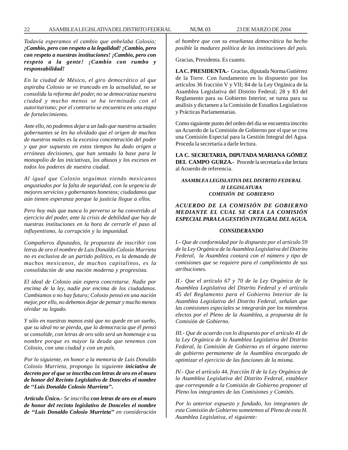*Todavía esperamos el cambio que anhelaba Colosio; ¡Cambio, pero con respeto a la legalidad! ¡Cambio, pero con respeto a nuestras instituciones! ¡Cambio, pero con respeto a la gente! ¡Cambio con rumbo y responsabilidad!*

*En la ciudad de México, el giro democrático al que aspiraba Colosio se ve truncado en la actualidad, no se consolida la reforma del poder, no se democratiza nuestra ciudad y mucho menos se ha terminado con el autoritarismo; por el contrario se encuentra en una etapa de fortalecimiento.*

*Ante ello, no podemos dejar a un lado que nuestros actuales gobernantes se les ha olvidado que el origen de muchos de nuestros males es la excesiva concentración del poder y que por supuesto en estos tiempos ha dado origen a erróneas decisiones, que han sentado la base para le monopolio de las iniciativas, los abusos y los excesos en todos los poderes de nuestra ciudad.*

*Al igual que Colosio seguimos viendo mexicanos angustiados por la falta de seguridad, con la urgencia de mejores servicios y gobernantes honestos; ciudadanos que aún tienen esperanza porque la justicia llegue a ellos.*

*Pero hoy más que nunca lo perverso se ha convertido al ejercicio del poder, ante la crisis de debilidad que hay de nuestras instituciones en la hora de cerrarle el paso al influyentismo, la corrupción y la impunidad.*

*Compañeros diputados, la propuesta de inscribir con letras de oro el nombre de Luis Donaldo Colosio Murrieta no es exclusiva de un partido político, es la demanda de muchos mexicanos, de muchos capitalinos, es la consolidación de una nación moderna y progresista.*

*El ideal de Colosio aún espera concretarse. Nadie por encima de la ley, nadie por encima de los ciudadanos. Cambiamos o no hay futuro; Colosio pensó en una nación mejor, por ello, no debemos dejar de pensar y mucho menos olvidar su legado.*

*Y sólo en nuestras manos está que no quede en un sueño, que su ideal no se pierda, que la democracia que él pensó se consolide, con letras de oro sólo será un homenaje a su nombre porque es mayor la deuda que tenemos con Colosio, con una ciudad y con un país.*

*Por lo siguiente, en honor a la memoria de Luis Donaldo Colosio Murrieta, propongo la siguiente iniciativa de decreto por el que se inscriba con letras de oro en el muro de honor del Recinto Legislativo de Donceles el nombre de ''Luis Donaldo Colosio Murrieta''.*

*Artículo Único.- Se inscriba con letras de oro en el muro de honor del recinto legislativo de Donceles el nombre de ''Luis Donaldo Colosio Murrieta'' en consideración* *al hombre que con su enseñanza democrática ha hecho posible la madurez política de las instituciones del país.*

Gracias, Presidenta. Es cuanto.

**LA C. PRESIDENTA.-** Gracias, diputada Norma Gutiérrez de la Torre. Con fundamento en lo dispuesto por los artículos 36 fracción V y VII; 84 de la Ley Orgánica de la Asamblea Legislativa del Distrito Federal; 28 y 83 del Reglamento para su Gobierno Interior, se turna para su análisis y dictamen a la Comisión de Estudios Legislativos y Prácticas Parlamentarias.

Como siguiente punto del orden del día se encuentra inscrito un Acuerdo de la Comisión de Gobierno por el que se crea una Comisión Especial para la Gestión Integral del Agua. Proceda la secretaría a darle lectura.

**LA C. SECRETARIA, DIPUTADA MARIANA GÓMEZ DEL CAMPO GURZA.-** Procede la secretaría a dar lectura al Acuerdo de referencia.

# *ASAMBLEA LEGISLATIVA DEL DISTRITO FEDERAL II LEGISLATURA COMISIÓN DE GOBIERNO*

# *ACUERDO DE LA COMISIÓN DE GOBIERNO MEDIANTE EL CUAL SE CREA LA COMISIÓN ESPECIAL PARA LA GESTIÓN INTEGRAL DEL AGUA.*

## *CONSIDERANDO*

*I.- Que de conformidad por lo dispuesto por el artículo 59 de la Ley Orgánica de la Asamblea Legislativa del Distrito Federal, la Asamblea contará con el número y tipo de comisiones que se requiere para el cumplimiento de sus atribuciones.*

*II.- Que el artículo 67 y 70 de la Ley Orgánica de la Asamblea Legislativa del Distrito Federal y el artículo 45 del Reglamento para el Gobierno Interior de la Asamblea Legislativa del Distrito Federal, señalan que las comisiones especiales se integrarán por los miembros electos por el Pleno de la Asamblea, a propuesta de la Comisión de Gobierno.*

*III.- Que de acuerdo con lo dispuesto por el artículo 41 de la Ley Orgánica de la Asamblea Legislativa del Distrito Federal, la Comisión de Gobierno es el órgano interno de gobierno permanente de la Asamblea encargado de optimizar el ejercicio de las funciones de la misma.*

*IV.- Que el artículo 44, fracción II de la Ley Orgánica de la Asamblea Legislativa del Distrito Federal, establece que corresponde a la Comisión de Gobierno proponer al Pleno los integrantes de las Comisiones y Comités.*

*Por lo anterior expuesto y fundado, los integrantes de esta Comisión de Gobierno sometemos al Pleno de esta H. Asamblea Legislativa, el siguiente:*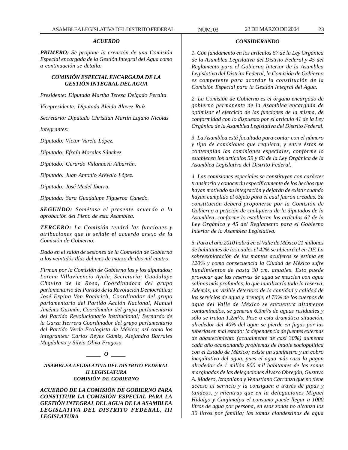#### *ACUERDO*

*PRIMERO: Se propone la creación de una Comisión Especial encargada de la Gestión Integral del Agua como a continuación se detalla:*

## *COMISIÓN ESPECIAL ENCARGADA DE LA GESTIÓN INTEGRAL DEL AGUA*

*Presidente: Diputada Martha Teresa Delgado Peralta*

*Vicepresidente: Diputada Aleida Alavez Ruíz*

*Secretario: Diputado Christian Martín Lujano Nicolás*

*Integrantes:*

*Diputado: Víctor Varela López.*

*Diputado: Efraín Morales Sánchez.*

*Diputado: Gerardo Villanueva Albarrán.*

*Diputado: Juan Antonio Arévalo López.*

*Diputado: José Medel Ibarra.*

*Diputada: Sara Guadalupe Figueroa Canedo.*

*SEGUNDO: Sométase el presente acuerdo a la aprobación del Pleno de esta Asamblea.*

*TERCERO: La Comisión tendrá las funciones y atribuciones que le señale el acuerdo anexo de la Comisión de Gobierno.*

*Dado en el salón de sesiones de la Comisión de Gobierno a los veintidós días del mes de marzo de dos mil cuatro.*

*Firman por la Comisión de Gobierno las y los diputados: Lorena Villavicencio Ayala, Secretaria; Guadalupe Chavira de la Rosa, Coordinadora del grupo parlamentario del Partido de la Revolución Democrática; José Espina Von Roehrich, Coordinador del grupo parlamentario del Partido Acción Nacional, Manuel Jiménez Guzmán, Coordinador del grupo parlamentario del Partido Revolucionario Institucional; Bernardo de la Garza Herrera Coordinador del grupo parlamentario del Partido Verde Ecologista de México; así como los integrantes: Carlos Reyes Gámiz, Alejandra Barrales Magdaleno y Silvia Oliva Fragoso.*

# *\_\_\_\_\_ O \_\_\_\_\_*

*ASAMBLEA LEGISLATIVA DEL DISTRITO FEDERAL II LEGISLATURA COMISIÓN DE GOBIERNO*

*ACUERDO DE LA COMISIÓN DE GOBIERNO PARA CONSTITUIR LA COMISIÓN ESPECIAL PARA LA GESTIÓN INTEGRAL DEL AGUA DE LA ASAMBLEA LEGISLATIVA DEL DISTRITO FEDERAL, III LEGISLATURA*

#### *CONSIDERANDO*

*1. Con fundamento en los artículos 67 de la Ley Orgánica de la Asamblea Legislativa del Distrito Federal y 45 del Reglamento para el Gobierno Interior de la Asamblea Legislativa del Distrito Federal, la Comisión de Gobierno es competente para acordar la constitución de la Comisión Especial para la Gestión Integral del Agua.*

*2. La Comisión de Gobierno es el órgano encargado de gobierno permanente de la Asamblea encargada de optimizar el ejercicio de las funciones de la misma, de conformidad con lo dispuesto por el artículo 41 de la Ley Orgánica de la Asamblea Legislativa del Distrito Federal.*

*3. La Asamblea está facultada para contar con el número y tipo de comisiones que requiera, y entre éstas se contemplan las comisiones especiales, conforme lo establecen los artículos 59 y 60 de la Ley Orgánica de la Asamblea Legislativa del Distrito Federal.*

*4. Las comisiones especiales se constituyen con carácter transitorio y conocerán específicamente de los hechos que hayan motivado su integración y dejarán de existir cuando hayan cumplido el objeto para el cual fueron creadas. Su constitución deberá proponerse por la Comisión de Gobierno a petición de cualquiera de la diputados de la Asamblea, conforme lo establecen los artículos 67 de la Ley Orgánica y 45 del Reglamento para el Gobierno Interior de la Asamblea Legislativa.*

*5. Para el año 2010 habrá en el Valle de México 21 millones de habitantes de los cuales el 42% se ubicará el en DF. La sobreexplotación de los mantos acuíferos se estima en 120% y como consecuencia la Ciudad de México sufre hundimientos de hasta 30 cm. anuales. Esto puede provocar que las reservas de agua se mezclen con agua salinas más profundas, lo que inutilizaría toda la reserva. Además, un visible deterioro de la cantidad y calidad de los servicios de agua y drenaje, el 70% de los cuerpos de agua del Valle de México se encuentra altamente contaminados, se generan 6.3m3 /s de aguas residuales y sólo se tratan 1.2m3 /s. Pese a esta dramática situación, alrededor del 40% del agua se pierde en fugas por las tuberías en mal estado; la dependencia de fuentes externas de abastecimiento (actualmente de casi 30%) aumenta cada año ocasionando problemas de índole sociopolítica con el Estado de México; existe un suministro y un cobro inequitativo del agua, pues el agua más cara la pagan alrededor de 1 millón 800 mil habitantes de las zonas marginadas de las delegaciones Álvaro Obregón, Gustavo A. Madero, Iztapalapa y Venustiano Carranza que no tiene acceso al servicio y la consiguen a través de pipas y tandeos, y mientras que en la delegaciones Miguel Hidalgo y Cuajimalpa el consumo puede llegar a 1000 litros de agua por persona, en esas zonas no alcanza los 30 litros por familia; las tomas clandestinas de agua*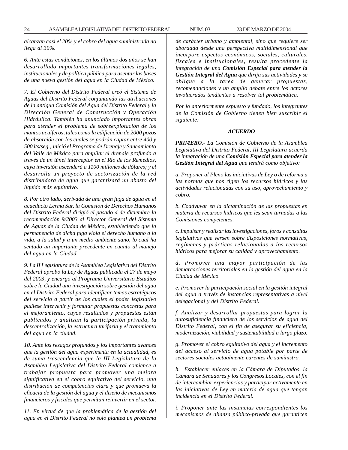*alcanzan casi el 20% y el cobro del agua suministrada no llega al 30%.*

*6. Ante estas condiciones, en los últimos dos años se han desarrollado importantes transformaciones legales, institucionales y de política pública para asentar las bases de una nueva gestión del agua en la Ciudad de México.*

*7. El Gobierno del Distrito Federal creó el Sistema de Aguas del Distrito Federal conjuntando las atribuciones de la antigua Comisión del Agua del Distrito Federal y la Dirección General de Construcción y Operación Hidráulica. También ha anunciado importantes obras para atender el problema de sobreexplotación de los mantos acuíferos, tales como la edificación de 2000 pozos de absorción con los cuales se podrán captar entre 400 y 500 lts/seg.; inició el Programa de Drenaje y Saneamiento del Valle de México para ampliar el drenaje profundo a través de un túnel interceptor en el Río de los Remedios, cuya inversión ascenderá a 1100 millones de dólares; y el desarrolla un proyecto de sectorización de la red distribuidora de agua que garantizará un abasto del líquido más equitativo.*

*8. Por otro lado, derivada de una gran fuga de agua en el acueducto Lerma Sur, la Comisión de Derechos Humanos del Distrito Federal dirigió el pasado 4 de diciembre la recomendación 9/2003 al Director General del Sistema de Aguas de la Ciudad de México, estableciendo que la permanencia de dicha fuga viola el derecho humano a la vida, a la salud y a un medio ambiente sano, lo cual ha sentado un importante precedente en cuanto al manejo del agua en la Ciudad.*

*9. La II Legislatura de la Asamblea Legislativa del Distrito Federal aprobó la Ley de Aguas publicada el 27 de mayo del 2003, y encargó al Programa Universitario Estudios sobre la Ciudad una investigación sobre gestión del agua en el Distrito Federal para identificar temas estratégicos del servicio a partir de los cuales el poder legislativo pudiese intervenir y formular propuestas concretas para el mejoramiento, cuyos resultados y propuestas están publicados y analizan la participación privada, la descentralización, la estructura tarifaria y el tratamiento del agua en la ciudad.*

*10. Ante los rezagos profundos y los importantes avances que la gestión del agua experimenta en la actualidad, es de suma trascendencia que la III Legislatura de la Asamblea Legislativa del Distrito Federal comience a trabajar propuesta para promover una mejora significativa en el cobro equitativo del servicio, una distribución de competencias clara y que promueva la eficacia de la gestión del agua y el diseño de mecanismos financieros y fiscales que permitan reinvertir en el sector.*

*11. En virtud de que la problemática de la gestión del agua en el Distrito Federal no solo plantea un problema* *de carácter urbano y ambiental, sino que requiere ser abordada desde una perspectiva multidimensional que incorpore aspectos económicos, sociales, culturales, fiscales e institucionales, resulta procedente la integración de una Comisión Especial para atender la Gestión Integral del Agua que dirija sus actividades y se obligue a la tarea de generar propuestas, recomendaciones y un amplío debate entre los actores involucrados tendientes a resolver tal problemática.*

*Por lo anteriormente expuesto y fundado, los integrantes de la Comisión de Gobierno tienen bien suscribir el siguiente:*

#### *ACUERDO*

*PRIMERO.- La Comisión de Gobierno de la Asamblea Legislativa del Distrito Federal, III Legislatura acuerda la integración de una Comisión Especial para atender la Gestión Integral del Agua que tendrá como objetivo:*

*a. Proponer al Pleno las iniciativas de Ley o de reforma a las normas que nos rigen los recursos hídricos y las actividades relacionadas con su uso, aprovechamiento y cobro.*

*b. Coadyuvar en la dictaminación de las propuestas en materia de recursos hídricos que les sean turnadas a las Comisiones competentes.*

*c. Impulsar y realizar las investigaciones, foros y consultas legislativas que versen sobre disposiciones normativas, regímenes y prácticas relacionadas a los recursos hídricos para mejorar su calidad y aprovechamiento.*

*d. Promover una mayor participación de las demarcaciones territoriales en la gestión del agua en la Ciudad de México.*

*e. Promover la participación social en la gestión integral del agua a través de instancias representativas a nivel delegacional y del Distrito Federal.*

*f. Analizar y desarrollar propuestas para lograr la autosuficiencia financiera de los servicios de agua del Distrito Federal, con el fin de asegurar su eficiencia, modernización, viabilidad y sustentabilidad a largo plazo.*

*g. Promover el cobro equitativo del agua y el incremento del acceso al servicio de agua potable por parte de sectores sociales actualmente carentes de suministro.*

*h. Establecer enlaces en la Cámara de Diputados, la Cámara de Senadores y los Congresos Locales, con el fin de intercambiar experiencias y participar activamente en las iniciativas de Ley en materia de agua que tengan incidencia en el Distrito Federal.*

*i. Proponer ante las instancias correspondientes los mecanismos de alianza público-privada que garanticen*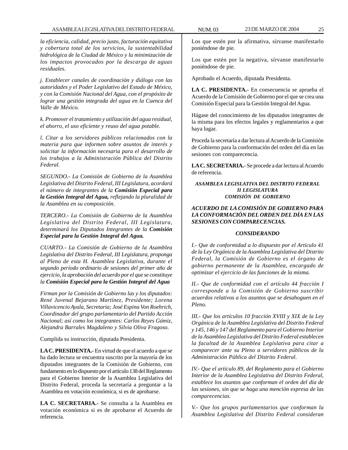*la eficiencia, calidad, precio justo, facturación equitativa y cobertura total de los servicios, la sustentabilidad hidrológica de la Ciudad de México y la minimización de los impactos provocados por la descarga de aguas residuales.*

*j. Establecer canales de coordinación y diálogo con las autoridades y el Poder Legislativo del Estado de México, y con la Comisión Nacional del Agua, con el propósito de lograr una gestión integrada del agua en la Cuenca del Valle de México.*

*k. Promover el tratamiento y utilización del agua residual, el ahorro, el uso eficiente y reuso del agua potable.*

*l. Citar a los servidores públicos relacionados con la materia para que informen sobre asuntos de interés y solicitar la información necesaria para el desarrollo de los trabajos a la Administración Pública del Distrito Federal.*

*SEGUNDO.- La Comisión de Gobierno de la Asamblea Legislativa del Distrito Federal, III Legislatura, acordará el número de integrantes de la Comisión Especial para la Gestión Integral del Agua, reflejando la pluralidad de la Asamblea en su composición.*

*TERCERO.- La Comisión de Gobierno de la Asamblea Legislativa del Distrito Federal, III Legislatura, determinará los Diputados Integrantes de la Comisión Especial para la Gestión Integral del Agua.*

*CUARTO.- La Comisión de Gobierno de la Asamblea Legislativa del Distrito Federal, III Legislatura, proponga al Pleno de esta H. Asamblea Legislativa, durante el segundo período ordinario de sesiones del primer año de ejercicio, la aprobación del acuerdo por el que se constituye la Comisión Especial para la Gestión Integral del Agua*

*Firman por la Comisión de Gobierno las y los diputados: René Juvenal Bejarano Martínez, Presidente; Lorena Villavicencio Ayala, Secretaria; José Espina Von Roehrich, Coordinador del grupo parlamentario del Partido Acción Nacional; así como los integrantes: Carlos Reyes Gámiz, Alejandra Barrales Magdaleno y Silvia Oliva Fragoso.*

Cumplida su instrucción, diputada Presidenta.

**LA C. PRESIDENTA.-** En virtud de que el acuerdo a que se ha dado lectura se encuentra suscrito por la mayoría de los diputados integrantes de la Comisión de Gobierno, con fundamento en lo dispuesto por el artículo 138 del Reglamento para el Gobierno Interior de la Asamblea Legislativa del Distrito Federal, proceda la secretaría a preguntar a la Asamblea en votación económica, si es de aprobarse.

**LA C. SECRETARIA.-** Se consulta a la Asamblea en votación económica si es de aprobarse el Acuerdo de referencia.

Los que estén por la afirmativa, sírvanse manifestarlo poniéndose de pie.

Los que estén por la negativa, sírvanse manifestarlo poniéndose de pie.

Aprobado el Acuerdo, diputada Presidenta.

**LA C. PRESIDENTA.-** En consecuencia se aprueba el Acuerdo de la Comisión de Gobierno por el que se crea una Comisión Especial para la Gestión Integral del Agua.

Hágase del conocimiento de los diputados integrantes de la misma para los efectos legales y reglamentarios a que haya lugar.

Proceda la secretaría a dar lectura al Acuerdo de la Comisión de Gobierno para la conformación del orden del día en las sesiones con comparecencia.

**LA C. SECRETARIA.-** Se procede a dar lectura al Acuerdo de referencia.

#### *ASAMBLEA LEGISLATIVA DEL DISTRITO FEDERAL II LEGISLATURA COMISIÓN DE GOBIERNO*

# *ACUERDO DE LA COMISIÓN DE GOBIERNO PARA LA CONFORMACIÓN DEL ORDEN DEL DÍA EN LAS SESIONES CON COMPARECENCIAS.*

# *CONSIDERANDO*

*I.- Que de conformidad a lo dispuesto por el Artículo 41 de la Ley Orgánica de la Asamblea Legislativa del Distrito Federal, la Comisión de Gobierno es el órgano de gobierno permanente de la Asamblea, encargado de optimizar el ejercicio de las funciones de la misma.*

*II.- Que de conformidad con el artículo 44 fracción I corresponde a la Comisión de Gobierno suscribir acuerdos relativos a los asuntos que se desahoguen en el Pleno.*

*III.- Que los artículos 10 fracción XVIII y XIX de la Ley Orgánica de la Asamblea Legislativa del Distrito Federal y 145, 146 y 147 del Reglamento para el Gobierno Interior de la Asamblea Legislativa del Distrito Federal establecen la facultad de la Asamblea Legislativa para citar a comparecer ante su Pleno a servidores públicos de la Administración Pública del Distrito Federal.*

*IV.- Que el artículo 89, del Reglamento para el Gobierno Interior de la Asamblea Legislativa del Distrito Federal, establece los asuntos que conforman el orden del día de las sesiones, sin que se haga una mención expresa de las comparecencias.*

*V.- Que los grupos parlamentarios que conforman la Asamblea Legislativa del Distrito Federal consideran*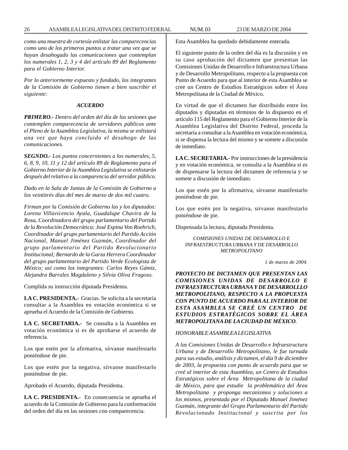*como una muestra de cortesía enlistar las comparecencias como uno de los primeros puntos a tratar una vez que se hayan desahogado las comunicaciones que contemplan los numerales 1, 2, 3 y 4 del artículo 89 del Reglamento para el Gobierno Interior.*

*Por lo anteriormente expuesto y fundado, los integrantes de la Comisión de Gobierno tienen a bien suscribir el siguiente:*

#### *ACUERDO*

*PRIMERO.- Dentro del orden del día de las sesiones que contemplen comparecencia de servidores públicos ante el Pleno de la Asamblea Legislativa, la misma se enlistará una vez que haya concluido el desahogo de las comunicaciones.*

*SEGNDO.- Los puntos concernientes a los numerales, 5, 6, 8, 9, 10, 11 y 12 del artículo 89 de Reglamento para el Gobierno Interior de la Asamblea Legislativa se enlistarán después del relativo a la comparencia del servidor público.*

*Dado en la Sala de Juntas de la Comisión de Gobierno a los veintitrés días del mes de marzo de dos mil cuatro.*

*Firman por la Comisión de Gobierno las y los diputados: Lorena Villavicencio Ayala, Guadalupe Chavira de la Rosa, Coordinadora del grupo parlamentario del Partido de la Revolución Democrática; José Espina Von Roehrich, Coordinador del grupo parlamentario del Partido Acción Nacional, Manuel Jiménez Guzmán, Coordinador del grupo parlamentario del Partido Revolucionario Institucional; Bernardo de la Garza Herrera Coordinador del grupo parlamentario del Partido Verde Ecologista de México; así como los integrantes: Carlos Reyes Gámiz, Alejandra Barrales Magdaleno y Silvia Oliva Fragoso.*

Cumplida su instrucción diputada Presidenta.

**LA C. PRESIDENTA.-** Gracias. Se solicita a la secretaría consultar a la Asamblea en votación económica si se aprueba el Acuerdo de la Comisión de Gobierno.

**LA C. SECRETARIA.-** Se consulta a la Asamblea en votación económica si es de aprobarse el acuerdo de referencia.

Los que estén por la afirmativa, sírvanse manifestarlo poniéndose de pie.

Los que estén por la negativa, sírvanse manifestarlo poniéndose de pie.

Aprobado el Acuerdo, diputada Presidenta.

**LA C. PRESIDENTA.-** En consecuencia se aprueba el acuerdo de la Comisión de Gobierno para la conformación del orden del día en las sesiones con comparecencia.

Esta Asamblea ha quedado debidamente enterada.

El siguiente punto de la orden del día es la discusión y en su caso aprobación del dictamen que presentan las Comisiones Unidas de Desarrollo e Infraestructura Urbana y de Desarrollo Metropolitano, respecto a la propuesta con Punto de Acuerdo para que al interior de esta Asamblea se cree un Centro de Estudios Estratégicos sobre el Área Metropolitana de la Ciudad de México.

En virtud de que el dictamen fue distribuido entre los diputados y diputadas en términos de lo dispuesto en el artículo 115 del Reglamento para el Gobierno Interior de la Asamblea Legislativa del Distrito Federal, proceda la secretaría a consultar a la Asamblea en votación económica, si se dispensa la lectura del mismo y se somete a discusión de inmediato.

**LA C. SECRETARIA.-** Por instrucciones de la presidencia y en votación económica, se consulta a la Asamblea si es de dispensarse la lectura del dictamen de referencia y se somete a discusión de inmediato.

Los que estén por la afirmativa, sírvanse manifestarlo poniéndose de pie.

Los que estén por la negativa, sírvanse manifestarlo poniéndose de pie.

Dispensada la lectura, diputada Presidenta.

*COMISIONES UNIDAS DE DESARROLLO E INFRAESTRUCTURA URBANA Y DE DESARROLLO METROPOLITANO*

*1 de marzo de 2004.*

*PROYECTO DE DICTAMEN QUE PRESENTAN LAS COMISIONES UNIDAS DE DESARROLLO E INFRAESTRUCTURA URBANA Y DE DESARROLLLO METROPOLITANO, RESPECTO A LA PROPUESTA CON PUNTO DE ACUERDO PARA AL INTERIOR DE ESTA ASAMBLEA SE CREÉ UN CENTRO DE ESTUDIOS ESTRATÉGICOS SOBRE EL ÁREA METROPOLITANA DE LA CIUDAD DE MÉXICO.*

#### *HONORABLE ASAMBLEA LEGISLATIVA*

*A las Comisiones Unidas de Desarrollo e Infraestructura Urbana y de Desarrollo Metropolitano, le fue turnada para sus estudio, análisis y dictamen, el día 9 de diciembre de 2003, la propuesta con punto de acuerdo para que se creé al interior de esta Asamblea, un Centro de Estudios Estratégicos sobre el Área Metropolitana de la ciudad de México, para que estudie la problemática del Área Metropolitana y proponga mecanismos y soluciones a los mismos, presentada por el Diputado Manuel Jiménez Guzmán, integrante del Grupo Parlamentario del Partido Revolucionado Institucional y suscrita por los*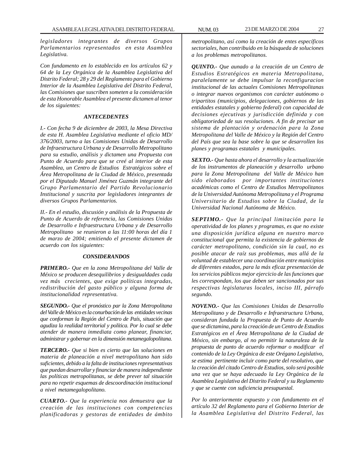*legisladores integrantes de diversos Grupos Parlamentarios representados en esta Asamblea Legislativa.*

*Con fundamento en lo establecido en los artículos 62 y 64 de la Ley Orgánica de la Asamblea Legislativa del Distrito Federal; 28 y 29 del Reglamento para el Gobierno Interior de la Asamblea Legislativa del Distrito Federal, las Comisiones que suscriben someten a la consideración de esta Honorable Asamblea el presente dictamen al tenor de los siguientes:*

#### *ANTECEDENTES*

*I.- Con fecha 9 de diciembre de 2003, la Mesa Directiva de esta H. Asamblea Legislativa mediante el oficio MD/ 376/2003, turno a las Comisiones Unidas de Desarrollo de Infraestructura Urbana y de Desarrollo Metropolitano para su estudio, análisis y dictamen una Propuesta con Punto de Acuerdo para que se creé al interior de esta Asamblea, un Centro de Estudios Estratégicos sobre el Área Metropolitana de la Ciudad de México, presentada por el Diputado Manuel Jiménez Guzmán integrante del Grupo Parlamentario del Partido Revolucionario Institucional y suscrita por legisladores integrantes de diversos Grupos Parlamentarios.*

*II.- En el estudio, discusión y análisis de la Propuesta de Punto de Acuerdo de referencia, las Comisiones Unidas de Desarrollo e Infraestructura Urbana y de Desarrollo Metropolitano se reunieron a las 11:00 horas del día 1 de marzo de 2004; emitiendo el presente dictamen de acuerdo con los siguientes:*

#### *CONSIDERANDOS*

*PRIMERO.- Que en la zona Metropolitana del Valle de México se producen desequilibrios y desigualdades cada vez más crecientes, que exige políticas integradas, redistribución del gasto público y alguna forma de institucionalidad representativa.*

*SEGUNDO.- Que el pronóstico par la Zona Metropolitana del Valle de México es la conurbación de las entidades vecinas que conforman la Región del Centro de País, situación que agudiza la realidad territorial y política. Por lo cual se debe atender de manera inmediata como planear, financiar, administrar y gobernar en la dimensión metamegalopolitana.*

*TERCERO.- Que si bien es cierto que las soluciones en materia de planeación a nivel metropolitano han sido suficientes, debido a la falta de instituciones representativas que puedan desarrollar y financiar de manera independiente las políticas metropolitanas, se debe prever tal situación para no repetir esquemas de descoordinación institucional a nivel metamegalopolitano.*

*CUARTO.- Que la experiencia nos demuestra que la creación de las instituciones con competencias planificadoras y gestoras de entidades de ámbito*

*metropolitano, así como la creación de entes específicos sectoriales, han contribuido en la búsqueda de soluciones a los problemas metropolitanos.*

*QUINTO.- Que aunado a la creación de un Centro de Estudios Estratégicos en materia Metropolitana, paralelamente se debe impulsar la reconfiguracion institucional de las actuales Comisiones Metropolitanas o integrar nuevos organismos con carácter autónomo o tripartitos (municipios, delegaciones, gobiernos de las entidades estatales y gobierno federal) con capacidad de decisiones ejecutivas y jurisdicción definida y con obligatoriedad de sus resoluciones. A fin de precisar un sistema de plantación y ordenación para la Zona Metropolitana del Valle de México y la Región del Centro del País que sea la base sobre la que se desarrollen los planes y programas estatales y municipales.*

*SEXTO.- Que hasta ahora el desarrollo y la actualización de los instrumentos de planeación y desarrollo urbano para la Zona Metropolitana del Valle de México han sido elaborados por importantes instituciones académicas como el Centro de Estudios Metropolitanos de la Universidad Autónoma Metropolitana y el Programa Universitario de Estudios sobre la Ciudad, de la Universidad Nacional Autónoma de México.*

*SEPTIMO.- Que la principal limitación para la operatividad de los planes y programas, es que no existe una disposición jurídica alguna en nuestro marco constitucional que permita la existencia de gobiernos de carácter metropolitano, condición sin la cual, no es posible atacar de raíz sus problemas, mas allá de la voluntad de establecer una coordinación entre municipios de diferentes estados, para la más eficaz presentación de los servicios públicos mejor ejercicio de las funciones que les correspondan, los que deben ser sancionados por sus respectivas legislaturas locales, inciso III, párrafo segundo.*

*NOVENO.- Que las Comisiones Unidas de Desarrollo Metropolitano y de Desarrollo e Infraestructura Urbana, consideran fundada la Propuesta de Punto de Acuerdo que se dictamina, para la creación de un Centro de Estudios Estratégicos en el Área Metropolitana de la Ciudad de México, sin embargo, al no permitir la naturaleza de la propuesta de punto de acuerdo reformar o modificar el contenido de la Ley Orgánica de este Orégano Legislativo, se estima pertinente incluir como parte del resolutivo, que la creación del citado Centro de Estudios, solo será posible una vez que se haya adecuado la Ley Orgánica de la Asamblea Legislativa del Distrito Federal y su Reglamento y que se cuente con suficiencia presupuestal.*

*Por lo anteriormente expuesto y con fundamento en el artículo 32 del Reglamento para el Gobierno Interior de la Asamblea Legislativa del Distrito Federal, las*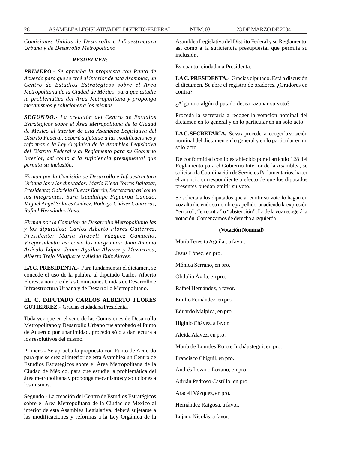*Comisiones Unidas de Desarrollo e Infraestructura Urbana y de Desarrollo Metropolitano*

# *RESUELVEN:*

*PRIMERO.- Se aprueba la propuesta con Punto de Acuerdo para que se creé al interior de esta Asamblea, un Centro de Estudios Estratégicos sobre el Área Metropolitana de la Ciudad de México, para que estudie la problemática del Área Metropolitana y proponga mecanismos y soluciones a los mismos.*

*SEGUNDO.- La creación del Centro de Estudios Estratégicos sobre el Área Metropolitana de la Ciudad de México al interior de esta Asamblea Legislativa del Distrito Federal, deberá sujetarse a las modificaciones y reformas a la Ley Orgánica de la Asamblea Legislativa del Distrito Federal y al Reglamento para su Gobierno Interior, así como a la suficiencia presupuestal que permita su inclusión.*

*Firman por la Comisión de Desarrollo e Infraestructura Urbana las y los diputados: María Elena Torres Baltazar, Presidenta; Gabriela Cuevas Barrón, Secretaría; así como los integrantes: Sara Guadalupe Figueroa Canedo, Miguel Angel Solares Chávez, Rodrigo Chávez Contreras, Rafael Hernández Nava.*

*Firman por la Comisión de Desarrollo Metropolitano las y los diputados: Carlos Alberto Flores Gutiérrez, Presidente; María Araceli Vázquez Camacho, Vicepresidenta; así como los integrantes: Juan Antonio Arévalo López, Jaime Aguilar Álvarez y Mazarrasa, Alberto Trejo Villafuerte y Aleida Ruíz Alavez.*

**LA C. PRESIDENTA.-** Para fundamentar el dictamen, se concede el uso de la palabra al diputado Carlos Alberto Flores, a nombre de las Comisiones Unidas de Desarrollo e Infraestructura Urbana y de Desarrollo Metropolitano.

## **EL C. DIPUTADO CARLOS ALBERTO FLORES GUTIÉRREZ.-** Gracias ciudadana Presidenta.

Toda vez que en el seno de las Comisiones de Desarrollo Metropolitano y Desarrollo Urbano fue aprobado el Punto de Acuerdo por unanimidad, procedo sólo a dar lectura a los resolutivos del mismo.

Primero.- Se aprueba la propuesta con Punto de Acuerdo para que se crea al interior de esta Asamblea un Centro de Estudios Estratégicos sobre el Área Metropolitana de la Ciudad de México, para que estudie la problemática del área metropolitana y proponga mecanismos y soluciones a los mismos.

Segundo.- La creación del Centro de Estudios Estratégicos sobre el Area Metropolitana de la Ciudad de México al interior de esta Asamblea Legislativa, deberá sujetarse a las modificaciones y reformas a la Ley Orgánica de la Asamblea Legislativa del Distrito Federal y su Reglamento, así como a la suficiencia presupuestal que permita su inclusión.

Es cuanto, ciudadana Presidenta.

**LA C. PRESIDENTA.-** Gracias diputado. Está a discusión el dictamen. Se abre el registro de oradores. ¿Oradores en contra?

¿Alguna o algún diputado desea razonar su voto?

Proceda la secretaría a recoger la votación nominal del dictamen en lo general y en lo particular en un solo acto.

**LA C. SECRETARIA.-** Se va a proceder a recoger la votación nominal del dictamen en lo general y en lo particular en un solo acto.

De conformidad con lo establecido por el artículo 128 del Reglamento para el Gobierno Interior de la Asamblea, se solicita a la Coordinación de Servicios Parlamentarios, hacer el anuncio correspondiente a efecto de que los diputados presentes puedan emitir su voto.

Se solicita a los diputados que al emitir su voto lo hagan en voz alta diciendo su nombre y apellido, añadiendo la expresión ''en pro'', ''en contra'' o ''abstención''. La de la voz recogerá la votación. Comenzamos de derecha a izquierda.

#### **(Votación Nominal)**

María Teresita Aguilar, a favor.

Jesús López, en pro.

Mónica Serrano, en pro.

Obdulio Ávila, en pro.

Rafael Hernández, a favor.

Emilio Fernández, en pro.

Eduardo Malpica, en pro.

Higinio Chávez, a favor.

Aleida Alavez, en pro.

María de Lourdes Rojo e Incháustegui, en pro.

Francisco Chiguil, en pro.

Andrés Lozano Lozano, en pro.

Adrián Pedroso Castillo, en pro.

Araceli Vázquez, en pro.

Hernández Raigosa, a favor.

Lujano Nicolás, a favor.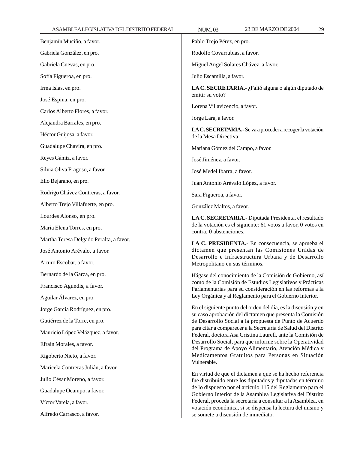| ASAMBLEALEGISLATIVADELDISTRITO FEDERAL  | <b>NUM.03</b>                                                                                                                                                                                                                                                                                                        | 23 DE MARZO DE 2004                                                                                                       | 29 |
|-----------------------------------------|----------------------------------------------------------------------------------------------------------------------------------------------------------------------------------------------------------------------------------------------------------------------------------------------------------------------|---------------------------------------------------------------------------------------------------------------------------|----|
| Benjamín Muciño, a favor.               | Pablo Trejo Pérez, en pro.                                                                                                                                                                                                                                                                                           |                                                                                                                           |    |
| Gabriela González, en pro.              | Rodolfo Covarrubias, a favor.                                                                                                                                                                                                                                                                                        |                                                                                                                           |    |
| Gabriela Cuevas, en pro.                | Miguel Angel Solares Chávez, a favor.                                                                                                                                                                                                                                                                                |                                                                                                                           |    |
| Sofía Figueroa, en pro.                 | Julio Escamilla, a favor.                                                                                                                                                                                                                                                                                            |                                                                                                                           |    |
| Irma Islas, en pro.                     | LA C. SECRETARIA.- ¿Faltó alguna o algún diputado de<br>emitir su voto?                                                                                                                                                                                                                                              |                                                                                                                           |    |
| José Espina, en pro.                    |                                                                                                                                                                                                                                                                                                                      |                                                                                                                           |    |
| Carlos Alberto Flores, a favor.         | Lorena Villavicencio, a favor.                                                                                                                                                                                                                                                                                       |                                                                                                                           |    |
| Alejandra Barrales, en pro.             | Jorge Lara, a favor.                                                                                                                                                                                                                                                                                                 |                                                                                                                           |    |
| Héctor Guijosa, a favor.                |                                                                                                                                                                                                                                                                                                                      | LA C. SECRETARIA.- Se va a proceder a recoger la votación<br>de la Mesa Directiva:                                        |    |
| Guadalupe Chavira, en pro.              | Mariana Gómez del Campo, a favor.                                                                                                                                                                                                                                                                                    |                                                                                                                           |    |
| Reyes Gámiz, a favor.                   | José Jiménez, a favor.                                                                                                                                                                                                                                                                                               |                                                                                                                           |    |
| Silvia Oliva Fragoso, a favor.          | José Medel Ibarra, a favor.                                                                                                                                                                                                                                                                                          |                                                                                                                           |    |
| Elio Bejarano, en pro.                  |                                                                                                                                                                                                                                                                                                                      | Juan Antonio Arévalo López, a favor.                                                                                      |    |
| Rodrigo Chávez Contreras, a favor.      | Sara Figueroa, a favor.                                                                                                                                                                                                                                                                                              |                                                                                                                           |    |
| Alberto Trejo Villafuerte, en pro.      | González Maltos, a favor.                                                                                                                                                                                                                                                                                            |                                                                                                                           |    |
| Lourdes Alonso, en pro.                 | LA C. SECRETARIA.- Diputada Presidenta, el resultado<br>de la votación es el siguiente: 61 votos a favor, 0 votos en<br>contra, 0 abstenciones.                                                                                                                                                                      |                                                                                                                           |    |
| María Elena Torres, en pro.             |                                                                                                                                                                                                                                                                                                                      |                                                                                                                           |    |
| Martha Teresa Delgado Peralta, a favor. |                                                                                                                                                                                                                                                                                                                      | LA C. PRESIDENTA.- En consecuencia, se aprueba el                                                                         |    |
| José Antonio Arévalo, a favor.          | dictamen que presentan las Comisiones Unidas de                                                                                                                                                                                                                                                                      |                                                                                                                           |    |
| Arturo Escobar, a favor.                |                                                                                                                                                                                                                                                                                                                      | Desarrollo e Infraestructura Urbana y de Desarrollo<br>Metropolitano en sus términos.                                     |    |
| Bernardo de la Garza, en pro.           |                                                                                                                                                                                                                                                                                                                      | Hágase del conocimiento de la Comisión de Gobierno, así                                                                   |    |
| Francisco Agundis, a favor.             |                                                                                                                                                                                                                                                                                                                      | como de la Comisión de Estudios Legislativos y Prácticas<br>Parlamentarias para su consideración en las reformas a la     |    |
| Aguilar Álvarez, en pro.                |                                                                                                                                                                                                                                                                                                                      | Ley Orgánica y al Reglamento para el Gobierno Interior.                                                                   |    |
| Jorge García Rodríguez, en pro.         |                                                                                                                                                                                                                                                                                                                      | En el siguiente punto del orden del día, es la discusión y en<br>su caso aprobación del dictamen que presenta la Comisión |    |
| Gutiérrez de la Torre, en pro.          |                                                                                                                                                                                                                                                                                                                      | de Desarrollo Social a la propuesta de Punto de Acuerdo                                                                   |    |
| Mauricio López Velázquez, a favor.      | para citar a comparecer a la Secretaria de Salud del Distrito<br>Federal, doctora Asa Cristina Laurell, ante la Comisión de<br>Desarrollo Social, para que informe sobre la Operatividad<br>del Programa de Apoyo Alimentario, Atención Médica y<br>Medicamentos Gratuitos para Personas en Situación<br>Vulnerable. |                                                                                                                           |    |
| Efraín Morales, a favor.                |                                                                                                                                                                                                                                                                                                                      |                                                                                                                           |    |
| Rigoberto Nieto, a favor.               |                                                                                                                                                                                                                                                                                                                      |                                                                                                                           |    |
| Maricela Contreras Julián, a favor.     |                                                                                                                                                                                                                                                                                                                      |                                                                                                                           |    |
| Julio César Moreno, a favor.            | En virtud de que el dictamen a que se ha hecho referencia<br>fue distribuido entre los diputados y diputadas en término                                                                                                                                                                                              |                                                                                                                           |    |
| Guadalupe Ocampo, a favor.              |                                                                                                                                                                                                                                                                                                                      | de lo dispuesto por el artículo 115 del Reglamento para el<br>Gobierno Interior de la Asamblea Legislativa del Distrito   |    |
| Víctor Varela, a favor.                 | Federal, proceda la secretaría a consultar a la Asamblea, en<br>votación económica, si se dispensa la lectura del mismo y<br>se somete a discusión de inmediato.                                                                                                                                                     |                                                                                                                           |    |
| Alfredo Carrasco, a favor.              |                                                                                                                                                                                                                                                                                                                      |                                                                                                                           |    |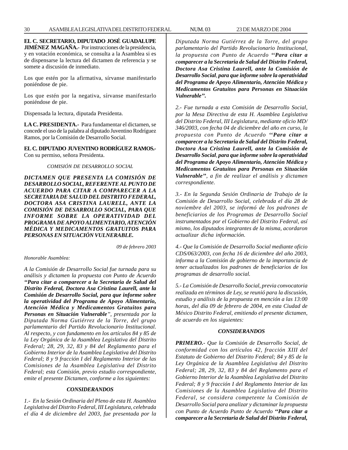**EL C. SECRETARIO, DIPUTADO JOSÉ GUADALUPE JIMÉNEZ MAGAÑA.-** Por instrucciones de la presidencia, y en votación económica, se consulta a la Asamblea si es de dispensarse la lectura del dictamen de referencia y se somete a discusión de inmediato.

Los que estén por la afirmativa, sírvanse manifestarlo poniéndose de pie.

Los que estén por la negativa, sírvanse manifestarlo poniéndose de pie.

Dispensada la lectura, diputada Presidenta.

**LA C. PRESIDENTA.-** Para fundamentar el dictamen, se concede el uso de la palabra al diputado Juventino Rodríguez Ramos, por la Comisión de Desarrollo Social.

**EL C. DIPUTADO JUVENTINO RODRÍGUEZ RAMOS.-** Con su permiso, señora Presidenta.

*COMISIÓN DE DESARROLLO SOCIAL*

*DICTAMEN QUE PRESENTA LA COMISIÓN DE DESARROLLO SOCIAL, REFERENTE AL PUNTO DE ACUERDO PARA CITAR A COMPARECER A LA SECRETARIA DE SALUD DEL DISTRITO FEDERAL, DOCTORA ASA CRISTINA LAURELL, ANTE LA COMISIÓN DE DESARROLLO SOCIAL, PARA QUE INFORME SOBRE LA OPERATIVIDAD DEL PROGRAMA DE APOYO ALIMENTARIO, ATENCIÓN MÉDICA Y MEDICAMENTOS GRATUITOS PARA PERSONAS EN SITUACIÓN VULNERABLE.*

*09 de febrero 2003*

*Honorable Asamblea:*

*A la Comisión de Desarrollo Social fue turnada para su análisis y dictamen la propuesta con Punto de Acuerdo ''Para citar a comparecer a la Secretaria de Salud del Distrito Federal, Doctora Asa Cristina Laurell, ante la Comisión de Desarrollo Social, para que informe sobre la operatividad del Programa de Apoyo Alimentario, Atención Médica y Medicamentos Gratuitos para Personas en Situación Vulnerable'', presentada por la Diputada Norma Gutiérrez de la Torre, del grupo parlamentario del Partido Revolucionario Institucional. Al respecto, y con fundamento en los artículos 84 y 85 de la Ley Orgánica de la Asamblea Legislativa del Distrito Federal; 28, 29, 32, 83 y 84 del Reglamento para el Gobierno Interior de la Asamblea Legislativa del Distrito Federal; 8 y 9 fracción I del Reglamento Interior de las Comisiones de la Asamblea Legislativa del Distrito Federal; esta Comisión, previo estudio correspondiente, emite el presente Dictamen, conforme a los siguientes:*

# *CONSIDERANDOS*

*1.- En la Sesión Ordinaria del Pleno de esta H. Asamblea Legislativa del Distrito Federal, III Legislatura, celebrada el día 4 de diciembre del 2003, fue presentada por la* *Diputada Norma Gutiérrez de la Torre, del grupo parlamentario del Partido Revolucionario Institucional, la propuesta con Punto de Acuerdo ''Para citar a comparecer a la Secretaria de Salud del Distrito Federal, Doctora Asa Cristina Laurell, ante la Comisión de Desarrollo Social, para que informe sobre la operatividad del Programa de Apoyo Alimentario, Atención Médica y Medicamentos Gratuitos para Personas en Situación Vulnerable''.*

*2.- Fue turnada a esta Comisión de Desarrollo Social, por la Mesa Directiva de esta H. Asamblea Legislativa del Distrito Federal, III Legislatura, mediante oficio MD/ 346/2003, con fecha 04 de diciembre del año en curso, la propuesta con Punto de Acuerdo ''Para citar a comparecer a la Secretaria de Salud del Distrito Federal, Doctora Asa Cristina Laurell, ante la Comisión de Desarrollo Social, para que informe sobre la operatividad del Programa de Apoyo Alimentario, Atención Médica y Medicamentos Gratuitos para Personas en Situación Vulnerable'', a fin de realizar el análisis y dictamen correspondiente.*

*3.- En la Segunda Sesión Ordinaria de Trabajo de la Comisión de Desarrollo Social, celebrada el día 28 de noviembre del 2003, se informó de los padrones de beneficiarios de los Programas de Desarrollo Social instrumentados por el Gobierno del Distrito Federal, así mismo, los diputados integrantes de la misma, acordaron actualizar dicha información.*

*4.- Que la Comisión de Desarrollo Social mediante oficio CDS/063/2003, con fecha 16 de diciembre del año 2003, informa a la Comisión de gobierno de la importancia de tener actualizados los padrones de beneficiarios de los programas de desarrollo social.*

*5.- La Comisión de Desarrollo Social, previa convocatoria realizada en términos de Ley, se reunió para la discusión, estudio y análisis de la propuesta en mención a las 13:00 horas, del día 09 de febrero de 2004, en esta Ciudad de México Distrito Federal, emitiendo el presente dictamen, de acuerdo en los siguientes:*

# *CONSIDERANDOS*

*PRIMERO.- Que la Comisión de Desarrollo Social, de conformidad con los artículos 42, fracción XIII del Estatuto de Gobierno del Distrito Federal; 84 y 85 de la Ley Orgánica de la Asamblea Legislativa del Distrito Federal; 28, 29, 32, 83 y 84 del Reglamento para el Gobierno Interior de la Asamblea Legislativa del Distrito Federal; 8 y 9 fracción I del Reglamento Interior de las Comisiones de la Asamblea Legislativa del Distrito Federal, se considera competente la Comisión de Desarrollo Social para analizar y dictaminar la propuesta con Punto de Acuerdo Punto de Acuerdo ''Para citar a comparecer a la Secretaria de Salud del Distrito Federal,*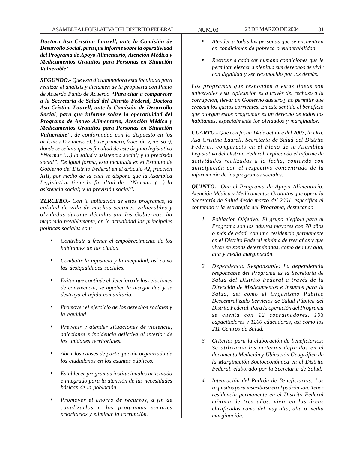*Doctora Asa Cristina Laurell, ante la Comisión de Desarrollo Social, para que informe sobre la operatividad del Programa de Apoyo Alimentario, Atención Médica y Medicamentos Gratuitos para Personas en Situación Vulnerable''.*

*SEGUNDO.- Que esta dictaminadora esta facultada para realizar el análisis y dictamen de la propuesta con Punto de Acuerdo Punto de Acuerdo ''Para citar a comparecer a la Secretaria de Salud del Distrito Federal, Doctora Asa Cristina Laurell, ante la Comisión de Desarrollo Social, para que informe sobre la operatividad del Programa de Apoyo Alimentario, Atención Médica y Medicamentos Gratuitos para Personas en Situación Vulnerable'', de conformidad con lo dispuesto en los artículos 122 inciso c), base primera, fracción V, inciso i), donde se señala que es facultad de este órgano legislativo ''Normar (…) la salud y asistencia social; y la precisión social''. De igual forma, esta facultada en el Estatuto de Gobierno del Distrito Federal en el artículo 42, fracción XIII, por medio de la cual se dispone que la Asamblea Legislativa tiene la facultad de: ''Normar (…) la asistencia social; y la previsión social''.*

*TERCERO.- Con la aplicación de estos programas, la calidad de vida de muchos sectores vulnerables y olvidados durante décadas por los Gobiernos, ha mejorado notablemente, en la actualidad las principales políticas sociales son:*

- *Contribuir a frenar el empobrecimiento de los habitantes de las ciudad.*
- *Combatir la injusticia y la inequidad, así como las desigualdades sociales.*
- *Evitar que continúe el deterioro de las relaciones de convivencia, se agudice la inseguridad y se destruya el tejido comunitario.*
- *Promover el ejercicio de los derechos sociales y la equidad.*
- *Prevenir y atender situaciones de violencia, adicciones e incidencia delictiva al interior de las unidades territoriales.*
- *Abrir los causes de participación organizada de los ciudadanos en los asuntos públicos.*
- *Establecer programas institucionales articulado e integrado para la atención de las necesidades básicas de la población.*
- *Promover el ahorro de recursos, a fin de canalizarlos a los programas sociales prioritarios y eliminar la corrupción.*
- *Atender a todas las personas que se encuentren en condiciones de pobreza o vulnerabilidad.*
- *Restituir a cada ser humano condiciones que le permitan ejercer a plenitud sus derechos de vivir con dignidad y ser reconocido por los demás.*

*Los programas que responden a estas líneas son universales y su aplicación es a través del rechazo a la corrupción, llevar un Gobierno austero y no permitir que crezcan los gastos corrientes. En este sentido el beneficio que otorgan estos programas es un derecho de todos los habitantes, especialmente los olvidados y marginados.*

*CUARTO.- Que con fecha 14 de octubre del 2003, la Dra. Asa Cristina Laurell, Secretaria de Salud del Distrito Federal, compareció en el Pleno de la Asamblea Legislativa del Distrito Federal, explicando el informe de actividades realizadas a la fecha, contando con anticipación con el respectivo concentrado de la información de los programas sociales.*

*QUINTO.- Que el Programa de Apoyo Alimentario, Atención Médica y Medicamentos Gratuitos que opera la Secretaría de Salud desde marzo del 2001, específica el contenido y la estrategia del Programa, destacando*

- *1. Población Objetivo: El grupo elegible para el Programa son los adultos mayores con 70 años o más de edad, con una residencia permanente en el Distrito Federal mínima de tres años y que viven en zonas determinadas, como de muy alta, alta y media marginación.*
- *2. Dependencia Responsable: La dependencia responsable del Programa es la Secretaría de Salud del Distrito Federal a través de la Dirección de Medicamentos e Insumos para la Salud, así como el Organismo Público Descentralizado Servicios de Salud Pública del Distrito Federal. Para la operación del Programa se cuenta con 12 coordinadores, 103 capacitadores y 1200 educadoras, así como los 211 Centros de Salud.*
- *3. Criterios para la elaboración de beneficiarios: Se utilizaron los criterios definidos en el documento Medición y Ubicación Geográfica de la Marginación Socioeconómica en el Distrito Federal, elaborado por la Secretaría de Salud.*
- *4. Integración del Padrón de Beneficiarios: Los requisitos para inscribirse en el padrón son: Tener residencia permanente en el Distrito Federal mínima de tres años, vivir en las áreas clasificadas como del muy alta, alta o media marginación.*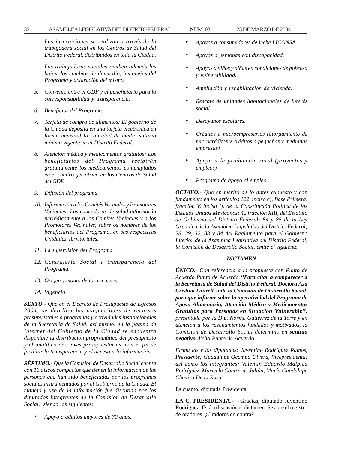32 ASAMBLEA LEGISLATIVA DEL DISTRITO FEDERAL NUM. 03 23 DE MARZO DE 2004

*Las inscripciones se realizan a través de la trabajadora social en los Centros de Salud del Distrito Federal, distribuidos en toda la Ciudad.*

*Las trabajadoras sociales reciben además las bajas, los cambios de domicilio, las quejas del Programa y aclaración del mismo.*

- *5. Convenio entre el GDF y el beneficiario para la corresponsabilidad y transparencia.*
- *6. Beneficios del Programa.*
- *7. Tarjeta de compra de alimentos: El gobierno de la Ciudad deposita en una tarjeta electrónica en forma mensual la cantidad de medio salario mínimo vigente en el Distrito Federal.*
- *8. Atención médica y medicamentos gratuitos: Los beneficiarios del Programa recibirán gratuitamente los medicamentos contemplados en el cuadro geriátrico en los Centros de Salud del GDF.*
- *9. Difusión del programa*
- *10. Información a los Comités Vecinales y Promotores Vecinales: Las educadoras de salud informarán periódicamente a los Comités Vecinales y a los Promotores Vecinales, sobre os nombres de los beneficiarios del Programa, en sus respectivas Unidades Territoriales.*
- *11. La supervisión del Programa.*
- *12. Contraloría Social y transparencia del Programa.*
- *13. Origen y monto de los recursos.*
- *14. Vigencia.*

*SEXTO.- Que en el Decreto de Presupuesto de Egresos 2004, se detallan las asignaciones de recursos presupuestales a programas y actividades institucionales de la Secretaría de Salud, así mismo, en la página de Internet del Gobierno de la Ciudad se encuentra disponible la distribución programática del presupuesto y el analítico de claves presupuestarias, con el fin de facilitar la transparencia y el acceso a la información.*

*SÉPTIMO.- Que la Comisión de Desarrollo Social cuenta con 16 discos compactos que tienen la información de las personas que han sido beneficiadas por los programas sociales instrumentados por el Gobierno de la Ciudad. El manejo y uso de la información fue discutida por los diputados integrantes de la Comisión de Desarrollo Social, siendo los siguientes:*

• *Apoyo a adultos mayores de 70 años.*

- *Apoyos a consumidores de leche LICONSA*
- *Apoyos a personas con discapacidad.*
- *Apoyos a niños y niñas en condiciones de pobreza y vulnerabilidad.*
- *Ampliación y rehabilitación de vivienda.*
- *Rescate de unidades habitacionales de interés social.*
- *Desayunos escolares.*
- *Créditos a microempresarios (otorgamiento de microcréditos y créditos a pequeñas y medianas empresas)*
- *Apoyo a la producción rural (proyectos y empleos)*
- *Programa de apoyo al empleo.*

*OCTAVO.- Que en mérito de lo antes expuesto y con fundamento en los artículos 122, inciso c), Base Primera, fracción V, inciso i), de la Constitución Política de los Estados Unidos Mexicanos; 42 fracción XIII, del Estatuto de Gobierno del Distrito Federal; 84 y 85 de la Ley Orgánica de la Asamblea Legislativa del Distrito Federal; 28, 29, 32, 83 y 84 del Reglamento para el Gobierno Interior de la Asamblea Legislativa del Distrito Federal, la Comisión de Desarrollo Social, emite el siguiente*

# *DICTAMEN*

*ÚNICO.- Con referencia a la propuesta con Punto de Acuerdo Punto de Acuerdo ''Para citar a comparecer a la Secretaria de Salud del Distrito Federal, Doctora Asa Cristina Laurell, ante la Comisión de Desarrollo Social, para que informe sobre la operatividad del Programa de Apoyo Alimentario, Atención Médica y Medicamentos Gratuitos para Personas en Situación Vulnerable'', presentada por la Dip. Norma Gutiérrez de la Torre y en atención a los razonamientos fundados y motivados, la Comisión de Desarrollo Social determinó en sentido negativo dicho Punto de Acuerdo.*

*Firma las y los diputados: Juventino Rodríguez Ramos, Presidente; Guadalupe Ocampo Olvera, Vicepresidenta; así como los integrantes: Valentín Eduardo Malpica Rodríguez, Maricela Contreras Julián, María Guadalupe Chavira De la Rosa.*

Es cuanto, diputada Presidenta.

**LA C. PRESIDENTA.-** Gracias, diputado Juventino Rodríguez. Está a discusión el dictamen. Se abre el registro de oradores. ¿Oradores en contra?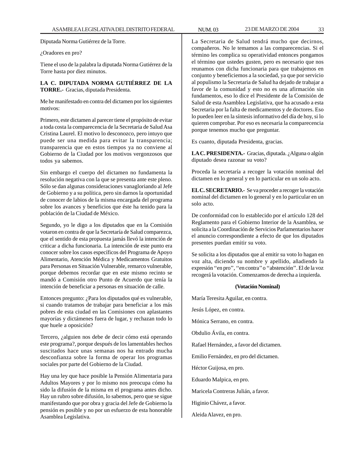Diputada Norma Gutiérrez de la Torre.

## ¿Oradores en pro?

Tiene el uso de la palabra la diputada Norma Gutiérrez de la Torre hasta por diez minutos.

# **LA C. DIPUTADA NORMA GUTIÉRREZ DE LA TORRE.-** Gracias, diputada Presidenta.

Me he manifestado en contra del dictamen por los siguientes motivos:

Primero, este dictamen al parecer tiene el propósito de evitar a toda costa la comparecencia de la Secretaria de Salud Asa Cristina Laurel. El motivo lo desconozco, pero intuyo que puede ser una medida para evitar la transparencia; transparencia que en estos tiempos ya no conviene al Gobierno de la Ciudad por los motivos vergonzosos que todos ya sabemos.

Sin embargo el cuerpo del dictamen no fundamenta la resolución negativa con la que se presenta ante este pleno. Sólo se dan algunas consideraciones vanagloriando al Jefe de Gobierno y a su política, pero sin darnos la oportunidad de conocer de labios de la misma encargada del programa sobre los avances y beneficios que éste ha tenido para la población de la Ciudad de México.

Segundo, yo le digo a los diputados que en la Comisión votaron en contra de que la Secretaría de Salud comparezca, que el sentido de esta propuesta jamás llevó la intención de criticar a dicha funcionaria. La intención de este punto era conocer sobre los casos específicos del Programa de Apoyo Alimentario, Atención Médica y Medicamentos Gratuitos para Personas en Situación Vulnerable, remarco vulnerable, porque debemos recordar que en este mismo recinto se mandó a Comisión otro Punto de Acuerdo que tenía la intención de beneficiar a personas en situación de calle.

Entonces pregunto: ¿Para los diputados qué es vulnerable, si cuando tratamos de trabajar para beneficiar a los más pobres de esta ciudad en las Comisiones con aplastantes mayorías y dictámenes fuera de lugar, y rechazan todo lo que huele a oposición?

Tercero, ¿alguien nos debe de decir cómo está operando este programa?, porque después de los lamentables hechos suscitados hace unas semanas nos ha entrado mucha desconfianza sobre la forma de operar los programas sociales por parte del Gobierno de la Ciudad.

Hay una ley que hace posible la Pensión Alimentaria para Adultos Mayores y por lo mismo nos preocupa cómo ha sido la difusión de la misma en el programa antes dicho. Hay un rubro sobre difusión, lo sabemos, pero que se sigue manifestando que por obra y gracia del Jefe de Gobierno la pensión es posible y no por un esfuerzo de esta honorable Asamblea Legislativa.

La Secretaria de Salud tendrá mucho que decirnos, compañeros. No le temamos a las comparecencias. Si el término les complica su operatividad entonces pongamos el término que ustedes gusten, pero es necesario que nos reunamos con dicha funcionaria para que trabajemos en conjunto y beneficiemos a la sociedad, ya que por servicio al populismo la Secretaria de Salud ha dejado de trabajar a favor de la comunidad y esto no es una afirmación sin fundamentos, eso lo dice el Presidente de la Comisión de Salud de esta Asamblea Legislativa, que ha acusado a esta Secretaria por la falta de medicamentos y de doctores. Eso lo pueden leer en la síntesis informativo del día de hoy, si lo quieren comprobar. Por eso es necesaria la comparecencia porque tenemos mucho que preguntar.

Es cuanto, diputada Presidenta, gracias.

LA C. PRESIDENTA.- Gracias, diputada. ¿Alguna o algún diputado desea razonar su voto?

Proceda la secretaría a recoger la votación nominal del dictamen en lo general y en lo particular en un solo acto.

**EL C. SECRETARIO.-** Se va proceder a recoger la votación nominal del dictamen en lo general y en lo particular en un solo acto.

De conformidad con lo establecido por el artículo 128 del Reglamento para el Gobierno Interior de la Asamblea, se solicita a la Coordinación de Servicios Parlamentarios hacer el anuncio correspondiente a efecto de que los diputados presentes puedan emitir su voto.

Se solicita a los diputados que al emitir su voto lo hagan en voz alta, diciendo su nombre y apellido, añadiendo la expresión ''en pro'', ''en contra'' o ''abstención''. El de la voz recogerá la votación. Comenzamos de derecha a izquierda.

#### **(Votación Nominal)**

María Teresita Aguilar, en contra.

Jesús López, en contra.

Mónica Serrano, en contra.

Obdulio Ávila, en contra.

Rafael Hernández, a favor del dictamen.

Emilio Fernández, en pro del dictamen.

Héctor Guijosa, en pro.

Eduardo Malpica, en pro.

Maricela Contreras Julián, a favor.

Higinio Chávez, a favor.

Aleida Alavez, en pro.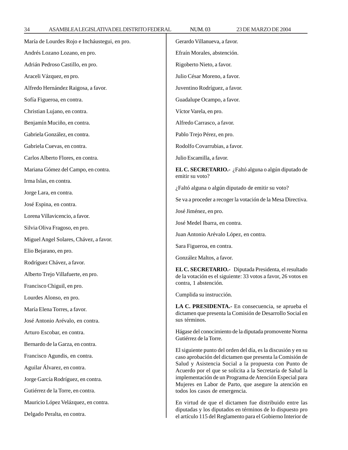| María de Lourdes Rojo e Incháustegui, en pro. | Gerardo Villanueva, a favor.                                                                                                                                                                                                                                                                                                                                                                                                     |  |
|-----------------------------------------------|----------------------------------------------------------------------------------------------------------------------------------------------------------------------------------------------------------------------------------------------------------------------------------------------------------------------------------------------------------------------------------------------------------------------------------|--|
| Andrés Lozano Lozano, en pro.                 | Efraín Morales, abstención.                                                                                                                                                                                                                                                                                                                                                                                                      |  |
| Adrián Pedroso Castillo, en pro.              | Rigoberto Nieto, a favor.                                                                                                                                                                                                                                                                                                                                                                                                        |  |
| Araceli Vázquez, en pro.                      | Julio César Moreno, a favor.                                                                                                                                                                                                                                                                                                                                                                                                     |  |
| Alfredo Hernández Raigosa, a favor.           | Juventino Rodríguez, a favor.                                                                                                                                                                                                                                                                                                                                                                                                    |  |
| Sofía Figueroa, en contra.                    | Guadalupe Ocampo, a favor.                                                                                                                                                                                                                                                                                                                                                                                                       |  |
| Christian Lujano, en contra.                  | Víctor Varela, en pro.                                                                                                                                                                                                                                                                                                                                                                                                           |  |
| Benjamín Muciño, en contra.                   | Alfredo Carrasco, a favor.                                                                                                                                                                                                                                                                                                                                                                                                       |  |
| Gabriela González, en contra.                 | Pablo Trejo Pérez, en pro.                                                                                                                                                                                                                                                                                                                                                                                                       |  |
| Gabriela Cuevas, en contra.                   | Rodolfo Covarrubias, a favor.                                                                                                                                                                                                                                                                                                                                                                                                    |  |
| Carlos Alberto Flores, en contra.             | Julio Escamilla, a favor.                                                                                                                                                                                                                                                                                                                                                                                                        |  |
| Mariana Gómez del Campo, en contra.           | EL C. SECRETARIO.- ¿Faltó alguna o algún diputado de                                                                                                                                                                                                                                                                                                                                                                             |  |
| Irma Islas, en contra.                        | emitir su voto?                                                                                                                                                                                                                                                                                                                                                                                                                  |  |
| Jorge Lara, en contra.                        | ¿Faltó alguna o algún diputado de emitir su voto?                                                                                                                                                                                                                                                                                                                                                                                |  |
| José Espina, en contra.                       | Se va a proceder a recoger la votación de la Mesa Directiva.                                                                                                                                                                                                                                                                                                                                                                     |  |
| Lorena Villavicencio, a favor.                | José Jiménez, en pro.                                                                                                                                                                                                                                                                                                                                                                                                            |  |
| Silvia Oliva Fragoso, en pro.                 | José Medel Ibarra, en contra.                                                                                                                                                                                                                                                                                                                                                                                                    |  |
| Miguel Angel Solares, Chávez, a favor.        | Juan Antonio Arévalo López, en contra.                                                                                                                                                                                                                                                                                                                                                                                           |  |
| Elio Bejarano, en pro.                        | Sara Figueroa, en contra.                                                                                                                                                                                                                                                                                                                                                                                                        |  |
| Rodríguez Chávez, a favor.                    | González Maltos, a favor.                                                                                                                                                                                                                                                                                                                                                                                                        |  |
| Alberto Trejo Villafuerte, en pro.            | EL C. SECRETARIO.- Diputada Presidenta, el resultado<br>de la votación es el siguiente: 33 votos a favor, 26 votos en<br>contra, 1 abstención.                                                                                                                                                                                                                                                                                   |  |
| Francisco Chiguil, en pro.                    |                                                                                                                                                                                                                                                                                                                                                                                                                                  |  |
| Lourdes Alonso, en pro.                       | Cumplida su instrucción.                                                                                                                                                                                                                                                                                                                                                                                                         |  |
| María Elena Torres, a favor.                  | LA C. PRESIDENTA.- En consecuencia, se aprueba el<br>dictamen que presenta la Comisión de Desarrollo Social en<br>sus términos.                                                                                                                                                                                                                                                                                                  |  |
| José Antonio Arévalo, en contra.              |                                                                                                                                                                                                                                                                                                                                                                                                                                  |  |
| Arturo Escobar, en contra.                    | Hágase del conocimiento de la diputada promovente Norma                                                                                                                                                                                                                                                                                                                                                                          |  |
| Bernardo de la Garza, en contra.              | Gutiérrez de la Torre.<br>El siguiente punto del orden del día, es la discusión y en su<br>caso aprobación del dictamen que presenta la Comisión de<br>Salud y Asistencia Social a la propuesta con Punto de<br>Acuerdo por el que se solicita a la Secretaría de Salud la<br>implementación de un Programa de Atención Especial para<br>Mujeres en Labor de Parto, que asegure la atención en<br>todos los casos de emergencia. |  |
| Francisco Agundis, en contra.                 |                                                                                                                                                                                                                                                                                                                                                                                                                                  |  |
| Aguilar Álvarez, en contra.                   |                                                                                                                                                                                                                                                                                                                                                                                                                                  |  |
| Jorge García Rodríguez, en contra.            |                                                                                                                                                                                                                                                                                                                                                                                                                                  |  |
| Gutiérrez de la Torre, en contra.             |                                                                                                                                                                                                                                                                                                                                                                                                                                  |  |
| Mauricio López Velázquez, en contra.          | En virtud de que el dictamen fue distribuido entre las                                                                                                                                                                                                                                                                                                                                                                           |  |
| Delgado Peralta, en contra.                   | diputadas y los diputados en términos de lo dispuesto pro<br>el artículo 115 del Reglamento para el Gobierno Interior de                                                                                                                                                                                                                                                                                                         |  |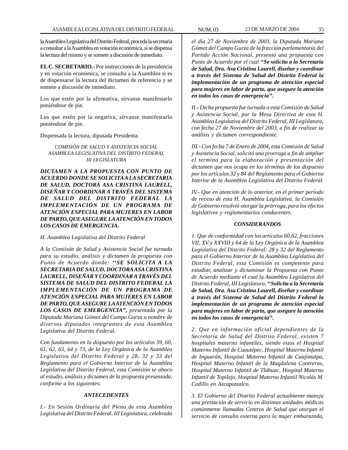la Asamblea Legislativa del Distrito Federal, proceda la secretaría a consultar a la Asamblea en votación económica, si se dispensa la lectura del mismo y se somete a discusión de inmediato.

**EL C. SECRETARIO.-** Por instrucciones de la presidencia y en votación económica, se consulta a la Asamblea si es de dispensarse la lectura del dictamen de referencia y se somete a discusión de inmediato.

Los que estén por la afirmativa, sírvanse manifestarlo poniéndose de pie.

Los que estén por la negativa, sírvanse manifestarlo poniéndose de pie.

Dispensada la lectura, diputada Presidenta.

# *COMISIÓN DE SALUD Y ASISTENCIA SOCIAL ASAMBLEA LEGISLATIVA DEL DISTRITO FEDERAL III LEGISLATURA*

*DICTAMEN A LA PROPUESTA CON PUNTO DE ACUERDO DONDE SE SOLICITA A LA SECRETARIA DE SALUD, DOCTORA ASA CRISTINA LAURELL, DISEÑAR Y COORDINAR A TRAVÉS DEL SISTEMA DE SALUD DEL DISTRITO FEDERAL LA IMPLEMENTACIÓN DE UN PROGRAMA DE ATENCIÓN ESPECIAL PARA MUJERES EN LABOR DE PARTO, QUE ASEGURE LA ATENCIÓN EN TODOS LOS CASOS DE EMERGENCIA.*

*H. Asamblea Legislativa del Distrito Federal*

*A la Comiisón de Salud y Asistencia Social fue turnada para su estudio, análisis y dictamen la propuesta con Punto de Acuerdo donde: ''SE SOLICITA A LA SECRETARIA DE SALUD, DOCTORA ASA CRISTINA LAURELL, DISEÑAR Y COORDINAR A TRAVÉS DEL SISTEMA DE SALUD DEL DISTRITO FEDERAL LA IMPLEMENTACIÓN DE UN PROGRAMA DE ATENCIÓN ESPECIAL PARA MUJERES EN LABOR DE PARTO, QUE ASEGURE LA ATENCIÓN EN TODOS LOS CASOS DE EMERGENCIA'', presentada por la Diputada Mariana Gómez del Campo Gurza a nombre de diversos diputados integrantes de esta Asamblea Legislativa del Distrito Federal.*

*Con fundamento en lo dispuesto por los artículos 59, 60, 61, 62, 63, 64 y 73, de la Ley Orgánica de la Asamblea Legislativa del Distrito Federal y 28, 32 y 33 del Reglamento para el Gobierno Interior de la Asamblea Legislativa del Distrito Federal, esta Comisión se aboco al estudio, análisis y dictamen de la propuesta presentada, conforme a los siguientes:*

# *ANTECEDENTES*

*I.- En Sesión Ordinaria del Pleno de esta Asamblea Legislativa del Distrito Federal, III Legislatura, celebrada*

*el día 27 de Noviembre de 2003, la Diputada Mariana Gómez del Campo Gurza de la fracción parlamentaria del Partido Acción Nacional, presentó una propuesta con Punto de Acuerdo por el cual ''Se solicita a la Secretaria de Salud, Dra. Asa Cristina Laurell, diseñar y coordinar a través del Sistema de Salud del Distrito Federal la implementación de un programa de atención especial para mujeres en labor de parto, que asegure la atención en todos los casos de emergencia''.*

*II.- Dicha propuesta fue turnada a esta Comisión de Salud y Asistencia Social, por la Mesa Directiva de esta H. Asamblea Legislativa del Distrito Federal, III Legislatura, con fecha 27 de Noviembre del 2003, a fin de realizar su análisis y dictamen correspondiente.*

*III.- Con fecha 7 de Enero de 2004, esta Comisión de Salud y Asistencia Social, solicitó una prorroga a fin de ampliar el termino para la elaboración y presentación del dictamen que nos ocupa en los términos de los dispuesto por los artículos 32 y 84 del Reglamento para el Gobierno Interior de la Asamblea Legislativa del Distrito Federal.*

*IV.- Que en atención de lo anterior, en el primer período de receso de esta H. Asamblea Legislativa, la Comisión de Gobierno resolvió otorgar la prórroga, para los efectos legislativos y reglamentarios conducentes.*

# *CONSIDERANDOS*

*1. Que de conformidad con los artículos 60,62, fracciones VII, XV y XXVIII y 64 de la Ley Orgánica de la Asamblea Legislativa del Distrito Federal; 28 y 32 del Reglamento para el Gobierno Interior de la Asamblea Legislativa del Distrito Federal, esta Comisión es competente para estudiar, analizar y dictaminar la Propuesta con Punto de Acuerdo mediante el cual la Asamblea Legislativa del Distrito Federal, III Legislatura, ''Solicita a la Secretaria de Salud, Dra. Asa Cristina Laurell, diseñar y coordinar a través del Sistema de Salud del Distrito Federal la implementación de un programa de atención especial para mujeres en labor de parto, que asegure la atención en todos los casos de emergencia''.*

*2. Que en información oficial dependientes de la Secretaría de Salud del Distrito Federal, existen 7 hospitales materno infantiles, siendo estos el Hospital Materno Infantil de Cuautépec, Hospital Materno Infantil de Inguarán, Hospital Materno Infantil de Cuajimalpa, Hospital Materno Infantil de la Magdalena Contreras, Hospital Materno Infantil de Tláhuac, Hospital Materno Infantil de Topilejo, Hospital Materno Infantil Nicolás M. Cedillo en Azcapotzalco.*

*3. El Gobierno del Distrito Federal actualmente maneja una prestación de servicio en distintas unidades médicas comúnmente llamadas Centros de Salud que otorgan el servicio de consulta externa para la mujer embarazada,*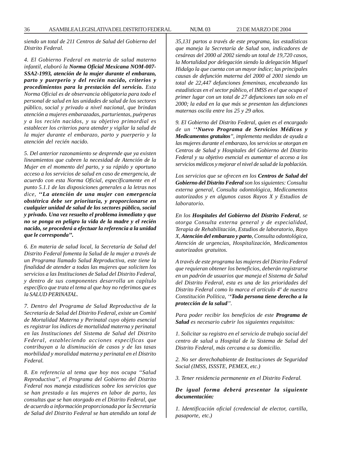*siendo un total de 211 Centros de Salud del Gobierno del Distrito Federal.*

*4. El Gobierno Federal en materia de salud materno infantil, elaboró la Norma Oficial Mexicana NOM-007- SSA2-1993, atención de la mujer durante el embarazo, parto y puerperio y del recién nacido, criterios y procedimientos para la prestación del servicio. Esta Norma Oficial es de observancia obligatoria para todo el personal de salud en las unidades de salud de los sectores público, social y privado a nivel nacional, que brindan atención a mujeres embarazadas, parturientas, puérperas y a los recién nacidos, y su objetivo primordial es establecer los criterios para atender y vigilar la salud de la mujer durante el embarazo, parto y puerperio y la atención del recién nacido.*

*5. Del anterior razonamiento se desprende que ya existen lineamientos que cubren la necesidad de Atención de la Mujer en el momento del parto, y su rápido y oportuno acceso a los servicios de salud en caso de emergencia, de acuerdo con esta Norma Oficial, específicamente en el punto 5.1.1 de las disposiciones generales a la letras nos dice, ''La atención de una mujer con emergencia obstétrica debe ser prioritaria, y proporcionarse en cualquier unidad de salud de los sectores público, social y privado. Una vez resuelto el problema inmediato y que no se ponga en peligro la vida de la madre y el recién nacido, se procederá a efectuar la referencia a la unidad que le corresponda''.*

*6. En materia de salud local, la Secretaría de Salud del Distrito Federal fomenta la Salud de la mujer a través de un Programa llamado Salud Reproductiva, este tiene la finalidad de atender a todas las mujeres que soliciten los servicios a las Instituciones de Salud del Distrito Federal, y dentro de sus componentes desarrolla un capítulo específico que trata el tema al que hoy no referimos que es la SALUD PERINATAL.*

*7. Dentro del Programa de Salud Reproductiva de la Secretaría de Salud del Distrito Federal, existe un Comité de Mortalidad Materna y Perinatal cuyo objeto esencial es registrar los índices de mortalidad materna y perinatal en las Instituciones del Sistema de Salud del Distrito Federal, estableciendo acciones específicas que contribuyan a la disminución de casos y de las tasas morbilidad y moralidad materna y perinatal en el Distrito Federal.*

*8. En referencia al tema que hoy nos ocupa ''Salud Reproductiva'', el Programa del Gobierno del Distrito Federal nos maneja estadísticas sobre los servicios que se han prestado a las mujeres en labor de parto, las consultas que se han otorgado en el Distrito Federal, que de acuerdo a información proporcionada por la Secretaría de Salud del Distrito Federal se han atendido un total de* *35,131 partos a través de este programa, las estadísticas que maneja la Secretaría de Salud son, indicadores de cesáreas del 2000 al 2002 siendo un total de 19,720 casos, la Mortalidad por delegación siendo la delegación Miguel Hidalgo la que cuenta con un mayor índice; las principales causas de defunción materna del 2000 al 2001 siendo un total de 22,447 defunciones femeninas, encabezando las estadísticas en el sector público, el IMSS es el que ocupa el primer lugar con un total de 27 defunciones tan solo en el 2000; la edad en la que más se presentan las defunciones maternas oscila entre los 25 y 29 años.*

*9. El Gobierno del Distrito Federal, quien es el encargado de un ''Nuevo Programa de Servicios Médicos y Medicamentos gratuitos'', implementa medidas de ayuda a las mujeres durante el embarazo, los servicios se otorgan en Centros de Salud y Hospitales del Gobierno del Distrito Federal y su objetivo esencial es aumentar el acceso a los servicios médicos y mejorar el nivel de salud de la población.*

*Los servicios que se ofrecen en los Centros de Salud del Gobierno del Distrito Federal son los siguientes: Consulta externa general, Consulta odontológica, Medicamentos autorizados y en algunos casos Rayos X y Estudios de laboratorio.*

*En los Hospitales del Gobierno del Distrito Federal, se otorga Consulta externa general y de especialidad, Terapia de Rehabilitación, Estudios de laboratorio, Rayo X, Atención del embarazo y parto, Consulta odontológica, Atención de urgencias, Hospitalización, Medicamentos autorizados gratuitos.*

*A través de este programa las mujeres del Distrito Federal que requieran obtener los beneficios, deberán registrarse en un padrón de usuarios que maneja el Sistema de Salud del Distrito Federal, esta es una de las prioridades del Distrito Federal como lo marca el artículo 4º de nuestra Constitución Política, ''Toda persona tiene derecho a la protección de la salud''.*

*Para poder recibir los beneficios de este Programa de Salud es necesario cubrir los siguientes requisitos:*

*1. Solicitar su registro en el servicio de trabajo social del centro de salud u Hospital de la Sistema de Salud del Distrito Federal, más cercana a su domicilio.*

*2. No ser derechohabiente de Instituciones de Seguridad Social (IMSS, ISSSTE, PEMEX, etc.)*

*3. Tener residencia permanente en el Distrito Federal.*

*De igual forma deberá presentar la siguiente documentación:*

*1. Identificación oficial (credencial de elector, cartilla, pasaporte, etc.)*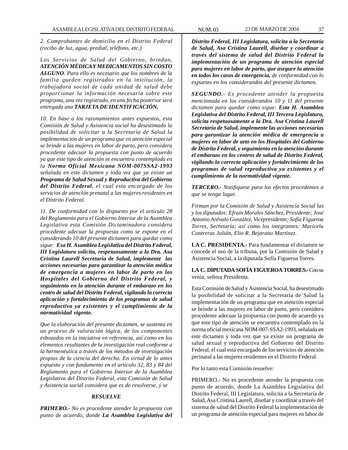*2. Comprobantes de domicilio en el Distrito Federal (recibo de luz, agua, predial, teléfono, etc.)*

*Los Servicios de Salud del Gobierno, brindan, ATENCIÓN MÉDICA Y MEDICAMENTOS SIN COSTO ALGUNO. Para ello es necesario que los nombres de la familia queden registrados en la institución, la trabajadora social de cada unidad de salud debe proporcionar la información necesaria sobre este programa, una vez registrado, en una fecha posterior será entregada una TARJETA DE IDENTIFICACIÓN.*

*10. En base a los razonamientos antes expuestos, esta Comisión de Salud y Asistencia social ha desestimado la posibilidad de solicitar a la Secretaría de Salud la implementación de un programa que en atención especial se brinde a las mujeres en labor de parto, pero considera procedente adecuar la propuesta con punto de acuerdo ya que este tipo de atención se encuentra contemplada en la Norma Oficial Mexicana NOM-007SSA2-1993 señalada en este dictamen y toda vez que ya existe un Programa de Salud Sexual y Reproductiva del Gobierno del Distrito Federal, el cual esta encargado de los servicios de atención prenatal a las mujeres residentes en el Distrito Federal.*

*11. De conformidad con lo dispuesto por el artículo 28 del Reglamento para el Gobierno Interior de la Asamblea Legislativa esta Comisión Dictaminadora considera procedente adecuar la propuesta como se expone en el considerando 10 del presente dictamen para quedar como sigue: Esa H. Asamblea Legislativa del Distrito Federal, III Legislatura solicita, respetuosamente a la Dra. Asa Cristina Laurell Secretaría de Salud, implemente las acciones necesarias para garantizar la atención médica de emergencia a mujeres en labor de parto en los Hospitales del Gobierno del Distrito Federal, y seguimiento en la atención durante el embarazo en los centro de salud del Distrito Federal, vigilando la correcta aplicación y fortalecimiento de los programas de salud reproductiva ya existentes y el cumplimiento de la normatividad vigente.*

*Que la elaboración del presente dictamen, se sustenta en un proceso de valoración lógica, de los componentes esbozados en la iniciativa en referencia, así como en los elementos resultantes de la investigación real conforme a la hermenéutica a través de los métodos de investigación propios de la ciencia del derecho. En virtud de lo antes expuesto y con fundamento en el artículo 32, 83 y 84 del Reglamento para el Gobierno Interior de la Asamblea Legislativa del Distrito Federal, esta Comisión de Salud y Asistencia social considera que es de resolverse, y se*

### *RESUELVE*

*PRIMERO.- No es procedente atender la propuesta con punto de acuerdo, donde La Asamblea Legislativa del* *Distrito Federal, III Legislatura, solicita a la Secretaría de Salud, Asa Cristina Laurell, diseñar y coordinar a través del sistema de salud del Distrito Federal la implementación de un programa de atención especial para mujeres en labor de parto, que asegure la atención en todos los casos de emergencia, de conformidad con lo expuesto en los considerandos del presente dictamen.*

*SEGUNDO.- Es procedente atender la propuesta mencionada en los considerandos 10 y 11 del presente dictamen para quedar como sigue: Esta H. Asamblea Legislativa del Distrito Federal, III Tercera Legislatura, solicita respetuosamente a la Dra. Asa Cristina Laurell Secretaría de Salud, implemente las acciones necesarias para garantizar la atención médica de emergencia a mujeres en labor de arto en los Hospitales del Gobierno de Distrito Federal, y seguimiento en la atención durante el embarazo en los centros de salud de Distrito Federal, vigilando la correcta aplicación y fortalecimiento de los programas de salud reproductiva ya existentes y el cumplimiento de la normatividad vigente.*

*TERCERO.- Notifíquese para los efectos procedentes a que se tenga lugar.*

*Firman por la Comisión de Salud y Asistencia Social las y los diputados: Efraín Morales Sánchez, Presidente; José Antonio Arévalo González, Vicepresidente; Sofía Figueroa Torres, Secretaría; así como los integrantes: Maricela Contreras Julián, Elio R. Bejarano Martínez.*

**LA C. PRESIDENTA.-** Para fundamentar el dictamen se concede el uso de la tribuna, por la Comisión de Salud y Asistencia Social, a la diputada Sofía Figueroa Torres.

**LA C. DIPUTADA SOFÍA FIGUEROA TORRES.-** Con su venia, señora Presidenta.

Esta Comisión de Salud y Asistencia Social, ha desestimado la posibilidad de solicitar a la Secretaría de Salud la implementación de un programa que en atención especial se brinde a las mujeres en labor de parto, pero considera procedente adecuar la propuesta con punto de acuerdo ya que este tipo de atención se encuentra contemplado en la norma oficial mexicana NOM-007-SSA2-1993, señalada en este dictamen y toda vez que ya existe un programa de salud sexual y reproductiva del Gobierno del Distrito Federal, el cual está encargado de los servicios de atención perinatal a las mujeres residentes en el Distrito Federal.

Por lo tanto esta Comisión resuelve:

PRIMERO.- No es procedente atender la propuesta con punto de acuerdo, donde La Asamblea Legislativa del Distrito Federal, III Legislatura, solicita a la Secretaría de Salud, Asa Cristina Laurell, diseñar y coordinar a través del sistema de salud del Distrito Federal la implementación de un programa de atención especial para mujeres en labor de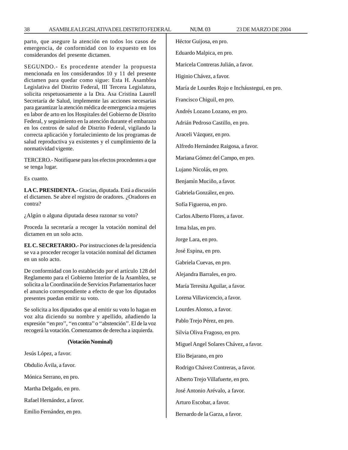parto, que asegure la atención en todos los casos de emergencia, de conformidad con lo expuesto en los considerandos del presente dictamen.

SEGUNDO.- Es procedente atender la propuesta mencionada en los considerandos 10 y 11 del presente dictamen para quedar como sigue: Esta H. Asamblea Legislativa del Distrito Federal, III Tercera Legislatura, solicita respetuosamente a la Dra. Asa Cristina Laurell Secretaría de Salud, implemente las acciones necesarias para garantizar la atención médica de emergencia a mujeres en labor de arto en los Hospitales del Gobierno de Distrito Federal, y seguimiento en la atención durante el embarazo en los centros de salud de Distrito Federal, vigilando la correcta aplicación y fortalecimiento de los programas de salud reproductiva ya existentes y el cumplimiento de la normatividad vigente.

TERCERO.- Notifíquese para los efectos procedentes a que se tenga lugar.

Es cuanto.

**LA C. PRESIDENTA.-** Gracias, diputada. Está a discusión el dictamen. Se abre el registro de oradores. ¿Oradores en contra?

¿Algún o alguna diputada desea razonar su voto?

Proceda la secretaría a recoger la votación nominal del dictamen en un solo acto.

**EL C. SECRETARIO.-** Por instrucciones de la presidencia se va a proceder recoger la votación nominal del dictamen en un solo acto.

De conformidad con lo establecido por el artículo 128 del Reglamento para el Gobierno Interior de la Asamblea, se solicita a la Coordinación de Servicios Parlamentarios hacer el anuncio correspondiente a efecto de que los diputados presentes puedan emitir su voto.

Se solicita a los diputados que al emitir su voto lo hagan en voz alta diciendo su nombre y apellido, añadiendo la expresión ''en pro'', ''en contra'' o ''abstención''. El de la voz recogerá la votación. Comenzamos de derecha a izquierda.

#### **(Votación Nominal)**

Jesús López, a favor. Obdulio Ávila, a favor. Mónica Serrano, en pro. Martha Delgado, en pro. Rafael Hernández, a favor. Emilio Fernández, en pro.

Héctor Guijosa, en pro. Eduardo Malpica, en pro. Maricela Contreras Julián, a favor. Higinio Chávez, a favor. María de Lourdes Rojo e Incháustegui, en pro. Francisco Chiguil, en pro. Andrés Lozano Lozano, en pro. Adrián Pedroso Castillo, en pro. Araceli Vázquez, en pro. Alfredo Hernández Raigosa, a favor. Mariana Gómez del Campo, en pro. Lujano Nicolás, en pro. Benjamín Muciño, a favor. Gabriela González, en pro. Sofía Figueroa, en pro. Carlos Alberto Flores, a favor. Irma Islas, en pro. Jorge Lara, en pro. José Espina, en pro. Gabriela Cuevas, en pro. Alejandra Barrales, en pro. María Teresita Aguilar, a favor. Lorena Villavicencio, a favor. Lourdes Alonso, a favor. Pablo Trejo Pérez, en pro. Silvia Oliva Fragoso, en pro. Miguel Angel Solares Chávez, a favor. Elio Bejarano, en pro Rodrigo Chávez Contreras, a favor. Alberto Trejo Villafuerte, en pro. José Antonio Arévalo, a favor. Arturo Escobar, a favor. Bernardo de la Garza, a favor.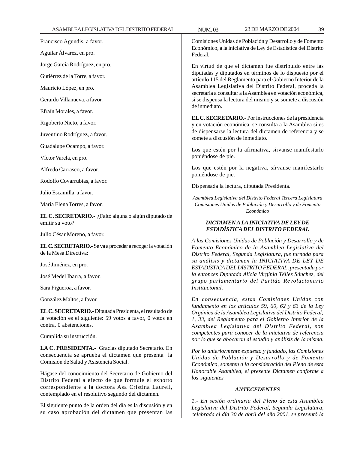| ASAMBLEALEGISLATIVADELDISTRITOFEDERAL                                                                                                                               | 23 DE MARZO DE 2004<br>39<br><b>NUM.03</b>                                                                                                                                                                                                                                                                                                                                                |  |  |
|---------------------------------------------------------------------------------------------------------------------------------------------------------------------|-------------------------------------------------------------------------------------------------------------------------------------------------------------------------------------------------------------------------------------------------------------------------------------------------------------------------------------------------------------------------------------------|--|--|
| Francisco Agundis, a favor.                                                                                                                                         | Comisiones Unidas de Población y Desarrollo y de Fomento<br>Económico, a la iniciativa de Ley de Estadística del Distrito                                                                                                                                                                                                                                                                 |  |  |
| Aguilar Álvarez, en pro.                                                                                                                                            | Federal.                                                                                                                                                                                                                                                                                                                                                                                  |  |  |
| Jorge García Rodríguez, en pro.                                                                                                                                     | En virtud de que el dictamen fue distribuido entre las<br>diputadas y diputados en términos de lo dispuesto por el<br>artículo 115 del Reglamento para el Gobierno Interior de la<br>Asamblea Legislativa del Distrito Federal, proceda la<br>secretaría a consultar a la Asamblea en votación económica,<br>si se dispensa la lectura del mismo y se somete a discusión<br>de inmediato. |  |  |
| Gutiérrez de la Torre, a favor.                                                                                                                                     |                                                                                                                                                                                                                                                                                                                                                                                           |  |  |
| Mauricio López, en pro.                                                                                                                                             |                                                                                                                                                                                                                                                                                                                                                                                           |  |  |
| Gerardo Villanueva, a favor.                                                                                                                                        |                                                                                                                                                                                                                                                                                                                                                                                           |  |  |
| Efraín Morales, a favor.                                                                                                                                            |                                                                                                                                                                                                                                                                                                                                                                                           |  |  |
| Rigoberto Nieto, a favor.                                                                                                                                           | EL C. SECRETARIO.- Por instrucciones de la presidencia<br>y en votación económica, se consulta a la Asamblea si es<br>de dispensarse la lectura del dictamen de referencia y se<br>somete a discusión de inmediato.<br>Los que estén por la afirmativa, sírvanse manifestarlo                                                                                                             |  |  |
| Juventino Rodríguez, a favor.                                                                                                                                       |                                                                                                                                                                                                                                                                                                                                                                                           |  |  |
| Guadalupe Ocampo, a favor.                                                                                                                                          |                                                                                                                                                                                                                                                                                                                                                                                           |  |  |
| Víctor Varela, en pro.                                                                                                                                              | poniéndose de pie.                                                                                                                                                                                                                                                                                                                                                                        |  |  |
| Alfredo Carrasco, a favor.                                                                                                                                          | Los que estén por la negativa, sírvanse manifestarlo<br>poniéndose de pie.                                                                                                                                                                                                                                                                                                                |  |  |
| Rodolfo Covarrubias, a favor.                                                                                                                                       | Dispensada la lectura, diputada Presidenta.                                                                                                                                                                                                                                                                                                                                               |  |  |
| Julio Escamilla, a favor.                                                                                                                                           | Asamblea Legislativa del Distrito Federal Tercera Legislatura                                                                                                                                                                                                                                                                                                                             |  |  |
| María Elena Torres, a favor.                                                                                                                                        | Comisiones Unidas de Población y Desarrollo y de Fomento                                                                                                                                                                                                                                                                                                                                  |  |  |
| EL C. SECRETARIO.- ¿Faltó alguna o algún diputado de<br>emitir su voto?                                                                                             | Económico<br>DICTAMENA LA INICIATIVA DE LEY DE                                                                                                                                                                                                                                                                                                                                            |  |  |
| Julio César Moreno, a favor.                                                                                                                                        | ESTADÍSTICA DEL DISTRITO FEDERAL                                                                                                                                                                                                                                                                                                                                                          |  |  |
| EL C. SECRETARIO.- Se va a proceder a recoger la votación<br>de la Mesa Directiva:                                                                                  | A las Comisiones Unidas de Población y Desarrollo y de<br>Fomento Económico de la Asamblea Legislativa del<br>Distrito Federal, Segunda Legislatura, fue turnada para                                                                                                                                                                                                                     |  |  |
| José Jiménez, en pro.                                                                                                                                               | su análisis y dictamen la INICIATIVA DE LEY DE<br>ESTADÍSTICA DEL DISTRITO FEDERAL, presentada por                                                                                                                                                                                                                                                                                        |  |  |
| José Medel Ibarra, a favor.                                                                                                                                         | la entonces Diputada Alicia Virginia Téllez Sánchez, del                                                                                                                                                                                                                                                                                                                                  |  |  |
| Sara Figueroa, a favor.                                                                                                                                             | grupo parlamentario del Partido Revolucionario<br><i>Institucional.</i>                                                                                                                                                                                                                                                                                                                   |  |  |
| González Maltos, a favor.                                                                                                                                           | En consecuencia, estas Comisiones Unidas con                                                                                                                                                                                                                                                                                                                                              |  |  |
| EL C. SECRETARIO. - Diputada Presidenta, el resultado de<br>la votación es el siguiente: 59 votos a favor, 0 votos en<br>contra, 0 abstenciones.                    | fundamento en los artículos 59, 60, 62 y 63 de la Ley<br>Orgánica de la Asamblea Legislativa del Distrito Federal;<br>1, 33, del Reglamento para el Gobierno Interior de la<br>Asamblea Legislativa del Distrito Federal, son                                                                                                                                                             |  |  |
| Cumplida su instrucción.                                                                                                                                            | competentes para conocer de la iniciativa de referencia<br>por lo que se abocaron al estudio y análisis de la misma.                                                                                                                                                                                                                                                                      |  |  |
| LA C. PRESIDENTA.- Gracias diputado Secretario. En<br>consecuencia se aprueba el dictamen que presenta la<br>Comisión de Salud y Asistencia Social.                 | Por lo anteriormente expuesto y fundado, las Comisiones<br>Unidas de Población y Desarrollo y de Fomento<br>Económico, someten a la consideración del Pleno de esta<br>Honorable Asamblea, el presente Dictamen conforme a<br>los siguientes<br><b>ANTECEDENTES</b>                                                                                                                       |  |  |
| Hágase del conocimiento del Secretario de Gobierno del<br>Distrito Federal a efecto de que formule el exhorto<br>correspondiente a la doctora Asa Cristina Laurell, |                                                                                                                                                                                                                                                                                                                                                                                           |  |  |
| contemplado en el resolutivo segundo del dictamen.                                                                                                                  | 1.- En sesión ordinaria del Pleno de esta Asamblea                                                                                                                                                                                                                                                                                                                                        |  |  |
|                                                                                                                                                                     |                                                                                                                                                                                                                                                                                                                                                                                           |  |  |

*Legislativa del Distrito Federal, Segunda Legislatura, celebrada el día 30 de abril del año 2001, se presentó la*

El siguiente punto de la orden del día es la discusión y en su caso aprobación del dictamen que presentan las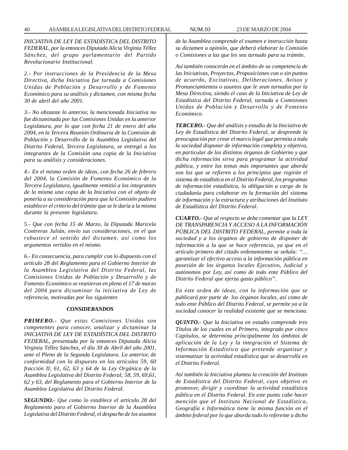*INICIATIVA DE LEY DE ESTADÍSTICA DEL DISTRITO FEDERAL, por la entonces Diputada Alicia Virginia Téllez Sánchez, del grupo parlamentario del Partido Revolucionario Institucional.*

*2.- Por instrucciones de la Presidencia de la Mesa Directiva, dicha Iniciativa fue turnada a Comisiones Unidas de Población y Desarrollo y de Fomento Económico para su análisis y dictamen, con misma fecha 30 de abril del año 2001.*

*3.- No obstante lo anterior, la mencionada Iniciativa no fue dictaminada por las Comisiones Unidas en la anterior Legislatura, por lo que con fecha 21 de enero del año 2004, en la Tercera Reunión Ordinaria de la Comisión de Población y Desarrollo de la Asamblea Legislativa del Distrito Federal, Tercera Legislatura, se entregó a los integrantes de la Comisión una copia de la Iniciativa para su análisis y consideraciones.*

*4.- En el mismo orden de ideas, con fecha 26 de febrero del 2004, la Comisión de Fomento Económico de la Tercera Legislatura, igualmente remitió a los integrantes de la misma una copia de la Iniciativa con el objeto de ponerla a su consideración para que la Comisión pudiera establecer el criterio del trámite que se le daría a la misma durante la presente legislatura.*

*5.- Que con fecha 15 de Marzo, la Diputada Maricela Contreras Julián, envío sus consideraciones, en el que robustece el sentido del dictamen, así como los argumentos vertidos en el mismo.*

*6.- En consecuencia, para cumplir con lo dispuesto con el artículo 28 del Reglamento para el Gobierno Interior de la Asamblea Legislativa del Distrito Federal, las Comisiones Unidas de Población y Desarrollo y de Fomento Económico se reunieron en pleno el 17 de marzo del 2004 para dictaminar la iniciativa de Ley de referencia, motivadas por los siguientes*

### *CONSIDERANDOS*

*PRIMERO.- Que estas Comisiones Unidas son competentes para conocer, analizar y dictaminar la INICIATIVA DE LEY DE ESTADÍSTICA DEL DISTRITO FEDERAL, presentada por la entonces Diputada Alicia Virginia Téllez Sánchez, el día 30 de Abril del año 2001, ante el Pleno de la Segunda Legislatura. Lo anterior, de conformidad con lo dispuesto en los artículos 59, 60 fracción II, 61, 62, 63 y 64 de la Ley Orgánica de la Asamblea Legislativa del Distrito Federal; 58, 59, 69,61, 62 y 63, del Reglamento para el Gobierno Interior de la Asamblea Legislativa del Distrito Federal.*

*SEGUNDO.- Que como lo establece el artículo 28 del Reglamento para el Gobierno Interior de la Asamblea Legislativa del Distrito Federal, el despacho de los asuntos* *de la Asamblea comprende el examen e instrucción hasta su dictamen u opinión, que deberá elaborar la Comisión o Comisiones a las que les sea turnado para su trámite.*

*Así también conocerán en el ámbito de su competencia de las Iniciativas, Proyectos, Proposiciones con o sin puntos de acuerdo, Excitativas, Deliberaciones, Avisos y Pronunciamientos o asuntos que le sean turnados por la Mesa Directiva, siendo el caso de la Iniciativa de Ley de Estadística del Distrito Federal, turnada a Comisiones Unidas de Población y Desarrollo y de Fomento Económico.*

*TERCERO.- Que del análisis y estudio de la Iniciativa de Ley de Estadística del Distrito Federal, se desprende la preocupación por crear el marco legal que permita a toda la sociedad disponer de información completa y objetiva, en particular de los distintos órganos de Gobierno y que dicha información sirva para programar la actividad pública, y entre los temas más importantes que aborda son los que se refieren a los principios que regirán el sistema de estadística en el Distrito Federal, los programas de información estadística, la obligación a cargo de la ciudadanía para colaborar en la formación del sistema de información y la estructura y atribuciones del Instituto de Estadística del Distrito Federal.*

*CUARTO.- Que al respecto se debe comentar que la LEY DE TRANSPARENCIA Y ACCESO A LA INFORMACIÓN PÚBLICA DEL DISTRITO FEDERAL, permite a toda la sociedad y a los órganos de gobierno de disponer de información a la que se hace referencia, ya que en el artículo primero del citado ordenamiento se señala: ''… garantizar el efectivo acceso a la información pública en posesión de los órganos locales Ejecutivo, Judicial y autónomos por Ley, así como de todo ente Público del Distrito Federal que ejerza gasto público''.*

*En este orden de ideas, con la información que se publicará por parte de los órganos locales, así como de todo ente Público del Distrito Federal, se permite ya a la sociedad conocer la realidad existente que se menciona.*

*QUINTO.- Que la Iniciativa en estudio comprende tres Títulos de los cuales en el Primero, integrado por cinco Capítulos, se determina principalmente los ámbitos de aplicación de la Ley y la integración el Sistema de Información Estadística que pretende organizar y sistematizar la actividad estadística que se desarrolla en el Distrito Federal.*

*Así también la Iniciativa plantea la creación del Instituto de Estadística del Distrito Federal, cuyo objetivo es promover, dirigir y coordinar la actividad estadística pública en el Distrito Federal. En este punto cabe hacer mención que el Instituto Nacional de Estadística, Geografía e Informática tiene la misma función en el ámbito federal por lo que aborda todo lo referente a dicho*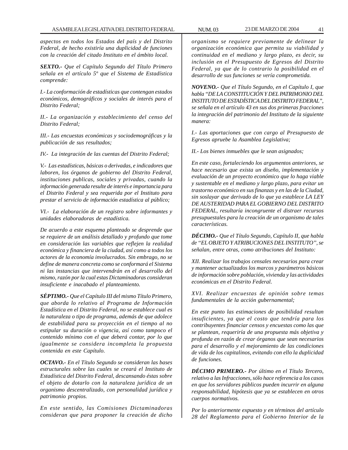*aspectos en todos los Estados del país y del Distrito Federal, de hecho existiría una duplicidad de funciones con la creación del citado Instituto en el ámbito local.*

*SEXTO.- Que el Capítulo Segundo del Título Primero señala en el artículo 5º que el Sistema de Estadística comprende:*

*I.- La conformación de estadísticas que contengan estados económicos, demográficos y sociales de interés para el Distrito Federal;*

*II.- La organización y establecimiento del censo del Distrito Federal;*

*III.- Las encuestas económicas y sociodemográficas y la publicación de sus resultados;*

*IV.- La integración de las cuentas del Distrito Federal;*

*V.- Las estadísticas, básicas o derivadas, e indicadores que laboren, los órganos de gobierno del Distrito Federal, instituciones publicas, sociales y privadas, cuando la información generada resulte de interés e importancia para el Distrito Federal y sea requerida por el Instituto para prestar el servicio de información estadística al público;*

*VI.- La elaboración de un registro sobre informantes y unidades elaboradoras de estadística.*

*De acuerdo a este esquema planteado se desprende que se requiere de un análisis detallado y profundo que tome en consideración las variables que reflejen la realidad económica y financiera de la ciudad, así como a todos los actores de la economía involucrados. Sin embrago, no se define de manera concreta como se conformará el Sistema ni las instancias que intervendrán en el desarrollo del mismo, razón por la cual estas Dictaminadoras consideran insuficiente e inacabado el planteamiento.*

*SÉPTIMO.- Que el Capítulo III del mismo Título Primero, que aborda lo relativo al Programa de Información Estadística en el Distrito Federal, no se establece cual es la naturaleza o tipo de programa, además de que adolece de estabilidad para su proyección en el tiempo al no estipular su duración o vigencia, así como tampoco el contenido mínimo con el que deberá contar, por lo que igualmente se considera incompleta la propuesta contenida en este Capítulo.*

*OCTAVO.- En el Título Segundo se consideran las bases estructurales sobre las cuales se creará el Instituto de Estadística del Distrito Federal, descansando éstas sobre el objeto de dotarlo con la naturaleza jurídica de un organismo descentralizado, con personalidad jurídica y patrimonio propios.*

*En este sentido, las Comisiones Dictaminadoras consideran que para proponer la creación de dicho* *organismo se requiere previamente de delinear la organización económica que permita su viabilidad y continuidad en el mediano y largo plazo, es decir, su inclusión en el Presupuesto de Egresos del Distrito Federal, ya que de lo contrario la posibilidad en el desarrollo de sus funciones se vería comprometida.*

*NOVENO.- Que el Título Segundo, en el Capítulo I, que habla ''DE LA CONSTITUCIÓN Y DEL PATRIMONIO DEL INSTITUTO DE ESTADÍSTICA DEL DISTRITO FEDERAL'', se señala en el artículo 43 en sus dos primeras fracciones la integración del patrimonio del Instituto de la siguiente manera:*

*I.- Las aportaciones que con cargo al Presupuesto de Egresos apruebe la Asamblea Legislativa;*

*II.- Los bienes inmuebles que le sean asignados;*

*En este caso, fortaleciendo los argumentos anteriores, se hace necesario que exista un diseño, implementación y evaluación de un proyecto económico que lo haga viable y sustentable en el mediano y largo plazo, para evitar un trastorno económico en sus finanzas y en las de la Ciudad, sin soslayar que derivado de lo que ya establece LA LEY DE AUSTERIDAD PARA EL GOBIERNO DEL DISTRITO FEDERAL, resultaría incongruente el distraer recursos presupuestales para la creación de un organismo de tales características.*

*DÉCIMO.- Que el Título Segundo, Capítulo II, que habla de ''EL OBJETO Y ATRIBUCIONES DEL INSTITUTO'', se señalan, entre otras, como atribuciones del Instituto:*

*XII. Realizar los trabajos censales necesarios para crear y mantener actualizados los marcos y parámetros básicos de información sobre población, vivienda y las actividades económicas en el Distrito Federal.*

*XVI. Realizar encuestas de opinión sobre temas fundamentales de la acción gubernamental;*

*En este punto las estimaciones de posibilidad resultan insuficientes, ya que el costo que tendría para los contribuyentes financiar censos y encuestas como las que se plantean, requeriría de una propuesta más objetiva y profunda en razón de crear órganos que sean necesarios para el desarrollo y el mejoramiento de las condiciones de vida de los capitalinos, evitando con ello la duplicidad de funciones.*

*DÉCIMO PRIMERO.- Por último en el Título Tercero, relativo a las Infracciones, sólo hace referencia a los casos en que los servidores públicos pueden incurrir en alguna responsabilidad, hipótesis que ya se establecen en otros cuerpos normativos.*

*Por lo anteriormente expuesto y en términos del artículo 28 del Reglamento para el Gobierno Interior de la*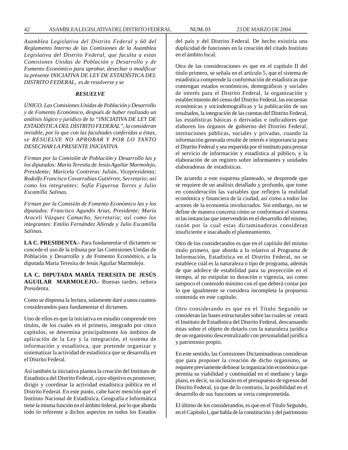*Asamblea Legislativa del Distrito Federal y 60 del Reglamento Interno de las Comisiones de la Asamblea Legislativa del Distrito Federal, que faculta a estas Comisiones Unidas de Población y Desarrollo y de Fomento Económico para aprobar, desechar o modificar la presente INICIATIVA DE LEY DE ESTADÍSTICA DEL DISTRITO FEDERAL, es de resolverse y se*

### *RESUELVE*

*ÚNICO. Las Comisiones Unidas de Población y Desarrollo y de Fomento Económico, después de haber realizado un análisis lógico y jurídico de la ''INICIATIVA DE LEY DE ESTADÍSTICA DEL DISTRITO FEDERAL'', la consideran inviable, por lo que con las facultades conferidas a éstas, se RESUELVE NO APROBAR Y POR LO TANTO DESECHAR LA PRESENTE INICIATIVA.*

*Firman por la Comisión de Población y Desarrollo las y los diputados: María Teresita de Jesús Aguilar Marmolejo, Presidente; Maricela Contreras Julián, Vicepresidenta; Rodolfo Francisco Covarrubias Gutiérrez, Secretario; así como los integrantes: Sofía Figueroa Torres y Julio Escamilla Salinas.*

*Firman por la Comisión de Fomento Económico las y los diputados: Francisco Agundis Arias, Presidente; María Araceli Vázquez Camacho, Secretaria; así como los integrantes: Emilio Fernández Allende y Julio Escamilla Salinas.*

**LA C. PRESIDENTA.-** Para fundamentar el dictamen se concede el uso de la tribuna por las Comisiones Unidas de Población y Desarrollo y de Fomento Económico, a la diputada María Teresita de Jesús Aguilar Marmolejo.

**LA C. DIPUTADA MARÍA TERESITA DE JESÚS AGUILAR MARMOLEJO.-** Buenas tardes, señora Presidenta.

Como se dispensa la lectura, solamente daré a unos cuantos considerandos para fundamentar el dictamen.

Uno de ellos es que la iniciativa en estudio comprende tres títulos, de los cuales en el primero, integrado por cinco capítulos, se determina principalmente los ámbitos de aplicación de la Ley y la integración, el sistema de información y estadística, que pretende organizar y sistematizar la actividad de estadística que se desarrolla en el Distrito Federal.

Así también la iniciativa plantea la creación del Instituto de Estadística del Distrito Federal, cuyo objetivo es promover, dirigir y coordinar la actividad estadística pública en el Distrito Federal. En este punto, cabe hacer mención que el Instituto Nacional de Estadística, Geografía e Informática tiene la misma función en el ámbito federal, por lo que aborda todo lo referente a dichos aspectos en todos los Estados del país y del Distrito Federal. De hecho existiría una duplicidad de funciones en la creación del citado Instituto en el ámbito local.

Otra de las consideraciones es que en el capítulo II del título primero, se señala en el artículo 5, que el sistema de estadística comprende la conformación de estadísticas que contengan estados económicos, demográficos y sociales de interés para el Distrito Federal, la organización y establecimiento del censo del Distrito Federal, las encuestas económicas y sociodemográficas y la publicación de sus resultados, la integración de las cuentas del Distrito Federal, las estadísticas básicas o derivadas e indicadores que elaboren los órganos de gobierno del Distrito Federal, instituciones públicas, sociales y privadas, cuando la información generada resulte de interés e importancia para el Distrito Federal y sea requerida por el instituto para prestar el servicio de información y estadística al público, y la elaboración de un registro sobre informantes y unidades elaboradoras de estadísticas.

De acuerdo a este esquema planteado, se desprende que se requiere de un análisis detallado y profundo, que tome en consideración las variables que reflejen la realidad económica y financiera de la ciudad, así como a todos los actores de la economía involucrados. Sin embargo, no se define de manera concreta cómo se conformará el sistema ni las instancias que intervendrán en el desarrollo del mismo, razón por la cual estas dictaminadoras consideran insuficiente e inacabado el planteamiento.

Otro de los considerandos es que en el capítulo del mismo título primero, que aborda a lo relativo al Programa de Información, Estadística en el Distrito Federal, no se establece cuál es la naturaleza o tipo de programa, además de que adolece de estabilidad para su proyección en el tiempo, al no estipular su duración o vigencia, así como tampoco el contenido mínimo con el que deberá contar por lo que igualmente se considera incompleta la propuesta contenida en este capítulo.

Otro considerando es que en el Título Segundo se consideran las bases estructurales sobre las cuales se creará el Instituto de Estadística del Distrito Federal, descansando éstas sobre el objeto de dotarlo con la naturaleza jurídica de un organismo descentralizado con personalidad jurídica y patrimonio propio.

En este sentido, las Comisiones Dictaminadoras consideran que para proponer la creación de dicho organismo, se requiere previamente delinear la organización económica que permita su viabilidad y continuidad en el mediano y largo plazo, es decir, su inclusión en el presupuesto de egresos del Distrito Federal, ya que de lo contrario, la posibilidad en el desarrollo de sus funciones se vería comprometida.

El último de los considerandos, es que en el Título Segundo, en el Capítulo I, que habla de la constitución y del patrimonio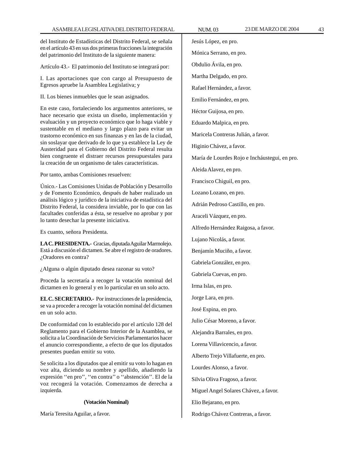del Instituto de Estadísticas del Distrito Federal, se señala en el artículo 43 en sus dos primeras fracciones la integración del patrimonio del Instituto de la siguiente manera:

Artículo 43.- El patrimonio del Instituto se integrará por:

I. Las aportaciones que con cargo al Presupuesto de Egresos apruebe la Asamblea Legislativa; y

II. Los bienes inmuebles que le sean asignados.

En este caso, fortaleciendo los argumentos anteriores, se hace necesario que exista un diseño, implementación y evaluación y un proyecto económico que lo haga viable y sustentable en el mediano y largo plazo para evitar un trastorno económico en sus finanzas y en las de la ciudad, sin soslayar que derivado de lo que ya establece la Ley de Austeridad para el Gobierno del Distrito Federal resulta bien congruente el distraer recursos presupuestales para la creación de un organismo de tales características.

Por tanto, ambas Comisiones resuelven:

Único.- Las Comisiones Unidas de Población y Desarrollo y de Fomento Económico, después de haber realizado un análisis lógico y jurídico de la iniciativa de estadística del Distrito Federal, la considera inviable, por lo que con las facultades conferidas a ésta, se resuelve no aprobar y por lo tanto desechar la presente iniciativa.

Es cuanto, señora Presidenta.

**LA C. PRESIDENTA.-** Gracias, diputada Aguilar Marmolejo. Está a discusión el dictamen. Se abre el registro de oradores. ¿Oradores en contra?

¿Alguna o algún diputado desea razonar su voto?

Proceda la secretaría a recoger la votación nominal del dictamen en lo general y en lo particular en un solo acto.

**EL C. SECRETARIO.-** Por instrucciones de la presidencia, se va a proceder a recoger la votación nominal del dictamen en un solo acto.

De conformidad con lo establecido por el artículo 128 del Reglamento para el Gobierno Interior de la Asamblea, se solicita a la Coordinación de Servicios Parlamentarios hacer el anuncio correspondiente, a efecto de que los diputados presentes puedan emitir su voto.

Se solicita a los diputados que al emitir su voto lo hagan en voz alta, diciendo su nombre y apellido, añadiendo la expresión ''en pro'', ''en contra'' o ''abstención''. El de la voz recogerá la votación. Comenzamos de derecha a izquierda.

## **(Votación Nominal)**

María Teresita Aguilar, a favor.

Jesús López, en pro. Mónica Serrano, en pro. Obdulio Ávila, en pro. Martha Delgado, en pro. Rafael Hernández, a favor. Emilio Fernández, en pro. Héctor Guijosa, en pro. Eduardo Malpica, en pro. Maricela Contreras Julián, a favor. Higinio Chávez, a favor. María de Lourdes Rojo e Incháustegui, en pro. Aleida Alavez, en pro. Francisco Chiguil, en pro. Lozano Lozano, en pro. Adrián Pedroso Castillo, en pro. Araceli Vázquez, en pro. Alfredo Hernández Raigosa, a favor. Lujano Nicolás, a favor. Benjamín Muciño, a favor. Gabriela González, en pro. Gabriela Cuevas, en pro. Irma Islas, en pro. Jorge Lara, en pro. José Espina, en pro. Julio César Moreno, a favor. Alejandra Barrales, en pro. Lorena Villavicencio, a favor. Alberto Trejo Villafuerte, en pro. Lourdes Alonso, a favor. Silvia Oliva Fragoso, a favor. Miguel Angel Solares Chávez, a favor. Elio Bejarano, en pro.

Rodrigo Chávez Contreras, a favor.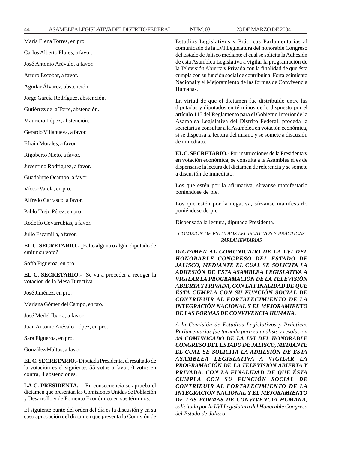*DE LAS FORMAS DE CONVIVENCIA HUMANA, solicitada por la LVI Legislatura del Honorable Congreso*

*del Estado de Jalisco.*

| María Elena Torres, en pro.                                                                                                                     | Estudios Legislativos y Prácticas Parlamentarias al<br>comunicado de la LVI Legislatura del honorable Congreso<br>del Estado de Jalisco mediante el cual se solicita la Adhesión                                   |  |
|-------------------------------------------------------------------------------------------------------------------------------------------------|--------------------------------------------------------------------------------------------------------------------------------------------------------------------------------------------------------------------|--|
| Carlos Alberto Flores, a favor.                                                                                                                 |                                                                                                                                                                                                                    |  |
| José Antonio Arévalo, a favor.                                                                                                                  | de esta Asamblea Legislativa a vigilar la programación de<br>la Televisión Abierta y Privada con la finalidad de que ésta                                                                                          |  |
| Arturo Escobar, a favor.                                                                                                                        | cumpla con su función social de contribuir al Fortalecimiento                                                                                                                                                      |  |
| Aguilar Álvarez, abstención.                                                                                                                    | Nacional y el Mejoramiento de las formas de Convivencia<br>Humanas.                                                                                                                                                |  |
| Jorge García Rodríguez, abstención.                                                                                                             | En virtud de que el dictamen fue distribuido entre las                                                                                                                                                             |  |
| Gutiérrez de la Torre, abstención.                                                                                                              | diputadas y diputados en términos de lo dispuesto por el<br>artículo 115 del Reglamento para el Gobierno Interior de la                                                                                            |  |
| Mauricio López, abstención.                                                                                                                     | Asamblea Legislativa del Distrito Federal, proceda la                                                                                                                                                              |  |
| Gerardo Villanueva, a favor.                                                                                                                    | secretaría a consultar a la Asamblea en votación económica,<br>si se dispensa la lectura del mismo y se somete a discusión<br>de inmediato.                                                                        |  |
| Efraín Morales, a favor.                                                                                                                        |                                                                                                                                                                                                                    |  |
| Rigoberto Nieto, a favor.                                                                                                                       | EL C. SECRETARIO.- Por instrucciones de la Presidenta y<br>en votación económica, se consulta a la Asamblea si es de<br>dispensarse la lectura del dictamen de referencia y se somete<br>a discusión de inmediato. |  |
| Juventino Rodríguez, a favor.                                                                                                                   |                                                                                                                                                                                                                    |  |
| Guadalupe Ocampo, a favor.                                                                                                                      |                                                                                                                                                                                                                    |  |
| Víctor Varela, en pro.                                                                                                                          | Los que estén por la afirmativa, sírvanse manifestarlo<br>poniéndose de pie.                                                                                                                                       |  |
| Alfredo Carrasco, a favor.                                                                                                                      | Los que estén por la negativa, sírvanse manifestarlo                                                                                                                                                               |  |
| Pablo Trejo Pérez, en pro.                                                                                                                      | poniéndose de pie.                                                                                                                                                                                                 |  |
| Rodolfo Covarrubias, a favor.                                                                                                                   | Dispensada la lectura, diputada Presidenta.                                                                                                                                                                        |  |
| Julio Escamilla, a favor.                                                                                                                       | COMISIÓN DE ESTUDIOS LEGISLATIVOS Y PRÁCTICAS<br>PARLAMENTARIAS                                                                                                                                                    |  |
| EL C. SECRETARIO. - ¿Faltó alguna o algún diputado de<br>emitir su voto?                                                                        | DICTAMEN AL COMUNICADO DE LA LVI DEL                                                                                                                                                                               |  |
| Sofía Figueroa, en pro.                                                                                                                         | HONORABLE CONGRESO DEL ESTADO DE                                                                                                                                                                                   |  |
| EL C. SECRETARIO.- Se va a proceder a recoger la                                                                                                | JALISCO, MEDIANTE EL CUAL SE SOLICITA LA<br>ADHESIÓN DE ESTA ASAMBLEA LEGISLATIVA A                                                                                                                                |  |
| votación de la Mesa Directiva.                                                                                                                  | VIGILAR LA PROGRAMACIÓN DE LA TELEVISIÓN<br>ABIERTA Y PRIVADA, CON LA FINALIDAD DE QUE                                                                                                                             |  |
| José Jiménez, en pro.                                                                                                                           | ESTA CUMPLA CON SU FUNCIÓN SOCIAL DE                                                                                                                                                                               |  |
| Mariana Gómez del Campo, en pro.                                                                                                                | CONTRIBUIR AL FORTALECIMIENTO DE LA<br>INTEGRACIÓN NACIONAL Y EL MEJORAMIENTO                                                                                                                                      |  |
| José Medel Ibarra, a favor.                                                                                                                     | DE LAS FORMAS DE CONVIVENCIA HUMANA.                                                                                                                                                                               |  |
| Juan Antonio Arévalo López, en pro.                                                                                                             | A la Comisión de Estudios Legislativos y Prácticas<br>Parlamentarias fue turnado para su análisis y resolución<br>del COMUNICADO DE LA LVI DEL HONORABLE                                                           |  |
| Sara Figueroa, en pro.                                                                                                                          |                                                                                                                                                                                                                    |  |
| González Maltos, a favor.                                                                                                                       | CONGRESO DEL ESTADO DE JALISCO, MEDIANTE<br>EL CUAL SE SOLICITA LA ADHESIÓN DE ESTA                                                                                                                                |  |
| EL C. SECRETARIO.- Diputada Presidenta, el resultado de<br>la votación es el siguiente: 55 votos a favor, 0 votos en<br>contra, 4 abstenciones. | ASAMBLEA LEGISLATIVA A VIGILAR LA<br>PROGRAMACIÓN DE LA TELEVISIÓN ABIERTA Y<br>PRIVADA, CON LA FINALIDAD DE QUE ÉSTA<br>CUMPLA CON SU FUNCIÓN SOCIAL DE                                                           |  |
| LA C. PRESIDENTA.- En consecuencia se aprueba el<br>dictamen que presentan las Comisiones Unidas de Población                                   | CONTRIBUIR AL FORTALECIMIENTO DE LA<br>INTEGRACIÓN NACIONAL Y EL MEJORAMIENTO                                                                                                                                      |  |

y Desarrollo y de Fomento Económico en sus términos.

El siguiente punto del orden del día es la discusión y en su caso aprobación del dictamen que presenta la Comisión de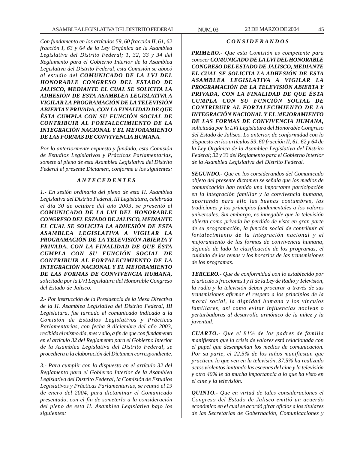*Con fundamento en los artículos 59, 60 fracción II, 61, 62 fracción I, 63 y 64 de la Ley Orgánica de la Asamblea Legislativa del Distrito Federal; 1, 32, 33 y 34 del Reglamento para el Gobierno Interior de la Asamblea Legislativa del Distrito Federal, esta Comisión se abocó al estudio del COMUNICADO DE LA LVI DEL HONORABLE CONGRESO DEL ESTADO DE JALISCO, MEDIANTE EL CUAL SE SOLICITA LA ADHESIÓN DE ESTA ASAMBLEA LEGISLATIVA A VIGILAR LA PROGRAMACIÓN DE LA TELEVISIÓN ABIERTA Y PRIVADA, CON LA FINALIDAD DE QUE ÉSTA CUMPLA CON SU FUNCIÓN SOCIAL DE CONTRIBUIR AL FORTALECIMIENTO DE LA INTEGRACIÓN NACIONAL Y EL MEJORAMIENTO DE LAS FORMAS DE CONVIVENCIA HUMANA.*

*Por lo anteriormente expuesto y fundado, esta Comisión de Estudios Legislativos y Prácticas Parlamentarias, somete al pleno de esta Asamblea Legislativa del Distrito Federal el presente Dictamen, conforme a los siguientes:*

### *A N T E C E D E N T E S*

*1.- En sesión ordinaria del pleno de esta H. Asamblea Legislativa del Distrito Federal, III Legislatura, celebrada el día 30 de octubre del año 2003, se presentó el COMUNICADO DE LA LVI DEL HONORABLE CONGRESO DEL ESTADO DE JALISCO, MEDIANTE EL CUAL SE SOLICITA LA ADHESIÓN DE ESTA ASAMBLEA LEGISLATIVA A VIGILAR LA PROGRAMACIÓN DE LA TELEVISIÓN ABIERTA Y PRIVADA, CON LA FINALIDAD DE QUE ÉSTA CUMPLA CON SU FUNCIÓN SOCIAL DE CONTRIBUIR AL FORTALECIMIENTO DE LA INTEGRACIÓN NACIONAL Y EL MEJORAMIENTO DE LAS FORMAS DE CONVIVENCIA HUMANA, solicitada por la LVI Legislatura del Honorable Congreso del Estado de Jalisco.*

*2.- Por instrucción de la Presidencia de la Mesa Directiva de la H. Asamblea Legislativa del Distrito Federal, III Legislatura, fue turnado el comunicado indicado a la Comisión de Estudios Legislativos y Prácticas Parlamentarias, con fecha 9 diciembre del año 2003, recibida el mismo día, mes y año, a fin de que con fundamento en el artículo 32 del Reglamento para el Gobierno Interior de la Asamblea Legislativa del Distrito Federal, se procediera a la elaboración del Dictamen correspondiente.*

*3.- Para cumplir con lo dispuesto en el artículo 32 del Reglamento para el Gobierno Interior de la Asamblea Legislativa del Distrito Federal, la Comisión de Estudios Legislativos y Prácticas Parlamentarias, se reunió el 19 de enero del 2004, para dictaminar el Comunicado presentado, con el fin de someterlo a la consideración del pleno de esta H. Asamblea Legislativa bajo los siguientes:*

### *C O N S I D E R A N D O S*

*PRIMERO.- Que esta Comisión es competente para conocer COMUNICADO DE LA LVI DEL HONORABLE CONGRESO DEL ESTADO DE JALISCO, MEDIANTE EL CUAL SE SOLICITA LA ADHESIÓN DE ESTA ASAMBLEA LEGISLATIVA A VIGILAR LA PROGRAMACIÓN DE LA TELEVISIÓN ABIERTA Y PRIVADA, CON LA FINALIDAD DE QUE ÉSTA CUMPLA CON SU FUNCIÓN SOCIAL DE CONTRIBUIR AL FORTALECIMIENTO DE LA INTEGRACIÓN NACIONAL Y EL MEJORAMIENTO DE LAS FORMAS DE CONVIVENCIA HUMANA, solicitada por la LVI Legislatura del Honorable Congreso del Estado de Jalisco. Lo anterior, de conformidad con lo dispuesto en los artículos 59, 60 fracción II, 61, 62 y 64 de la Ley Orgánica de la Asamblea Legislativa del Distrito Federal; 32 y 33 del Reglamento para el Gobierno Interior de la Asamblea Legislativa del Distrito Federal.*

*SEGUNDO.- Que en los considerandos del Comunicado objeto del presente dictamen se señala que los medios de comunicación han tenido una importante participación en la integración familiar y la convivencia humana, aportando para ello las buenas costumbres, las tradiciones y los principios fundamentales a los valores universales. Sin embargo, es innegable que la televisión abierta como privada ha perdido de vista en gran parte de su programación, la función social de contribuir al fortalecimiento de la integración nacional y el mejoramiento de las formas de convivencia humana, dejando de lado la clasificación de los programas, el cuidado de los temas y los horarios de las transmisiones de los programas.*

*TERCERO.- Que de conformidad con lo establecido por el artículo 5 fracciones I y II de la Ley de Radio y Televisión, la radio y la televisión deben procurar a través de sus transmisiones afirmar el respeto a los principios de la moral social, la dignidad humana y los vínculos familiares, así como evitar influencias nocivas o perturbadoras al desarrollo armónico de la niñez y la juventud.*

*CUARTO.- Que el 81% de los padres de familia manifiestan que la crisis de valores está relacionada con el papel que desempeñan los medios de comunicación. Por su parte, el 22.5% de los niños manifiestan que practican lo que ven en la televisión, 37.5% ha realizado actos violentos imitando las escenas del cine y la televisión y otro 40% le da mucha importancia a lo que ha visto en el cine y la televisión.*

*QUINTO.- Que en virtud de tales consideraciones el Congreso del Estado de Jalisco emitió un acuerdo económico en el cual se acordó girar oficios a los titulares de las Secretarías de Gobernación, Comunicaciones y*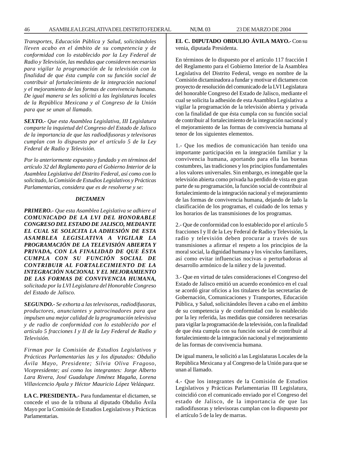*Transportes, Educación Pública y Salud, solicitándoles lleven acabo en el ámbito de su competencia y de conformidad con lo establecido por la Ley Federal de Radio y Televisión, las medidas que consideren necesarias para vigilar la programación de la televisión con la finalidad de que ésta cumpla con su función social de contribuir al fortalecimiento de la integración nacional y el mejoramiento de las formas de convivencia humana. De igual manera se les solicitó a las legislaturas locales de la República Mexicana y al Congreso de la Unión para que se unan al llamado.*

*SEXTO.- Que esta Asamblea Legislativa, III Legislatura comparte la inquietud del Congreso del Estado de Jalisco de la importancia de que las radiodifusoras y televisoras cumplan con lo dispuesto por el artículo 5 de la Ley Federal de Radio y Televisión.*

*Por lo anteriormente expuesto y fundado y en términos del artículo 32 del Reglamento para el Gobierno Interior de la Asamblea Legislativa del Distrito Federal, así como con lo solicitado, la Comisión de Estudios Legislativos y Prácticas Parlamentarias, considera que es de resolverse y se:*

#### *DICTAMEN*

*PRIMERO.- Que esta Asamblea Legislativa se adhiere al COMUNICADO DE LA LVI DEL HONORABLE CONGRESO DEL ESTADO DE JALISCO, MEDIANTE EL CUAL SE SOLICITA LA ADHESIÓN DE ESTA ASAMBLEA LEGISLATIVA A VIGILAR LA PROGRAMACIÓN DE LA TELEVISIÓN ABIERTA Y PRIVADA, CON LA FINALIDAD DE QUE ÉSTA CUMPLA CON SU FUNCIÓN SOCIAL DE CONTRIBUIR AL FORTALECIMIENTO DE LA INTEGRACIÓN NACIONAL Y EL MEJORAMIENTO DE LAS FORMAS DE CONVIVENCIA HUMANA, solicitada por la LVI Legislatura del Honorable Congreso del Estado de Jalisco.*

*SEGUNDO.- Se exhorta a las televisoras, radiodifusoras, productores, anunciantes y patrocinadores para que impulsen una mejor calidad de la programación televisiva y de radio de conformidad con lo establecido por el artículo 5 fracciones I y II de la Ley Federal de Radio y Televisión.*

*Firman por la Comisión de Estudios Legislativos y Prácticas Parlamentarias las y los diputados: Obdulio Ávila Mayo, Presidente; Silvia Oliva Fragoso, Vicepresidente; así como los integrantes: Jorge Alberto Lara Rivera, José Guadalupe Jiménez Magaña, Lorena Villavicencio Ayala y Héctor Mauricio López Velázquez.*

**LA C. PRESIDENTA.-** Para fundamentar el dictamen, se concede el uso de la tribuna al diputado Obdulio Ávila Mayo por la Comisión de Estudios Legislativos y Prácticas Parlamentarias.

**EL C. DIPUTADO OBDULIO ÁVILA MAYO.-** Con su venia, diputada Presidenta.

En términos de lo dispuesto por el artículo 117 fracción I del Reglamento para el Gobierno Interior de la Asamblea Legislativa del Distrito Federal, vengo en nombre de la Comisión dictaminadora a fundar y motivar el dictamen con proyecto de resolución del comunicado de la LVI Legislatura del honorable Congreso del Estado de Jalisco, mediante el cual se solicita la adhesión de esta Asamblea Legislativa a vigilar la programación de la televisión abierta y privada con la finalidad de que ésta cumpla con su función social de contribuir al fortalecimiento de la integración nacional y el mejoramiento de las formas de convivencia humana al tenor de los siguientes elementos.

1.- Que los medios de comunicación han tenido una importante participación en la integración familiar y la convivencia humana, aportando para ella las buenas costumbres, las tradiciones y los principios fundamentales a los valores universales. Sin embargo, es innegable que la televisión abierta como privada ha perdido de vista en gran parte de su programación, la función social de contribuir al fortalecimiento de la integración nacional y el mejoramiento de las formas de convivencia humana, dejando de lado la clasificación de los programas, el cuidado de los temas y los horarios de las transmisiones de los programas.

2.- Que de conformidad con lo establecido por el artículo 5 fracciones I y II de la Ley Federal de Radio y Televisión, la radio y televisión deben procurar a través de sus transmisiones a afirmar el respeto a los principios de la moral social, la dignidad humana y los vínculos familiares, así como evitar influencias nocivas o perturbadoras al desarrollo armónico de la niñez y de la juventud.

3.- Que en virtud de tales consideraciones el Congreso del Estado de Jalisco emitió un acuerdo económico en el cual se acordó girar oficios a los titulares de las secretarías de Gobernación, Comunicaciones y Transportes, Educación Pública, y Salud, solicitándoles lleven a cabo en el ámbito de su competencia y de conformidad con lo establecido por la ley referida, las medidas que consideren necesarias para vigilar la programación de la televisión, con la finalidad de que ésta cumpla con su función social de contribuir al fortalecimiento de la integración nacional y el mejoramiento de las formas de convivencia humana.

De igual manera, le solicitó a las Legislaturas Locales de la República Mexicana y al Congreso de la Unión para que se unan al llamado.

4.- Que los integrantes de la Comisión de Estudios Legislativos y Prácticas Parlamentarias III Legislatura, coincidió con el comunicado enviado por el Congreso del estado de Jalisco, de la importancia de que las radiodifusoras y televisoras cumplan con lo dispuesto por el artículo 5 de la ley de marras.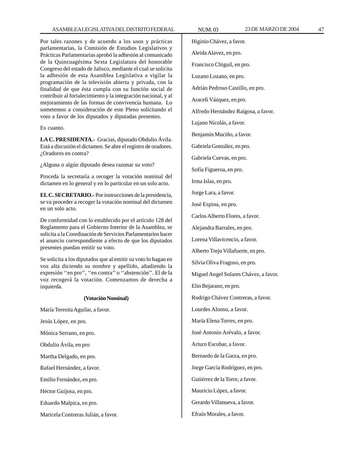Por tales razones y de acuerdo a los usos y prácticas parlamentarias, la Comisión de Estudios Legislativos y Prácticas Parlamentarias aprobó la adhesión al comunicado de la Quincuagésima Sexta Legislatura del honorable Congreso del estado de Jalisco, mediante el cual se solicita la adhesión de esta Asamblea Legislativa a vigilar la programación de la televisión abierta y privada, con la finalidad de que ésta cumpla con su función social de contribuir al fortalecimiento y la integración nacional, y al mejoramiento de las formas de convivencia humana. Lo sometemos a consideración de este Pleno solicitando el voto a favor de los diputados y diputadas presentes.

Es cuanto.

**LA C. PRESIDENTA.-** Gracias, diputado Obdulio Ávila. Está a discusión el dictamen. Se abre el registro de oradores. ¿Oradores en contra?

¿Alguna o algún diputado desea razonar su voto?

Proceda la secretaría a recoger la votación nominal del dictamen en lo general y en lo particular en un solo acto.

**EL C. SECRETARIO.-** Por instrucciones de la presidencia, se va proceder a recoger la votación nominal del dictamen en un solo acto.

De conformidad con lo establecido por el artículo 128 del Reglamento para el Gobierno Interior de la Asamblea, se solicita a la Coordinación de Servicios Parlamentarios hacer el anuncio correspondiente a efecto de que los diputados presentes puedan emitir su voto.

Se solicita a los diputados que al emitir su voto lo hagan en voz alta diciendo su nombre y apellido, añadiendo la expresión ''en pro'', ''en contra'' o ''abstención''. El de la voz recogerá la votación. Comenzamos de derecha a izquierda.

### **(Votación Nominal)**

María Teresita Aguilar, a favor.

Jesús López, en pro.

Mónica Serrano, en pro.

Obdulio Ávila, en pro

Martha Delgado, en pro.

Rafael Hernández, a favor.

Emilio Fernández, en pro.

Héctor Guijosa, en pro.

Eduardo Malpica, en pro.

Maricela Contreras Julián, a favor.

Higinio Chávez, a favor. Aleida Alavez, en pro. Francisco Chiguil, en pro. Lozano Lozano, en pro. Adrián Pedroso Castillo, en pro. Araceli Vázquez, en pro. Alfredo Hernández Raigosa, a favor. Lujano Nicolás, a favor. Benjamín Muciño, a favor. Gabriela González, en pro. Gabriela Cuevas, en pro. Sofía Figueroa, en pro. Irma Islas, en pro. Jorge Lara, a favor. José Espina, en pro. Carlos Alberto Flores, a favor. Alejandra Barrales, en pro. Lorena Villavicencio, a favor. Alberto Trejo Villafuerte, en pro. Silvia Oliva Fragoso, en pro. Miguel Angel Solares Chávez, a favor. Elio Bejarano, en pro. Rodrigo Chávez Contreras, a favor. Lourdes Alonso, a favor. María Elena Torres, en pro. José Antonio Arévalo, a favor. Arturo Escobar, a favor. Bernardo de la Garza, en pro. Jorge García Rodríguez, en pro. Gutiérrez de la Torre, a favor. Mauricio López, a favor. Gerardo Villanueva, a favor.

Efraín Morales, a favor.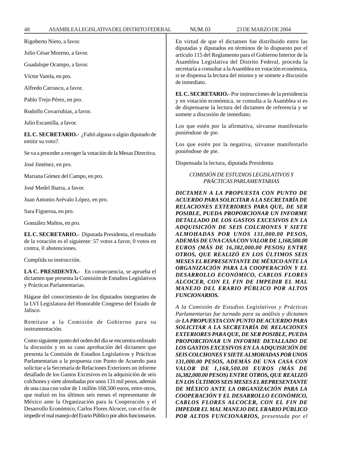| 48                                                                                                                                                     | ASAMBLEALEGISLATIVADELDISTRITOFEDERAL                                                                                                                                                                                                                                                                                                                                          | <b>NUM.03</b>                                                                                                                                                                                                                                                                                                                                                                                 | 23 DE MARZO DE 2004                                                                                                                                                                                               |
|--------------------------------------------------------------------------------------------------------------------------------------------------------|--------------------------------------------------------------------------------------------------------------------------------------------------------------------------------------------------------------------------------------------------------------------------------------------------------------------------------------------------------------------------------|-----------------------------------------------------------------------------------------------------------------------------------------------------------------------------------------------------------------------------------------------------------------------------------------------------------------------------------------------------------------------------------------------|-------------------------------------------------------------------------------------------------------------------------------------------------------------------------------------------------------------------|
| Rigoberto Nieto, a favor.<br>Julio César Moreno, a favor.<br>artículo 115 del Reglamento para el Gobierno Interior de la<br>Guadalupe Ocampo, a favor. |                                                                                                                                                                                                                                                                                                                                                                                | En virtud de que el dictamen fue distribuido entre las                                                                                                                                                                                                                                                                                                                                        |                                                                                                                                                                                                                   |
|                                                                                                                                                        |                                                                                                                                                                                                                                                                                                                                                                                | diputadas y diputados en términos de lo dispuesto por el                                                                                                                                                                                                                                                                                                                                      |                                                                                                                                                                                                                   |
|                                                                                                                                                        |                                                                                                                                                                                                                                                                                                                                                                                | Asamblea Legislativa del Distrito Federal, proceda la<br>secretaría a consultar a la Asamblea en votación económica,                                                                                                                                                                                                                                                                          |                                                                                                                                                                                                                   |
|                                                                                                                                                        | Víctor Varela, en pro.                                                                                                                                                                                                                                                                                                                                                         |                                                                                                                                                                                                                                                                                                                                                                                               | si se dispensa la lectura del mismo y se somete a discusión                                                                                                                                                       |
|                                                                                                                                                        | Alfredo Carrasco, a favor.                                                                                                                                                                                                                                                                                                                                                     | de inmediato.                                                                                                                                                                                                                                                                                                                                                                                 |                                                                                                                                                                                                                   |
| Pablo Trejo Pérez, en pro.                                                                                                                             |                                                                                                                                                                                                                                                                                                                                                                                | EL C. SECRETARIO.- Por instrucciones de la presidencia<br>y en votación económica, se consulta a la Asamblea si es                                                                                                                                                                                                                                                                            |                                                                                                                                                                                                                   |
|                                                                                                                                                        | Rodolfo Covarrubias, a favor.                                                                                                                                                                                                                                                                                                                                                  | de dispensarse la lectura del dictamen de referencia y se<br>somete a discusión de inmediato.<br>Los que estén por la afirmativa, sírvanse manifestarlo                                                                                                                                                                                                                                       |                                                                                                                                                                                                                   |
|                                                                                                                                                        | Julio Escamilla, a favor.                                                                                                                                                                                                                                                                                                                                                      |                                                                                                                                                                                                                                                                                                                                                                                               |                                                                                                                                                                                                                   |
| emitir su voto?.                                                                                                                                       | EL C. SECRETARIO.- ¿Faltó alguna o algún diputado de                                                                                                                                                                                                                                                                                                                           | poniéndose de pie.                                                                                                                                                                                                                                                                                                                                                                            |                                                                                                                                                                                                                   |
|                                                                                                                                                        | Se va a proceder a recoger la votación de la Mesas Directiva.                                                                                                                                                                                                                                                                                                                  | Los que estén por la negativa, sírvanse manifestarlo<br>poniéndose de pie.                                                                                                                                                                                                                                                                                                                    |                                                                                                                                                                                                                   |
|                                                                                                                                                        | José Jiménez, en pro.                                                                                                                                                                                                                                                                                                                                                          | Dispensada la lectura, diputada Presidenta.                                                                                                                                                                                                                                                                                                                                                   |                                                                                                                                                                                                                   |
|                                                                                                                                                        | Mariana Gómez del Campo, en pro.                                                                                                                                                                                                                                                                                                                                               |                                                                                                                                                                                                                                                                                                                                                                                               | COMISIÓN DE ESTUDIOS LEGISLATIVOS Y                                                                                                                                                                               |
|                                                                                                                                                        | José Medel Ibarra, a favor.                                                                                                                                                                                                                                                                                                                                                    |                                                                                                                                                                                                                                                                                                                                                                                               | PRÁCTICAS PARLAMENTARIAS                                                                                                                                                                                          |
|                                                                                                                                                        | Juan Antonio Arévalo López, en pro.                                                                                                                                                                                                                                                                                                                                            | DICTAMEN A LA PROPUESTA CON PUNTO DE<br>ACUERDO PARA SOLICITAR A LA SECRETARÍA DE<br>RELACIONES EXTERIORES PARA QUE, DE SER<br>POSIBLE, PUEDA PROPORCIONAR UN INFORME<br>DETALLADO DE LOS GASTOS EXCESIVOS EN LA<br>ADQUISICIÓN DE SEIS COLCHONES Y SIETE<br>ALMOHADAS POR UNOS 131,000.00 PESOS,<br>ADEMÁS DE UNA CASA CON VALOR DE 1,168,500.00<br>EUROS (MÁS DE 16,382,000.00 PESOS) ENTRE |                                                                                                                                                                                                                   |
|                                                                                                                                                        | Sara Figueroa, en pro.                                                                                                                                                                                                                                                                                                                                                         |                                                                                                                                                                                                                                                                                                                                                                                               |                                                                                                                                                                                                                   |
|                                                                                                                                                        | González Maltos, en pro.                                                                                                                                                                                                                                                                                                                                                       |                                                                                                                                                                                                                                                                                                                                                                                               |                                                                                                                                                                                                                   |
|                                                                                                                                                        | EL C. SECRETARIO.- Diputada Presidenta, el resultado<br>de la votación es el siguiente: 57 votos a favor, 0 votos en<br>contra, 0 abstenciones.                                                                                                                                                                                                                                |                                                                                                                                                                                                                                                                                                                                                                                               |                                                                                                                                                                                                                   |
|                                                                                                                                                        | Cumplida su instrucción.                                                                                                                                                                                                                                                                                                                                                       |                                                                                                                                                                                                                                                                                                                                                                                               | OTROS, QUE REALIZÓ EN LOS ÚLTIMOS SEIS<br>MESES EL REPRESENTANTE DE MÉXICO ANTE LA                                                                                                                                |
|                                                                                                                                                        | LA C. PRESIDENTA.- En consecuencia, se aprueba el<br>dictamen que presenta la Comisión de Estudios Legislativos<br>y Prácticas Parlamentarias.                                                                                                                                                                                                                                 | ORGANIZACIÓN PARA LA COOPERACIÓN Y EL<br>DESARROLLO ECONÓMICO, CARLOS FLORES<br>ALCOCER, CON EL FIN DE IMPEDIR EL MAL<br>MANEJO DEL ERARIO PÚBLICO POR ALTOS                                                                                                                                                                                                                                  |                                                                                                                                                                                                                   |
| Jalisco.                                                                                                                                               | Hágase del conocimiento de los diputados integrantes de<br>la LVI Legislatura del Honorable Congreso del Estado de                                                                                                                                                                                                                                                             | <b>FUNCIONARIOS.</b>                                                                                                                                                                                                                                                                                                                                                                          | A la Comisión de Estudios Legislativos y Prácticas<br>Parlamentarias fue turnado para su análisis y dictamen                                                                                                      |
| instrumentación.                                                                                                                                       | Remítase a la Comisión de Gobierno para su                                                                                                                                                                                                                                                                                                                                     |                                                                                                                                                                                                                                                                                                                                                                                               | de LA PROPUESTA CON PUNTO DE ACUERDO PARA<br>SOLICITAR A LA SECRETARÍA DE RELACIONES<br>EXTERIORES PARA QUE, DE SER POSIBLE, PUEDA                                                                                |
|                                                                                                                                                        | Como siguiente punto del orden del día se encuentra enlistado<br>la discusión y en su caso aprobación del dictamen que<br>presenta la Comisión de Estudios Legislativos y Prácticas<br>Parlamentarias a la propuesta con Punto de Acuerdo para<br>solicitar a la Secretaría de Relaciones Exteriores un informe<br>detallado de los Gastos Excesivos en la adquisición de seis |                                                                                                                                                                                                                                                                                                                                                                                               | PROPORCIONAR UN INFORME DETALLADO DE<br>LOS GASTOS EXCESIVOS EN LA ADQUISICIÓN DE<br>SEIS COLCHONES Y SIETE ALMOHADAS POR UNOS<br>131,000.00 PESOS, ADEMÁS DE UNA CASA CON<br>VALOR DE 1,168,500.00 EUROS (MÁS DE |
|                                                                                                                                                        | colchones y siete almohadas por unos 131 mil pesos, además<br>de una casa con valor de 1 millón 168,500 euros, entre otros,                                                                                                                                                                                                                                                    |                                                                                                                                                                                                                                                                                                                                                                                               | 16,382,000.00 PESOS) ENTRE OTROS, QUE REALIZÓ<br>EN LOS ÚLTIMOS SEIS MESES EL REPRESENTANTE<br>DE MÉXICO ANTE LA ORGANIZACIÓN PARA LA                                                                             |

México ante la Organización para la Cooperación y el Desarrollo Económico, Carlos Flores Alcocer, con el fin de impedir el mal manejo del Erario Público por altos funcionarios.

que realizó en los últimos seis meses el representante de

*CARLOS FLORES ALCOCER, CON EL FIN DE IMPEDIR EL MAL MANEJO DEL ERARIO PÚBLICO POR ALTOS FUNCIONARIOS, presentada por el*

*COOPERACIÓN Y EL DESARROLLO ECONÓMICO,*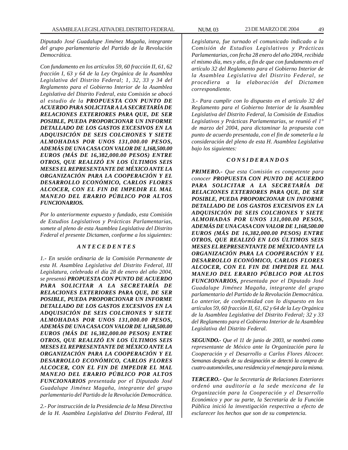*Diputado José Guadalupe Jiménez Magaña, integrante del grupo parlamentario del Partido de la Revolución Democrática.*

*Con fundamento en los artículos 59, 60 fracción II, 61, 62 fracción I, 63 y 64 de la Ley Orgánica de la Asamblea Legislativa del Distrito Federal; 1, 32, 33 y 34 del Reglamento para el Gobierno Interior de la Asamblea Legislativa del Distrito Federal, esta Comisión se abocó al estudio de la PROPUESTA CON PUNTO DE ACUERDO PARA SOLICITAR A LA SECRETARÍA DE RELACIONES EXTERIORES PARA QUE, DE SER POSIBLE, PUEDA PROPORCIONAR UN INFORME DETALLADO DE LOS GASTOS EXCESIVOS EN LA ADQUISICIÓN DE SEIS COLCHONES Y SIETE ALMOHADAS POR UNOS 131,000.00 PESOS, ADEMÁS DE UNA CASA CON VALOR DE 1,168,500.00 EUROS (MÁS DE 16,382,000.00 PESOS) ENTRE OTROS, QUE REALIZÓ EN LOS ÚLTIMOS SEIS MESES EL REPRESENTANTE DE MÉXICO ANTE LA ORGANIZACIÓN PARA LA COOPERACIÓN Y EL DESARROLLO ECONÓMICO, CARLOS FLORES ALCOCER, CON EL FIN DE IMPEDIR EL MAL MANEJO DEL ERARIO PÚBLICO POR ALTOS FUNCIONARIOS.*

*Por lo anteriormente expuesto y fundado, esta Comisión de Estudios Legislativos y Prácticas Parlamentarias, somete al pleno de esta Asamblea Legislativa del Distrito Federal el presente Dictamen, conforme a los siguientes:*

### *A N T E C E D E N T E S*

*1.- En sesión ordinaria de la Comisión Permanente de esta H. Asamblea Legislativa del Distrito Federal, III Legislatura, celebrada el día 28 de enero del año 2004, se presentó PROPUESTA CON PUNTO DE ACUERDO PARA SOLICITAR A LA SECRETARÍA DE RELACIONES EXTERIORES PARA QUE, DE SER POSIBLE, PUEDA PROPORCIONAR UN INFORME DETALLADO DE LOS GASTOS EXCESIVOS EN LA ADQUISICIÓN DE SEIS COLCHONES Y SIETE ALMOHADAS POR UNOS 131,000.00 PESOS, ADEMÁS DE UNA CASA CON VALOR DE 1,168,500.00 EUROS (MÁS DE 16,382,000.00 PESOS) ENTRE OTROS, QUE REALIZÓ EN LOS ÚLTIMOS SEIS MESES EL REPRESENTANTE DE MÉXICO ANTE LA ORGANIZACIÓN PARA LA COOPERACIÓN Y EL DESARROLLO ECONÓMICO, CARLOS FLORES ALCOCER, CON EL FIN DE IMPEDIR EL MAL MANEJO DEL ERARIO PÚBLICO POR ALTOS FUNCIONARIOS presentada por el Diputado José Guadalupe Jiménez Magaña, integrante del grupo parlamentario del Partido de la Revolución Democrática.*

*2.- Por instrucción de la Presidencia de la Mesa Directiva de la H. Asamblea Legislativa del Distrito Federal, III* *Legislatura, fue turnado el comunicado indicado a la Comisión de Estudios Legislativos y Prácticas Parlamentarias, con fecha 28 enero del año 2004, recibida el mismo día, mes y año, a fin de que con fundamento en el artículo 32 del Reglamento para el Gobierno Interior de la Asamblea Legislativa del Distrito Federal, se procediera a la elaboración del Dictamen correspondiente.*

*3.- Para cumplir con lo dispuesto en el artículo 32 del Reglamento para el Gobierno Interior de la Asamblea Legislativa del Distrito Federal, la Comisión de Estudios Legislativos y Prácticas Parlamentarias, se reunió el 1° de marzo del 2004, para dictaminar la propuesta con punto de acuerdo presentada, con el fin de someterla a la consideración del pleno de esta H. Asamblea Legislativa bajo los siguientes:*

### *C O N S I D E R A N D O S*

*PRIMERO.- Que esta Comisión es competente para conocer PROPUESTA CON PUNTO DE ACUERDO PARA SOLICITAR A LA SECRETARÍA DE RELACIONES EXTERIORES PARA QUE, DE SER POSIBLE, PUEDA PROPORCIONAR UN INFORME DETALLADO DE LOS GASTOS EXCESIVOS EN LA ADQUISICIÓN DE SEIS COLCHONES Y SIETE ALMOHADAS POR UNOS 131,000.00 PESOS, ADEMÁS DE UNA CASA CON VALOR DE 1,168,500.00 EUROS (MÁS DE 16,382,000.00 PESOS) ENTRE OTROS, QUE REALIZÓ EN LOS ÚLTIMOS SEIS MESES EL REPRESENTANTE DE MÉXICO ANTE LA ORGANIZACIÓN PARA LA COOPERACIÓN Y EL DESARROLLO ECONÓMICO, CARLOS FLORES ALCOCER, CON EL FIN DE IMPEDIR EL MAL MANEJO DEL ERARIO PÚBLICO POR ALTOS FUNCIONARIOS, presentada por el Diputado José Guadalupe Jiménez Magaña, integrante del grupo parlamentario del Partido de la Revolución Democrática. Lo anterior, de conformidad con lo dispuesto en los artículos 59, 60 fracción II, 61, 62 y 64 de la Ley Orgánica de la Asamblea Legislativa del Distrito Federal; 32 y 33 del Reglamento para el Gobierno Interior de la Asamblea Legislativa del Distrito Federal.*

*SEGUNDO.- Que el 11 de junio de 2003, se nombró como representante de México ante la Organización para la Cooperación y el Desarrollo a Carlos Flores Alcocer. Semanas después de su designación se detectó la compra de cuatro automóviles, una residencia y el menaje para la misma.*

*TERCERO.- Que la Secretaría de Relaciones Exteriores ordenó una auditoría a la sede mexicana de la Organización para la Cooperación y el Desarrollo Económico y por su parte, la Secretaría de la Función Pública inició la investigación respectiva a efecto de esclarecer los hechos que son de su competencia.*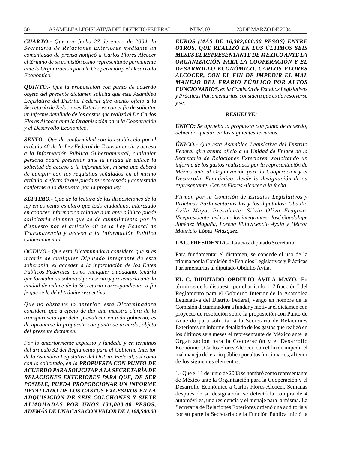*CUARTO.- Que con fecha 27 de enero de 2004, la Secretaría de Relaciones Exteriores mediante un comunicado de prensa notificó a Carlos Flores Alcocer el término de su comisión como representante permanente ante la Organización para la Cooperación y el Desarrollo Económico.*

*QUINTO.- Que la proposición con punto de acuerdo objeto del presente dictamen solicita que esta Asamblea Legislativa del Distrito Federal gire atento oficio a la Secretaría de Relaciones Exteriores con el fin de solicitar un informe detallado de los gastos que realizó el Dr. Carlos Flores Alcocer ante la Organización para la Cooperación y el Desarrollo Económico.*

*SEXTO.- Que de conformidad con lo establecido por el artículo 40 de la Ley Federal de Transparencia y acceso a la Información Pública Gubernamental, cualquier persona podrá presentar ante la unidad de enlace la solicitud de acceso a la información, misma que deberá de cumplir con los requisitos señalados en el mismo artículo, a efecto de que pueda ser procesada y contestada conforme a lo dispuesto por la propia ley.*

*SÉPTIMO.- Que de la lectura de las disposiciones de la ley en comento es claro que todo ciudadano, interesado en conocer información relativa a un ente público puede solicitarla siempre que se dé cumplimiento por lo dispuesto por el artículo 40 de la Ley Federal de Transparencia y acceso a la Información Pública Gubernamental.*

*OCTAVO.- Que esta Dictaminadora considera que si es interés de cualquier Diputado integrante de esta soberanía, el acceder a la información de los Entes Públicos Federales, como cualquier ciudadano, tendría que formular su solicitud por escrito y presentarla ante la unidad de enlace de la Secretaría correspondiente, a fin fe que se le dé el trámite respectivo.*

*Que no obstante lo anterior, esta Dictaminadora considera que a efecto de dar una muestra clara de la transparencia que debe prevalecer en todo gobierno, es de aprobarse la propuesta con punto de acuerdo, objeto del presente dictamen.*

*Por lo anteriormente expuesto y fundado y en términos del artículo 32 del Reglamento para el Gobierno Interior de la Asamblea Legislativa del Distrito Federal, así como con lo solicitado, en la PROPUESTA CON PUNTO DE ACUERDO PARA SOLICITAR A LA SECRETARÍA DE RELACIONES EXTERIORES PARA QUE, DE SER POSIBLE, PUEDA PROPORCIONAR UN INFORME DETALLADO DE LOS GASTOS EXCESIVOS EN LA ADQUISICIÓN DE SEIS COLCHONES Y SIETE ALMOHADAS POR UNOS 131,000.00 PESOS, ADEMÁS DE UNA CASA CON VALOR DE 1,168,500.00*

*EUROS (MÁS DE 16,382,000.00 PESOS) ENTRE OTROS, QUE REALIZÓ EN LOS ÚLTIMOS SEIS MESES EL REPRESENTANTE DE MÉXICO ANTE LA ORGANIZACIÓN PARA LA COOPERACIÓN Y EL DESARROLLO ECONÓMICO, CARLOS FLORES ALCOCER, CON EL FIN DE IMPEDIR EL MAL MANEJO DEL ERARIO PÚBLICO POR ALTOS FUNCIONARIOS, en la Comisión de Estudios Legislativos y Prácticas Parlamentarias, considera que es de resolverse y se:*

#### *RESUELVE:*

*ÚNICO: Se aprueba la propuesta con punto de acuerdo, debiendo quedar en los siguientes términos:*

*ÚNICO.- Que esta Asamblea Legislativa del Distrito Federal gire atento oficio a la Unidad de Enlace de la Secretaría de Relaciones Exteriores, solicitando un informe de los gastos realizados por la representación de México ante al Organización para la Cooperación y el Desarrollo Económico, desde la designación de su representante, Carlos Flores Alcocer a la fecha.*

*Firman por la Comisión de Estudios Legislativos y Prácticas Parlamentarias las y los diputados: Obdulio Ávila Mayo, Presidente; Silvia Oliva Fragoso, Vicepresidente; así como los integrantes: José Guadalupe Jiménez Magaña, Lorena Villavicencio Ayala y Héctor Mauricio López Velázquez.*

**LA C. PRESIDENTA.-** Gracias, diputado Secretario.

Para fundamentar el dictamen, se concede el uso de la tribuna por la Comisión de Estudios Legislativos y Prácticas Parlamentarias al diputado Obdulio Ávila.

**EL C. DIPUTADO OBDULIO ÁVILA MAYO.-** En términos de lo dispuesto por el artículo 117 fracción I del Reglamento para el Gobierno Interior de la Asamblea Legislativa del Distrito Federal, vengo en nombre de la Comisión dictaminadora a fundar y motivar el dictamen con proyecto de resolución sobre la proposición con Punto de Acuerdo para solicitar a la Secretaría de Relaciones Exteriores un informe detallado de los gastos que realizó en los últimos seis meses el representante de México ante la Organización para la Cooperación y el Desarrollo Económico, Carlos Flores Alcocer, con el fin de impedir el mal manejo del erario público por altos funcionarios, al tenor de los siguientes elementos:

1.- Que el 11 de junio de 2003 se nombró como representante de México ante la Organización para la Cooperación y el Desarrollo Económico a Carlos Flores Alcocer. Semanas después de su designación se detectó la compra de 4 automóviles, una residencia y el menaje para la misma. La Secretaría de Relaciones Exteriores ordenó una auditoría y por su parte la Secretaría de la Función Pública inició la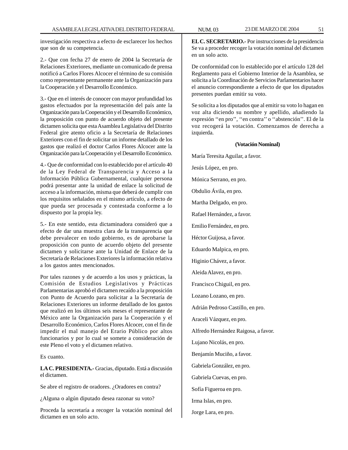investigación respectiva a efecto de esclarecer los hechos que son de su competencia.

2.- Que con fecha 27 de enero de 2004 la Secretaría de Relaciones Exteriores, mediante un comunicado de prensa notificó a Carlos Flores Alcocer el término de su comisión como representante permanente ante la Organización para la Cooperación y el Desarrollo Económico.

3.- Que en el interés de conocer con mayor profundidad los gastos efectuados por la representación del país ante la Organización para la Cooperación y el Desarrollo Económico, la proposición con punto de acuerdo objeto del presente dictamen solicita que esta Asamblea Legislativa del Distrito Federal gire atento oficio a la Secretaría de Relaciones Exteriores con el fin de solicitar un informe detallado de los gastos que realizó el doctor Carlos Flores Alcocer ante la Organización para la Cooperación y el Desarrollo Económico.

4.- Que de conformidad con lo establecido por el artículo 40 de la Ley Federal de Transparencia y Acceso a la Información Pública Gubernamental, cualquier persona podrá presentar ante la unidad de enlace la solicitud de acceso a la información, misma que deberá de cumplir con los requisitos señalados en el mismo artículo, a efecto de que pueda ser procesada y contestada conforme a lo dispuesto por la propia ley.

5.- En este sentido, esta dictaminadora consideró que a efecto de dar una muestra clara de la transparencia que debe prevalecer en todo gobierno, es de aprobarse la proposición con punto de acuerdo objeto del presente dictamen y solicitarse ante la Unidad de Enlace de la Secretaría de Relaciones Exteriores la información relativa a los gastos antes mencionados.

Por tales razones y de acuerdo a los usos y prácticas, la Comisión de Estudios Legislativos y Prácticas Parlamentarias aprobó el dictamen recaído a la proposición con Punto de Acuerdo para solicitar a la Secretaría de Relaciones Exteriores un informe detallado de los gastos que realizó en los últimos seis meses el representante de México ante la Organización para la Cooperación y el Desarrollo Económico, Carlos Flores Alcocer, con el fin de impedir el mal manejo del Erario Público por altos funcionarios y por lo cual se somete a consideración de este Pleno el voto y el dictamen relativo.

Es cuanto.

**LA C. PRESIDENTA.-** Gracias, diputado. Está a discusión el dictamen.

Se abre el registro de oradores. ¿Oradores en contra?

¿Alguna o algún diputado desea razonar su voto?

Proceda la secretaría a recoger la votación nominal del dictamen en un solo acto.

**EL C. SECRETARIO.-** Por instrucciones de la presidencia Se va a proceder recoger la votación nominal del dictamen en un solo acto.

De conformidad con lo establecido por el artículo 128 del Reglamento para el Gobierno Interior de la Asamblea, se solicita a la Coordinación de Servicios Parlamentarios hacer el anuncio correspondiente a efecto de que los diputados presentes puedan emitir su voto.

Se solicita a los diputados que al emitir su voto lo hagan en voz alta diciendo su nombre y apellido, añadiendo la expresión ''en pro'', ''en contra'' o ''abstención''. El de la voz recogerá la votación. Comenzamos de derecha a izquierda.

## **(Votación Nominal)**

María Teresita Aguilar, a favor. Jesús López, en pro. Mónica Serrano, en pro. Obdulio Ávila, en pro. Martha Delgado, en pro. Rafael Hernández, a favor. Emilio Fernández, en pro. Héctor Guijosa, a favor. Eduardo Malpica, en pro. Higinio Chávez, a favor. Aleida Alavez, en pro. Francisco Chiguil, en pro. Lozano Lozano, en pro. Adrián Pedroso Castillo, en pro. Araceli Vázquez, en pro. Alfredo Hernández Raigosa, a favor. Lujano Nicolás, en pro. Benjamín Muciño, a favor. Gabriela González, en pro. Gabriela Cuevas, en pro. Sofía Figueroa en pro. Irma Islas, en pro. Jorge Lara, en pro.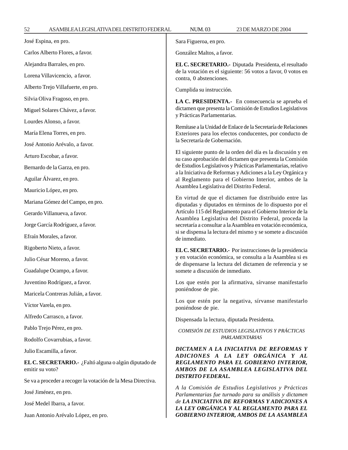**EL C. SECRETARIO.-** Diputada Presidenta, el resultado de la votación es el siguiente: 56 votos a favor, 0 votos en contra, 0 abstenciones.

Cumplida su instrucción.

**LA C. PRESIDENTA.-** En consecuencia se aprueba el dictamen que presenta la Comisión de Estudios Legislativos y Prácticas Parlamentarias.

Remítase a la Unidad de Enlace de la Secretaría de Relaciones Exteriores para los efectos conducentes, por conducto de la Secretaría de Gobernación.

El siguiente punto de la orden del día es la discusión y en su caso aprobación del dictamen que presenta la Comisión de Estudios Legislativos y Prácticas Parlamentarias, relativo a la Iniciativa de Reformas y Adiciones a la Ley Orgánica y al Reglamento para el Gobierno Interior, ambos de la Asamblea Legislativa del Distrito Federal.

En virtud de que el dictamen fue distribuido entre las diputadas y diputados en términos de lo dispuesto por el Artículo 115 del Reglamento para el Gobierno Interior de la Asamblea Legislativa del Distrito Federal, proceda la secretaría a consultar a la Asamblea en votación económica, si se dispensa la lectura del mismo y se somete a discusión de inmediato.

**EL C. SECRETARIO.-** Por instrucciones de la presidencia y en votación económica, se consulta a la Asamblea si es de dispensarse la lectura del dictamen de referencia y se somete a discusión de inmediato.

Los que estén por la afirmativa, sírvanse manifestarlo poniéndose de pie.

Los que estén por la negativa, sírvanse manifestarlo poniéndose de pie.

Dispensada la lectura, diputada Presidenta.

## *COMISIÓN DE ESTUDIOS LEGISLATIVOS Y PRÁCTICAS PARLAMENTARIAS*

*DICTAMEN A LA INICIATIVA DE REFORMAS Y ADICIONES A LA LEY ORGÁNICA Y AL REGLAMENTO PARA EL GOBIERNO INTERIOR, AMBOS DE LA ASAMBLEA LEGISLATIVA DEL DISTRITO FEDERAL.*

*A la Comisión de Estudios Legislativos y Prácticas Parlamentarias fue turnado para su análisis y dictamen de LA INICIATIVA DE REFORMAS Y ADICIONES A LA LEY ORGÁNICA Y AL REGLAMENTO PARA EL GOBIERNO INTERIOR, AMBOS DE LA ASAMBLEA*

Alejandra Barrales, en pro.

Lorena Villavicencio, a favor.

Alberto Trejo Villafuerte, en pro.

Silvia Oliva Fragoso, en pro.

Miguel Solares Chávez, a favor.

Lourdes Alonso, a favor.

María Elena Torres, en pro.

José Antonio Arévalo, a favor.

Arturo Escobar, a favor.

Bernardo de la Garza, en pro.

Aguilar Álvarez, en pro.

Mauricio López, en pro.

Mariana Gómez del Campo, en pro.

Gerardo Villanueva, a favor.

Jorge García Rodríguez, a favor.

Efraín Morales, a favor.

Rigoberto Nieto, a favor.

Julio César Moreno, a favor.

Guadalupe Ocampo, a favor.

Juventino Rodríguez, a favor.

Maricela Contreras Julián, a favor.

Víctor Varela, en pro.

Alfredo Carrasco, a favor.

Pablo Trejo Pérez, en pro.

Rodolfo Covarrubias, a favor.

Julio Escamilla, a favor.

**EL C. SECRETARIO.-** ¿Faltó alguna o algún diputado de emitir su voto?

Se va a proceder a recoger la votación de la Mesa Directiva.

José Jiménez, en pro.

José Medel Ibarra, a favor.

Juan Antonio Arévalo López, en pro.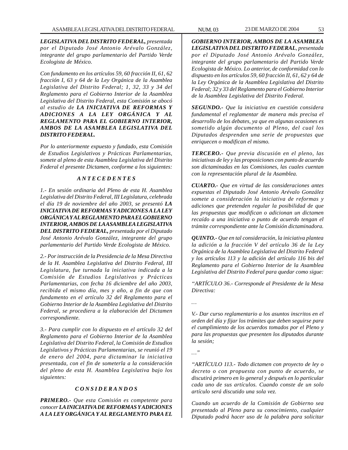*LEGISLATIVA DEL DISTRITO FEDERAL, presentada por el Diputado José Antonio Arévalo González, integrante del grupo parlamentario del Partido Verde Ecologista de México.*

*Con fundamento en los artículos 59, 60 fracción II, 61, 62 fracción I, 63 y 64 de la Ley Orgánica de la Asamblea Legislativa del Distrito Federal; 1, 32, 33 y 34 del Reglamento para el Gobierno Interior de la Asamblea Legislativa del Distrito Federal, esta Comisión se abocó al estudio de LA INICIATIVA DE REFORMAS Y ADICIONES A LA LEY ORGÁNICA Y AL REGLAMENTO PARA EL GOBIERNO INTERIOR, AMBOS DE LA ASAMBLEA LEGISLATIVA DEL DISTRITO FEDERAL.*

*Por lo anteriormente expuesto y fundado, esta Comisión de Estudios Legislativos y Prácticas Parlamentarias, somete al pleno de esta Asamblea Legislativa del Distrito Federal el presente Dictamen, conforme a los siguientes:*

### *A N T E C E D E N T E S*

*1.- En sesión ordinaria del Pleno de esta H. Asamblea Legislativa del Distrito Federal, III Legislatura, celebrada el día 19 de noviembre del año 2003, se presentó LA INICIATIVA DE REFORMAS Y ADICIONES A LA LEY ORGÁNICA Y AL REGLAMENTO PARA EL GOBIERNO INTERIOR, AMBOS DE LA ASAMBLEA LEGISLATIVA DEL DISTRITO FEDERAL, presentada por el Diputado José Antonio Arévalo González, integrante del grupo parlamentario del Partido Verde Ecologista de México.*

*2.- Por instrucción de la Presidencia de la Mesa Directiva de la H. Asamblea Legislativa del Distrito Federal, III Legislatura, fue turnada la iniciativa indicada a la Comisión de Estudios Legislativos y Prácticas Parlamentarias, con fecha 16 diciembre del año 2003, recibida el mismo día, mes y año, a fin de que con fundamento en el artículo 32 del Reglamento para el Gobierno Interior de la Asamblea Legislativa del Distrito Federal, se procediera a la elaboración del Dictamen correspondiente.*

*3.- Para cumplir con lo dispuesto en el artículo 32 del Reglamento para el Gobierno Interior de la Asamblea Legislativa del Distrito Federal, la Comisión de Estudios Legislativos y Prácticas Parlamentarias, se reunió el 19 de enero del 2004, para dictaminar la iniciativa presentada, con el fin de someterla a la consideración del pleno de esta H. Asamblea Legislativa bajo los siguientes:*

### *C O N S I D E R A N D O S*

*PRIMERO.- Que esta Comisión es competente para conocer LA INICIATIVA DE REFORMAS Y ADICIONES A LA LEY ORGÁNICA Y AL REGLAMENTO PARA EL* *GOBIERNO INTERIOR, AMBOS DE LA ASAMBLEA LEGISLATIVA DEL DISTRITO FEDERAL, presentada por el Diputado José Antonio Arévalo González, integrante del grupo parlamentario del Partido Verde Ecologista de México. Lo anterior, de conformidad con lo dispuesto en los artículos 59, 60 fracción II, 61, 62 y 64 de la Ley Orgánica de la Asamblea Legislativa del Distrito Federal; 32 y 33 del Reglamento para el Gobierno Interior de la Asamblea Legislativa del Distrito Federal.*

*SEGUNDO.- Que la iniciativa en cuestión considera fundamental el reglamentar de manera más precisa el desarrollo de los debates, ya que en algunas ocasiones es sometido algún documento al Pleno, del cual los Diputados desprenden una serie de propuestas que enriquecen o modifican el mismo.*

*TERCERO.- Que previa discusión en el pleno, las iniciativas de ley y las proposiciones con punto de acuerdo son dictaminadas en las Comisiones, las cuales cuentan con la representación plural de la Asamblea.*

*CUARTO.- Que en virtud de las consideraciones antes expuestas el Diputado José Antonio Arévalo González somete a consideración la iniciativa de reformas y adiciones que pretenden regular la posibilidad de que las propuestas que modifican o adicionan un dictamen recaído a una iniciativa o punto de acuerdo tengan el trámite correspondiente ante la Comisión dictaminadora.*

*QUINTO.- Que en tal consideración, la iniciativa plantea la adición a la fracción V del artículo 36 de la Ley Orgánica de la Asamblea Legislativa del Distrito Federal y los artículos 113 y la adición del artículo 116 bis del Reglamento para el Gobierno Interior de la Asamblea Legislativa del Distrito Federal para quedar como sigue:*

*''ARTÍCULO 36.- Corresponde al Presidente de la Mesa Directiva:*

*…*

*V.- Dar curso reglamentario a los asuntos inscritos en el orden del día y fijar los trámites que deben seguirse para el cumplimiento de los acuerdos tomados por el Pleno y para las propuestas que presenten los diputados durante la sesión;*

*…''*

*''ARTÍCULO 113.- Todo dictamen con proyecto de ley o decreto o con propuesta con punto de acuerdo, se discutirá primero en lo general y después en lo particular cada uno de sus artículos. Cuando conste de un solo artículo será discutido una sola vez.*

*Cuando un acuerdo de la Comisión de Gobierno sea presentado al Pleno para su conocimiento, cualquier Diputado podrá hacer uso de la palabra para solicitar*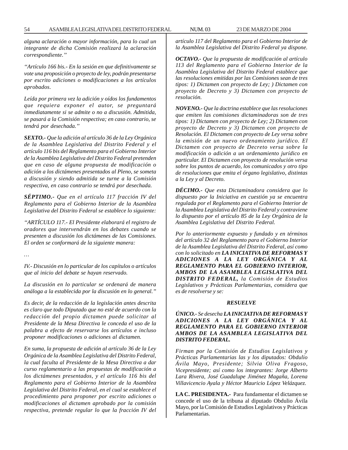*alguna aclaración o mayor información, para lo cual un integrante de dicha Comisión realizará la aclaración correspondiente.''*

*''Artículo 166 bis.- En la sesión en que definitivamente se vote una proposición o proyecto de ley, podrán presentarse por escrito adiciones o modificaciones a los artículos aprobados.*

*Leída por primera vez la adición y oídos los fundamentos que requiera exponer el autor, se preguntará inmediatamente si se admite o no a discusión. Admitida, se pasará a la Comisión respectiva; en caso contrario, se tendrá por desechada.''*

*SEXTO.- Que la adición al artículo 36 de la Ley Orgánica de la Asamblea Legislativa del Distrito Federal y el artículo 116 bis del Reglamento para el Gobierno Interior de la Asamblea Legislativa del Distrito Federal pretenden que en caso de alguna propuesta de modificación o adición a los dictámenes presentados al Pleno, se someta a discusión y siendo admitida se turne a la Comisión respectiva, en caso contrario se tendrá por desechada.*

*SÉPTIMO.- Que en el artículo 117 fracción IV del Reglamento para el Gobierno Interior de la Asamblea Legislativa del Distrito Federal se establece lo siguiente:*

*''ARTÍCULO 117.- El Presidente elaborará el registro de oradores que intervendrán en los debates cuando se presenten a discusión los dictámenes de las Comisiones. El orden se conformará de la siguiente manera:*

*…*

*IV.- Discusión en lo particular de los capítulos o artículos que al inicio del debate se hayan reservado.*

*La discusión en lo particular se ordenará de manera análoga a la establecida por la discusión en lo general.''*

*Es decir, de la redacción de la legislación antes descrita es claro que todo Diputado que no esté de acuerdo con la redacción del propio dictamen puede solicitar al Presidente de la Mesa Directiva le conceda el uso de la palabra a efecto de reservarse los artículos e incluso proponer modificaciones o adiciones al dictamen.*

*En suma, la propuesta de adición al artículo 36 de la Ley Orgánica de la Asamblea Legislativa del Distrito Federal, la cual faculta al Presidente de la Mesa Directiva a dar curso reglamentario a las propuestas de modificación a los dictámenes presentados, y el artículo 116 bis del Reglamento para el Gobierno Interior de la Asamblea Legislativa del Distrito Federal, en el cual se establece el procedimiento para proponer por escrito adiciones o modificaciones al dictamen aprobado por la comisión respectiva, pretende regular lo que la fracción IV del* *artículo 117 del Reglamento para el Gobierno Interior de la Asamblea Legislativa del Distrito Federal ya dispone.*

*OCTAVO.- Que la propuesta de modificación al artículo 113 del Reglamento para el Gobierno Interior de la Asamblea Legislativa del Distrito Federal establece que las resoluciones emitidas por las Comisiones sean de tres tipos: 1) Dictamen con proyecto de Ley; ) Dictamen con proyecto de Decreto y 3) Dictamen con proyecto de resolución.*

*NOVENO.- Que la doctrina establece que las resoluciones que emiten las comisiones dictaminadoras son de tres tipos: 1) Dictamen con proyecto de Ley; 2) Dictamen con proyecto de Decreto y 3) Dictamen con proyecto de Resolución. El Dictamen con proyecto de Ley versa sobre la emisión de un nuevo ordenamiento jurídico. El Dictamen con proyecto de Decreto versa sobre la modificación o adición a un ordenamiento jurídico en particular. El Dictamen con proyecto de resolución versa sobre los puntos de acuerdo, los comunicados y otro tipo de resoluciones que emita el órgano legislativo, distintas a la Ley y al Decreto.*

*DÉCIMO.- Que esta Dictaminadora considera que lo dispuesto por la Iniciativa en cuestión ya se encuentra regulada por el Reglamento para el Gobierno Interior de la Asamblea Legislativa del Distrito Federal y contraviene lo dispuesto por el artículo 85 de la Ley Orgánica de la Asamblea Legislativa del Distrito Federal.*

*Por lo anteriormente expuesto y fundado y en términos del artículo 32 del Reglamento para el Gobierno Interior de la Asamblea Legislativa del Distrito Federal, así como con lo solicitado en LA INICIATIVA DE REFORMAS Y ADICIONES A LA LEY ORGÁNICA Y AL REGLAMENTO PARA EL GOBIERNO INTERIOR, AMBOS DE LA ASAMBLEA LEGISLATIVA DEL DISTRITO FEDERAL, la Comisión de Estudios Legislativos y Prácticas Parlamentarias, considera que es de resolverse y se:*

#### *RESUELVE*

### *ÚNICO.- Se desecha LA INICIATIVA DE REFORMAS Y ADICIONES A LA LEY ORGÁNICA Y AL REGLAMENTO PARA EL GOBIERNO INTERIOR AMBOS DE LA ASAMBLEA LEGISLATIVA DEL DISTRITO FEDERAL.*

*Firman por la Comisión de Estudios Legislativos y Prácticas Parlamentarias las y los diputados: Obdulio Ávila Mayo, Presidente; Silvia Oliva Fragoso, Vicepresidente; así como los integrantes: Jorge Alberto Lara Rivera, José Guadalupe Jiménez Magaña, Lorena Villavicencio Ayala y Héctor Mauricio López Velázquez.*

**LA C. PRESIDENTA.-** Para fundamentar el dictamen se concede el uso de la tribuna al diputado Obdulio Ávila Mayo, por la Comisión de Estudios Legislativos y Prácticas Parlamentarias.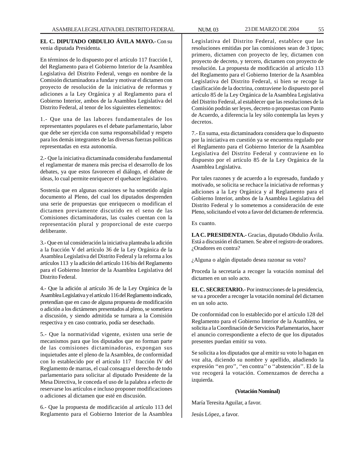**EL C. DIPUTADO OBDULIO ÁVILA MAYO.-** Con su venia diputada Presidenta.

En términos de lo dispuesto por el artículo 117 fracción I, del Reglamento para el Gobierno Interior de la Asamblea Legislativa del Distrito Federal, vengo en nombre de la Comisión dictaminadora a fundar y motivar el dictamen con proyecto de resolución de la iniciativa de reformas y adiciones a la Ley Orgánica y al Reglamento para el Gobierno Interior, ambos de la Asamblea Legislativa del Distrito Federal, al tenor de los siguientes elementos:

1.- Que una de las labores fundamentales de los representantes populares es el debate parlamentario, labor que debe ser ejercida con suma responsabilidad y respeto para los demás integrantes de las diversas fuerzas políticas representadas en esta autonomía.

2.- Que la iniciativa dictaminada consideraba fundamental el reglamentar de manera más precisa el desarrollo de los debates, ya que estos favorecen el diálogo, el debate de ideas, lo cual permite enriquecer el quehacer legislativo.

Sostenía que en algunas ocasiones se ha sometido algún documento al Pleno, del cual los diputados desprenden una serie de propuestas que enriquecen o modifican el dictamen previamente discutido en el seno de las Comisiones dictaminadoras, las cuales cuentan con la representación plural y proporcional de este cuerpo deliberante.

3.- Que en tal consideración la iniciativa planteaba la adición a la fracción V del artículo 36 de la Ley Orgánica de la Asamblea Legislativa del Distrito Federal y la reforma a los artículos 113 y la adición del artículo 116 bis del Reglamento para el Gobierno Interior de la Asamblea Legislativa del Distrito Federal.

4.- Que la adición al artículo 36 de la Ley Orgánica de la Asamblea Legislativa y el artículo 116 del Reglamento indicado, pretendían que en caso de alguna propuesta de modificación o adición a los dictámenes presentados al pleno, se sometiera a discusión, y siendo admitida se turnara a la Comisión respectiva y en caso contrario, podía ser desechado.

5.- Que la normatividad vigente, existen una serie de mecanismos para que los diputados que no forman parte de las comisiones dictaminadoras, expongan sus inquietudes ante el pleno de la Asamblea, de conformidad con lo establecido por el artículo 117 fracción IV del Reglamento de marras, el cual consagra el derecho de todo parlamentario para solicitar al diputado Presidente de la Mesa Directiva, le conceda el uso de la palabra a efecto de reservarse los artículos e incluso proponer modificaciones o adiciones al dictamen que esté en discusión.

6.- Que la propuesta de modificación al artículo 113 del Reglamento para el Gobierno Interior de la Asamblea Legislativa del Distrito Federal, establece que las resoluciones emitidas por las comisiones sean de 3 tipos; primero, dictamen con proyecto de ley, dictamen con proyecto de decreto, y tercero, dictamen con proyecto de resolución. La propuesta de modificación al artículo 113 del Reglamento para el Gobierno Interior de la Asamblea Legislativa del Distrito Federal, si bien se recoge la clasificación de la doctrina, contraviene lo dispuesto por el artículo 85 de la Ley Orgánica de la Asamblea Legislativa del Distrito Federal, al establecer que las resoluciones de la Comisión podrán ser leyes, decreto o propuestas con Punto de Acuerdo, a diferencia la ley sólo contempla las leyes y decretos.

7.- En suma, esta dictaminadora considera que lo dispuesto por la iniciativa en cuestión ya se encuentra regulado por el Reglamento para el Gobierno Interior de la Asamblea Legislativa del Distrito Federal y contraviene en lo dispuesto por el artículo 85 de la Ley Orgánica de la Asamblea Legislativa.

Por tales razones y de acuerdo a lo expresado, fundado y motivado, se solicita se rechace la iniciativa de reformas y adiciones a la Ley Orgánica y al Reglamento para el Gobierno Interior, ambos de la Asamblea Legislativa del Distrito Federal y lo sometemos a consideración de este Pleno, solicitando el voto a favor del dictamen de referencia.

Es cuanto.

**LA C. PRESIDENTA.-** Gracias, diputado Obdulio Ávila. Está a discusión el dictamen. Se abre el registro de oradores. ¿Oradores en contra?

¿Alguna o algún diputado desea razonar su voto?

Proceda la secretaría a recoger la votación nominal del dictamen en un solo acto.

**EL C. SECRETARIO.-** Por instrucciones de la presidencia, se va a proceder a recoger la votación nominal del dictamen en un solo acto.

De conformidad con lo establecido por el artículo 128 del Reglamento para el Gobierno Interior de la Asamblea, se solicita a la Coordinación de Servicios Parlamentarios, hacer el anuncio correspondiente a efecto de que los diputados presentes puedan emitir su voto.

Se solicita a los diputados que al emitir su voto lo hagan en voz alta, diciendo su nombre y apellido, añadiendo la expresión ''en pro'', ''en contra'' o ''abstención''. El de la voz recogerá la votación. Comenzamos de derecha a izquierda.

### **(Votación Nominal)**

María Teresita Aguilar, a favor.

Jesús López, a favor.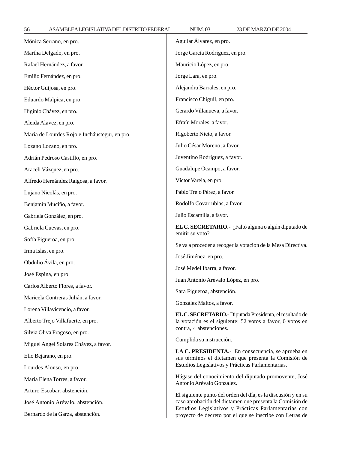56 ASAMBLEA LEGISLATIVA DEL DISTRITO FEDERAL NUM. 03 23 DE MARZO DE 2004

| Mónica Serrano, en pro.                       | Aguilar Álvarez, en pro.                                                                                                                                       |  |
|-----------------------------------------------|----------------------------------------------------------------------------------------------------------------------------------------------------------------|--|
| Martha Delgado, en pro.                       | Jorge García Rodríguez, en pro.                                                                                                                                |  |
| Rafael Hernández, a favor.                    | Mauricio López, en pro.                                                                                                                                        |  |
| Emilio Fernández, en pro.                     | Jorge Lara, en pro.                                                                                                                                            |  |
| Héctor Guijosa, en pro.                       | Alejandra Barrales, en pro.                                                                                                                                    |  |
| Eduardo Malpica, en pro.                      | Francisco Chiguil, en pro.                                                                                                                                     |  |
| Higinio Chávez, en pro.                       | Gerardo Villanueva, a favor.                                                                                                                                   |  |
| Aleida Alavez, en pro.                        | Efraín Morales, a favor.                                                                                                                                       |  |
| María de Lourdes Rojo e Incháustegui, en pro. | Rigoberto Nieto, a favor.                                                                                                                                      |  |
| Lozano Lozano, en pro.                        | Julio César Moreno, a favor.                                                                                                                                   |  |
| Adrián Pedroso Castillo, en pro.              | Juventino Rodríguez, a favor.                                                                                                                                  |  |
| Araceli Vázquez, en pro.                      | Guadalupe Ocampo, a favor.                                                                                                                                     |  |
| Alfredo Hernández Raigosa, a favor.           | Víctor Varela, en pro.                                                                                                                                         |  |
| Lujano Nicolás, en pro.                       | Pablo Trejo Pérez, a favor.                                                                                                                                    |  |
| Benjamín Muciño, a favor.                     | Rodolfo Covarrubias, a favor.                                                                                                                                  |  |
| Gabriela González, en pro.                    | Julio Escamilla, a favor.                                                                                                                                      |  |
| Gabriela Cuevas, en pro.                      | EL C. SECRETARIO.- ¿Faltó alguna o algún diputado de<br>emitir su voto?                                                                                        |  |
| Sofía Figueroa, en pro.                       |                                                                                                                                                                |  |
| Irma Islas, en pro.                           | Se va a proceder a recoger la votación de la Mesa Directiva.                                                                                                   |  |
| Obdulio Ávila, en pro.                        | José Jiménez, en pro.<br>José Medel Ibarra, a favor.                                                                                                           |  |
| José Espina, en pro.                          |                                                                                                                                                                |  |
| Carlos Alberto Flores, a favor.               | Juan Antonio Arévalo López, en pro.                                                                                                                            |  |
| Maricela Contreras Julián, a favor.           | Sara Figueroa, abstención.                                                                                                                                     |  |
| Lorena Villavicencio, a favor.                | González Maltos, a favor.                                                                                                                                      |  |
| Alberto Trejo Villafuerte, en pro.            | EL C. SECRETARIO.- Diputada Presidenta, el resultado de<br>la votación es el siguiente: 52 votos a favor, 0 votos en<br>contra, 4 abstenciones.                |  |
| Silvia Oliva Fragoso, en pro.                 |                                                                                                                                                                |  |
| Miguel Angel Solares Chávez, a favor.         | Cumplida su instrucción.                                                                                                                                       |  |
| Elio Bejarano, en pro.                        | LA C. PRESIDENTA.- En consecuencia, se aprueba en<br>sus términos el dictamen que presenta la Comisión de<br>Estudios Legislativos y Prácticas Parlamentarias. |  |
| Lourdes Alonso, en pro.                       |                                                                                                                                                                |  |
| María Elena Torres, a favor.                  | Hágase del conocimiento del diputado promovente, José<br>Antonio Arévalo González.                                                                             |  |
| Arturo Escobar, abstención.                   | El siguiente punto del orden del día, es la discusión y en su                                                                                                  |  |
| José Antonio Arévalo, abstención.             | caso aprobación del dictamen que presenta la Comisión de                                                                                                       |  |
| Bernardo de la Garza, abstención.             | Estudios Legislativos y Prácticas Parlamentarias con<br>proyecto de decreto por el que se inscribe con Letras de                                               |  |
|                                               |                                                                                                                                                                |  |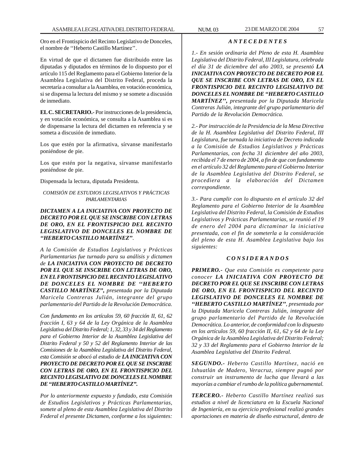Oro en el Frontispicio del Recinto Legislativo de Donceles, el nombre de ''Heberto Castillo Martínez''.

En virtud de que el dictamen fue distribuido entre las diputadas y diputados en términos de lo dispuesto por el artículo 115 del Reglamento para el Gobierno Interior de la Asamblea Legislativa del Distrito Federal, proceda la secretaría a consultar a la Asamblea, en votación económica, si se dispensa la lectura del mismo y se somete a discusión de inmediato.

**EL C. SECRETARIO.-** Por instrucciones de la presidencia, y en votación económica, se consulta a la Asamblea si es de dispensarse la lectura del dictamen en referencia y se someta a discusión de inmediato.

Los que estén por la afirmativa, sírvanse manifestarlo poniéndose de pie.

Los que estén por la negativa, sírvanse manifestarlo poniéndose de pie.

Dispensada la lectura, diputada Presidenta.

### *COMISIÓN DE ESTUDIOS LEGISLATIVOS Y PRÁCTICAS PARLAMENTARIAS*

## *DICTAMEN A LA INICIATIVA CON PROYECTO DE DECRETO POR EL QUE SE INSCRIBE CON LETRAS DE ORO, EN EL FRONTISPICIO DEL RECINTO LEGISLATIVO DE DONCELES EL NOMBRE DE ''HEBERTO CASTILLO MARTÍNEZ''.*

*A la Comisión de Estudios Legislativos y Prácticas Parlamentarias fue turnado para su análisis y dictamen de LA INICIATIVA CON PROYECTO DE DECRETO POR EL QUE SE INSCRIBE CON LETRAS DE ORO, EN EL FRONTISPICIO DEL RECINTO LEGISLATIVO DE DONCELES EL NOMBRE DE ''HEBERTO CASTILLO MARTÍNEZ'', presentada por la Diputada Maricela Contreras Julián, integrante del grupo parlamentario del Partido de la Revolución Democrática.*

*Con fundamento en los artículos 59, 60 fracción II, 61, 62 fracción I, 63 y 64 de la Ley Orgánica de la Asamblea Legislativa del Distrito Federal; 1, 32, 33 y 34 del Reglamento para el Gobierno Interior de la Asamblea Legislativa del Distrito Federal y 50 y 52 del Reglamento Interior de las Comisiones de la Asamblea Legislativa del Distrito Federal, esta Comisión se abocó al estudio de LA INICIATIVA CON PROYECTO DE DECRETO POR EL QUE SE INSCRIBE CON LETRAS DE ORO, EN EL FRONTISPICIO DEL RECINTO LEGISLATIVO DE DONCELES EL NOMBRE DE ''HEBERTO CASTILLO MARTÍNEZ''.*

*Por lo anteriormente expuesto y fundado, esta Comisión de Estudios Legislativos y Prácticas Parlamentarias, somete al pleno de esta Asamblea Legislativa del Distrito Federal el presente Dictamen, conforme a los siguientes:*

## *A N T E C E D E N T E S*

*1.- En sesión ordinaria del Pleno de esta H. Asamblea Legislativa del Distrito Federal, III Legislatura, celebrada el día 31 de diciembre del año 2003, se presentó LA INICIATIVA CON PROYECTO DE DECRETO POR EL QUE SE INSCRIBE CON LETRAS DE ORO, EN EL FRONTISPICIO DEL RECINTO LEGISLATIVO DE DONCELES EL NOMBRE DE ''HEBERTO CASTILLO MARTÍNEZ'', presentada por la Diputada Maricela Contreras Julián, integrante del grupo parlamentario del Partido de la Revolución Democrática.*

*2.- Por instrucción de la Presidencia de la Mesa Directiva de la H. Asamblea Legislativa del Distrito Federal, III Legislatura, fue turnada la iniciativa de Decreto indicada a la Comisión de Estudios Legislativos y Prácticas Parlamentarias, con fecha 31 diciembre del año 2003, recibida el 7 de enero de 2004, a fin de que con fundamento en el artículo 32 del Reglamento para el Gobierno Interior de la Asamblea Legislativa del Distrito Federal, se procediera a la elaboración del Dictamen correspondiente.*

*3.- Para cumplir con lo dispuesto en el artículo 32 del Reglamento para el Gobierno Interior de la Asamblea Legislativa del Distrito Federal, la Comisión de Estudios Legislativos y Prácticas Parlamentarias, se reunió el 19 de enero del 2004 para dictaminar la iniciativa presentada, con el fin de someterla a la consideración del pleno de esta H. Asamblea Legislativa bajo los siguientes:*

#### *C O N S I D E R A N D O S*

*PRIMERO.- Que esta Comisión es competente para conocer LA INICIATIVA CON PROYECTO DE DECRETO POR EL QUE SE INSCRIBE CON LETRAS DE ORO, EN EL FRONTISPICIO DEL RECINTO LEGISLATIVO DE DONCELES EL NOMBRE DE ''HEBERTO CASTILLO MARTÍNEZ'', presentada por la Diputada Maricela Contreras Julián, integrante del grupo parlamentario del Partido de la Revolución Democrática. Lo anterior, de conformidad con lo dispuesto en los artículos 59, 60 fracción II, 61, 62 y 64 de la Ley Orgánica de la Asamblea Legislativa del Distrito Federal; 32 y 33 del Reglamento para el Gobierno Interior de la Asamblea Legislativa del Distrito Federal.*

*SEGUNDO.- Heberto Castillo Martínez, nació en Ixhuatlán de Madero, Veracruz, siempre pugnó por construir un instrumento de lucha que llevará a las mayorías a cambiar el rumbo de la política gubernamental.*

*TERCERO.- Heberto Castillo Martínez realizó sus estudios a nivel de licenciatura en la Escuela Nacional de Ingeniería, en su ejercicio profesional realizó grandes aportaciones en materia de diseño estructural, dentro de*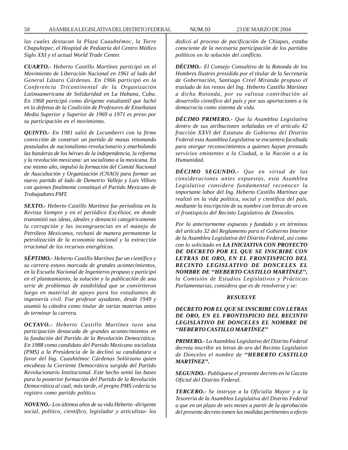*las cuales destacan la Plaza Cuauhtémoc, la Torre Chapultepec, el Hospital de Pediatría del Centro Médico Siglo XXI y el actual World Trade Center.*

*CUARTO.- Heberto Castillo Martínez participó en el Movimiento de Liberación Nacional en 1961 al lado del General Lázaro Cárdenas. En 1966 participó en la Conferencia Tricontinental de la Organización Latinoamericana de Solidaridad en La Habana, Cuba. En 1968 participó como dirigente estudiantil que luchó en la defensa de la Coalición de Profesores de Enseñanza Media Superior y Superior de 1969 a 1971 es preso por su participación en el movimiento.*

*QUINTO.- En 1981 salió de Lecumberri con la firme convicción de construir un partido de masas retomando postulados de nacionalismo revolucionario y enarbolando las banderas de los héroes de la independencia, la reforma y la revolución mexicana: un socialismo a la mexicana. En ese mismo año, impulsó la formación del Comité Nacional de Auscultación y Organización (CNAO) para formar un nuevo partido al lado de Demetrio Vallejo y Luis Villoro con quienes finalmente constituyó el Partido Mexicano de Trabajadores PMT.*

*SEXTO.- Heberto Castillo Martínez fue periodista en la Revista Siempre y en el periódico Excélsior, en donde transmitió sus ideas, ideales y denunció categóricamente la corrupción y las incongruencias en el manejo de Petróleos Mexicanos, rechazó de manera permanente la petrolización de la economía nacional y la extracción irracional de los recursos energéticos.*

*SÉPTIMO.- Heberto Castillo Martínez fue un científico y su carrera estuvo marcada de grandes acontecimientos, en la Escuela Nacional de Ingenieros propuso y participó en el planteamiento, la solución y la publicación de una serie de problemas de estabilidad que se convirtieron luego en material de apoyo para los estudiantes de ingeniería civil. Fue profesor ayudante, desde 1949 y asumió la cátedra como titular de varias materias antes de terminar la carrera.*

*OCTAVO.- Heberto Castillo Martínez tuvo una participación destacada de grandes acontecimientos en la fundación del Partido de la Revolución Democrática. En 1988 como candidato del Partido Mexicano socialista (PMS) a la Presidencia de la declinó su candidatura a favor del Ing. Cuauhtémoc Cárdenas Solórzano quien encabeza la Corriente Democrática surgida del Partido Revolucionario Institucional. Este hecho sentó las bases para la posterior formación del Partido de la Revolución Democrática al cual, más tarde, el propio PMS cedería su registro como partido político.*

*NOVENO.- Los últimos años de su vida Heberto -dirigente social, político, científico, legislador y articulista- los* *dedicó al proceso de pacificación de Chiapas, estaba consciente de la necesaria participación de los partidos políticos en la solución del conflicto.*

*DÉCIMO.- El Consejo Consultivo de la Rotonda de los Hombres Ilustres presidido por el titular de la Secretaría de Gobernación, Santiago Creel Miranda propuso el traslado de los restos del Ing. Heberto Castillo Martínez a dicha Rotonda, por su valiosa contribución al desarrollo científico del país y por sus aportaciones a la democracia como sistema de vida.*

*DÉCIMO PRIMERO.- Que la Asamblea Legislativa dentro de sus atribuciones señaladas en el artículo 42 fracción XXVI del Estatuto de Gobierno del Distrito Federal esta Asamblea Legislativa se encuentra facultada para otorgar reconocimientos a quienes hayan prestado servicios eminentes a la Ciudad, a la Nación o a la Humanidad.*

*DÉCIMO SEGUNDO.- Que en virtud de las consideraciones antes expuestas, esta Asamblea Legislativa considera fundamental reconocer la importante labor del Ing. Heberto Castillo Martínez que realizó en la vida política, social y científica del país, mediante la inscripción de su nombre con letras de oro en el frontispicio del Recinto Legislativo de Donceles.*

*Por lo anteriormente expuesto y fundado y en términos del artículo 32 del Reglamento para el Gobierno Interior de la Asamblea Legislativa del Distrito Federal, así como con lo solicitado en LA INICIATIVA CON PROYECTO DE DECRETO POR EL QUE SE INSCRIBE CON LETRAS DE ORO, EN EL FRONTISPICIO DEL RECINTO LEGISLATIVO DE DONCELES EL NOMBRE DE ''HEBERTO CASTILLO MARTÍNEZ'', la Comisión de Estudios Legislativos y Prácticas Parlamentarias, considera que es de resolverse y se:*

#### *RESUELVE*

## *DECRETO POR EL QUE SE INSCRIBE CON LETRAS DE ORO, EN EL FRONTISPICIO DEL RECINTO LEGISLATIVO DE DONCELES EL NOMBRE DE ''HEBERTO CASTILLO MARTÍNEZ''*

*PRIMERO.- La Asamblea Legislativa del Distrito Federal decreta inscribir en letras de oro del Recinto Legislativo de Donceles el nombre de ''HEBERTO CASTILLO MARTÍNEZ''.*

*SEGUNDO.- Publíquese el presente decreto en la Gaceta Oficial del Distrito Federal.*

*TERCERO.- Se instruye a la Oficialía Mayor y a la Tesorería de la Asamblea Legislativa del Distrito Federal a que en un plazo de seis meses a partir de la aprobación del presente decreto tomen las medidas pertinentes a efecto*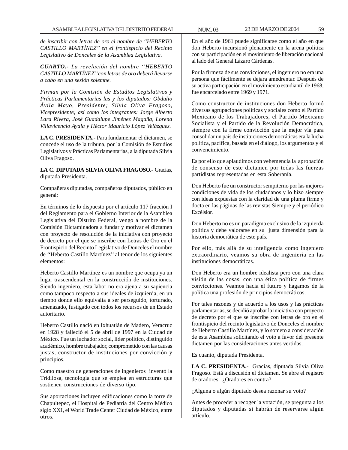*de inscribir con letras de oro el nombre de ''HEBERTO CASTILLO MARTÍNEZ'' en el frontispicio del Recinto Legislativo de Donceles de la Asamblea Legislativa.*

*CUARTO.- La revelación del nombre ''HEBERTO CASTILLO MARTÍNEZ'' con letras de oro deberá llevarse a cabo en una sesión solemne.*

*Firman por la Comisión de Estudios Legislativos y Prácticas Parlamentarias las y los diputados: Obdulio Ávila Mayo, Presidente; Silvia Oliva Fragoso, Vicepresidente; así como los integrantes: Jorge Alberto Lara Rivera, José Guadalupe Jiménez Magaña, Lorena Villavicencio Ayala y Héctor Mauricio López Velázquez.*

**LA C. PRESIDENTA.-** Para fundamentar el dictamen, se concede el uso de la tribuna, por la Comisión de Estudios Legislativos y Prácticas Parlamentarias, a la diputada Silvia Oliva Fragoso.

**LA C. DIPUTADA SILVIA OLIVA FRAGOSO.-** Gracias, diputada Presidenta.

Compañeras diputadas, compañeros diputados, público en general:

En términos de lo dispuesto por el artículo 117 fracción I del Reglamento para el Gobierno Interior de la Asamblea Legislativa del Distrito Federal, vengo a nombre de la Comisión Dictaminadora a fundar y motivar el dictamen con proyecto de resolución de la iniciativa con proyecto de decreto por el que se inscribe con Letras de Oro en el Frontispicio del Recinto Legislativo de Donceles el nombre de ''Heberto Castillo Martínez'' al tenor de los siguientes elementos:

Heberto Castillo Martínez es un nombre que ocupa ya un lugar trascendental en la construcción de instituciones. Siendo ingeniero, esta labor no era ajena a su sapiencia como tampoco respecto a sus ideales de izquierda, en un tiempo donde ello equivalía a ser perseguido, torturado, amenazado, fustigado con todos los recursos de un Estado autoritario.

Heberto Castillo nació en Ixhuatlán de Madero, Veracruz en 1928 y falleció el 5 de abril de 1997 en la Ciudad de México. Fue un luchador social, líder político, distinguido académico, hombre trabajador, comprometido con las causas justas, constructor de instituciones por convicción y principios.

Como maestro de generaciones de ingenieros inventó la Tridilosa, tecnología que se emplea en estructuras que sostienen construcciones de diverso tipo.

Sus aportaciones incluyen edificaciones como la torre de Chapultepec, el Hospital de Pediatría del Centro Médico siglo XXI, el World Trade Center Ciudad de México, entre otros.

En el año de 1961 puede significarse como el año en que don Heberto incursionó plenamente en la arena política con su participación en el movimiento de liberación nacional al lado del General Lázaro Cárdenas.

Por la firmeza de sus convicciones, el ingeniero no era una persona que fácilmente se dejara amedrentar. Después de su activa participación en el movimiento estudiantil de 1968, fue encarcelado entre 1969 y 1971.

Como constructor de instituciones don Heberto formó diversas agrupaciones políticas y sociales como el Partido Mexicano de los Trabajadores, el Partido Mexicano Socialista y el Partido de la Revolución Democrática, siempre con la firme convicción que la mejor vía para consolidar un país de instituciones democráticas era la lucha política, pacífica, basada en el diálogo, los argumentos y el convencimiento.

Es por ello que aplaudimos con vehemencia la aprobación de consenso de este dictamen por todas las fuerzas partidistas representadas en esta Soberanía.

Don Heberto fue un constructor sempiterno por las mejores condiciones de vida de los ciudadanos y lo hizo siempre con ideas expuestas con la claridad de una pluma firme y docta en las páginas de las revistas Siempre y el periódico Excélsior.

Don Heberto no es un paradigma exclusivo de la izquierda política y debe valorarse en su justa dimensión para la historia democrática de este país.

Por ello, más allá de su inteligencia como ingeniero extraordinario, veamos su obra de ingeniería en las instituciones democráticas.

Don Heberto era un hombre idealista pero con una clara visión de las cosas, con una ética política de firmes convicciones. Veamos hacia el futuro y hagamos de la política una profesión de principios democráticos.

Por tales razones y de acuerdo a los usos y las prácticas parlamentarias, se decidió aprobar la iniciativa con proyecto de decreto por el que se inscribe con letras de oro en el frontispicio del recinto legislativo de Donceles el nombre de Heberto Castillo Martínez, y lo someto a consideración de esta Asamblea solicitando el voto a favor del presente dictamen por las consideraciones antes vertidas.

Es cuanto, diputada Presidenta.

**LA C. PRESIDENTA.-** Gracias, diputada Silvia Oliva Fragoso. Está a discusión el dictamen. Se abre el registro de oradores. ¿Oradores en contra?

¿Alguna o algún diputado desea razonar su voto?

Antes de proceder a recoger la votación, se pregunta a los diputados y diputadas si habrán de reservarse algún artículo.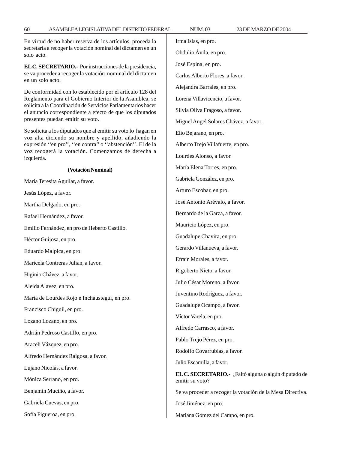En virtud de no haber reserva de los artículos, proceda la secretaría a recoger la votación nominal del dictamen en un solo acto.

**EL C. SECRETARIO.-** Por instrucciones de la presidencia, se va proceder a recoger la votación nominal del dictamen en un solo acto.

De conformidad con lo establecido por el artículo 128 del Reglamento para el Gobierno Interior de la Asamblea, se solicita a la Coordinación de Servicios Parlamentarios hacer el anuncio correspondiente a efecto de que los diputados presentes puedan emitir su voto.

Se solicita a los diputados que al emitir su voto lo hagan en voz alta diciendo su nombre y apellido, añadiendo la expresión ''en pro'', ''en contra'' o ''abstención''. El de la voz recogerá la votación. Comenzamos de derecha a izquierda.

#### **(Votación Nominal)**

María Teresita Aguilar, a favor.

Jesús López, a favor.

Martha Delgado, en pro.

Rafael Hernández, a favor.

Emilio Fernández, en pro de Heberto Castillo.

Héctor Guijosa, en pro.

Eduardo Malpica, en pro.

Maricela Contreras Julián, a favor.

Higinio Chávez, a favor.

Aleida Alavez, en pro.

María de Lourdes Rojo e Incháustegui, en pro.

Francisco Chiguil, en pro.

Lozano Lozano, en pro.

Adrián Pedroso Castillo, en pro.

Araceli Vázquez, en pro.

Alfredo Hernández Raigosa, a favor.

Lujano Nicolás, a favor.

Mónica Serrano, en pro.

Benjamín Muciño, a favor.

Gabriela Cuevas, en pro.

Sofía Figueroa, en pro.

Irma Islas, en pro. Obdulio Ávila, en pro. José Espina, en pro. Carlos Alberto Flores, a favor. Alejandra Barrales, en pro. Lorena Villavicencio, a favor. Silvia Oliva Fragoso, a favor. Miguel Angel Solares Chávez, a favor. Elio Bejarano, en pro. Alberto Trejo Villafuerte, en pro. Lourdes Alonso, a favor. María Elena Torres, en pro. Gabriela González, en pro. Arturo Escobar, en pro. José Antonio Arévalo, a favor. Bernardo de la Garza, a favor. Mauricio López, en pro. Guadalupe Chavira, en pro. Gerardo Villanueva, a favor. Efraín Morales, a favor. Rigoberto Nieto, a favor. Julio César Moreno, a favor. Juventino Rodríguez, a favor. Guadalupe Ocampo, a favor. Víctor Varela, en pro. Alfredo Carrasco, a favor. Pablo Trejo Pérez, en pro. Rodolfo Covarrubias, a favor. Julio Escamilla, a favor. **EL C. SECRETARIO.-** ¿Faltó alguna o algún diputado de emitir su voto? Se va proceder a recoger la votación de la Mesa Directiva. José Jiménez, en pro.

Mariana Gómez del Campo, en pro.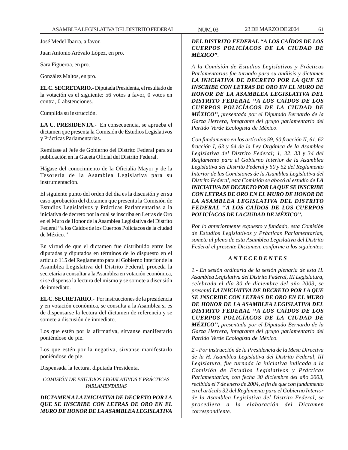José Medel Ibarra, a favor.

Juan Antonio Arévalo López, en pro.

Sara Figueroa, en pro.

González Maltos, en pro.

**EL C. SECRETARIO.-** Diputada Presidenta, el resultado de la votación es el siguiente: 56 votos a favor, 0 votos en contra, 0 abstenciones.

Cumplida su instrucción.

**LA C. PRESIDENTA.-** En consecuencia, se aprueba el dictamen que presenta la Comisión de Estudios Legislativos y Prácticas Parlamentarias.

Remítase al Jefe de Gobierno del Distrito Federal para su publicación en la Gaceta Oficial del Distrito Federal.

Hágase del conocimiento de la Oficialía Mayor y de la Tesorería de la Asamblea Legislativa para su instrumentación.

El siguiente punto del orden del día es la discusión y en su caso aprobación del dictamen que presenta la Comisión de Estudios Legislativos y Prácticas Parlamentarias a la iniciativa de decreto por la cual se inscriba en Letras de Oro en el Muro de Honor de la Asamblea Legislativa del Distrito Federal ''a los Caídos de los Cuerpos Policíacos de la ciudad de México.''

En virtud de que el dictamen fue distribuido entre las diputadas y diputados en términos de lo dispuesto en el artículo 115 del Reglamento para el Gobierno Interior de la Asamblea Legislativa del Distrito Federal, proceda la secretaría a consultar a la Asamblea en votación económica, si se dispensa la lectura del mismo y se somete a discusión de inmediato.

**EL C. SECRETARIO.-** Por instrucciones de la presidencia y en votación económica, se consulta a la Asamblea si es de dispensarse la lectura del dictamen de referencia y se somete a discusión de inmediato.

Los que estén por la afirmativa, sírvanse manifestarlo poniéndose de pie.

Los que estén por la negativa, sírvanse manifestarlo poniéndose de pie.

Dispensada la lectura, diputada Presidenta.

## *COMISIÓN DE ESTUDIOS LEGISLATIVOS Y PRÁCTICAS PARLAMENTARIAS*

*DICTAMEN A LA INICIATIVA DE DECRETO POR LA QUE SE INSCRIBE CON LETRAS DE ORO EN EL MURO DE HONOR DE LA ASAMBLEA LEGISLATIVA*

*A la Comisión de Estudios Legislativos y Prácticas Parlamentarias fue turnado para su análisis y dictamen LA INICIATIVA DE DECRETO POR LA QUE SE INSCRIBE CON LETRAS DE ORO EN EL MURO DE HONOR DE LA ASAMBLEA LEGISLATIVA DEL DISTRITO FEDERAL ''A LOS CAÍDOS DE LOS CUERPOS POLICÍACOS DE LA CIUDAD DE MÉXICO'', presentada por el Diputado Bernardo de la Garza Herrera, integrante del grupo parlamentario del Partido Verde Ecologista de México.*

*Con fundamento en los artículos 59, 60 fracción II, 61, 62 fracción I, 63 y 64 de la Ley Orgánica de la Asamblea Legislativa del Distrito Federal; 1, 32, 33 y 34 del Reglamento para el Gobierno Interior de la Asamblea Legislativa del Distrito Federal y 50 y 52 del Reglamento Interior de las Comisiones de la Asamblea Legislativa del Distrito Federal, esta Comisión se abocó al estudio de LA INICIATIVA DE DECRETO POR LA QUE SE INSCRIBE CON LETRAS DE ORO EN EL MURO DE HONOR DE LA ASAMBLEA LEGISLATIVA DEL DISTRITO FEDERAL ''A LOS CAÍDOS DE LOS CUERPOS POLICÍACOS DE LA CIUDAD DE MÉXICO''.*

*Por lo anteriormente expuesto y fundado, esta Comisión de Estudios Legislativos y Prácticas Parlamentarias, somete al pleno de esta Asamblea Legislativa del Distrito Federal el presente Dictamen, conforme a los siguientes:*

### *A N T E C E D E N T E S*

*1.- En sesión ordinaria de la sesión plenaria de esta H. Asamblea Legislativa del Distrito Federal, III Legislatura, celebrada el día 30 de diciembre del año 2003, se presentó LA INICIATIVA DE DECRETO POR LA QUE SE INSCRIBE CON LETRAS DE ORO EN EL MURO DE HONOR DE LA ASAMBLEA LEGISLATIVA DEL DISTRITO FEDERAL ''A LOS CAÍDOS DE LOS CUERPOS POLICÍACOS DE LA CIUDAD DE MÉXICO'', presentada por el Diputado Bernardo de la Garza Herrera, integrante del grupo parlamentario del Partido Verde Ecologista de México.*

*2.- Por instrucción de la Presidencia de la Mesa Directiva de la H. Asamblea Legislativa del Distrito Federal, III Legislatura, fue turnada la iniciativa indicada a la Comisión de Estudios Legislativos y Prácticas Parlamentarias, con fecha 30 diciembre del año 2003, recibida el 7 de enero de 2004, a fin de que con fundamento en el artículo 32 del Reglamento para el Gobierno Interior de la Asamblea Legislativa del Distrito Federal, se procediera a la elaboración del Dictamen correspondiente.*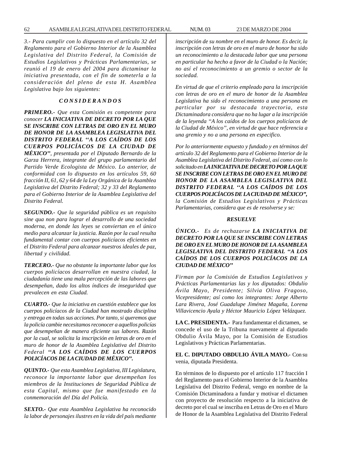*3.- Para cumplir con lo dispuesto en el artículo 32 del Reglamento para el Gobierno Interior de la Asamblea Legislativa del Distrito Federal, la Comisión de Estudios Legislativos y Prácticas Parlamentarias, se reunió el 19 de enero del 2004 para dictaminar la iniciativa presentada, con el fin de someterla a la consideración del pleno de esta H. Asamblea Legislativa bajo los siguientes:*

## *C O N S I D E R A N D O S*

*PRIMERO.- Que esta Comisión es competente para conocer LA INICIATIVA DE DECRETO POR LA QUE SE INSCRIBE CON LETRAS DE ORO EN EL MURO DE HONOR DE LA ASAMBLEA LEGISLATIVA DEL DISTRITO FEDERAL ''A LOS CAÍDOS DE LOS CUERPOS POLICÍACOS DE LA CIUDAD DE MÉXICO'', presentada por el Diputado Bernardo de la Garza Herrera, integrante del grupo parlamentario del Partido Verde Ecologista de México. Lo anterior, de conformidad con lo dispuesto en los artículos 59, 60 fracción II, 61, 62 y 64 de la Ley Orgánica de la Asamblea Legislativa del Distrito Federal; 32 y 33 del Reglamento para el Gobierno Interior de la Asamblea Legislativa del Distrito Federal.*

*SEGUNDO.- Que la seguridad pública es un requisito sine qua non para lograr el desarrollo de una sociedad moderna, en donde las leyes se conviertan en el único medio para alcanzar la justicia. Razón por la cual resulta fundamental contar con cuerpos policíacos eficientes en el Distrito Federal para alcanzar nuestros ideales de paz, libertad y civilidad.*

*TERCERO.- Que no obstante la importante labor que los cuerpos policíacos desarrollan en nuestra ciudad, la ciudadanía tiene una mala percepción de las labores que desempeñan, dado los altos índices de inseguridad que prevalecen en esta Ciudad.*

*CUARTO.- Que la iniciativa en cuestión establece que los cuerpos policíacos de la Ciudad han mostrado disciplina y entrega en todas sus acciones. Por tanto, si queremos que la policía cambie necesitamos reconocer a aquellos policías que desempeñan de manera eficiente sus labores. Razón por la cual, se solicita la inscripción en letras de oro en el muro de honor de la Asamblea Legislativa del Distrito Federal ''A LOS CAÍDOS DE LOS CUERPOS POLICÍACOS DE LA CIUDAD DE MÉXICO''.*

*QUINTO.- Que esta Asamblea Legislativa, III Legislatura, reconoce la importante labor que desempeñan los miembros de la Instituciones de Seguridad Pública de esta Capital, mismo que fue manifestado en la conmemoración del Día del Policía.*

*SEXTO.- Que esta Asamblea Legislativa ha reconocido la labor de personajes ilustres en la vida del país mediante*

*inscripción de su nombre en el muro de honor. Es decir, la inscripción con letras de oro en el muro de honor ha sido un reconocimiento a la destacada labor que una persona en particular ha hecho a favor de la Ciudad o la Nación; no así el reconocimiento a un gremio o sector de la sociedad.*

*En virtud de que el criterio empleado para la inscripción con letras de oro en el muro de honor de la Asamblea Legislativa ha sido el reconocimiento a una persona en particular por su destacada trayectoria, esta Dictaminadora considera que no ha lugar a la inscripción de la leyenda ''A los caídos de los cuerpos policíacos de la Ciudad de México'', en virtud de que hace referencia a una gremio y no a una persona en especifico.*

*Por lo anteriormente expuesto y fundado y en términos del artículo 32 del Reglamento para el Gobierno Interior de la Asamblea Legislativa del Distrito Federal, así como con lo solicitado en LA INICIATIVA DE DECRETO POR LA QUE SE INSCRIBE CON LETRAS DE ORO EN EL MURO DE HONOR DE LA ASAMBLEA LEGISLATIVA DEL DISTRITO FEDERAL ''A LOS CAÍDOS DE LOS CUERPOS POLICÍACOS DE LA CIUDAD DE MÉXICO'', la Comisión de Estudios Legislativos y Prácticas Parlamentarias, considera que es de resolverse y se:*

### *RESUELVE*

*ÚNICO.- Es de rechazarse LA INICIATIVA DE DECRETO POR LA QUE SE INSCRIBE CON LETRAS DE ORO EN EL MURO DE HONOR DE LA ASAMBLEA LEGISLATIVA DEL DISTRITO FEDERAL ''A LOS CAÍDOS DE LOS CUERPOS POLICÍACOS DE LA CIUDAD DE MÉXICO''*

*Firman por la Comisión de Estudios Legislativos y Prácticas Parlamentarias las y los diputados: Obdulio Ávila Mayo, Presidente; Silvia Oliva Fragoso, Vicepresidente; así como los integrantes: Jorge Alberto Lara Rivera, José Guadalupe Jiménez Magaña, Lorena Villavicencio Ayala y Héctor Mauricio López Velázquez.*

**LA C. PRESIDENTA.-** Para fundamentar el dictamen, se concede el uso de la Tribuna nuevamente al diputado Obdulio Ávila Mayo, por la Comisión de Estudios Legislativos y Prácticas Parlamentarias.

**EL C. DIPUTADO OBDULIO ÁVILA MAYO.-** Con su venia, diputada Presidenta.

En términos de lo dispuesto por el artículo 117 fracción I del Reglamento para el Gobierno Interior de la Asamblea Legislativa del Distrito Federal, vengo en nombre de la Comisión Dictaminadora a fundar y motivar el dictamen con proyecto de resolución respecto a la iniciativa de decreto por el cual se inscriba en Letras de Oro en el Muro de Honor de la Asamblea Legislativa del Distrito Federal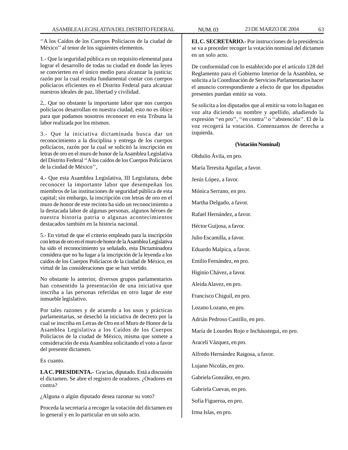''A los Caídos de los Cuerpos Policíacos de la ciudad de México'' al tenor de los siguientes elementos.

1.- Que la seguridad pública es un requisito elemental para lograr el desarrollo de todas su ciudad en donde las leyes se convierten en el único medio para alcanzar la justicia; razón por la cual resulta fundamental contar con cuerpos policíacos eficientes en el Distrito Federal para alcanzar nuestros ideales de paz, libertad y civilidad.

2,. Que no obstante la importante labor que nos cuerpos policíacos desarrollan en nuestra ciudad, esto no es óbice para que podamos nosotros reconocer en esta Tribuna la labor realizada por los mismos.

3.- Que la iniciativa dictaminada busca dar un reconocimiento a la disciplina y entrega de los cuerpos policíacos, razón por la cual se solicitó la inscripción en letras de oro en el muro de honor de la Asamblea Legislativa del Distrito Federal ''A los caídos de los Cuerpos Policíacos de la ciudad de México'',

4.- Que esta Asamblea Legislativa, III Legislatura, debe reconocer la importante labor que desempeñan los miembros de las instituciones de seguridad pública de esta capital; sin embargo, la inscripción con letras de oro en el muro de honor de este recinto ha sido un reconocimiento a la destacada labor de algunas personas, algunos héroes de nuestra historia patria o algunas acontecimientos destacados también en la historia nacional.

5.- En virtud de que el criterio empleado para la inscripción con letras de oro en el muro de honor de la Asamblea Legislativa ha sido el reconocimiento ya señalado, esta Dictaminadora considera que no ha lugar a la inscripción de la leyenda a los caídos de los Cuerpos Policíacos de la ciudad de México, en virtud de las consideraciones que se han vertido.

No obstante lo anterior, diversos grupos parlamentarios han consentido la presentación de una iniciativa que inscriba a las personas referidas en otro lugar de este inmueble legislativo.

Por tales razones y de acuerdo a los usos y prácticas parlamentarias, se desechó la iniciativa de decreto por la cual se inscriba en Letras de Oro en el Muro de Honor de la Asamblea Legislativa a los Caídos de los Cuerpos Policíacos de la ciudad de México, misma que somete a consideración de esta Asamblea solicitando el voto a favor del presente dictamen.

Es cuanto.

**LA C. PRESIDENTA.-** Gracias, diputado. Está a discusión el dictamen. Se abre el registro de oradores. ¿Oradores en contra?

¿Alguna o algún diputado desea razonar su voto?

Proceda la secretaría a recoger la votación del dictamen en lo general y en lo particular en un solo acto.

**EL C. SECRETARIO.-** Por instrucciones de la presidencia se va a proceder recoger la votación nominal del dictamen en un solo acto.

De conformidad con lo establecido por el artículo 128 del Reglamento para el Gobierno Interior de la Asamblea, se solicita a la Coordinación de Servicios Parlamentarios hacer el anuncio correspondiente a efecto de que los diputados presentes puedan emitir su voto.

Se solicita a los diputados que al emitir su voto lo hagan en voz alta diciendo su nombre y apellido, añadiendo la expresión ''en pro'', ''en contra'' o ''abstención''. El de la voz recogerá la votación. Comenzamos de derecha a izquierda.

### **(Votación Nominal)**

Obdulio Ávila, en pro. María Teresita Aguilar, a favor. Jesús López, a favor. Mónica Serrano, en pro. Martha Delgado, a favor. Rafael Hernández, a favor. Héctor Guijosa, a favor. Julio Escamilla, a favor. Eduardo Malpica, a favor. Emilio Fernández, en pro. Higinio Chávez, a favor. Aleida Alavez, en pro. Francisco Chiguil, en pro. Lozano Lozano, en pro. Adrián Pedroso Castillo, en pro. María de Lourdes Rojo e Incháustegui, en pro. Araceli Vázquez, en pro. Alfredo Hernández Raigosa, a favor. Lujano Nicolás, en pro. Gabriela González, en pro. Gabriela Cuevas, en pro. Sofía Figueroa, en pro. Irma Islas, en pro.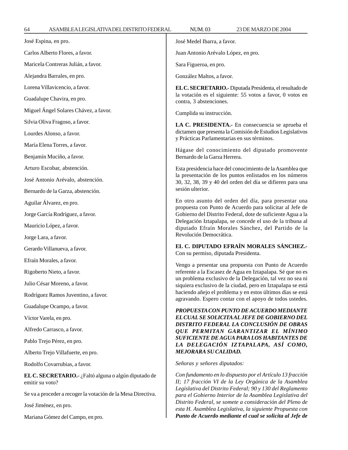| José Espina, en pro.                                                    | José Medel Ibarra, a favor.                                                                                                                                                                                                                                                                                                                                                                                                     |  |
|-------------------------------------------------------------------------|---------------------------------------------------------------------------------------------------------------------------------------------------------------------------------------------------------------------------------------------------------------------------------------------------------------------------------------------------------------------------------------------------------------------------------|--|
| Carlos Alberto Flores, a favor.                                         | Juan Antonio Arévalo López, en pro.                                                                                                                                                                                                                                                                                                                                                                                             |  |
| Maricela Contreras Julián, a favor.                                     | Sara Figueroa, en pro.                                                                                                                                                                                                                                                                                                                                                                                                          |  |
| Alejandra Barrales, en pro.                                             | González Maltos, a favor.                                                                                                                                                                                                                                                                                                                                                                                                       |  |
| Lorena Villavicencio, a favor.                                          | EL C. SECRETARIO.- Diputada Presidenta, el resultado de                                                                                                                                                                                                                                                                                                                                                                         |  |
| Guadalupe Chavira, en pro.                                              | la votación es el siguiente: 55 votos a favor, 0 votos en<br>contra, 3 abstenciones.                                                                                                                                                                                                                                                                                                                                            |  |
| Miguel Ángel Solares Chávez, a favor.                                   | Cumplida su instrucción.                                                                                                                                                                                                                                                                                                                                                                                                        |  |
| Silvia Oliva Fragoso, a favor.                                          | LA C. PRESIDENTA.- En consecuencia se aprueba el                                                                                                                                                                                                                                                                                                                                                                                |  |
| Lourdes Alonso, a favor.                                                | dictamen que presenta la Comisión de Estudios Legislativos<br>y Prácticas Parlamentarias en sus términos.<br>Hágase del conocimiento del diputado promovente                                                                                                                                                                                                                                                                    |  |
| María Elena Torres, a favor.                                            |                                                                                                                                                                                                                                                                                                                                                                                                                                 |  |
| Benjamín Muciño, a favor.                                               | Bernardo de la Garza Herrera.                                                                                                                                                                                                                                                                                                                                                                                                   |  |
| Arturo Escobar, abstención.                                             | Esta presidencia hace del conocimiento de la Asamblea que                                                                                                                                                                                                                                                                                                                                                                       |  |
| José Antonio Arévalo, abstención.                                       | la presentación de los puntos enlistados en los números<br>30, 32, 38, 39 y 40 del orden del día se difieren para una<br>sesión ulterior.                                                                                                                                                                                                                                                                                       |  |
| Bernardo de la Garza, abstención.                                       |                                                                                                                                                                                                                                                                                                                                                                                                                                 |  |
| Aguilar Álvarez, en pro.                                                | En otro asunto del orden del día, para presentar una<br>propuesta con Punto de Acuerdo para solicitar al Jefe de                                                                                                                                                                                                                                                                                                                |  |
| Jorge García Rodríguez, a favor.                                        | Gobierno del Distrito Federal, dote de suficiente Agua a la<br>Delegación Iztapalapa, se concede el uso de la tribuna al<br>diputado Efraín Morales Sánchez, del Partido de la<br>Revolución Democrática.                                                                                                                                                                                                                       |  |
| Mauricio López, a favor.                                                |                                                                                                                                                                                                                                                                                                                                                                                                                                 |  |
| Jorge Lara, a favor.                                                    |                                                                                                                                                                                                                                                                                                                                                                                                                                 |  |
| Gerardo Villanueva, a favor.                                            | EL C. DIPUTADO EFRAÍN MORALES SÁNCHEZ.-<br>Con su permiso, diputada Presidenta.                                                                                                                                                                                                                                                                                                                                                 |  |
| Efraín Morales, a favor.                                                | Vengo a presentar una propuesta con Punto de Acuerdo                                                                                                                                                                                                                                                                                                                                                                            |  |
| Rigoberto Nieto, a favor.                                               | referente a la Escasez de Agua en Iztapalapa. Sé que no es                                                                                                                                                                                                                                                                                                                                                                      |  |
| Julio César Moreno, a favor.                                            | un problema exclusivo de la Delegación, tal vez no sea ni<br>siquiera exclusivo de la ciudad, pero en Iztapalapa se está<br>haciendo añejo el problema y en estos últimos días se está<br>agravando. Espero contar con el apoyo de todos ustedes.                                                                                                                                                                               |  |
| Rodríguez Ramos Juventino, a favor.                                     |                                                                                                                                                                                                                                                                                                                                                                                                                                 |  |
| Guadalupe Ocampo, a favor.                                              | PROPUESTA CON PUNTO DE ACUERDO MEDIANTE                                                                                                                                                                                                                                                                                                                                                                                         |  |
| Víctor Varela, en pro.                                                  | EL CUAL SE SOLICITA AL JEFE DE GOBIERNO DEL<br>DISTRITO FEDERAL LA CONCLUSIÓN DE OBRAS                                                                                                                                                                                                                                                                                                                                          |  |
| Alfredo Carrasco, a favor.                                              | QUE PERMITAN GARANTIZAR EL MÍNIMO                                                                                                                                                                                                                                                                                                                                                                                               |  |
| Pablo Trejo Pérez, en pro.                                              | SUFICIENTE DE AGUA PARA LOS HABITANTES DE<br>LA DELEGACIÓN IZTAPALAPA, ASÍ COMO,<br><b>MEJORARA SU CALIDAD.</b>                                                                                                                                                                                                                                                                                                                 |  |
| Alberto Trejo Villafuerte, en pro.                                      |                                                                                                                                                                                                                                                                                                                                                                                                                                 |  |
| Rodolfo Covarrubias, a favor.                                           | Señoras y señores diputados:                                                                                                                                                                                                                                                                                                                                                                                                    |  |
| EL C. SECRETARIO.- ¿Faltó alguna o algún diputado de<br>emitir su voto? | Con fundamento en lo dispuesto por el Artículo 13 fracción<br>II; 17 fracción VI de la Ley Orgánica de la Asamblea<br>Legislativa del Distrito Federal; 90 y 130 del Reglamento<br>para el Gobierno Interior de la Asamblea Legislativa del<br>Distrito Federal, se somete a consideración del Pleno de<br>esta H. Asamblea Legislativa, la siguiente Propuesta con<br>Punto de Acuerdo mediante el cual se solicita al Jefe de |  |
| Se va a proceder a recoger la votación de la Mesa Directiva.            |                                                                                                                                                                                                                                                                                                                                                                                                                                 |  |
| José Jiménez, en pro.                                                   |                                                                                                                                                                                                                                                                                                                                                                                                                                 |  |
| Mariana Gómez del Campo, en pro.                                        |                                                                                                                                                                                                                                                                                                                                                                                                                                 |  |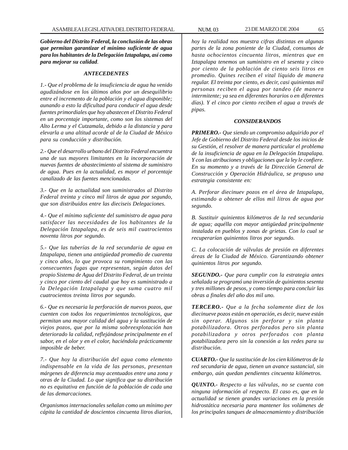*Gobierno del Distrito Federal, la conclusión de las obras que permitan garantizar el mínimo suficiente de agua para los habitantes de la Delegación Iztapalapa, así como para mejorar su calidad.*

### *ANTECEDENTES*

*1.- Que el problema de la insuficiencia de agua ha venido agudizándose en los últimos años por un desequilibrio entre el incremento de la población y el agua disponible; aunando a esto la dificultad para conducir el agua desde fuentes primordiales que hoy abastecen el Distrito Federal en un porcentaje importante, como son los sistemas del Alto Lerma y el Cutzamala, debido a la distancia y para elevarla a una altitud acorde al de la Ciudad de México para su conducción y distribución.*

*2.- Que el desarrollo urbano del Distrito Federal encuentra una de sus mayores limitantes en la incorporación de nuevas fuentes de abastecimiento al sistema de suministro de agua. Pues en la actualidad, es mayor el porcentaje canalizado de las fuentes mencionadas.*

*3.- Que en la actualidad son suministrados al Distrito Federal treinta y cinco mil litros de agua por segundo, que son distribuidos entre las dieciseis Delegaciones.*

*4.- Que el mínimo suficiente del suministro de agua para satisfacer las necesidades de los habitantes de la Delegación Iztapalapa, es de seis mil cuatrocientos noventa litros por segundo.*

*5.- Que las tuberías de la red secundaria de agua en Iztapalapa, tienen una antigüedad promedio de cuarenta y cinco años, lo que provoca su rompimiento con las consecuentes fugas que representan, según datos del propio Sistema de Agua del Distrito Federal, de un treinta y cinco por ciento del caudal que hoy es suministrado a la Delegación Iztapalapa y que suma cuatro mil cuatrocientos treinta litros por segundo.*

*6.- Que es necesaria la perforación de nuevos pozos, que cuenten con todos los requerimientos tecnológicos, que permitan una mayor calidad del agua y la sustitución de viejos pozos, que por la misma sobreexplotación han deteriorado la calidad, reflejándose principalmente en el sabor, en el olor y en el color, haciéndola prácticamente imposible de beber.*

*7.- Que hoy la distribución del agua como elemento indispensable en la vida de las personas, presentan márgenes de diferencia muy acentuados entre una zona y otras de la Ciudad. Lo que significa que su distribución no es equitativa en función de la población de cada una de las demarcaciones.*

*Organismos internacionales señalan como un mínimo per cápita la cantidad de doscientos cincuenta litros diarios,*

*hoy la realidad nos muestra cifras distintas en algunas partes de la zona poniente de la Ciudad, consumos de hasta ochocientos cincuenta litros, mientras que en Iztapalapa tenemos un suministro en el sesenta y cinco por ciento de la población de ciento seis litros en promedio. Quines reciben el vital líquido de manera regular. El treinta por ciento, es decir, casi quinientas mil personas reciben el agua por tandeo (de manera intermitente; ya sea en diferentes horarios o en diferentes días). Y el cinco por ciento reciben el agua a través de pipas.*

### *CONSIDERANDOS*

*PRIMERO.- Que siendo un compromiso adquirido por el Jefe de Gobierno del Distrito Federal desde los inicios de su Gestión, el resolver de manera particular el problema de la insuficiencia de agua en la Delegación Iztapalapa. Y con las atribuciones y obligaciones que la ley le confiere. En su momento y a través de la Dirección General de Construcción y Operación Hidráulica, se propuso una estrategia consistente en:*

*A. Perforar diecinuev pozos en el área de Iztapalapa, estimando a obtener de ellos mil litros de agua por segundo.*

*B. Sustituir quinientos kilómetros de la red secundaria de agua; aquélla con mayor antigüedad principalmente instalada en pueblos y zonas de grietas. Con lo cual se recuperarían quinientos litros por segundo.*

*C. La colocación de válvulas de presión en diferentes áreas de la Ciudad de México. Garantizando obtener quinientos litros por segundo.*

*SEGUNDO.- Que para cumplir con la estrategia antes señalada se programó una inversión de quinientos sesenta y tres millones de pesos, y como tiempo para concluir las obras a finales del año dos mil uno.*

*TERCERO.- Que a la fecha solamente diez de los diecinueve pozos están en operación, es decir, nueve están sin operar. Algunos sin perforar y sin planta potabilizadora. Otros perforados pero sin planta potabilizadora y otros perforados con planta potabilizadora pero sin la conexión a las redes para su distribución.*

*CUARTO.- Que la sustitución de los cien kilómetros de la red secundaria de agua, tienen un avance sustancial, sin embargo, aún quedan pendientes cincuenta kilómetros.*

*QUINTO.- Respecto a las válvulas, no se cuenta con ninguna información al respecto. El caso es, que en la actualidad se tienen grandes variaciones en la presión hidrostática necesaria para mantener los volúmenes de los principales tanques de almacenamiento y distribución*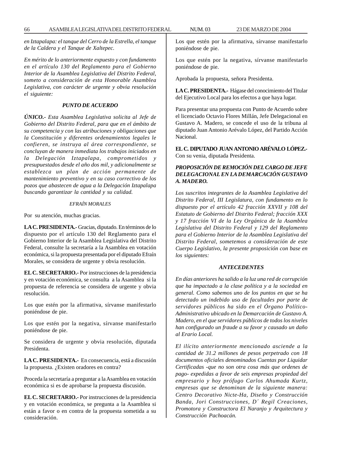*en Iztapalapa: el tanque del Cerro de la Estrella, el tanque de la Caldera y el Tanque de Xaltepec.*

*En mérito de lo anteriormente expuesto y con fundamento en el artículo 130 del Reglamento para el Gobierno Interior de la Asamblea Legislativa del Distrito Federal, someto a consideración de esta Honorable Asamblea Legislativa, con carácter de urgente y obvia resolución el siguiente:*

#### *PUNTO DE ACUERDO*

*ÚNICO.- Esta Asamblea Legislativa solicita al Jefe de Gobierno del Distrito Federal, para que en el ámbito de su competencia y con las atribuciones y obligaciones que la Constitución y diferentes ordenamientos legales le confieren, se instruya al área correspondiente, se concluyan de manera inmediata los trabajos iniciados en la Delegación Iztapalapa, comprometidos y presupuestados desde el año dos mil, y adicionalmente se establezca un plan de acción permanente de mantenimiento preventivo y en su caso correctivo de los pozos que abastecen de agua a la Delegación Iztapalapa buscando garantizar la cantidad y su calidad.*

#### *EFRAÍN MORALES*

Por su atención, muchas gracias.

**LA C. PRESIDENTA.-** Gracias, diputado. En términos de lo dispuesto por el artículo 130 del Reglamento para el Gobierno Interior de la Asamblea Legislativa del Distrito Federal, consulte la secretaría a la Asamblea en votación económica, si la propuesta presentada por el diputado Efraín Morales, se considera de urgente y obvia resolución.

**EL C. SECRETARIO.-** Por instrucciones de la presidencia y en votación económica, se consulta a la Asamblea si la propuesta de referencia se considera de urgente y obvia resolución.

Los que estén por la afirmativa, sírvanse manifestarlo poniéndose de pie.

Los que estén por la negativa, sírvanse manifestarlo poniéndose de pie.

Se considera de urgente y obvia resolución, diputada Presidenta.

**LA C. PRESIDENTA.-** En consecuencia, está a discusión la propuesta. ¿Existen oradores en contra?

Proceda la secretaría a preguntar a la Asamblea en votación económica si es de aprobarse la propuesta discusión.

**EL C. SECRETARIO.-** Por instrucciones de la presidencia y en votación económica, se pregunta a la Asamblea si están a favor o en contra de la propuesta sometida a su consideración.

Los que estén por la afirmativa, sírvanse manifestarlo poniéndose de pie.

Los que estén por la negativa, sírvanse manifestarlo poniéndose de pie.

Aprobada la propuesta, señora Presidenta.

**LA C. PRESIDENTA.-** Hágase del conocimiento del Titular del Ejecutivo Local para los efectos a que haya lugar.

Para presentar una propuesta con Punto de Acuerdo sobre el licenciado Octavio Flores Millán, Jefe Delegacional en Gustavo A. Madero, se concede el uso de la tribuna al diputado Juan Antonio Arévalo López, del Partido Acción Nacional.

**EL C. DIPUTADO JUAN ANTONIO ARÉVALO LÓPEZ.-** Con su venia, diputada Presidenta.

## *PROPOSICIÓN DE REMOCIÓN DEL CARGO DE JEFE DELEGACIONAL EN LA DEMARCACIÓN GUSTAVO A. MADERO.*

*Los suscritos integrantes de la Asamblea Legislativa del Distrito Federal, III Legislatura, con fundamento en lo dispuesto por el artículo 42 fracción XXVII y 108 del Estatuto de Gobierno del Distrito Federal; fracción XXX y 17 fracción VI de la Ley Orgánica de la Asamblea Legislativa del Distrito Federal y 129 del Reglamento para el Gobierno Interior de la Asamblea Legislativa del Distrito Federal, sometemos a consideración de este Cuerpo Legislativo, la presente proposición con base en los siguientes:*

#### *ANTECEDENTES*

*En días anteriores ha salido a la luz una red de corrupción que ha impactado a la clase política y a la sociedad en general. Como sabemos uno de los puntos en que se ha detectado un indebido uso de facultades por parte de servidores públicos ha sido en el Órgano Político-Administrativo ubicado en la Demarcación de Gustavo A. Madero, en el que servidores públicos de todos los niveles han configurado un fraude a su favor y causado un daño al Erario Local.*

*El ilícito anteriormente mencionado asciende a la cantidad de 31.2 millones de pesos perpetrado con 18 documentos oficiales denominados Cuentas por Liquidar Certificadas -que no son otra cosa más que ordenes de pago- expedidas a favor de seis empresas propiedad del empresario y hoy prófugo Carlos Ahumada Kurtz, empresas que se denominan de la siguiente manera: Centro Decorativo Nicte-Ha, Diseño y Construcción Banda, Jori Construcciones, D´ Regil Creaciones, Promotora y Constructora El Naranjo y Arquitectura y Construcción Pachoacán.*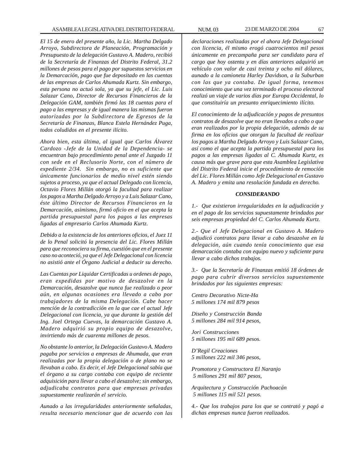*El 15 de enero del presente año, la Lic. Martha Delgado Arroyo, Subdirectora de Planeación, Programación y Presupuesto de la delegación Gustavo A. Madero, recibió de la Secretaría de Finanzas del Distrito Federal, 31.2 millones de pesos para el pago por supuestos servicios en la Demarcación, pago que fue depositado en las cuentas de las empresas de Carlos Ahumada Kurtz. Sin embargo, esta persona no actuó sola, ya que su jefe, el Lic. Luis Salazar Cano, Director de Recursos Financieros de la Delegación GAM, también firmó las 18 cuentas para el pago a las empresas y de igual manera las mismas fueron autorizadas por la Subdirectora de Egresos de la Secretaría de Finanzas, Blanca Estela Hernández Puga, todos coludidos en el presente ilícito.*

*Ahora bien, esta última, al igual que Carlos Álvarez Cardozo -Jefe de la Unidad de la Dependencia- se encuentran bajo procedimiento penal ante el Juzgado 11 con sede en el Reclusorio Norte, con el número de expediente 2/34. Sin embargo, no es suficiente que únicamente funcionarios de medio nivel estén siendo sujetos a proceso, ya que el actual Delegado con licencia, Octavio Flores Millán otorgó la facultad para realizar los pagos a Martha Delgado Arroyo y a Luis Salazar Cano, éste último Director de Recursos Financieros en la Demarcación, asimismo, firmó oficio en el que acepta la partida presupuestal para los pagos a las empresas ligadas al empresario Carlos Ahumada Kurtz.*

*Debido a la existencia de los anteriores oficios, el Juez 11 de lo Penal solicitó la presencia del Lic. Flores Millán para que reconociera su firma, cuestión que en el presente caso no aconteció, ya que el Jefe Delegacional con licencia no asistió ante el Órgano Judicial a deducir su derecho.*

*Las Cuentas por Liquidar Certificadas u ordenes de pago, eran expedidas por motivo de desazolve en la Demarcación, desazolve que nunca fue realizado o peor aún, en algunas ocasiones era llevado a cabo por trabajadores de la misma Delegación. Cabe hacer mención de la contradicción en la que cae el actual Jefe Delegacional con licencia, ya que durante la gestión del Ing. Joel Ortega Cuevas, la demarcación Gustavo A. Madero adquirió su propio equipo de desazolve, invirtiendo más de cuarenta millones de pesos.*

*No obstante lo anterior, la Delegación Gustavo A. Madero pagaba por servicios a empresas de Ahumada, que eran realizadas por la propia delegación o de plano no se llevaban a cabo. Es decir, el Jefe Delegacional sabía que el órgano a su cargo contaba con equipo de reciente adquisición para llevar a cabo el desazolve; sin embargo, adjudicaba contratos para que empresas privadas supuestamente realizarán el servicio.*

*Aunado a las irregularidades anteriormente señaladas, resulta necesario mencionar que de acuerdo con las* *declaraciones realizadas por el ahora Jefe Delegacional con licencia, él mismo erogó cuatrocientos mil pesos únicamente en precampaña para ser candidato para el cargo que hoy ostenta y en días anteriores adquirió un vehículo con valor de casi treinta y ocho mil dólares, aunado a la camioneta Harley Davidson, a la Suburban con las que ya contaba. De igual forma, tenemos conocimiento que una vez terminado el proceso electoral realizó un viaje de varios días por Europa Occidental, lo que constituiría un presunto enriquecimiento ilícito.*

*El conocimiento de la adjudicación y pagos de presuntos contratos de desazolve que no eran llevados a cabo o que eran realizados por la propia delegación, además de su firma en los oficios que otorgan la facultad de realizar los pagos a Martha Delgado Arroyo y Luis Salazar Cano, así como el que acepta la partida presupuestal para los pagos a las empresas ligadas al C. Ahumada Kurtz, es causa más que grave para que esta Asamblea Legislativa del Distrito Federal inicie el procedimiento de remoción del Lic. Flores Millán como Jefe Delegacional en Gustavo A. Madero y emita una resolución fundada en derecho.*

#### *CONSIDERANDO*

*1.- Que existieron irregularidades en la adjudicación y en el pago de los servicios supuestamente brindados por seis empresas propiedad del C. Carlos Ahumada Kurtz.*

*2.- Que el Jefe Delegacional en Gustavo A. Madero adjudicó contratos para llevar a cabo desazolve en la delegación, aún cuando tenía conocimiento que esa demarcación contaba con equipo nuevo y suficiente para llevar a cabo dichos trabajos.*

*3.- Que la Secretaría de Finanzas emitió 18 órdenes de pago para cubrir diversos servicios supuestamente brindados por las siguientes empresas:*

*Centro Decorativo Nicte-Ha 5 millones 174 mil 879 pesos*

*Diseño y Construcción Banda 5 millones 284 mil 914 pesos,*

*Jori Construcciones 5 millones 195 mil 689 pesos.*

*D'Regil Creaciones 5 millones 222 mil 346 pesos,*

*Promotora y Constructora El Naranjo 5 millones 291 mil 807 pesos,*

*Arquitectura y Construcción Pachoacán 5 millones 115 mil 521 pesos.*

*4.- Que los trabajos para los que se contrató y pagó a dichas empresas nunca fueron realizados.*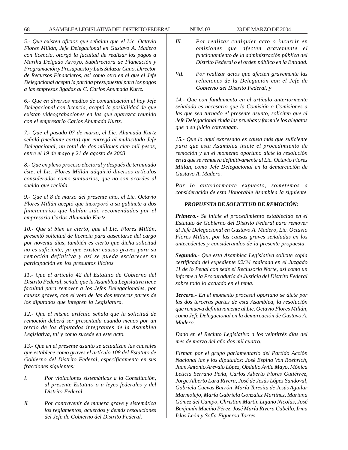*5.- Que existen oficios que señalan que el Lic. Octavio Flores Millán, Jefe Delegacional en Gustavo A. Madero con licencia, otorgó la facultad de realizar los pagos a Martha Delgado Arroyo, Subdirectora de Planeación y Programación y Presupuesto y Luis Salazar Cano, Director de Recursos Financieros, así como otro en el que el Jefe Delegacional acepta la partida presupuestal para los pagos a las empresas ligadas al C. Carlos Ahumada Kurtz.*

*6.- Que en diversos medios de comunicación el hoy Jefe Delegacional con licencia, aceptó la posibilidad de que existan videograbaciones en las que aparezca reunido con el empresario Carlos Ahumada Kurtz.*

*7.- Que el pasado 07 de marzo, el Lic. Ahumada Kurtz señaló (mediante carta) que entregó al multicitado Jefe Delegacional, un total de dos millones cien mil pesos, entre el 19 de mayo y 21 de agosto de 2003.*

*8.- Que en pleno proceso electoral y después de terminado éste, el Lic. Flores Millán adquirió diversos artículos considerados como suntuarios, que no son acordes al sueldo que recibía.*

*9.- Que el 8 de marzo del presente año, el Lic. Octavio Flores Millán aceptó que incorporó a su gabinete a dos funcionarios que habían sido recomendados por el empresario Carlos Ahumada Kurtz.*

*10.- Que si bien es cierto, que el Lic. Flores Millán, presentó solicitud de licencia para ausentarse del cargo por noventa días, también es cierto que dicha solicitud no es suficiente, ya que existen causas graves para su remoción definitiva y así se pueda esclarecer su participación en los presuntos ilícitos.*

*11.- Que el artículo 42 del Estatuto de Gobierno del Distrito Federal, señala que la Asamblea Legislativa tiene facultad para remover a los Jefes Delegacionales, por causas graves, con el voto de las dos terceras partes de los diputados que integren la Legislatura.*

*12.- Que el mismo artículo señala que la solicitud de remoción deberá ser presentada cuando menos por un tercio de los diputados integrantes de la Asamblea Legislativa, tal y como sucede en este acto.*

*13.- Que en el presente asunto se actualizan las causales que establece como graves el artículo 108 del Estatuto de Gobierno del Distrito Federal, específicamente en sus fracciones siguientes:*

- *I. Por violaciones sistemáticas a la Constitución, al presente Estatuto o a leyes federales y del Distrito Federal.*
- *II. Por contravenir de manera grave y sistemática los reglamentos, acuerdos y demás resoluciones del Jefe de Gobierno del Distrito Federal.*
- *III. Por realizar cualquier acto o incurrir en omisiones que afecten gravemente el funcionamiento de la administración pública del Distrito Federal o el orden público en la Entidad.*
- *VII. Por realizar actos que afecten gravemente las relaciones de la Delegación con el Jefe de Gobierno del Distrito Federal, y*

*14.- Que con fundamento en el artículo anteriormente señalado es necesario que la Comisión o Comisiones a las que sea turnado el presente asunto, soliciten que el Jefe Delegacional rinda las pruebas y formule los alegatos que a su juicio convengan.*

*15.- Que lo aquí expresado es causa más que suficiente para que esta Asamblea inicie el procedimiento de remoción y en el momento oportuno dicte la resolución en la que se remueva definitivamente al Lic. Octavio Flores Millán, como Jefe Delegacional en la demarcación de Gustavo A. Madero.*

*Por lo anteriormente expuesto, sometemos a consideración de esta Honorable Asamblea la siguiente*

### *PROPUESTA DE SOLICITUD DE REMOCIÓN:*

*Primero.- Se inicie el procedimiento establecido en el Estatuto de Gobierno del Distrito Federal para remover al Jefe Delegacional en Gustavo A. Madero, Lic. Octavio Flores Millán, por las causas graves señaladas en los antecedentes y considerandos de la presente propuesta.*

*Segundo.- Que esta Asamblea Legislativa solicite copia certificada del expediente 02/34 radicada en el Juzgado 11 de lo Penal con sede el Reclusorio Norte, así como un informe a la Procuraduría de Justicia del Distrito Federal sobre todo lo actuado en el tema.*

*Tercero.- En el momento procesal oportuno se dicte por las dos terceras partes de esta Asamblea, la resolución que remueva definitivamente al Lic. Octavio Flores Millán, como Jefe Delegacional en la demarcación de Gustavo A. Madero.*

*Dado en el Recinto Legislativo a los veintitrés días del mes de marzo del año dos mil cuatro.*

*Firman por el grupo parlamentario del Partido Acción Nacional las y los diputados: José Espina Von Roehrich, Juan Antonio Arévalo López, Obdulio Ávila Mayo, Mónica Leticia Serrano Peña, Carlos Alberto Flores Gutiérrez, Jorge Alberto Lara Rivera, José de Jesús López Sandoval, Gabriela Cuevas Barrón, María Teresita de Jesús Aguilar Marmolejo, María Gabriela González Martínez, Mariana Gómez del Campo, Christian Martín Lujano Nicolás, José Benjamín Muciño Pérez, José María Rivera Cabello, Irma Islas León y Sofía Figueroa Torres.*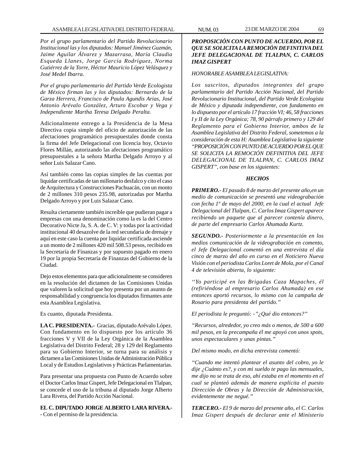*Por el grupo parlamentario del Partido Revolucionario Institucional las y los diputados: Manuel Jiménez Guzmán, Jaime Aguilar Álvarez y Mazarrasa, María Claudia Esqueda Llanes, Jorge García Rodríguez, Norma Gutiérrez de la Torre, Héctor Mauricio López Velásquez y José Medel Ibarra.*

*Por el grupo parlamentario del Partido Verde Ecologista de México firman las y los diputados: Bernardo de la Garza Herrera, Francisco de Paula Agundis Arias, José Antonio Arévalo González, Arturo Escobar y Vega y Independiente Martha Teresa Delgado Peralta.*

Adicionalmente entrego a la Presidencia de la Mesa Directiva copia simple del oficio de autorización de las afectaciones programático presupuestales donde consta la firma del Jefe Delegacional con licencia hoy, Octavio Flores Millán, autorizando las afectaciones programático presupuestales a la señora Martha Delgado Arroyo y al señor Luis Salazar Cano.

Así también como las copias simples de las cuentas por liquidar certificadas de tan millonario desfalco y cito el caso de Arquitectura y Construcciones Pachuacán, con un monto de 2 millones 310 pesos 235.98, autorizadas por Martha Delgado Arroyo y por Luis Salazar Cano.

Resulta ciertamente también increíble que pudieran pagar a empresas con una denominación como la es la del Centro Decorativo Nicte Ja, S. A. de C. V: y todas por la actividad institucional 40 desazolve de la red secundaria de drenaje y aquí en este caso la cuenta por liquidar certificada asciende a un monto de 2 millones 420 mil 508.53 pesos, recibido en la Secretaría de Finanzas y por supuesto pagado en enero 19 por la propia Secretaría de Finanzas del Gobierno de la Ciudad.

Dejo estos elementos para que adicionalmente se consideren en la resolución del dictamen de las Comisiones Unidas que valoren la solicitud que hoy presenta por un asunto de responsabilidad y congruencia los diputados firmantes ante esta Asamblea Legislativa*.*

Es cuanto, diputada Presidenta.

**LA C. PRESIDENTA.-** Gracias, diputado Arévalo López. Con fundamento en lo dispuesto por los artículo 36 fracciones V y VII de la Ley Orgánica de la Asamblea Legislativa del Distrito Federal; 28 y 129 del Reglamento para su Gobierno Interior, se turna para su análisis y dictamen a las Comisiones Unidas de Administración Pública Local y de Estudios Legislativos y Prácticas Parlamentarias.

Para presentar una propuesta con Punto de Acuerdo sobre el Doctor Carlos Imaz Gispert, Jefe Delegacional en Tlalpan, se concede el uso de la tribuna al diputado Jorge Alberto Lara Rivera, del Partido Acción Nacional.

# **EL C. DIPUTADO JORGE ALBERTO LARA RIVERA.-**

- Con el permiso de la presidencia.

## *PROPOSICIÓN CON PUNTO DE ACUERDO, POR EL QUE SE SOLICITA LA REMOCIÓN DEFINITIVA DEL JEFE DELEGACIONAL DE TLALPAN, C. CARLOS IMAZ GISPERT*

### *HONORABLE ASAMBLEA LEGISLATIVA:*

*Los suscritos, diputados integrantes del grupo parlamentario del Partido Acción Nacional, del Partido Revolucionario Institucional, del Partido Verde Ecologista de México y diputada independiente, con fundamento en lo dispuesto por el artículo 17 fracción VI; 46, 58 fracciones I y II de la Ley Orgánica; 78, 90 párrafo primero y 129 del Reglamento para el Gobierno Interior, ambos de la Asamblea Legislativa del Distrito Federal, sometemos a la consideración de esta H: Asamblea Legislativa la siguiente ''PROPOSICIÓN CON PUNTO DE ACUERDO POR EL QUE SE SOLICITA LA REMOCIÓN DEFINITIVA DEL JEFE DELEGACIONAL DE TLALPAN, C. CARLOS IMAZ GISPERT'', con base en los siguientes:*

### *HECHOS*

*PRIMERO.- El pasado 8 de marzo del presente año,en un medio de comunicación se presentó una videograbación con fecha 1º de mayo del 2000, en la cual el actual Jefe Delegacional del Tlalpan, C. Carlos Imaz Gispert aparece recibiendo un paquete que al parecer contenía dinero, de parte del empresario Carlos Ahumada Kurtz.*

*SEGUNDO.- Posteriormente a la presentación en los medios comunicación de la videograbación en comento, el Jefe Delegacional comentó en una entrevista el día cinco de marzo del año en curso en el Noticiero Nueva Visión con el periodista Carlos Loret de Mola, por el Canal 4 de televisión abierta, lo siguiente:*

*''Yo participé en las Brigadas Caza Mapaches, él (refiriéndose al empresario Carlos Ahumada) en ese entonces aportó recursos, lo mismo con la campaña de Rosario para presidenta del partido.''*

*El periodista le preguntó: -''¿Qué dio entonces?''*

*''Recursos, alrededor, yo creo más o menos, de 500 a 600 mil pesos, en la precampaña él me apoyó con unos spots, unos espectaculares y unas pintas.''*

*Del mismo modo, en dicha entrevista comentó:*

*''Cuando me intentó plantear el asunto del cobro, yo le dije ¿Cuánto es?, y con mi sueldo te pago las mensuales, me dijo no se trata de eso, ahí estaba en el momento en el cual se planteó además de manera explícita el puesto Dirección de Obras y la Dirección de Administración, evidentemente me negué.''*

*TERCERO.- El 9 de marzo del presente año, el C. Carlos Imaz Gispert después de declarar ante el Ministerio*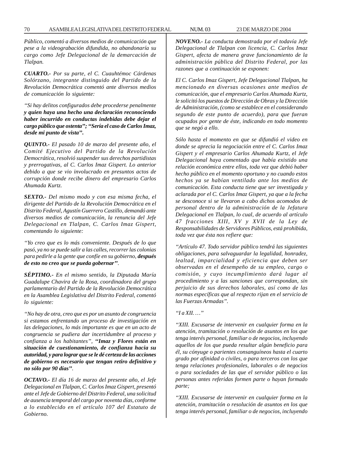*Público, comentó a diversos medios de comunicación que pese a la videograbación difundida, no abandonaría su cargo como Jefe Delegacional de la demarcación de Tlalpan.*

*CUARTO.- Por su parte, el C. Cuauhtémoc Cárdenas Solórzano, integrante distinguido del Partido de la Revolución Democrática comentó ante diversos medios de comunicación lo siguiente:*

*''Si hay delitos configurados debe procederse penalmente y quien haya una hecho una declaración reconociendo haber incurrido en conductas indebidas debe dejar el cargo público que ostenta''; ''Sería el caso de Carlos Imaz, desde mi punto de vista''.*

*QUINTO.- El pasado 10 de marzo del presente año, el Comité Ejecutivo del Partido de la Revolución Democrática, resolvió suspender sus derechos partidistas y prerrogativas, al C. Carlos Imaz Gispert. Lo anterior debido a que se vio involucrado en presuntos actos de corrupción donde recibe dinero del empresario Carlos Ahumada Kurtz.*

*SEXTO.- Del mismo modo y con esa misma fecha, el dirigente del Partido de la Revolución Democrática en el Distrito Federal, Agustín Guerrero Castillo, demandó ante diversos medios de comunicación, la renuncia del Jefe Delegacional en Tlalpan, C. Carlos Imaz Gispert, comentando lo siguiente:*

*''Yo creo que es lo más conveniente. Después de lo que pasó, ya no se puede salir a las calles, recorrer las colonias para pedirle a la gente que confíe en su gobierno, después de esto no creo que se pueda gobernar''.*

*SÉPTIMO.- En el mismo sentido, la Diputada María Guadalupe Chavira de la Rosa, coordinadora del grupo parlamentario del Partido de la Revolución Democrática en la Asamblea Legislativa del Distrito Federal, comentó lo siguiente:*

*''No hay de otra, creo que es por un asunto de congruencia si estamos enfrentando un proceso de investigación en las delegaciones, lo más importante es que en un acto de congruencia se pudiera dar incertidumbre al proceso y confianza a los habitantes'', ''Imaz y Flores están en situación de cuestionamiento, de confianza hacia su autoridad, y para lograr que se le dé certeza de las acciones de gobierno es necesario que tengan retiro definitivo y no sólo por 90 días''.*

*OCTAVO.- El día 16 de marzo del presente año, el Jefe Delegacional en Tlalpan, C. Carlos Imaz Gispert, presentó ante el Jefe de Gobierno del Distrito Federal, una solicitud de ausencia temporal del cargo por noventa días, conforme a lo establecido en el artículo 107 del Estatuto de Gobierno.*

*NOVENO.- La conducta demostrada por el todavía Jefe Delegacional de Tlalpan con licencia, C. Carlos Imaz Gispert, afecta de manera grave funcionamiento de la administración pública del Distrito Federal, por las razones que a continuación se exponen:*

*El C. Carlos Imaz Gispert, Jefe Delegacional Tlalpan, ha mencionado en diversas ocasiones ante medios de comunicación, que el empresario Carlos Ahumada Kurtz, le solicitó los puestos de Dirección de Obras y la Dirección de Administración, (como se establece en el considerando segundo de este punto de acuerdo), para que fueran ocupados por gente de éste, indicando en todo momento que se negó a ello.*

*Sólo hasta el momento en que se difundió el video en donde se aprecia la negociación entre el C. Carlos Imaz Gispert y el empresario Carlos Ahumada Kurtz, el Jefe Delegacional haya comentado que había existido una relación económica entre ellos, toda vez que debió haber hecho público en el momento oportuno y no cuando estos hechos ya se habían ventilado ante los medios de comunicación. Esta conducta tiene que ser investigada y aclarada por el C. Carlos Imaz Gispert, ya que a la fecha se desconoce si se llevaron a cabo dichos acomodos de personal dentro de la administración de la Jefatura Delegacional en Tlalpan, lo cual, de acuerdo al artículo 47 fracciones XIII, XV y XVII de la Ley de Responsabilidades de Servidores Públicos, está prohibida, toda vez que ésta nos refiere que:*

*''Artículo 47. Todo servidor público tendrá las siguientes obligaciones, para salvaguardar la legalidad, honradez, lealtad, imparcialidad y eficiencia que deben ser observadas en el desempeño de su empleo, cargo o comisión, y cuyo incumplimiento dará lugar al procedimiento y a las sanciones que correspondan, sin perjuicio de sus derechos laborales, así como de las normas específicas que al respecto rijan en el servicio de las Fuerzas Armadas''.*

### *''I a XII. …''*

*''XIII. Excusarse de intervenir en cualquier forma en la atención, tramitación o resolución de asuntos en los que tenga interés personal, familiar o de negocios, incluyendo aquellos de los que pueda resultar algún beneficio para él, su cónyuge o parientes consanguíneos hasta el cuarto grado por afinidad o civiles, o para terceros con los que tenga relaciones profesionales, laborales o de negocios o para sociedades de las que el servidor público o las personas antes referidas formen parte o hayan formado parte;*

*''XIII. Excusarse de intervenir en cualquier forma en la atención, tramitación o resolución de asuntos en los que tenga interés personal, familiar o de negocios, incluyendo*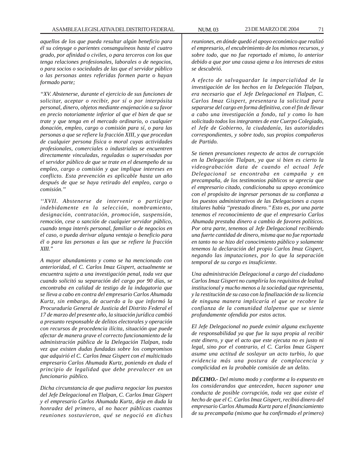*aquellos de los que pueda resultar algún beneficio para él su cónyuge o parientes consanguíneos hasta el cuatro grado, por afinidad o civiles, o para terceros con los que tenga relaciones profesionales, laborales o de negocios, o para socios o sociedades de las que el servidor público o las personas antes referidas formen parte o hayan formado parte;*

*''XV. Abstenerse, durante el ejercicio de sus funciones de solicitar, aceptar o recibir, por sí o por interpósita personal, dinero, objetos mediante enajenación a su favor en precio notoriamente inferior al que el bien de que se trate y que tenga en el mercado ordinario, o cualquier donación, empleo, cargo o comisión para sí, o para las personas a que se refiere la fracción XIII, y que procedan de cualquier persona física o moral cuyas actividades profesionales, comerciales o industriales se encuentren directamente vinculadas, reguladas o supervisadas por el servidor público de que se trate en el desempeño de su empleo, cargo o comisión y que implique intereses en conflicto. Esta prevención es aplicable hasta un año después de que se haya retirado del empleo, cargo o comisión.''*

*''XVII. Abstenerse de intervenir o participar indebidamente en la selección, nombramiento, designación, contratación, promoción, suspensión, remoción, cese o sanción de cualquier servidor público, cuando tenga interés personal, familiar o de negocios en el caso, o pueda derivar alguna ventaja o beneficio para él o para las personas a las que se refiere la fracción XIII.''*

*A mayor abundamiento y como se ha mencionado con anterioridad, el C. Carlos Imaz Gispert, actualmente se encuentra sujeto a una investigación penal, toda vez que cuando solicitó su separación del cargo por 90 días, se encontraba en calidad de testigo de la indagatoria que se lleva a cabo en contra del empresario Carlos Ahumada Kurtz, sin embargo, de acuerdo a lo que informó la Procuraduría General de Justicia del Distrito Federal el 17 de marzo del presente año, la situación jurídica cambió a presunto responsable de delitos electorales y operación con recursos de procedencia ilícita, situación que puede afectar de manera grave el correcto funcionamiento de la administración pública de la Delegación Tlalpan, toda vez que existen dudas fundadas sobre los compromisos que adquirió el C. Carlos Imaz Gispert con el multicitado empresario Carlos Ahumada Kurtz, poniendo en duda el principio de legalidad que debe prevalecer en un funcionario público.*

*Dicha circunstancia de que pudiera negociar los puestos del Jefe Delegacional en Tlalpan, C. Carlos Imaz Gispert y el empresario Carlos Ahumada Kurtz, deja en duda la honradez del primero, al no hacer públicas cuantas reuniones sostuvieron, qué se negoció en dichas* *reuniones, en dónde quedó el apoyo económico que realizó el empresario, el encubrimiento de los mismos recursos, y sobre todo, que no fue reportado el mismo, lo anterior debido a que por una causa ajena a los intereses de estos se descubrió.*

*A efecto de salvaguardar la imparcialidad de la investigación de los hechos en la Delegación Tlalpan, era necesario que el Jefe Delegacional en Tlalpan, C. Carlos Imaz Gispert, presentara la solicitud para separarse del cargo en forma definitiva, con el fin de llevar a cabo una investigación a fondo, tal y como lo han solicitado todos los integrantes de este Cuerpo Colegiado, el Jefe de Gobierno, la ciudadanía, las autoridades correspondientes, y sobre todo, sus propios compañeros de Partido.*

*Se tienen presunciones respecto de actos de corrupción en la Delegación Tlalpan, ya que si bien es cierto la videograbación data de cuando el actual Jefe Delegacional se encontraba en campaña y en precampaña, de los testimonios públicos se aprecia que el empresario citado, condicionaba su apoyo económico con el propósito de ingresar personas de su confianza a los puestos administrativos de las Delegaciones a cuyos titulares había ''prestado dinero.'' Esto es, por una parte tenemos el reconocimiento de que el empresario Carlos Ahumada prestaba dinero a cambio de favores políticos. Por otra parte, tenemos al Jefe Delegacional recibiendo una fuerte cantidad de dinero, misma que no fue reportada en tanto no se hizo del conocimiento público y solamente tenemos la declaración del propio Carlos Imaz Gispert, negando las imputaciones, por lo que la separación temporal de su cargo es insuficiente.*

*Una administración Delegacional a cargo del ciudadano Carlos Imaz Gispert no cumpliría los requisitos de lealtad institucional y mucho menos a la sociedad que representa, y la restitución de su caso con la finalización de su licencia de ninguna manera implicaría el que se recobre la confianza de la comunidad tlalpense que se siente profundamente ofendida por estos actos.*

*El Jefe Delegacional no puede eximir alguna excluyente de responsabilidad ya que fue la suya propia al recibir este dinero, y que el acto que este ejecuta no es justo ni legal, sino por el contrario, el C. Carlos Imaz Gispert asume una actitud de soslayar un acto turbio, lo que evidencia más una postura de complacencia y complicidad en la probable comisión de un delito.*

*DÉCIMO.- Del mismo modo y conforme a lo expuesto en los considerandos que anteceden, hacen suponer una conducta de posible corrupción, toda vez que existe el hecho de que el C. Carlos Imaz Gispert, recibió dinero del empresario Carlos Ahumada Kurtz para el financiamiento de su precampaña (mismo que ha confirmado el primero)*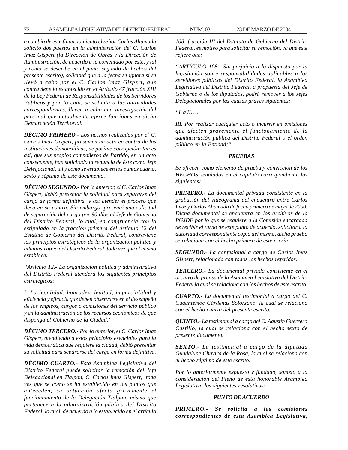*a cambio de este financiamiento el señor Carlos Ahumada solicitó dos puestos en la administración del C. Carlos Imaz Gispert (la Dirección de Obras y la Dirección de Administración, de acuerdo a lo comentado por éste, y tal y como se describe en el punto segundo de hechos del presente escrito), solicitud que a la fecha se ignora si se llevó a cabo por el C. Carlos Imaz Gispert, que contraviene lo establecido en el Artículo 47 fracción XIII de la Ley Federal de Responsabilidades de los Servidores Públicos y por lo cual, se solicita a las autoridades correspondientes, lleven a cabo una investigación del personal que actualmente ejerce funciones en dicha Demarcación Territorial.*

*DÉCIMO PRIMERO.- Los hechos realizados por el C. Carlos Imaz Gispert, presumen un acto en contra de las instituciones democráticas, de posible corrupción; tan es así, que sus propios compañeros de Partido, en un acto consecuente, han solicitado la renuncia de éste como Jefe Delegacional, tal y como se establece en los puntos cuarto, sexto y séptimo de este documento.*

*DÉCIMO SEGUNDO.- Por lo anterior, el C. Carlos Imaz Gispert, debió presentar la solicitud para separarse del cargo de forma definitiva y así atender el proceso que lleva en su contra. Sin embargo, presentó una solicitud de separación del cargo por 90 días al Jefe de Gobierno del Distrito Federal, lo cual, en congruencia con lo estipulado en la fracción primera del artículo 12 del Estatuto de Gobierno del Distrito Federal, contraviene los principios estratégicos de la organización política y administrativa del Distrito Federal, toda vez que el mismo establece:*

*''Artículo 12.- La organización política y administrativa del Distrito Federal atenderá los siguientes principios estratégicos:*

*I. La legalidad, honradez, lealtad, imparcialidad y eficiencia y eficacia que deben observarse en el desempeño de los empleos, cargos o comisiones del servicio público y en la administración de los recursos económicos de que disponga el Gobierno de la Ciudad.''*

*DÉCIMO TERCERO.- Por lo anterior, el C. Carlos Imaz Gispert, atendiendo a estos principios esenciales para la vida democrática que requiere la ciudad, debió presentar su solicitud para separarse del cargo en forma definitiva.*

*DÉCIMO CUARTO.- Esta Asamblea Legislativa del Distrito Federal puede solicitar la remoción del Jefe Delegacional en Tlalpan, C. Carlos Imaz Gispert, toda vez que se como se ha establecido en los puntos que anteceden, su actuación afecta gravemente el funcionamiento de la Delegación Tlalpan, misma que pertenece a la administración pública del Distrito Federal, lo cual, de acuerdo a lo establecido en el artículo*

*108, fracción III del Estatuto de Gobierno del Distrito Federal, es motivo para solicitar su remoción, ya que éste refiere que:*

*''ARTÍCULO 108.- Sin perjuicio a lo dispuesto por la legislación sobre responsabilidades aplicables a los servidores públicos del Distrito Federal, la Asamblea Legislativa del Distrito Federal, a propuesta del Jefe de Gobierno o de los diputados, podrá remover a los Jefes Delegacionales por las causas graves siguientes:*

*''I. a II. …*

*III. Por realizar cualquier acto o incurrir en omisiones que afecten gravemente el funcionamiento de la administración pública del Distrito Federal o el orden público en la Entidad;''*

### *PRUEBAS*

*Se ofrecen como elemento de prueba y convicción de los HECHOS señalados en el capítulo correspondiente las siguientes:*

*PRIMERO.- La documental privada consistente en la grabación del videograma del encuentro entre Carlos Imaz y Carlos Ahumada de fecha primero de mayo de 2000. Dicha documental se encuentra en los archivos de la PGJDF por lo que se requiere a la Comisión encargada de recibir el turno de este punto de acuerdo, solicitar a la autoridad correspondiente copia del mismo, dicha prueba se relaciona con el hecho primero de este escrito.*

*SEGUNDO.- La confesional a cargo de Carlos Imaz Gispert, relacionada con todos los hechos referidos.*

*TERCERO.- La documental privada consistente en el archivo de prensa de la Asamblea Legislativa del Distrito Federal la cual se relaciona con los hechos de este escrito.*

*CUARTO.- La documental testimonial a cargo del C. Cuauhtémoc Cárdenas Solórzano, la cual se relaciona con el hecho cuarto del presente escrito.*

*QUINTO.- La testimonial a cargo del C. Agustín Guerrero Castillo, la cual se relaciona con el hecho sexto de presente documento.*

*SEXTO.- La testimonial a cargo de la diputada Guadalupe Chavira de la Rosa, la cual se relaciona con el hecho séptimo de este escrito.*

*Por lo anteriormente expuesto y fundado, someto a la consideración del Pleno de esta honorable Asamblea Legislativa, los siguientes resolutivos:*

#### *PUNTO DE ACUERDO*

*PRIMERO.- Se solicita a las comisiones correspondientes de esta Asamblea Legislativa,*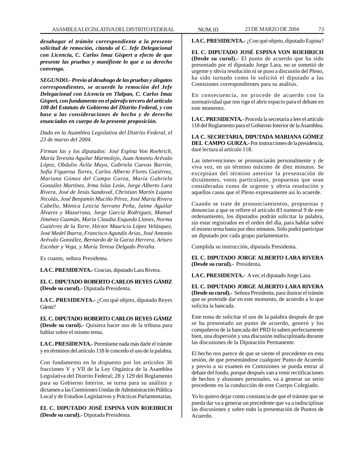*desahogar el trámite correspondiente a la presente solicitud de remoción, citando al C. Jefe Delegacional con Licencia, C. Carlos Imaz Gispert a efecto de que presente las pruebas y manifieste lo que a su derecho convenga.*

*SEGUNDO.- Previo al desahogo de las pruebas y alegatos correspondientes, se acuerde la remoción del Jefe Delegacional con Licencia en Tlalpan, C. Carlos Imaz Gispert, con fundamento en el párrafo tercero del artículo 108 del Estatuto de Gobierno del Distrito Federal, y con base a las consideraciones de hecho y de derecho enunciadas en cuerpo de la presente proposición.*

*Dado en la Asamblea Legislativa del Distrito Federal, el 23 de marzo del 2004.*

*Firman las y los diputados: José Espina Von Roehrich, María Teresita Aguilar Marmolejo, Juan Antonio Arévalo López, Obdulio Ávila Mayo, Gabriela Cuevas Barrón, Sofía Figueroa Torres, Carlos Alberto Flores Gutiérrez, Mariana Gómez del Campo Gurza, María Gabriela González Martínez, Irma Islas León, Jorge Alberto Lara Rivera, José de Jesús Sandoval, Christian Martín Lujano Nicolás, José Benjamín Muciño Pérez, José María Rivera Cabello, Mónica Leticia Serrano Peña, Jaime Aguilar Álvarez y Mazarrasa, Jorge García Rodríguez, Manuel Jiménez Guzmán, María Claudia Esqueda Llanes, Norma Gutiérrez de la Torre, Héctor Mauricio López Velázquez, José Medel Ibarra, Francisco Agundis Arias, José Antonio Arévalo González, Bernardo de la Garza Herrera, Arturo Escobar y Vega, y María Teresa Delgado Peralta.*

Es cuanto, señora Presidenta.

**LA C. PRESIDENTA.-** Gracias, diputado Lara Rivera.

**EL C. DIPUTADO ROBERTO CARLOS REYES GÁMIZ (Desde su curul).-** Diputada Presidenta.

LA C. PRESIDENTA.- ¿Con qué objeto, diputado Reyes Gámiz?

**EL C. DIPUTADO ROBERTO CARLOS REYES GÁMIZ (Desde su curul).-** Quisiera hacer uso de la tribuna para hablar sobre el mismo tema.

**LA C. PRESIDENTA.-** Permítame nada más darle el trámite y en términos del artículo 118 le concedo el uso de la palabra.

Con fundamento en lo dispuesto por los artículos 36 fracciones V y VII de la Ley Orgánica de la Asamblea Legislativa del Distrito Federal; 28 y 129 del Reglamento para su Gobierno Interior, se turna para su análisis y dictamen a las Comisiones Unidas de Administración Pública Local y de Estudios Legislativos y Prácticas Parlamentarias.

**EL C. DIPUTADO JOSÉ ESPINA VON ROEHRICH (Desde su curul).-** Diputada Presidenta.

LA C. PRESIDENTA.- ¿Con qué objeto, diputado Espina?

**EL C. DIPUTADO JOSÉ ESPINA VON ROEHRICH (Desde su curul).-** El punto de acuerdo que ha sido presentado por el diputado Jorge Lara, no se sometió de urgente y obvia resolución ni se puso a discusión del Pleno, ha sido turnado como lo solicitó el diputado a las Comisiones correspondientes para su análisis.

En consecuencia, no procede de acuerdo con la normatividad que nos rige el abrir espacio para el debate en este momento.

**LA C. PRESIDENTA.-** Proceda la secretaría a leer el artículo 118 del Reglamento para el Gobierno Interior de la Asamblea.

**LA C. SECRETARIA, DIPUTADA MARIANA GÓMEZ DEL CAMPO GURZA.-** Por instrucciones de la presidencia, daré lectura al artículo 118.

Las intervenciones se pronunciarán personalmente y de viva voz, en un término máximo de diez minutos. Se exceptúan del término anterior la presentación de dictámenes, votos particulares, propuestas que sean consideradas como de urgente y obvia resolución y aquellos casos que el Pleno expresamente así lo acuerde.

Cuando se trate de pronunciamientos, propuestas y denuncias a que se refiere el artículo 83 numeral 9 de este ordenamiento, los diputados podrán solicitar la palabra, sin estar registrados en el orden del día, para hablar sobre el mismo tema hasta por diez minutos. Sólo podrá participar un diputado por cada grupo parlamentario.

Cumplida su instrucción, diputada Presidenta.

**EL C. DIPUTADO JORGE ALBERTO LARA RIVERA (Desde su curul).-** Presidenta.

**LA C. PRESIDENTA.-** A ver, el diputado Jorge Lara.

**EL C. DIPUTADO JORGE ALBERTO LARA RIVERA (Desde su curul).-** Señora Presidenta, para ilustrar el trámite que se pretende dar en este momento, de acuerdo a lo que solicita la bancada.

Este tema de solicitar el uso de la palabra después de que se ha presentado un punto de acuerdo, generó y los compañeros de la bancada del PRD lo saben perfectamente bien, una dispersión y una discusión indisciplinada durante las discusiones de la Diputación Permanente.

El hecho nos parece de que se siente el precedente en esta sesión, de que presentándose cualquier Punto de Acuerdo y previo a su examen en Comisiones se pueda entrar al debate del fondo, porque después van a venir rectificaciones de hechos y alusiones personales, va a generar un serio precedente en la conducción de este Cuerpo Colegiado.

Yo lo quiero dejar como constancia de que el trámite que se pueda dar va a generar un precedente que va a indisciplinar las discusiones y sobre todo la presentación de Puntos de Acuerdo.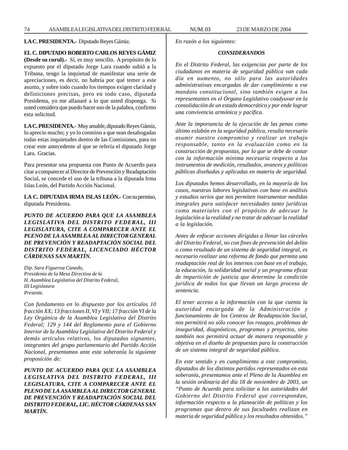# **LA C. PRESIDENTA.-** Diputado Reyes Gámiz.

# **EL C. DIPUTADO ROBERTO CARLOS REYES GÁMIZ**

**(Desde su curul).-** Sí, es muy sencillo. A propósito de lo expuesto por el diputado Jorge Lara cuando subió a la Tribuna, tengo la inquietud de manifestar una serie de apreciaciones, es decir, no habría por qué temer a este asunto, y sobre todo cuando los tiempos exigen claridad y definiciones precisas, pero en todo caso, diputada Presidenta, yo me allanaré a lo que usted disponga. Si usted considera que puedo hacer uso de la palabra, confirmo esta solicitud.

**LA C. PRESIDENTA.-** Muy amable, diputado Reyes Gámiz, lo aprecio mucho; y yo lo conmino a que sean desahogadas todas estas inquietudes dentro de las Comisiones, para no crear este antecedente al que se refería el diputado Jorge Lara. Gracias.

Para presentar una propuesta con Punto de Acuerdo para citar a comparecer al Director de Prevención y Readaptación Social, se concede el uso de la tribuna a la diputada Irma Islas León, del Partido Acción Nacional.

**LA C. DIPUTADA IRMA ISLAS LEÓN.-** Con su permiso, diputada Presidenta.

*PUNTO DE ACUERDO PARA QUE LA ASAMBLEA LEGISLATIVA DEL DISTRITO FEDERAL, III LEGISLATURA, CITE A COMPARECER ANTE EL PLENO DE LA ASAMBLEA AL DIRECTOR GENERAL DE PREVENCIÓN Y READAPTACIÓN SOCIAL DEL DISTRITO FEDERAL, LICENCIADO HÉCTOR CÁRDENAS SAN MARTÍN.*

*Dip. Sara Figueroa Canedo, Presidenta de la Mesa Directiva de la H. Asamblea Legislativa del Distrito Federal, III Legislatura Presente.*

*Con fundamento en lo dispuesto por los artículos 10 fracción XX; 13 fracciones II, VI y VII; 17 fracción VI de la Ley Orgánica de la Asamblea Legislativa del Distrito Federal; 129 y 144 del Reglamento para el Gobierno Interior de la Asamblea Legislativa del Distrito Federal y demás artículos relativos, los diputados signantes, integrantes del grupo parlamentario del Partido Acción Nacional, presentamos ante esta soberanía la siguiente proposición de:*

*PUNTO DE ACUERDO PARA QUE LA ASAMBLEA LEGISLATIVA DEL DISTRITO FEDERAL, III LEGISLATURA, CITE A COMPARECER ANTE EL PLENO DE LA ASAMBLEA AL DIRECTOR GENERAL DE PREVENCIÓN Y READAPTACIÓN SOCIAL DEL DISTRITO FEDERAL, LIC. HÉCTOR CÁRDENAS SAN MARTÍN.*

*En razón a los siguientes:*

# *CONSIDERANDOS*

*En el Distrito Federal, las exigencias por parte de los ciudadanos en materia de seguridad pública van cada día en aumento, no sólo para las autoridades administrativas encargadas de dar cumplimiento a ese mandato constitucional, sino también exigen a los representantes en el Órgano Legislativo coadyuvar en la consolidación de un estado democrático y por ende lograr una convivencia armónica y pacífica.*

*Ante la importancia de la ejecución de las penas como último eslabón en la seguridad pública, resulta necesario asumir nuestro compromiso y realizar un trabajo responsable, tanto en la evaluación como en la construcción de propuestas, por lo que se debe de contar con la información mínima necesaria respecto a los instrumentos de medición, resultados, avances y políticas públicas diseñadas y aplicadas en materia de seguridad.*

*Los diputados hemos desarrollado, en la mayoría de los casos, nuestras labores legislativas con base en análisis y estudios serios que nos permiten instrumentar medidas integrales para satisfacer necesidades tanto jurídicas como materiales con el propósito de adecuar la legislación a la realidad y no tratar de adecuar la realidad a la legislación.*

*Antes de enfocar acciones dirigidas a llenar las cárceles del Distrito Federal, no con fines de prevención del delito o como resultado de un sistema de seguridad integral, es necesario realizar una reforma de fondo que permita una readaptación real de los internos con base en el trabajo, la educación, la solidaridad social y un programa eficaz de impartición de justicia que determine la condición jurídica de todos los que llevan un largo proceso de sentencia.*

*El tener acceso a la información con la que cuenta la autoridad encargada de la Administración y funcionamiento de los Centros de Readaptación Social, nos permitirá no sólo conocer los rezagos, problemas de inseguridad, diagnósticos, programas y proyectos, sino también nos permitirá actuar de manera responsable y objetiva en el diseño de propuestas para la construcción de un sistema integral de seguridad pública.*

*En este sentido y en cumplimiento a este compromiso, diputados de los distintos partidos representados en esta soberanía, presentamos ante el Pleno de la Asamblea en la sesión ordinaria del día 18 de noviembre de 2003, un ''Punto de Acuerdo para solicitar a las autoridades del Gobierno del Distrito Federal que correspondan, información respecto a la planeación de políticas y los programas que dentro de sus facultades realizan en materia de seguridad pública y los resultados obtenidos.''*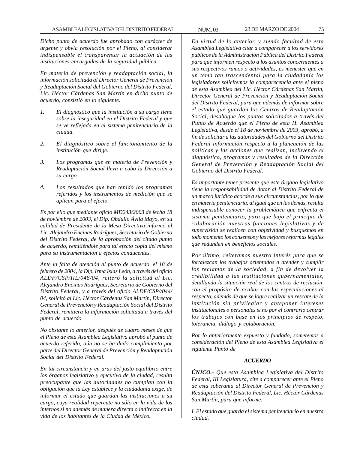*Dicho punto de acuerdo fue aprobado con carácter de urgente y obvia resolución por el Pleno, al considerar indispensable el transparentar la actuación de las instituciones encargadas de la seguridad pública.*

*En materia de prevención y readaptación social, la información solicitada al Director General de Prevención y Readaptación Social del Gobierno del Distrito Federal, Lic. Héctor Cárdenas San Martín en dicho punto de acuerdo, consistió en lo siguiente.*

- *1. El diagnóstico que la institución a su cargo tiene sobre la inseguridad en el Distrito Federal y que se ve reflejada en el sistema penitenciario de la ciudad.*
- *2. El diagnóstico sobre el funcionamiento de la institución que dirige.*
- *3. Los programas que en materia de Prevención y Readaptación Social lleva a cabo la Dirección a su cargo.*
- *4. Los resultados que han tenido los programas referidos y los instrumentos de medición que se aplican para el efecto.*

*Es por ello que mediante oficio MD243/2003 de fecha 18 de noviembre de 2003, el Dip. Obdulio Ávila Mayo, en su calidad de Presidente de la Mesa Directiva informó al Lic. Alejandro Encinas Rodríguez, Secretario de Gobierno del Distrito Federal, de la aprobación del citado punto de acuerdo, remitiéndole para tal efecto copia del mismo para su instrumentación a efectos conducentes.*

*Ante la falta de atención al punto de acuerdo, el 18 de febrero de 2004, la Dip. Irma Islas León, a través del oficio ALDF/CSP/IIL/048/04, reiteró la solicitud al Lic. Alejandro Encinas Rodríguez, Secretario de Gobierno del Distrito Federal, y a través del oficio ALDF/CSP//044/ 04, solicitó al Lic. Héctor Cárdenas San Martín, Director General de Prevención y Readaptación Social del Distrito Federal, remitiera la información solicitada a través del punto de acuerdo.*

*No obstante lo anterior, después de cuatro meses de que el Pleno de esta Asamblea Legislativa aprobó el punto de acuerdo referido, aún no se ha dado cumplimiento por parte del Director General de Prevención y Readaptación Social del Distrito Federal.*

*En tal circunstancia y en aras del justo equilibrio entre los órganos legislativo y ejecutivo de la ciudad, resulta preocupante que las autoridades no cumplan con la obligación que la Ley establece y la ciudadanía exige, de informar el estado que guardan las instituciones a su cargo, cuya realidad repercute no sólo en la vida de los internos si no además de manera directa o indirecta en la vida de los habitantes de la Ciudad de México.*

*En virtud de lo anterior, y siendo facultad de esta Asamblea Legislativa citar a comparecer a los servidores públicos de la Administración Pública del Distrito Federal para que informen respecto a los asuntos concernientes a sus respectivos ramos o actividades, es menester que en un tema tan trascendental para la ciudadanía los legisladores solicitemos la comparecencia ante el pleno de esta Asamblea del Lic. Héctor Cárdenas San Martín, Director General de Prevención y Readaptación Social del Distrito Federal, para que además de informar sobre el estado que guardan los Centros de Readaptación Social, desahogue los puntos solicitados a través del Punto de Acuerdo que el Pleno de esta H. Asamblea Legislativa, desde el 18 de noviembre de 2003, aprobó, a fin de solicitar a las autoridades del Gobierno del Distrito Federal información respecto a la planeación de las políticas y las acciones que realizan, incluyendo el diagnóstico, programas y resultados de la Dirección General de Prevención y Readaptación Social del Gobierno del Distrito Federal.*

*Es importante tener presente que este órgano legislativo tiene la responsabilidad de dotar al Distrito Federal de un marco jurídico acorde a sus circunstancias, por lo que en materia penitenciaria, al igual que en las demás, resulta indispensable conocer la problemática que enfrenta el sistema penitenciario, para que bajo el principio de colaboración nuestras funciones legislativas y de supervisión se realicen con objetividad y busquemos en todo momento los consensos y las mejores reformas legales que redunden en beneficios sociales.*

*Por último, reiteramos nuestro interés para que se fortalezcan los trabajos orientados a atender y cumplir los reclamos de la sociedad, a fin de devolver la credibilidad a las instituciones gubernamentales, detallando la situación real de los centros de reclusión, con el propósito de acabar con las especulaciones al respecto, además de que se logre realizar un rescate de la institución sin privilegiar y anteponer intereses institucionales o personales si no por el contrario centrar los trabajos con base en los principios de respeto, tolerancia, diálogo y colaboración.*

*Por lo anteriormente expuesto y fundado, sometemos a consideración del Pleno de esta Asamblea Legislativa el siguiente Punto de*

# *ACUERDO*

*ÚNICO.- Que esta Asamblea Legislativa del Distrito Federal, III Legislatura, cite a comparecer ante el Pleno de esta soberanía al Director General de Prevención y Readaptación del Distrito Federal, Lic. Héctor Cárdenas San Martín, para que informe:*

*I. El estado que guarda el sistema penitenciario en nuestra ciudad.*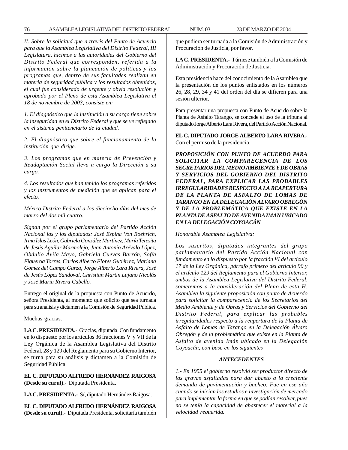*II. Sobre la solicitud que a través del Punto de Acuerdo para que la Asamblea Legislativa del Distrito Federal, III Legislatura, hicimos a las autoridades del Gobierno del Distrito Federal que corresponden, referida a la información sobre la planeación de políticas y los programas que, dentro de sus facultades realizan en materia de seguridad pública y los resultados obtenidos, el cual fue considerado de urgente y obvia resolución y aprobado por el Pleno de esta Asamblea Legislativa el 18 de noviembre de 2003, consiste en:*

*1. El diagnóstico que la institución a su cargo tiene sobre la inseguridad en el Distrito Federal y que se ve reflejado en el sistema penitenciario de la ciudad.*

*2. El diagnóstico que sobre el funcionamiento de la institución que dirige.*

*3. Los programas que en materia de Prevención y Readaptación Social lleva a cargo la Dirección a su cargo.*

*4. Los resultados que han tenido los programas referidos y los instrumentos de medición que se aplican para el efecto.*

*México Distrito Federal a los dieciocho días del mes de marzo del dos mil cuatro.*

*Signan por el grupo parlamentario del Partido Acción Nacional las y los diputados: José Espina Von Roehrich, Irma Islas León, Gabriela González Martínez, María Teresita de Jesús Aguilar Marmolejo, Juan Antonio Arévalo López, Obdulio Ávila Mayo, Gabriela Cuevas Barrón, Sofía Figueroa Torres, Carlos Alberto Flores Gutiérrez, Mariana Gómez del Campo Gurza, Jorge Alberto Lara Rivera, José de Jesús López Sandoval, Christian Martín Lujano Nicolás y José María Rivera Cabello.*

Entrego el original de la propuesta con Punto de Acuerdo, señora Presidenta, al momento que solicito que sea turnada para su análisis y dictamen a la Comisión de Seguridad Pública.

Muchas gracias.

**LA C. PRESIDENTA.-** Gracias, diputada. Con fundamento en lo dispuesto por los artículos 36 fracciones V y VII de la Ley Orgánica de la Asamblea Legislativa del Distrito Federal, 28 y 129 del Reglamento para su Gobierno Interior, se turna para su análisis y dictamen a la Comisión de Seguridad Pública.

**EL C. DIPUTADO ALFREDO HERNÁNDEZ RAIGOSA (Desde su curul).-** Diputada Presidenta.

**LA C. PRESIDENTA.-** Sí, diputado Hernández Raigosa.

**EL C. DIPUTADO ALFREDO HERNÁNDEZ RAIGOSA (Desde su curul).-** Diputada Presidenta, solicitaría también que pudiera ser turnada a la Comisión de Administración y Procuración de Justicia, por favor.

**LA C. PRESIDENTA.-** Túrnese también a la Comisión de Administración y Procuración de Justicia.

Esta presidencia hace del conocimiento de la Asamblea que la presentación de los puntos enlistados en los números 26, 28, 29, 34 y 41 del orden del día se difieren para una sesión ulterior.

Para presentar una propuesta con Punto de Acuerdo sobre la Planta de Asfalto Tarango, se concede el uso de la tribuna al diputado Jorge Alberto Lara Rivera, del Partido Acción Nacional.

**EL C. DIPUTADO JORGE ALBERTO LARA RIVERA.-** Con el permiso de la presidencia.

*PROPOSICIÓN CON PUNTO DE ACUERDO PARA SOLICITAR LA COMPARECENCIA DE LOS SECRETARIOS DEL MEDIO AMBIENTE Y DE OBRAS Y SERVICIOS DEL GOBIERNO DEL DISTRITO FEDERAL, PARA EXPLICAR LAS PROBABLES IRREGULARIDADES RESPECTO A LA REAPERTURA DE LA PLANTA DE ASFALTO DE LOMAS DE TARANGO EN LA DELEGACIÓN ALVARO OBREGÓN Y DE LA PROBLEMÁTICA QUE EXISTE EN LA PLANTA DE ASFALTO DE AVENIDA IMAN UBICADO EN LA DELEGACIÓN COYOACÁN*

*Honorable Asamblea Legislativa:*

*Los suscritos, diputados integrantes del grupo parlamentario del Partido Acción Nacional con fundamento en lo dispuesto por la fracción VI del artículo 17 de la Ley Orgánica, párrafo primero del artículo 90 y el artículo 129 del Reglamento para el Gobierno Interior, ambos de la Asamblea Legislativa del Distrito Federal, sometemos a la consideración del Pleno de esta H. Asamblea la siguiente proposición con punto de Acuerdo para solicitar la comparecencia de los Secretarios del Medio Ambiente y de Obras y Servicios del Gobierno del Distrito Federal, para explicar las probables irregularidades respecto a la reapertura de la Planta de Asfalto de Lomas de Tarango en la Delegación Álvaro Obregón y de la problemática que existe en la Planta de Asfalto de avenida Imán ubicado en la Delegación Coyoacán, con base en los siguientes*

# *ANTECEDENTES*

*1.- En 1955 el gobierno resolvió ser productor directo de las gravas asfaltadas para dar abasto a la creciente demanda de pavimentación y bacheo. Fue en ese año cuando se inician los estudios e investigación de mercado para implementar la forma en que se podían resolver, pues no se tenía la capacidad de abastecer el material a la velocidad requerida.*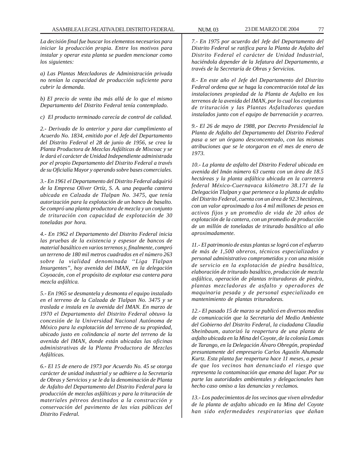*La decisión final fue buscar los elementos necesarios para iniciar la producción propia. Entre los motivos para instalar y operar esta planta se pueden mencionar como los siguientes:*

*a) Las Plantas Mezcladoras de Administración privada no tenían la capacidad de producción suficiente para cubrir la demanda.*

*b) El precio de venta iba más allá de lo que el mismo Departamento del Distrito Federal tenía contemplado.*

*c) El producto terminado carecía de control de calidad.*

*2.- Derivado de lo anterior y para dar cumplimiento al Acuerdo No. 1834, emitido por el Jefe del Departamento del Distrito Federal el 28 de junio de 1956, se crea la Planta Productora de Mezclas Asfálticas de Mixcoac y se le dará el carácter de Unidad Independiente administrada por el propio Departamento del Distrito Federal a través de su Oficialía Mayor y operando sobre bases comerciales.*

*3.- En 1961 el Departamento del Distrito Federal adquirió de la Empresa Oliver Ortíz, S. A. una pequeña cantera ubicada en Calzada de Tlalpan No. 3475, que tenía autorización para la explotación de un banco de basalto. Se compró una planta productora de mezcla y un conjunto de trituración con capacidad de explotación de 30 toneladas por hora.*

*4.- En 1962 el Departamento del Distrito Federal inicia las pruebas de la existencia y espesor de bancos de material basáltico en varios terrenos y, finalmente, compró un terreno de 180 mil metros cuadrados en el número 263 sobre la vialidad denominada ''Liga Tlalpan Insurgentes'', hoy avenida del IMAN, en la delegación Coyoacán, con el propósito de explotar esa cantera para mezcla asfáltica.*

*5.- En 1965 se desmantela y desmonta el equipo instalado en el terreno de la Calzada de Tlalpan No. 3475 y se traslada e instala en la avenida del IMAN. En marzo de 1970 el Departamento del Distrito Federal obtuvo la concesión de la Universidad Nacional Autónoma de México para la explotación del terreno de su propiedad, ubicado justo en colindancia al norte del terreno de la avenida del IMAN, donde están ubicadas las oficinas administrativas de la Planta Productora de Mezclas Asfálticas.*

*6.- El 15 de enero de 1973 por Acuerdo No. 45 se otorga carácter de unidad industrial y se adhiere a la Secretaría de Obras y Servicios y se le da la denominación de Planta de Asfalto del Departamento del Distrito Federal para la producción de mezclas asfálticas y para la trituración de materiales pétreos destinados a la construcción y conservación del pavimento de las vías públicas del Distrito Federal.*

*7.- En 1975 por acuerdo del Jefe del Departamento del Distrito Federal se ratifica para la Planta de Asfalto del Distrito Federal el carácter de Unidad Industrial, haciéndola depender de la Jefatura del Departamento, a través de la Secretaría de Obras y Servicios.*

*8.- En este año el Jefe del Departamento del Distrito Federal ordena que se haga la concentración total de las instalaciones propiedad de la Planta de Asfalto en los terrenos de la avenida del IMAN, por lo cual los conjuntos de trituración y las Plantas Asfaltadoras quedan instalados junto con el equipo de barrenación y acarreo.*

*9.- El 26 de mayo de 1988, por Decreto Presidencial la Planta de Asfalto del Departamento del Distrito Federal pasa a ser un órgano desconcentrado, con las mismas atribuciones que se le otorgaron en el mes de enero de 1973.*

*10.- La planta de asfalto del Distrito Federal ubicada en avenida del Imán número 63 cuenta con un área de 18.5 hectáreas y la planta asfáltica ubicada en la carretera federal México-Cuernavaca kilómetro 38.171 de la Delegación Tlalpan y que pertenece a la planta de asfalto del Distrito Federal, cuenta con un área de 92.3 hectáreas, con un valor aproximado a los 4 mil millones de pesos en activos fijos y un promedio de vida de 20 años de explotación de la cantera, con un promedio de producción de un millón de toneladas de triturado basáltico al año aproximadamente.*

*11.- El patrimonio de estas plantas se logró con el esfuerzo de más de 1,500 obreros, técnicos especializados y personal administrativo comprometidos y con una misión de servicio en la explotación de piedra basáltica, elaboración de triturado basáltico, producción de mezcla asfáltica, operación de plantas trituradoras de piedra, plantas mezcladoras de asfalto y operadores de maquinaria pesada y de personal especializado en mantenimiento de plantas trituradoras.*

*12.- El pasado 15 de marzo se publicó en diversos medios de comunicación que la Secretaria del Medio Ambiente del Gobierno del Distrito Federal, la ciudadana Claudia Sheinbaum, autorizó la reapertura de una planta de asfalto ubicada en la Mina del Coyote, de la colonia Lomas de Tarango, en la Delegación Álvaro Obregón, propiedad presuntamente del empresario Carlos Agustín Ahumada Kurtz. Esta planta fue reapertura hace 11 meses, a pesar de que los vecinos han denunciado el riesgo que representa la contaminación que emana del lugar. Por su parte las autoridades ambientales y delegacionales han hecho caso omiso a las denuncias y reclamos.*

*13.- Los padecimientos de los vecinos que viven alrededor de la planta de asfalto ubicado en la Mina del Coyote han sido enfermedades respiratorias que dañan*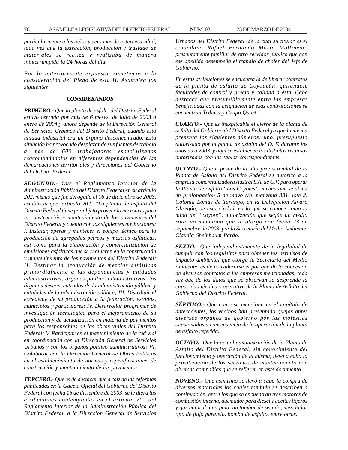*particularmente a los niños y personas de la tercera edad, toda vez que la extracción, producción y traslado de materiales se realiza y realizaba de manera ininterrumpida la 24 horas del día.*

*Por lo anteriormente expuesto, sometemos a la consideración del Pleno de esta H. Asamblea los siguientes*

#### *CONSIDERANDOS*

*PRIMERO.- Que la planta de asfalto del Distrito Federal estuvo cerrada por más de 6 meses, de julio de 2003 a enero de 2004 y ahora depende de la Dirección General de Servicios Urbanos del Distrito Federal, cuando esta unidad industrial era un órgano desconcentrado. Esta situación ha provocado desplazar de sus fuentes de trabajo a más de 600 trabajadores especializados reacomodándolos en diferentes dependencias de las demarcaciones territoriales y direcciones del Gobierno del Distrito Federal.*

*SEGUNDO.- Que el Reglamento Interior de la Administración Pública del Distrito Federal en su artículo 202, mismo que fue derogado el 16 de diciembre de 2003, establecía que, artículo 202: ''La planta de asfalto del Distrito Federal tiene por objeto proveer lo necesario para la construcción y mantenimiento de los pavimentos del Distrito Federal y cuenta con las siguientes atribuciones: I. Instalar, operar y mantener el equipo técnico para la producción de agregados pétreos y mezclas asfálticas, así como para la elaboración y comercialización de emulsiones asfálticas que se requieren en la construcción y mantenimiento de los pavimentos del Distrito Federal; II. Destinar la producción de mezclas asfálticas primordialmente a las dependencias y unidades administrativas, órganos político administrativos, los órganos desconcentrados de la administración pública y entidades de la administración pública; III. Distribuir el excedente de su producción a la federación, estados, municipios y particulares; IV. Desarrollar programas de investigación tecnológica para el mejoramiento de su producción y de actualización en materia de pavimentos para los responsables de las obras viales del Distrito Federal; V. Participar en el mantenimiento de la red vial en coordinación con la Dirección General de Servicios Urbanos y con los órganos político administrativos; VI. Colaborar con la Dirección General de Obras Públicas en el establecimiento de normas y especificaciones de construcción y mantenimiento de los pavimentos.*

*TERCERO.- Que es de destacar que a raíz de las reformas publicadas en la Gaceta Oficial del Gobierno del Distrito Federal con fecha 16 de diciembre de 2003, se le diera las atribuciones contempladas en el artículo 202 del Reglamento Interior de la Administración Pública del Distrito Federal, a la Dirección General de Servicios* *Urbanos del Distrito Federal, de la cual su titular es el ciudadano Rafael Fernando Marín Mollinedo, presuntamente familiar de otro servidor público que con ese apellido desempeña el trabajo de chofer del Jefe de Gobierno.*

*En estas atribuciones se encuentra la de liberar contratos de la planta de asfalto de Coyoacán, quitándole facultades de control y precio y calidad a ésta. Cabe destacar que presumiblemente entre las empresas beneficiadas con la asignación de esas contrataciones se encuentran Tribasa y Grupo Quart.*

*CUARTO.- Que es inexplicable el cierre de la planta de asfalto del Gobierno del Distrito Federal ya que la misma presenta los siguientes números: uno, presupuesto autorizado por la planta de asfalto del D. F. durante los años 99 a 2003, y aquí se establecen los distintos recursos autorizados con las tablas correspondientes.*

*QUINTO.- Que a pesar de la alta productividad de la Planta de Asfalto del Distrito Federal se autorizó a la empresa comercializadora Austral S.A. de C.V. para operar la Planta de Asfalto ''Los Coyotes'', misma que se ubica en prolongación 5 de mayo s/n, manzana 381, lote 2, Colonia Lomas de Tarango, en la Delegación Alvaro Obregón, de esta ciudad, en lo que se conoce como la mina del ''coyote'', autorización que según un medio rotativo menciona que se otorgó con fecha 23 de septiembre de 2003, por la Secretaria del Medio Ambiente, Claudia Sheinbaum Pardo.*

*SEXTO.- Que independientemente de la legalidad de cumplir con los requisitos para obtener los permisos de impacto ambiental que otorga la Secretaría del Medio Ambiente, es de considerarse el por qué de la concesión de diversos contratos a las empresas mencionadas, toda vez que de los datos que se observan se desprende la capacidad técnica y operativa de la Planta de Asfalto del Gobierno del Distrito Federal.*

*SÉPTIMO.- Que como se menciona en el capítulo de antecedentes, los vecinos han presentado quejas antes diversos órganos de gobierno por las molestias ocasionadas a consecuencia de la operación de la planta de asfalto referida.*

*OCTAVO.- Que la actual administración de la Planta de Asfalto del Distrito Federal, sin conocimiento del funcionamiento y operación de la misma, llevó a cabo la privatización de los servicios de mantenimiento con diversas compañías que se refieren en este documento.*

*NOVENO.- Que asimismo se llevó a cabo la compra de diversos materiales los cuales también se describen a continuación, entre los que se encuentran tres motores de combustión interna, quemador para diesel y aceites ligeros y gas natural, una pala, un tambor de secado, mezclador tipo de flujo paralelo, bomba de asfalto, entre otros.*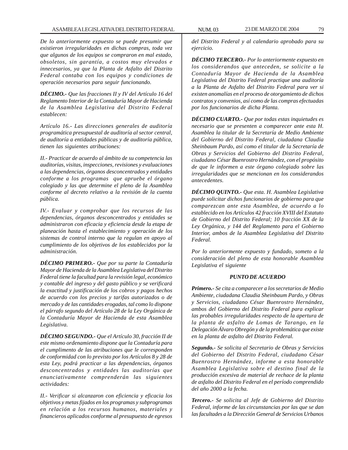*De lo anteriormente expuesto se puede presumir que existieron irregularidades en dichas compras, toda vez que algunos de los equipos se compraron en mal estado, obsoletos, sin garantía, a costos muy elevados e innecesarios, ya que la Planta de Asfalto del Distrito Federal contaba con los equipos y condiciones de operación necesarios para seguir funcionando.*

*DÉCIMO.- Que las fracciones II y IV del Artículo 16 del Reglamento Interior de la Contaduría Mayor de Hacienda de la Asamblea Legislativa del Distrito Federal establecen:*

*Artículo 16.- Las direcciones generales de auditoría programática presupuestal de auditoría al sector central, de auditoría a entidades públicas y de auditoría pública, tienen las siguientes atribuciones:*

*II.- Practicar de acuerdo al ámbito de su competencia las auditorías, visitas, inspecciones, revisiones y evaluaciones a las dependencias, órganos desconcentrados y entidades conforme a los programas que apruebe el órgano colegiado y las que determine el pleno de la Asamblea conforme al decreto relativo a la revisión de la cuenta pública.*

*IV.- Evaluar y comprobar que los recursos de las dependencias, órganos desconcentrados y entidades se administraron con eficacia y eficiencia desde la etapa de planeación hasta el establecimiento y operación de los sistemas de control interno que la regulan en apoyo al cumplimiento de los objetivos de los establecidos por la administración.*

*DÉCIMO PRIMERO.- Que por su parte la Contaduría Mayor de Hacienda de la Asamblea Legislativa del Distrito Federal tiene la facultad para la revisión legal, económico y contable del ingreso y del gasto público y se verificará la exactitud y justificación de los cobros y pagos hechos de acuerdo con los precios y tarifas autorizados o de mercado y de las cantidades erogadas, tal como lo dispone el párrafo segundo del Artículo 28 de la Ley Orgánica de la Contaduría Mayor de Hacienda de esta Asamblea Legislativa.*

*DÉCIMO SEGUNDO.- Que el Artículo 30, fracción II de este mismo ordenamiento dispone que la Contaduría para el cumplimento de las atribuciones que le corresponden de conformidad con lo previsto por los Artículos 8 y 28 de esta Ley, podrá practicar a las dependencias, órganos desconcentrados y entidades las auditorías que enunciativamente comprenderán las siguientes actividades:*

*II.- Verificar si alcanzaron con eficiencia y eficacia los objetivos y metas fijados en los programas y subprogramas en relación a los recursos humanos, materiales y financieros aplicados conforme al presupuesto de egresos*

*del Distrito Federal y al calendario aprobado para su ejercicio.*

*DÉCIMO TERCERO.- Por lo anteriormente expuesto en los considerandos que anteceden, se solicite a la Contaduría Mayor de Hacienda de la Asamblea Legislativa del Distrito Federal practique una auditoría a la Planta de Asfalto del Distrito Federal para ver si existen anomalías en el proceso de otorgamiento de dichos contratos y convenios, así como de las compras efectuadas por los funcionarios de dicha Planta.*

*DÉCIMO CUARTO.- Que por todas estas inquietudes es necesario que se presenten a comparecer ante esta H. Asamblea la titular de la Secretaría de Medio Ambiente del Gobierno del Distrito Federal, ciudadana Claudia Sheinbaum Pardo, así como el titular de la Secretaría de Obras y Servicios del Gobierno del Distrito Federal, ciudadano César Buenrostro Hernández, con el propósito de que le informen a este órgano colegiado sobre las irregularidades que se mencionan en los considerandos antecedentes.*

*DÉCIMO QUINTO.- Que esta. H. Asamblea Legislativa puede solicitar dichos funcionarios de gobierno para que comparezcan ante esta Asamblea, de acuerdo a lo establecido en los Artículos 42 fracción XVIII del Estatuto de Gobierno del Distrito Federal; 10 fracción XX de la Ley Orgánica, y 144 del Reglamento para el Gobierno Interior, ambos de la Asamblea Legislativa del Distrito Federal.*

*Por lo anteriormente expuesto y fundado, someto a la consideración del pleno de esta honorable Asamblea Legislativa el siguiente*

# *PUNTO DE ACUERDO*

*Primero.- Se cita a comparecer a los secretarios de Medio Ambiente, ciudadana Claudia Sheinbaum Pardo, y Obras y Servicios, ciudadano César Buenrostro Hernández, ambos del Gobierno del Distrito Federal para explicar las probables irregularidades respecto de la apertura de la planta de asfalto de Lomas de Tarango, en la Delegación Álvaro Obregón y de la problemática que existe en la planta de asfalto del Distrito Federal.*

*Segundo.- Se solicita al Secretario de Obras y Servicios del Gobierno del Distrito Federal, ciudadano César Buenrostro Hernández, informe a esta honorable Asamblea Legislativa sobre el destino final de la producción excesiva de material de rechace de la planta de asfalto del Distrito Federal en el período comprendido del año 2000 a la fecha.*

*Tercero.- Se solicita al Jefe de Gobierno del Distrito Federal, informe de las circunstancias por las que se dan las facultades a la Dirección General de Servicios Urbanos*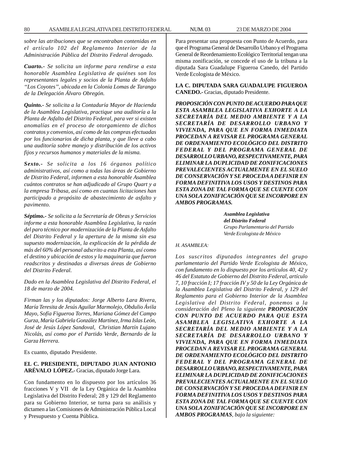*sobre las atribuciones que se encontraban contenidas en el artículo 102 del Reglamento Interior de la Administración Pública del Distrito Federal derogado.*

*Cuarto.- Se solicita un informe para rendirse a esta honorable Asamblea Legislativa de quiénes son los representantes legales y socios de la Planta de Asfalto ''Los Coyotes'', ubicada en la Colonia Lomas de Tarango de la Delegación Álvaro Obregón.*

*Quinto.- Se solicita a la Contaduría Mayor de Hacienda de la Asamblea Legislativa, practique una auditoría a la Planta de Asfalto del Distrito Federal, para ver si existen anomalías en el proceso de otorgamiento de dichos contratos y convenios, así como de las compras efectuadas por los funcionarios de dicha planta, y que lleve a cabo una auditoría sobre manejo y distribución de los activos fijos y recursos humanos y materiales de la misma.*

*Sexto.- Se solicita a los 16 órganos político administrativos, así como a todas las áreas de Gobierno de Distrito Federal, informen a esta honorable Asamblea cuántos contratos se han adjudicado al Grupo Quart y a la empresa Tribasa, así como en cuantas licitaciones han participado a propósito de abastecimiento de asfalto y pavimento.*

*Séptimo.- Se solicita a la Secretaría de Obras y Servicios informe a esta honorable Asamblea Legislativa, la razón del paro técnico por modernización de la Planta de Asfalto del Distrito Federal y la apertura de la misma sin esa supuesto modernización, la explicación de la pérdida de más del 60% del personal adscrito a esta Planta, así como el destino y ubicación de estos y la maquinaria que fueron readscritos y destinadas a diversas áreas de Gobierno del Distrito Federal.*

*Dado en la Asamblea Legislativa del Distrito Federal, el 18 de marzo de 2004.*

*Firman las y los diputados: Jorge Alberto Lara Rivera, María Teresita de Jesús Aguilar Marmolejo, Obdulio Ávila Mayo, Sofía Figueroa Torres, Mariana Gómez del Campo Gurza, María Gabriela González Martínez, Irma Islas León, José de Jesús López Sandoval, Christian Martín Lujano Nicolás, así como por el Partido Verde, Bernardo de la Garza Herrera.*

Es cuanto, diputado Presidente.

# **EL C. PRESIDENTE, DIPUTADO JUAN ANTONIO ARÉVALO LÓPEZ.-** Gracias, diputado Jorge Lara.

Con fundamento en lo dispuesto por los artículos 36 fracciones V y VII de la Ley Orgánica de la Asamblea Legislativa del Distrito Federal; 28 y 129 del Reglamento para su Gobierno Interior, se turna para su análisis y dictamen a las Comisiones de Administración Pública Local y Presupuesto y Cuenta Pública.

Para presentar una propuesta con Punto de Acuerdo, para que el Programa General de Desarrollo Urbano y el Programa General de Reordenamiento Ecológico Territorial tengan una misma zonificación, se concede el uso de la tribuna a la diputada Sara Guadalupe Figueroa Canedo, del Partido Verde Ecologista de México.

**LA C. DIPUTADA SARA GUADALUPE FIGUEROA CANEDO.-** Gracias, diputado Presidente.

*PROPOSICIÓN CON PUNTO DE ACUERDO PARA QUE ESTA ASAMBLEA LEGISLATIVA EXHORTE A LA SECRETARÍA DEL MEDIO AMBIENTE Y A LA SECRETARÍA DE DESARROLLO URBANO Y VIVIENDA, PARA QUE EN FORMA INMEDIATA PROCEDAN A REVISAR EL PROGRAMA GENERAL DE ORDENAMIENTO ECOLÓGICO DEL DISTRITO FEDERAL Y DEL PROGRAMA GENERAL DE DESARROLLO URBANO, RESPECTIVAMENTE, PARA ELIMINAR LA DUPLICIDAD DE ZONIFICACIONES PREVALECIENTES ACTUALMENTE EN EL SUELO DE CONSERVACIÓN Y SE PROCEDA A DEFINIR EN FORMA DEFINITIVA LOS USOS Y DESTINOS PARA ESTA ZONA DE TAL FORMA QUE SE CUENTE CON UNA SOLA ZONIFICACIÓN QUE SE INCORPORE EN AMBOS PROGRAMAS.*

> *Asamblea Legislativa del Distrito Federal Grupo Parlamentario del Partido Verde Ecologista de México*

#### *H. ASAMBLEA:*

*Los suscritos diputados integrantes del grupo parlamentario del Partido Verde Ecologista de México, con fundamento en lo dispuesto por los artículos 40, 42 y 46 del Estatuto de Gobierno del Distrito Federal, artículo 7, 10 fracción I; 17 fracción IV y 50 de la Ley Orgánica de la Asamblea Legislativa del Distrito Federal, y 129 del Reglamento para el Gobierno Interior de la Asamblea Legislativa del Distrito Federal, ponemos a la consideración del Pleno la siguiente PROPOSICIÓN CON PUNTO DE ACUERDO PARA QUE ESTA ASAMBLEA LEGISLATIVA EXHORTE A LA SECRETARÍA DEL MEDIO AMBIENTE Y A LA SECRETARÍA DE DESARROLLO URBANO Y VIVIENDA, PARA QUE EN FORMA INMEDIATA PROCEDAN A REVISAR EL PROGRAMA GENERAL DE ORDENAMIENTO ECOLÓGICO DEL DISTRITO FEDERAL Y DEL PROGRAMA GENERAL DE DESARROLLO URBANO, RESPECTIVAMENTE, PARA ELIMINAR LA DUPLICIDAD DE ZONIFICACIONES PREVALECIENTES ACTUALMENTE EN EL SUELO DE CONSERVACIÓN Y SE PROCEDA A DEFINIR EN FORMA DEFINITIVA LOS USOS Y DESTINOS PARA ESTA ZONA DE TAL FORMA QUE SE CUENTE CON UNA SOLA ZONIFICACIÓN QUE SE INCORPORE EN AMBOS PROGRAMAS, bajo la siguiente:*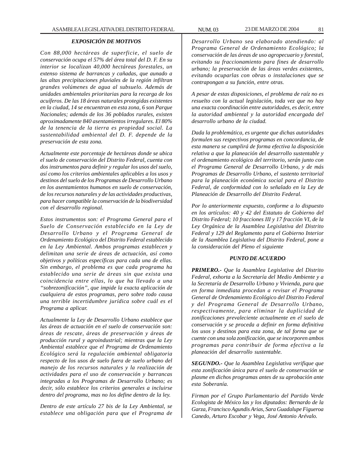# *EXPOSICIÓN DE MOTIVOS*

*Con 88,000 hectáreas de superficie, el suelo de conservación ocupa el 57% del área total del D. F. En su interior se localizan 40,000 hectáreas forestales, un extenso sistema de barrancas y cañadas, que aunado a las altas precipitaciones pluviales de la región infiltran grandes volúmenes de agua al subsuelo. Además de unidades ambientales prioritarias para la recarga de los acuíferos. De las 18 áreas naturales protegidas existentes en la ciudad, 14 se encuentran en esta zona, 6 son Parque Nacionales; además de los 36 poblados rurales, existen aproximadamente 840 asentamientos irregulares. El 80% de la tenencia de la tierra es propiedad social. La sustentabilidad ambiental del D. F. depende de la preservación de esta zona.*

*Actualmente este porcentaje de hectáreas donde se ubica el suelo de conservación del Distrito Federal, cuenta con dos instrumentos para definir y regular los usos del suelo, así como los criterios ambientales aplicables a los usos y destinos del suelo de los Programas de Desarrollo Urbano en los asentamientos humanos en suelo de conservación, de los recursos naturales y de las actividades productivas, para hacer compatible la conservación de la biodiversidad con el desarrollo regional.*

*Estos instrumentos son: el Programa General para el Suelo de Conservación establecido en la Ley de Desarrollo Urbano y el Programa General de Ordenamiento Ecológico del Distrito Federal establecido en la Ley Ambiental. Ambos programas establecen y delimitan una serie de áreas de actuación, así como objetivos y políticas específicas para cada una de ellas. Sin embargo, el problema es que cada programa ha establecido una serie de áreas sin que exista una coincidencia entre ellas, lo que ha llevado a una ''sobrezonificación'', que impide la exacta aplicación de cualquiera de estos programas, pero sobre todo causa una terrible incertidumbre jurídica sobre cuál es el Programa a aplicar.*

*Actualmente la Ley de Desarrollo Urbano establece que las áreas de actuación en el suelo de conservación son: áreas de rescate, áreas de preservación y áreas de producción rural y agroindustrial; mientras que la Ley Ambiental establece que el Programa de Ordenamiento Ecológico será la regulación ambiental obligatoria respecto de los usos de suelo fuera de suelo urbano del manejo de los recursos naturales y la realización de actividades para el uso de conservación y barrancas integradas a los Programas de Desarrollo Urbano; es decir, sólo establece los criterios generales a incluirse dentro del programa, mas no los define dentro de la ley.*

*Dentro de este artículo 27 bis de la Ley Ambiental, se establece una obligación para que el Programa de* *Desarrollo Urbano sea elaborado atendiendo: al Programa General de Ordenamiento Ecológico; la conservación de las áreas de uso agropecuario y forestal, evitando su fraccionamiento para fines de desarrollo urbano; la preservación de las áreas verdes existentes, evitando ocuparlas con obras o instalaciones que se contrapongan a su función, entre otras.*

*A pesar de estas disposiciones, el problema de raíz no es resuelto con la actual legislación, toda vez que no hay una exacta coordinación entre autoridades, es decir, entre la autoridad ambiental y la autoridad encargada del desarrollo urbano de la ciudad.*

*Dada la problemática, es urgente que dichas autoridades formulen sus respectivos programas en concordancia, de esta manera se cumplirá de forma efectiva la disposición relativa a que la planeación del desarrollo sustentable y el ordenamiento ecológico del territorio, serán junto con el Programa General de Desarrollo Urbano, y de más Programas de Desarrollo Urbano, el sustento territorial para la planeación económica social para el Distrito Federal, de conformidad con lo señalado en la Ley de Planeación de Desarrollo del Distrito Federal.*

*Por lo anteriormente expuesto, conforme a lo dispuesto en los artículos: 40 y 42 del Estatuto de Gobierno del Distrito Federal; 10 fracciones III y 17 fracción VI, de la Ley Orgánica de la Asamblea Legislativa del Distrito Federal y 129 del Reglamento para el Gobierno Interior de la Asamblea Legislativa del Distrito Federal, pone a la consideración del Pleno el siguiente*

#### *PUNTO DE ACUERDO*

*PRIMERO.- Que la Asamblea Legislativa del Distrito Federal, exhorta a la Secretaría del Medio Ambiente y a la Secretaría de Desarrollo Urbano y Vivienda, para que en forma inmediata procedan a revisar el Programa General de Ordenamiento Ecológico del Distrito Federal y del Programa General de Desarrollo Urbano, respectivamente, para eliminar la duplicidad de zonificaciones prevaleciente actualmente en el suelo de conservación y se proceda a definir en forma definitiva los usos y destinos para esta zona, de tal forma que se cuente con una sola zonificación, que se incorporen ambos programas para contribuir de forma efectiva a la planeación del desarrollo sustentable.*

*SEGUNDO.- Que la Asamblea Legislativa verifique que esta zonificación única para el suelo de conservación se plasme en dichos programas antes de su aprobación ante esta Soberanía.*

*Firman por el Grupo Parlamentario del Partido Verde Ecologista de México las y los diputados: Bernardo de la Garza, Francisco Agundis Arias, Sara Guadalupe Figueroa Canedo, Arturo Escobar y Vega, José Antonio Arévalo.*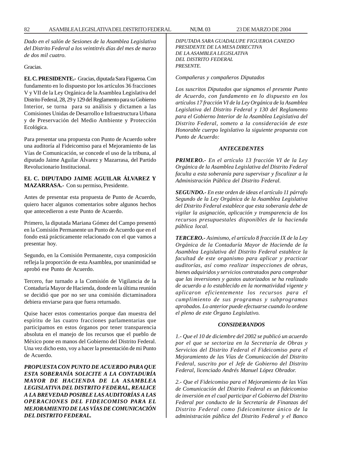*Dado en el salón de Sesiones de la Asamblea Legislativa del Distrito Federal a los veintitrés días del mes de marzo de dos mil cuatro.*

Gracias.

**EL C. PRESIDENTE.-** Gracias, diputada Sara Figueroa. Con fundamento en lo dispuesto por los artículos 36 fracciones V y VII de la Ley Orgánica de la Asamblea Legislativa del Distrito Federal, 28, 29 y 129 del Reglamento para su Gobierno Interior, se turna para su análisis y dictamen a las Comisiones Unidas de Desarrollo e Infraestructura Urbana y de Preservación del Medio Ambiente y Protección Ecológica.

Para presentar una propuesta con Punto de Acuerdo sobre una auditoría al Fideicomiso para el Mejoramiento de las Vías de Comunicación, se concede el uso de la tribuna, al diputado Jaime Aguilar Álvarez y Mazarrasa, del Partido Revolucionario Institucional.

# **EL C. DIPUTADO JAIME AGUILAR ÁLVAREZ Y MAZARRASA.-** Con su permiso, Presidente.

Antes de presentar esta propuesta de Punto de Acuerdo, quiero hacer algunos comentarios sobre algunos hechos que antecedieron a este Punto de Acuerdo.

Primero, la diputada Mariana Gómez del Campo presentó en la Comisión Permanente un Punto de Acuerdo que en el fondo está prácticamente relacionado con el que vamos a presentar hoy.

Segundo, en la Comisión Permanente, cuya composición refleja la proporción de esta Asamblea, por unanimidad se aprobó ese Punto de Acuerdo.

Tercero, fue turnado a la Comisión de Vigilancia de la Contaduría Mayor de Hacienda, donde en la última reunión se decidió que por no ser una comisión dictaminadora debiera enviarse para que fuera returnado.

Quise hacer estos comentarios porque dan muestra del espíritu de las cuatro fracciones parlamentarias que participamos en estos órganos por tener transparencia absoluta en el manejo de los recursos que el pueblo de México pone en manos del Gobierno del Distrito Federal. Una vez dicho esto, voy a hacer la presentación de mi Punto de Acuerdo.

*PROPUESTA CON PUNTO DE ACUERDO PARA QUE ESTA SOBERANÍA SOLICITE A LA CONTADURÍA MAYOR DE HACIENDA DE LA ASAMBLEA LEGISLATIVA DEL DISTRITO FEDERAL, REALICE A LA BREVEDAD POSIBLE LAS AUDITORÍAS A LAS OPERACIONES DEL FIDEICOMISO PARA EL MEJORAMIENTO DE LAS VÍAS DE COMUNICACIÓN DEL DISTRITO FEDERAL.*

*DIPUTADA SARA GUADALUPE FIGUEROA CANEDO PRESIDENTE DE LA MESA DIRECTIVA DE LA ASAMBLEA LEGISLATIVA DEL DISTRITO FEDERAL PRESENTE.*

*Compañeras y compañeros Diputados*

*Los suscritos Diputados que signamos el presente Punto de Acuerdo, con fundamento en lo dispuesto en los artículos 17 fracción VI de la Ley Orgánica de la Asamblea Legislativa del Distrito Federal y 130 del Reglamento para el Gobierno Interior de la Asamblea Legislativa del Distrito Federal, someto a la consideración de este Honorable cuerpo legislativo la siguiente propuesta con Punto de Acuerdo:*

## *ANTECEDENTES*

*PRIMERO.- En el artículo 13 fracción VI de la Ley Orgánica de la Asamblea Legislativa del Distrito Federal faculta a esta soberanía para supervisar y fiscalizar a la Administración Pública del Distrito Federal.*

*SEGUNDO.- En este orden de ideas el artículo 11 párrafo Segundo de la Ley Orgánica de la Asamblea Legislativa del Distrito Federal establece que esta soberanía debe de vigilar la asignación, aplicación y transparencia de los recursos presupuestales disponibles de la hacienda pública local.*

*TERCERO.- Asimismo, el artículo 8 fracción IX de la Ley Orgánica de la Contaduría Mayor de Hacienda de la Asamblea Legislativa del Distrito Federal establece la facultad de este organismo para aplicar y practicar auditorías, así como realizar inspecciones de obras, bienes adquiridos y servicios contratados para comprobar que las inversiones y gastos autorizados se ha realizado de acuerdo a lo establecido en la normatividad vigente y aplicaron eficientemente los recursos para el cumplimiento de sus programas y subprogramas aprobados. Lo anterior puede efectuarse cuando lo ordene el pleno de este Órgano Legislativo.*

# *CONSIDERANDOS*

*1.- Que el 10 de diciembre del 2002 se publicó un acuerdo por el que se sectoriza en la Secretaría de Obras y Servicios del Distrito Federal el Fideicomiso para el Mejoramiento de las Vías de Comunicación del Distrito Federal, suscrito por el Jefe de Gobierno del Distrito Federal, licenciado Andrés Manuel López Obrador.*

*2.- Que el Fideicomiso para el Mejoramiento de las Vías de Comunicación del Distrito Federal es un fideicomiso de inversión en el cual participar el Gobierno del Distrito Federal por conducto de la Secretaría de Finanzas del Distrito Federal como fideicomitente único de la administración pública del Distrito Federal y el Banco*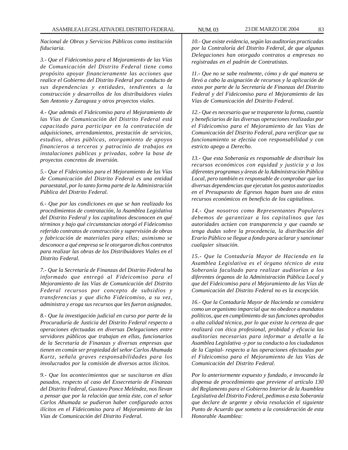*Nacional de Obras y Servicios Públicos como institución fiduciaria.*

*3.- Que el Fideicomiso para el Mejoramiento de las Vías de Comunicación del Distrito Federal tiene como propósito apoyar financieramente las acciones que realice el Gobierno del Distrito Federal por conducto de sus dependencias y entidades, tendientes a la construcción y desarrollos de los distribuidores viales San Antonio y Zaragoza y otros proyectos viales.*

*4.- Que además el Fideicomiso para el Mejoramiento de las Vías de Comunicación del Distrito Federal está capacitado para participar en la contratación de adquisiciones, arrendamientos, prestación de servicios, estudios, obras públicas, otorgamiento de apoyos financieros a terceros y patrocinio de trabajos en instalaciones públicas y privadas, sobre la base de proyectos concretos de inversión.*

*5.- Que el Fideicomiso para el Mejoramiento de las Vías de Comunicación del Distrito Federal es una entidad paraestatal, por lo tanto forma parte de la Administración Pública del Distrito Federal.*

*6.- Que por las condiciones en que se han realizado los procedimientos de contratación, la Asamblea Legislativa del Distrito Federal y los capitalinos desconocen en qué términos y bajo qué circunstancias otorgó el Fideicomiso referido contratos de construcción y supervisión de obras y fabricación de materiales para ellas; asimismo se desconoce a qué empresa se le otorgaron dichos contratos para realizar las obras de los Distribuidores Viales en el Distrito Federal.*

*7.- Que la Secretaría de Finanzas del Distrito Federal ha informado que entregó al Fideicomiso para el Mejoramiento de las Vías de Comunicación del Distrito Federal recursos por concepto de subsidios y transferencias y que dicho Fideicomiso, a su vez, administra y eroga sus recursos que les fueron asignados.*

*8.- Que la investigación judicial en curso por parte de la Procuraduría de Justicia del Distrito Federal respecto a operaciones efectuadas en diversas Delegaciones entre servidores públicos que trabajan en ellas, funcionarios de la Secretaría de Finanzas y diversas empresas que tienen en común ser propiedad del señor Carlos Ahumada Kurtz, señala graves responsabilidades para los involucrados por la comisión de diversos actos ilícitos.*

*9.- Que los acontecimientos que se suscitaron en días pasados, respecto al caso del Exsecretario de Finanzas del Distrito Federal, Gustavo Ponce Meléndez, nos llevan a pensar que por la relación que tenía éste, con el señor Carlos Ahumada se pudieron haber configurado actos ilícitos en el Fideicomiso para el Mejoramiento de las Vías de Comunicación del Distrito Federal.*

*10.- Que existe evidencia, según las auditorías practicadas por la Contraloría del Distrito Federal, de que algunas Delegaciones han otorgado contratos a empresas no registradas en el padrón de Contratistas.*

*11.- Que no se sabe realmente, cómo y de qué manera se llevó a cabo la asignación de recursos y la aplicación de estos por parte de la Secretaría de Finanzas del Distrito Federal y del Fideicomiso para el Mejoramiento de las Vías de Comunicación del Distrito Federal.*

*12.- Que es necesario que se trasparente la forma, cuantía y beneficiarios de las diversas operaciones realizadas por el Fideicomiso para el Mejoramiento de las Vías de Comunicación del Distrito Federal, para verificar que su funcionamiento se efectúa con responsabilidad y con estricto apego a Derecho.*

*13.- Que esta Soberanía es responsable de distribuir los recursos económicos con equidad y justicia y a los diferentes programas y áreas de la Administración Pública Local, pero también es responsable de comprobar que las diversas dependencias que ejecutan los gastos autorizados en el Presupuesto de Egresos hagan buen uso de estos recursos económicos en beneficio de los capitalinos.*

*14.- Que nosotros como Representantes Populares debemos de garantizar a los capitalinos que las autoridades actúen con transparencia y que cuando se tenga dudas sobre la procedencia, la distribución del Erario Público se llegue a fondo para aclarar y sancionar cualquier situación.*

*15.- Que la Contaduría Mayor de Hacienda en la Asamblea Legislativa es el órgano técnico de esta Soberanía facultado para realizar auditorías a los diferentes órganos de la Administración Pública Local y que del Fideicomiso para el Mejoramiento de las Vías de Comunicación del Distrito Federal no es la excepción.*

*16.- Que la Contaduría Mayor de Hacienda se considera como un organismo imparcial que no obedece a mandatos políticos, que en cumplimiento de sus funciones aprobados o alta calidad técnica, por lo que existe la certeza de que realizará con ética profesional, probidad y eficacia las auditorías necesarias para informar a detalle a la Asamblea Legislativa -y por su conducto a los ciudadanos de la Capital- respecto a las operaciones efectuadas por el Fideicomiso para el Mejoramiento de las Vías de Comunicación del Distrito Federal.*

*Por lo anteriormente expuesto y fundado, e invocando la dispensa de procedimiento que previene el artículo 130 del Reglamento para el Gobierno Interior de la Asamblea Legislativa del Distrito Federal, pedimos a esta Soberanía que declare de urgente y obvia resolución el siguiente Punto de Acuerdo que someto a la consideración de esta Honorable Asamblea:*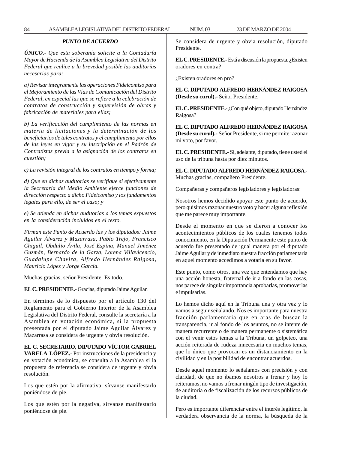## *PUNTO DE ACUERDO*

*ÚNICO.- Que esta soberanía solicite a la Contaduría Mayor de Hacienda de la Asamblea Legislativa del Distrito Federal que realice a la brevedad posible las auditorías necesarias para:*

*a) Revisar íntegramente las operaciones Fideicomiso para el Mejoramiento de las Vías de Comunicación del Distrito Federal, en especial las que se refiere a la celebración de contratos de construcción y supervisión de obras y fabricación de materiales para ellas;*

*b) La verificación del cumplimiento de las normas en materia de licitaciones y la determinación de los beneficiarios de tales contratos y el cumplimiento por ellos de las leyes en vigor y su inscripción en el Padrón de Contratistas previa a la asignación de los contratos en cuestión;*

*c) La revisión integral de los contratos en tiempo y forma;*

*d) Que en dichas auditorías se verifique si efectivamente la Secretaría del Medio Ambiente ejerce funciones de dirección respecto a dicho Fideicomiso y los fundamentos legales para ello, de ser el caso; y*

*e) Se atienda en dichas auditorías a los temas expuestos en la consideración incluidos en el texto.*

*Firman este Punto de Acuerdo las y los diputados: Jaime Aguilar Álvarez y Mazarrasa, Pablo Trejo, Francisco Chiguil, Obdulio Ávila, José Espina, Manuel Jiménez Guzmán, Bernardo de la Garza, Lorena Villavicencio, Guadalupe Chavira, Alfredo Hernández Raigosa, Mauricio López y Jorge García.*

Muchas gracias, señor Presidente. Es todo.

**EL C. PRESIDENTE.-** Gracias, diputado Jaime Aguilar.

En términos de lo dispuesto por el artículo 130 del Reglamento para el Gobierno Interior de la Asamblea Legislativa del Distrito Federal, consulte la secretaría a la Asamblea en votación económica, si la propuesta presentada por el diputado Jaime Aguilar Álvarez y Mazarrasa se considera de urgente y obvia resolución.

# **EL C. SECRETARIO, DIPUTADO VÍCTOR GABRIEL**

**VARELA LÓPEZ.-** Por instrucciones de la presidencia y en votación económica, se consulta a la Asamblea si la propuesta de referencia se considera de urgente y obvia resolución.

Los que estén por la afirmativa, sírvanse manifestarlo poniéndose de pie.

Los que estén por la negativa, sírvanse manifestarlo poniéndose de pie.

Se considera de urgente y obvia resolución, diputado Presidente.

**EL C. PRESIDENTE.-** Está a discusión la propuesta. ¿Existen oradores en contra?

¿Existen oradores en pro?

**EL C. DIPUTADO ALFREDO HERNÁNDEZ RAIGOSA (Desde su curul).-** Señor Presidente.

**EL C. PRESIDENTE.-** ¿Con qué objeto, diputado Hernández Raigosa?

**EL C. DIPUTADO ALFREDO HERNÁNDEZ RAIGOSA (Desde su curul).-** Señor Presidente, si me permite razonar mi voto, por favor.

**EL C. PRESIDENTE.-** Sí, adelante, diputado, tiene usted el uso de la tribuna hasta por diez minutos.

**EL C. DIPUTADO ALFREDO HERNÁNDEZ RAIGOSA.-** Muchas gracias, compañero Presidente.

Compañeras y compañeros legisladores y legisladoras:

Nosotros hemos decidido apoyar este punto de acuerdo, pero quisimos razonar nuestro voto y hacer alguna reflexión que me parece muy importante.

Desde el momento en que se dieron a conocer los acontecimientos públicos de los cuales tenemos todos conocimiento, en la Diputación Permanente este punto de acuerdo fue presentado de igual manera por el diputado Jaime Aguilar y de inmediato nuestra fracción parlamentaria en aquel momento accedimos a votarla en su favor.

Este punto, como otros, una vez que entendamos que hay una acción honesta, fraternal de ir a fondo en las cosas, nos parece de singular importancia aprobarlas, promoverlas e impulsarlas.

Lo hemos dicho aquí en la Tribuna una y otra vez y lo vamos a seguir señalando. Nos es importante para nuestra fracción parlamentaria que en aras de buscar la transparencia, ir al fondo de los asuntos, no se intente de manera recurrente o de manera permanente o sistemática con el venir estos temas a la Tribuna, un golpeteo, una acción reiterada de rudeza innecesaria en muchos temas, que lo único que provocan es un distanciamiento en la civilidad y en la posibilidad de encontrar acuerdos.

Desde aquel momento lo señalamos con precisión y con claridad, de que no íbamos nosotros a frenar y hoy lo reiteramos, no vamos a frenar ningún tipo de investigación, de auditoría o de fiscalización de los recursos públicos de la ciudad.

Pero es importante diferenciar entre el interés legítimo, la verdadera observancia de la norma, la búsqueda de la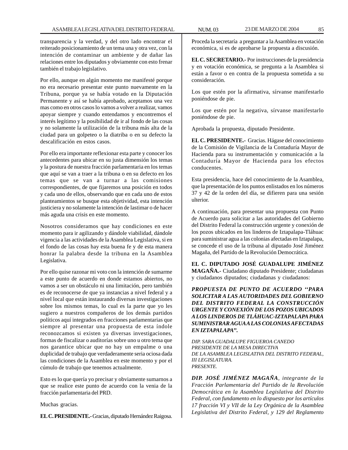transparencia y la verdad, y del otro lado encontrar el reiterado posicionamiento de un tema una y otra vez, con la intención de contaminar un ambiente y de dañar las relaciones entre los diputados y obviamente con esto frenar también el trabajo legislativo.

Por ello, aunque en algún momento me manifesté porque no era necesario presentar este punto nuevamente en la Tribuna, porque ya se había votado en la Diputación Permanente y así se había aprobado, aceptamos una vez mas como en otros casos lo vamos a volver a realizar, vamos apoyar siempre y cuando entendamos y encontremos el interés legítimo y la posibilidad de ir al fondo de las cosas y no solamente la utilización de la tribuna más alta de la ciudad para un golpeteo o la diatriba o en su defecto la descalificación en estos casos.

Por ello era importante reflexionar esta parte y conocer los antecedentes para ubicar en su justa dimensión los temas y la postura de nuestra fracción parlamentaria en los temas que aquí se van a traer a la tribuna o en su defecto en los temas que se van a turnar a las comisiones correspondientes, de que fijaremos una posición en todos y cada uno de ellos, observando que en cada uno de estos planteamientos se busque esta objetividad, esta intención justiciera y no solamente la intención de lastimar o de hacer más aguda una crisis en este momento.

Nosotros consideramos que hay condiciones en este momento para ir agilizando y dándole viabilidad, dándole vigencia a las actividades de la Asamblea Legislativa, si en el fondo de las cosas hay esta buena fe y de esta manera honrar la palabra desde la tribuna en la Asamblea Legislativa.

Por ello quise razonar mi voto con la intención de sumarme a este punto de acuerdo en donde estamos abiertos, no vamos a ser un obstáculo ni una limitación, pero también es de reconocerse de que ya instancias a nivel federal y a nivel local que están instaurando diversas investigaciones sobre los mismos temas, lo cual es la parte que yo les sugiero a nuestros compañeros de los demás partidos políticos aquí integrados en fracciones parlamentarias que siempre al presentar una propuesta de esta índole reconozcamos si existen ya diversas investigaciones, formas de fiscalizar o auditorías sobre uno u otro tema que nos garantice ubicar que no hay un empalme o una duplicidad de trabajo que verdaderamente seria ociosa dada las condiciones de la Asamblea en este momento y por el cúmulo de trabajo que tenemos actualmente.

Esto es lo que quería yo precisar y obviamente sumarnos a que se realice este punto de acuerdo con la venia de la fracción parlamentaria del PRD.

Muchas gracias.

**EL C. PRESIDENTE.-** Gracias, diputado Hernández Raigosa.

Proceda la secretaría a preguntar a la Asamblea en votación económica, si es de aprobarse la propuesta a discusión.

**EL C. SECRETARIO.-** Por instrucciones de la presidencia y en votación económica, se pregunta a la Asamblea si están a favor o en contra de la propuesta sometida a su consideración.

Los que estén por la afirmativa, sírvanse manifestarlo poniéndose de pie.

Los que estén por la negativa, sírvanse manifestarlo poniéndose de pie.

Aprobada la propuesta, diputado Presidente.

**EL C. PRESIDENTE.-** Gracias. Hágase del conocimiento de la Comisión de Vigilancia de la Contaduría Mayor de Hacienda para su instrumentación y comunicación a la Contaduría Mayor de Hacienda para los efectos conducentes.

Esta presidencia, hace del conocimiento de la Asamblea, que la presentación de los puntos enlistados en los números 37 y 42 de la orden del día, se difieren para una sesión ulterior.

A continuación, para presentar una propuesta con Punto de Acuerdo para solicitar a las autoridades del Gobierno del Distrito Federal la construcción urgente y conexión de los pozos ubicados en los linderos de Iztapalapa-Tláhuac para suministrar agua a las colonias afectadas en Iztapalapa, se concede el uso de la tribuna al diputado José Jiménez Magaña, del Partido de la Revolución Democrática.

**EL C. DIPUTADO JOSÉ GUADALUPE JIMÉNEZ MAGAÑA.-** Ciudadano diputado Presidente; ciudadanas y ciudadanos diputados; ciudadanas y ciudadanos:

*PROPUESTA DE PUNTO DE ACUERDO ''PARA SOLICITAR A LAS AUTORIDADES DEL GOBIERNO DEL DISTRITO FEDERAL LA CONSTRUCCIÓN URGENTE Y CONEXIÓN DE LOS POZOS UBICADOS A LOS LINDEROS DE TLÁHUAC-IZTAPALAPA PARA SUMINISTRAR AGUA A LAS COLONIAS AFECTADAS EN IZTAPALAPA''.*

*DIP. SARA GUADALUPE FIGUEROA CANEDO PRESIDENTE DE LA MESA DIRECTIVA DE LA ASAMBLEA LEGISLATIVA DEL DISTRITO FEDERAL, III LEGISLATURA. PRESENTE.*

*DIP. JOSÉ JIMÉNEZ MAGAÑA, integrante de la Fracción Parlamentaria del Partido de la Revolución Democrática en la Asamblea Legislativa del Distrito Federal, con fundamento en lo dispuesto por los artículos 17 fracción VI y VII de la Ley Orgánica de la Asamblea Legislativa del Distrito Federal, y 129 del Reglamento*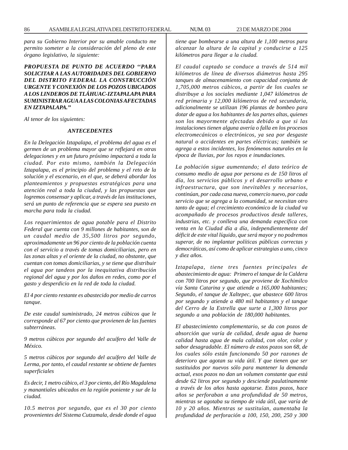*para su Gobierno Interior por su amable conducto me permito someter a la consideración del pleno de este órgano legislativo, la siguiente:*

*PROPUESTA DE PUNTO DE ACUERDO ''PARA SOLICITAR A LAS AUTORIDADES DEL GOBIERNO DEL DISTRITO FEDERAL LA CONSTRUCCIÓN URGENTE Y CONEXIÓN DE LOS POZOS UBICADOS A LOS LINDEROS DE TLÁHUAC-IZTAPALAPA PARA SUMINISTRAR AGUA A LAS COLONIAS AFECTADAS EN IZTAPALAPA.''*

*Al tenor de los siguientes:*

# *ANTECEDENTES*

*En la Delegación Iztapalapa, el problema del agua es el germen de un problema mayor que se reflejará en otras delegaciones y en un futuro próximo impactará a toda la ciudad. Por esto mismo, también la Delegación Iztapalapa, es el principio del problema y el reto de la solución y el escenario, en el que, se deberá abordar los planteamientos y propuestas estratégicas para una atención real a toda la ciudad, y las propuestas que logremos consensar y aplicar, a través de las instituciones, será un punto de referencia que se espera sea puesto en marcha para toda la ciudad.*

*Los requerimientos de agua potable para el Distrito Federal que cuenta con 9 millones de habitantes, son de un caudal medio de 35,500 litros por segundo, aproximadamente un 96 por ciento de la población cuenta con el servicio a través de tomas domiciliarias, pero en las zonas altas y el oriente de la ciudad, no obstante, que cuentan con tomas domiciliarias, y se tiene que distribuir el agua por tandeos por la inequitativa distribución regional del agua y por los daños en redes, como por el gasto y desperdicio en la red de toda la ciudad.*

*El 4 por ciento restante es abastecido por medio de carros tanque.*

*De este caudal suministrado, 24 metros cúbicos que le corresponde al 67 por ciento que provienen de las fuentes subterráneas.*

*9 metros cúbicos por segundo del acuífero del Valle de México.*

*5 metros cúbicos por segundo del acuífero del Valle de Lerma, por tanto, el caudal restante se obtiene de fuentes superficiales*

*Es decir, 1 metro cúbico, el 3 por ciento, del Río Magdalena y manantiales ubicados en la región poniente y sur de la ciudad.*

*10.5 metros por segundo, que es el 30 por ciento provenientes del Sistema Cutzamala, desde donde el agua* *tiene que bombearse a una altura de 1,100 metros para alcanzar la altura de la capital y conducirse a 125 kilómetros para llegar a la ciudad.*

*El caudal captado se conduce a través de 514 mil kilómetros de línea de diversos diámetros hasta 295 tanques de almacenamiento con capacidad conjunta de 1,705,000 metros cúbicos, a partir de los cuales se distribuye a los sociales mediante 1,047 kilómetros de red primaria y 12,000 kilómetros de red secundaria, adicionalmente se utilizan 196 plantas de bombeo para dotar de agua a los habitantes de las partes altas, quienes son los mayormente afectadas debido a que si las instalaciones tienen alguna avería o falla en los procesos electromecánicos o electrónicos, ya sea por desgaste natural o accidentes en partes eléctricas; también se agrega a estos incidentes, los fenómenos naturales en la época de lluvias, por los rayos e inundaciones.*

*La población sigue aumentando; el dato teórico de consumo medio de agua por persona es de 150 litros al día, los servicios públicos y el desarrollo urbano e infraestructura, que son inevitables y necesarios, continúan, por cada casa nueva, comercio nuevo, por cada servicio que se agrega a la comunidad, se necesitan otro tanto de agua; el crecimiento económico de la ciudad va acompañado de procesos productivos desde talleres, industrias, etc. y conlleva una demanda específica con venta en la Ciudad día a día, independientemente del déficit de este vital líquido, que será mayor y no podremos superar, de no implantar políticas públicas correctas y democráticas, así como de aplicar estrategias a uno, cinco y diez años.*

*Iztapalapa, tiene tres fuentes principales de abastecimiento de agua: Primero el tanque de la Caldera con 700 litros por segundo, que proviene de Xochimilco vía Santa Catarina y que atiende a 165,000 habitantes; Segundo, el tanque de Xaltepec, que abastece 600 litros por segundo y atiende a 480 mil habitantes y el tanque del Cerro de la Estrella que surte a 1,300 litros por segundo a una población de 180,000 habitantes.*

*El abastecimiento complementario, se da con pozos de absorción que varía de calidad, desde agua de buena calidad hasta agua de mala calidad, con olor, color y sabor desagradable. El número de estos pozos son 68, de los cuales sólo están funcionando 50 por razones de deterioro que agotan su vida útil. Y que tienen que ser sustituidos por nuevos sólo para mantener la demanda actual, esos pozos no dan un volumen constante que está desde 62 litros por segundo y desciende paulatinamente a través de los años hasta agotarse. Estos pozos, hace años se perforaban a una profundidad de 50 metros, mientras se agotaba su tiempo de vida útil, que varía de 10 y 20 años. Mientras se sustituían, aumentaba la profundidad de perforación a 100, 150, 200, 250 y 300*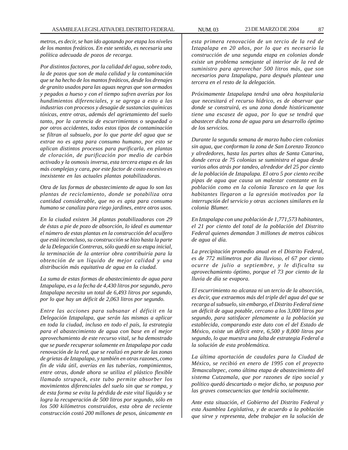*metros, es decir, se han ido agotando por etapa los niveles de los mantos freáticos. En este sentido, es necesaria una política adecuada de pozos de recarga.*

*Por distintos factores, por la calidad del agua, sobre todo, la de pozos que son de mala calidad y la contaminación que se ha hecho de los mantos freáticos, desde los drenajes de granito usados para las aguas negras que son armados y pegados a hueso y con el tiempo sufren averías por los hundimientos diferenciales, y se agrega a esto a las industrias con procesos y desagüe de sustancias químicas tóxicas, entre otras, además del agrietamiento del suelo tanto, por la carencia de escurrimientos o sequedad o por otros accidentes, todos estos tipos de contaminación se filtran al subsuelo, por lo que parte del agua que se extrae no es apta para consumo humano, por esto se aplican distintos procesos para purificarla, en plantas de cloración, de purificación por medio de carbón activado y la osmosis inversa, esta tercera etapa es de las más complejas y cara, por este factor de costo excesivo es inexistente en las actuales plantas potabilizadoras.*

*Otra de las formas de abastecimiento de agua lo son las plantas de reciclamiento, donde se potabiliza otra cantidad considerable, que no es apta para consumo humano se canaliza para riego jardines, entre otros usos.*

*En la ciudad existen 34 plantas potabilizadoras con 29 de éstas a pie de pozo de absorción, lo ideal es aumentar el número de estas plantas en la construcción del acuífero que está inconcluso, su construcción se hizo hasta la parte de la Delegación Contreras, sólo quedó en su etapa inicial, la terminación de la anterior obra contribuiría para la obtención de un líquido de mejor calidad y una distribución más equitativa de agua en la ciudad.*

*La suma de estas formas de abastecimiento de agua para Iztapalapa, es a la fecha de 4,430 litros por segundo, pero Iztapalapa necesita un total de 6,493 litros por segundo, por lo que hay un déficit de 2,063 litros por segundo.*

*Entre las acciones para subsanar el déficit en la Delegación Iztapalapa, que serán las mismas a aplicar en toda la ciudad, incluso en todo el país, la estrategia para el abastecimiento de agua con base en el mejor aprovechamiento de este recurso vital, se ha demostrado que se puede recuperar solamente en Iztapalapa por cada renovación de la red, que se realizó en parte de las zonas de grietas de Iztapalapa, y también en otras razones, como fin de vida útil, averías en las tuberías, rompimientos, entre otras, donde ahora se utiliza el plástico flexible llamado strupack, este tubo permite absorber los movimientos diferenciales del suelo sin que se rompa, y de esta forma se evita la pérdida de este vital líquido y se logra la recuperación de 500 litros por segundo, sólo en los 500 kilómetros construidos, esta obra de reciente construcción costó 200 millones de pesos, únicamente en*

*esta primera renovación de un tercio de la red de Iztapalapa en 20 años, por lo que es necesario la construcción de una segunda etapa en colonias donde existe un problema semejante al interior de la red de suministro para aprovechar 500 litros más, que son necesarios para Iztapalapa, para después plantear una tercera en el resto de la delegación.*

*Próximamente Iztapalapa tendrá una obra hospitalaria que necesitará el recurso hídrico, es de observar que donde se construirá, es una zona donde históricamente tiene una escasez de agua, por lo que se tendrá que abastecer dicha zona de agua para un desarrollo óptimo de los servicios.*

*Durante la segunda semana de marzo hubo cien colonias sin agua, que conforman la zona de San Lorenzo Tezonco y alrededores, hasta las partes altas de Santa Catarina, donde cerca de 75 colonias se suministra el agua desde varios años atrás por tandeo, alrededor del 25 por ciento de la población de Iztapalapa. El otro 5 por ciento recibe pipas de agua que causa un malestar constante en la población como en la colonia Tarasco en la que los habitantes llegaron a la agresión motivados por la interrupción del servicio y otras acciones similares en la colonia Blumer.*

*En Iztapalapa con una población de 1,771,573 habitantes, el 21 por ciento del total de la población del Distrito Federal quienes demandan 3 millones de metros cúbicos de agua al día.*

*La precipitación promedio anual en el Distrito Federal, es de 772 milímetros por día lluvioso, el 67 por ciento ocurre de julio a septiembre, y le dificulta su aprovechamiento óptimo, porque el 73 por ciento de la lluvia de día se evapora.*

*El escurrimiento no alcanza ni un tercio de la absorción, es decir, que extraemos más del triple del agua del que se recarga al subsuelo, sin embargo, el Distrito Federal tiene un déficit de agua potable, cercano a los 3,000 litros por segundo, para satisfacer plenamente a la población ya establecida, comparando este dato con el del Estado de México, existe un déficit entre, 6,500 y 8,000 litros por segundo, lo que muestra una falta de estrategia Federal a la solución de esta problemática.*

*La última aportación de caudales para la Ciudad de México, se recibió en enero de 1995 con el proyecto Temaxcaltepec, como última etapa de abastecimiento del sistema Cutzamala, que por razones de tipo social y político quedó descartado o mejor dicho, se pospuso por las graves consecuencias que tendría socialmente.*

*Ante esta situación, el Gobierno del Distrito Federal y esta Asamblea Legislativa, y de acuerdo a la población que sirve y representa, debe trabajar en la solución de*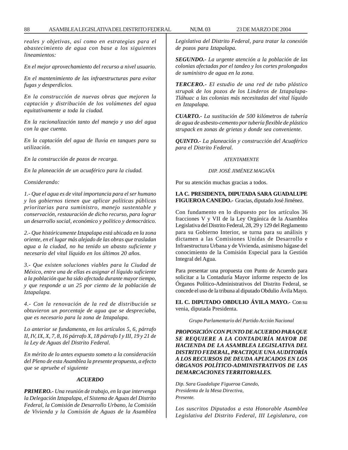*reales y objetivas, así como en estrategias para el abastecimiento de agua con base a los siguientes lineamientos:*

*En el mejor aprovechamiento del recurso a nivel usuario.*

*En el mantenimiento de las infraestructuras para evitar fugas y desperdicios.*

*En la construcción de nuevas obras que mejoren la captación y distribución de los volúmenes del agua equitativamente a toda la ciudad.*

*En la racionalización tanto del manejo y uso del agua con la que cuenta.*

*En la captación del agua de lluvia en tanques para su utilización.*

*En la construcción de pozos de recarga.*

*En la planeación de un acuaférico para la ciudad.*

*Considerando:*

*1.- Que el agua es de vital importancia para el ser humano y los gobiernos tienen que aplicar políticas públicas prioritarias para suministro, manejo sustentable y conservación, restauración de dicho recurso, para lograr un desarrollo social, económico y político y democrático.*

*2.- Que históricamente Iztapalapa está ubicada en la zona oriente, en el lugar más alejado de las obras que trasladan agua a la ciudad, no ha tenido un abasto suficiente y necesario del vital líquido en los últimos 20 años.*

*3.- Que existen soluciones viables para la Ciudad de México, entre una de ellas es asignar el líquido suficiente a la población que ha sido afectada durante mayor tiempo, y que responde a un 25 por ciento de la población de Iztapalapa.*

*4.- Con la renovación de la red de distribución se obtuvieron un porcentaje de agua que se despreciaba, que es necesario para la zona de Iztapalapa.*

*Lo anterior se fundamenta, en los artículos 5, 6, párrafo II, IV, IX, X, 7, 8, 16 párrafo X, 18 párrafo I y III, 19 y 21 de la Ley de Aguas del Distrito Federal.*

*En mérito de lo antes expuesto someto a la consideración del Pleno de esta Asamblea la presente propuesta, a efecto que se apruebe el siguiente*

#### *ACUERDO*

*PRIMERO.- Una reunión de trabajo, en la que intervenga la Delegación Iztapalapa, el Sistema de Aguas del Distrito Federal, la Comisión de Desarrollo Urbano, la Comisión de Vivienda y la Comisión de Aguas de la Asamblea* *Legislativa del Distrito Federal, para tratar la conexión de pozos para Iztapalapa.*

*SEGUNDO.- La urgente atención a la población de las colonias afectadas por el tandeo y los cortes prolongados de suministro de agua en la zona.*

*TERCERO.- El estudio de una red de tubo plástico strupak de los pozos de los Linderos de Iztapalapa-Tláhuac a las colonias más necesitadas del vital líquido en Iztapalapa.*

*CUARTO.- La sustitución de 500 kilómetros de tubería de agua de asbesto-cemento por tubería flexible de plástico strupack en zonas de grietas y donde sea conveniente.*

*QUINTO.- La planeación y construcción del Acuaférico para el Distrito Federal.*

## *ATENTAMENTE*

#### *DIP. JOSÉ JIMÉNEZ MAGAÑA*

Por su atención muchas gracias a todos.

# **LA C. PRESIDENTA, DIPUTADA SARA GUADALUPE FIGUEROA CANEDO.-** Gracias, diputado José Jiménez.

Con fundamento en lo dispuesto por los artículos 36 fracciones V y VII de la Ley Orgánica de la Asamblea Legislativa del Distrito Federal, 28, 29 y 129 del Reglamento para su Gobierno Interior, se turna para su análisis y dictamen a las Comisiones Unidas de Desarrollo e Infraestructura Urbana y de Vivienda, asimismo hágase del conocimiento de la Comisión Especial para la Gestión Integral del Agua.

Para presentar una propuesta con Punto de Acuerdo para solicitar a la Contaduría Mayor informe respecto de los Órganos Político-Administrativos del Distrito Federal, se concede el uso de la tribuna al diputado Obdulio Ávila Mayo.

**EL C. DIPUTADO OBDULIO ÁVILA MAYO.-** Con su venia, diputada Presidenta.

*Grupo Parlamentario del Partido Acción Nacional*

*PROPOSICIÓN CON PUNTO DE ACUERDO PARA QUE SE REQUIERE A LA CONTADURÍA MAYOR DE HACIENDA DE LA ASAMBLEA LEGISLATIVA DEL DISTRITO FEDERAL, PRACTIQUE UNA AUDITORÍA A LOS RECURSOS DE DEUDA APLICADOS EN LOS ÓRGANOS POLÍTICO-ADMINISTRATIVOS DE LAS DEMARCACIONES TERRITORIALES.*

*Dip. Sara Guadalupe Figueroa Canedo, Presidenta de la Mesa Directiva, Presente.*

*Los suscritos Diputados a esta Honorable Asamblea Legislativa del Distrito Federal, III Legislatura, con*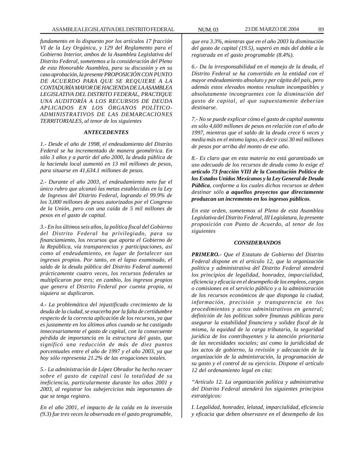*fundamento en lo dispuesto por los artículos 17 fracción VI de la Ley Orgánica, y 129 del Reglamento para el Gobierno Interior, ambos de la Asamblea Legislativa del Distrito Federal, sometemos a la consideración del Pleno de esta Honorable Asamblea, para su discusión y en su caso aprobación, la presente PROPOSICIÓN CON PUNTO DE ACUERDO PARA QUE SE REQUIERE A LA CONTADURÍA MAYOR DE HACIENDA DE LA ASAMBLEA LEGISLATIVA DEL DISTRITO FEDERAL, PRACTIQUE UNA AUDITORÍA A LOS RECURSOS DE DEUDA APLICADOS EN LOS ÓRGANOS POLÍTICO-ADMINISTRATIVOS DE LAS DEMARCACIONES TERRITORIALES, al tenor de los siguientes*

#### *ANTECEDENTES*

*1.- Desde el año de 1998, el endeudamiento del Distrito Federal se ha incrementado de manera geométrica. En sólo 3 años y a partir del año 2000, la deuda pública de la hacienda local aumentó en 13 mil millones de pesos, para situarse en 41,634.1 millones de pesos.*

*2.- Durante el año 2003, el endeudamiento neto fue el único rubro que alcanzó las metas establecidas en la Ley de Ingresos del Distrito Federal, logrando el 99.9% de los 3,000 millones de pesos autorizados por el Congreso de la Unión, pero con una caída de 5 mil millones de pesos en el gasto de capital.*

*3.- En los últimos seis años, la política fiscal del Gobierno del Distrito Federal ha privilegiado, para su financiamiento, los recursos que aporta el Gobierno de la República, vía transparencias y participaciones, así como al endeudamiento, en lugar de fortalecer sus ingresos propios. Por tanto, en el lapso examinado, el saldo de la deuda pública del Distrito Federal aumentó prácticamente cuatro veces, los recursos federales se multiplicaron por tres; en cambio, los ingresos propios que genera el Distrito Federal por cuenta propia, ni siquiera se duplicaron.*

*4.- La problemática del injustificado crecimiento de la deuda de la ciudad, se exacerba por la falta de certidumbre respecto de la correcta aplicación de los recursos, ya que es justamente en los últimos años cuando se ha castigado innecesariamente el gasto de capital, con la consecuente pérdida de importancia en la estructura del gasto, que significó una reducción de más de diez puntos porcentuales entre el año de 1997 y el año 2003, ya que hoy sólo representa 21.2% de las erogaciones totales.*

*5.- La administración de López Obrador ha hecho recaer sobre el gasto de capital casi la totalidad de su ineficiencia, particularmente durante los años 2001 y 2003, al registrar los subejercicios más importantes de que se tenga registro.*

*En el año 2001, el impacto de la caída en la inversión (9.3) fue tres veces la observada en el gasto programable,*

*que era 3.3%, mientras que en el año 2003 la disminución del gasto de capital (19.5), superó en más del doble a la registrada en el gasto programable (8.4%).*

*6.- Da la irresponsabilidad en el manejo de la deuda, el Distrito Federal se ha convertido en la entidad con el mayor endeudamiento absoluto y per cápita del país, pero además estos elevados montos resultan incompatibles y absolutamente incongruentes con la disminución del gasto de capital, al que supuestamente deberían destinarse.*

*7.- No se puede explicar cómo el gasto de capital aumenta en sólo 4,600 millones de pesos en relación con el año de 1997, mientras que el saldo de la deuda crece 6 veces y media más en el mismo lapso, es decir casi 30 mil millones de pesos por arriba del monto de ese año.*

*8.- Es claro que en esta materia no está garantizado un uso adecuado de los recursos de deuda como lo exige el artículo 73 fracción VIII de la Constitución Política de los Estados Unidos Mexicanos y la Ley General de Deuda Pública, conforme a los cuales dichos recursos se deben destinar sólo a aquellos proyectos que directamente produzcan un incremento en los ingresos públicos.*

*En este orden, sometemos al Pleno de esta Asamblea Legislativa del Distrito Federal, III Legislatura, la presente proposición con Punto de Acuerdo, al tenor de los siguientes*

#### *CONSIDERANDOS*

*PRIMERO.- Que el Estatuto de Gobierno del Distrito Federal dispone en el artículo 12, que la organización política y administrativa del Distrito Federal atenderá los principios de legalidad, honradez, imparcialidad, eficiencia y eficacia en el desempeño de los empleos, cargos o comisiones en el servicio público y a la administración de los recursos económicos de que disponga la ciudad, información, precisión y transparencia en los procedimientos y actos administrativos en general; definición de las políticas sobre finanzas públicas para asegurar la estabilidad financiera y solidez fiscal de la misma, la equidad de la carga tributaria, la seguridad jurídica de los contribuyentes y la atención prioritaria de las necesidades sociales; así como la juridicidad de los actos de gobierno, la revisión y adecuación de la organización de la administración, la programación de su gasto y el control de su ejercicio. Dispone el artículo 12 del ordenamiento legal en cita:*

*''Artículo 12. La organización política y administrativa del Distrito Federal atenderá los siguientes principios estratégicos:*

*I. Legalidad, honradez, lelatad, imparcialidad, eficiencia y eficacia que deben observasre en el desempeño de los*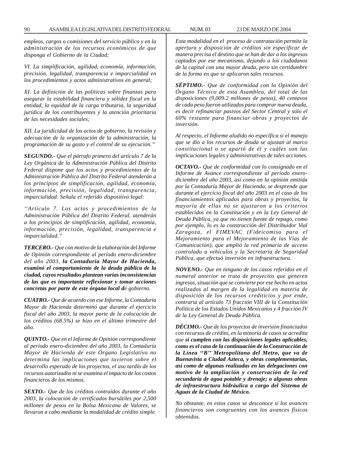*empleos, cargos o comisiones del servicio público y en la administración de los recursos económicos de que disponga el Gobierno de la Ciudad;*

*VI. La simplificación, agilidad, economía, información, precisión, legalidad, transparencia e imparcialidad en los procedimientos y actos administrativos en general;*

*XI. La definición de las políticas sobre finanzas para asegurar la estabilidad financiera y sólidez fiscal en la entidad, la equidad de la carga tributaria, la seguridad jurídica de los contribuyentes y la atención prioritaria de las necesidades sociales;*

*XII. La juridicidad de los actos de gobierno, la revisión y adecuación de la organización de la administración, la programación de su gasto y el control de su ejecución.''*

*SEGUNDO.- Que el párrafo primero del artículo 7 de la Ley Orgánica de la Administración Pública del Distrito Federal dispone que los actos y procedimientos de la Administración Pública del Distrito Federal atenderán a los principios de simplificación, agilidad, economía, información, precisión, legalidad, transparencia, imparcialidad. Señala el referido dispositivo legal:*

*''Artículo 7. Los actos y procedimientos de la Administración Pública del Distrito Federal, atenderán a los principios de simplificación, agilidad, economía, información, precisión, legalidad, transparencia e imparcialidad.''*

*TERCERO.- Que con motivo de la elaboración del Informe de Opinión correspondiente al período enero-diciembre del año 2003, la Contaduría Mayor de Hacienda, examinó el comportamiento de la deuda pública de la ciudad, cuyos resultados plantean varias inconsistencias de las que es importante reflexionar y tomar acciones concretas por parte de este órgano local de gobierno.*

*CUATRO.- Que de acuerdo con ese Informe, la Contaduría Mayor de Hacienda determinó que durante el ejercicio fiscal del año 2003, la mayor parte de la colocación de los créditos (68.5%) se hizo en el último trimestre del año.*

*QUINTO.- Que en el Informe de Opinión correspondiente al período enero-diciembre del año 2003, la Contaduría Mayor de Hacienda de este Órgano Legislativo no determina las implicaciones que tuvieron sobre el desarrollo esperado de los proyectos, el uso tardío de los recursos autorizados ni se examina el impacto de los costos financieros de los mismos.*

*SEXTO.- Que de los créditos contraídos durante el año 2003, la colocación de certificados bursátiles por 2,500 millones de pesos en la Bolsa Mexicana de Valores, se llevaron a cabo mediante la modalidad de crédito simple.*

*Esta modalidad en el proceso de contratación permite la apertura y disposición de créditos sin especificar de manera precisa el destino que se han de dar a los ingresos captados por ese mecanismo, dejando a los ciudadanos de la capital con una mayor deuda, pero sin certidumbre de la forma en que se aplicaron tales recursos.*

*SÉPTIMO.- Que de conformidad con la Opinión del Órgano Técnico de esta Asamblea, del total de las disposiciones (9,009.2 millones de pesos), 40 centavos de cada peso fueron utilizados para comprar nueva deuda, es decir refinanciar pasivos del Sector Central y sólo el 60% restante para financiar obras y proyectos de inversión.*

*Al respecto, el Informe aludido no específica si el manejo que se dio a los recursos de deuda se ajustan al marco constitucional o se apartó de él y cuáles son las implicaciones legales y administrativas de tales acciones.*

*OCTAVO.- Que de conformidad con lo consignado en el Informe de Avance correspondiente al período enerodiciembre del año 2003, así como en la opinión emitida por la Contaduría Mayor de Hacienda, se desprende que durante el ejercicio fiscal del año 2003 en el caso de los financiamientos aplicados para obras y proyectos, la mayoría de ellas no se ajustaron a los criterios establecidos en la Constitución y en la Ley General de Deuda Pública, ya que no tienen fuente de repago, como por ejemplo, lo es la construcción del Distribuidor Vial Zaragoza, el FIMEVAC (Fideicomiso para el Mejoramiento para el Mejoramiento de las Vías de Comunicación), que amplió la red primaria de acceso controlado a vehículos y la Secretaría de Seguridad Pública, que efectuó inversión en infraestructura.*

*NOVENO.- Que en ninguno de los casos referidos en el numeral anterior se trata de proyectos que generen ingresos, situación que se convierte por ese hecho en actos realizados al margen de la legalidad en materia de disposición de los recursos crediticios y por ende, contraria al artículo 73 fracción VIII de la Constitución Política de los Estados Unidos Mexicanos y 4 fracción IV de la Ley General de Deuda Pública.*

*DÉCIMO.- Que de los proyectos de inversión financiados con recursos de crédito, en la minoría de casos se acredita que sí cumplen con las disposiciones legales aplicables, como es el caso de la continuación de la Construcción de la Línea ''B'' Metropolitana del Metro, que va de Buenavista a Ciudad Azteca, y obras complementarias, así como de algunas realizadas en las delegaciones con motivo de la ampliación y conservación de la red secundaria de agua potable y drenaje; o algunas obras de infraestructura hidráulica a cargo del Sistema de Aguas de la Ciudad de México.*

*No obstante, en estos casos se desconoce si los avances financieros son congruentes con los avances físicos obtenidos.*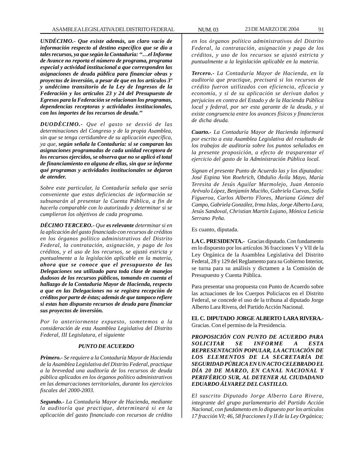*UNDÉCIMO.- Que existe además, un claro vacío de información respecto al destino específico que se dio a tales recursos, ya que según la Contaduría: ''…el Informe de Avance no reporta el número de programa, programa especial y actividad institucional a que corresponden las asignaciones de deuda pública para financiar obras y proyectos de inversión, a pesar de que en los artículos 3º y undécimo transitorio de la Ley de Ingresos de la Federación y los artículos 23 y 24 del Presupuesto de Egresos para la Federación se relacionan los programas, dependencias receptoras y actividades institucionales, con los importes de los recursos de deuda.''*

*DUODÉCIMO.- Que el gasto se desvió de las determinaciones del Congreso y de la propia Asamblea, sin que se tenga certidumbre de su aplicación específica, ya que, según señala la Contaduría: si se comparan las asignaciones programadas de cada unidad receptora de los recursos ejercidos, se observa que no se aplicó el total de financiamiento en alguna de ellas, sin que se informe qué programas y actividades institucionales se dejaron de atender.*

*Sobre este particular, la Contaduría señala que sería conveniente que estas deficiencias de información se subsanarán al presentar la Cuenta Pública, a fin de hacerla comparable con lo autorizado y determinar si se cumplieron los objetivos de cada programa.*

*DÉCIMO TERCERO.- Que es relevante determinar si en la aplicación del gasto financiado con recursos de créditos en los órganos político administrativos del Distrito Federal, la contratación, asignación, y pago de los créditos, y el uso de los recursos, se ajustó estricta y puntualmente a la legislación aplicable en la materia, ahora que se conoce que el presupuesto de las Delegaciones sea utilizado para toda clase de manejos dudosos de los recursos públicos, tomando en cuenta el hallazgo de la Contaduría Mayor de Hacienda, respecto a que en las Delegaciones no se registra recepción de créditos por parte de éstas; además de que tampoco refiere si estas han dispuesto recursos de deuda para financiar sus proyectos de inversión.*

*Por lo anteriormente expuesto, sometemos a la consideración de esta Asamblea Legislativa del Distrito Federal, III Legislatura, el siguiente*

# *PUNTO DE ACUERDO*

*Primero.- Se requiere a la Contaduría Mayor de Hacienda de la Asamblea Legislativa del Distrito Federal, practique a la brevedad una auditoría de los recursos de deuda pública aplicados en los órganos político administrativos en las demarcaciones territoriales, durante los ejercicios fiscales del 2000-2003.*

*Segundo.- La Contaduría Mayor de Hacienda, mediante la auditoría que practique, determinará si en la aplicación del gasto financiado con recursos de crédito*

*en los órganos político administrativos del Distrito Federal, la contratación, asignación y pago de los créditos, y uso de los recursos se ajustó estricta y puntualmente a la legislación aplicable en la materia.*

*Tercero.- La Contaduría Mayor de Hacienda, en la auditoría que practique, precisará si los recursos de crédito fueron utilizados con eficiencia, eficacia y economía, y si de su aplicación se derivan daños y perjuicios en contra del Estado y de la Hacienda Pública local y federal, por ser esta garante de la deuda, y si existe congruencia entre los avances físicos y financieros de dicha deuda.*

*Cuarto.- La Contaduría Mayor de Hacienda informará por escrito a esta Asamblea Legislativa del resultado de los trabajos de auditoría sobre los puntos señalados en la presente proposición, a efecto de trasparentar el ejercicio del gasto de la Administración Pública local.*

*Signan el presente Punto de Acuerdo las y los diputados: José Espina Von Roehrich, Obdulio Ávila Mayo, María Teresita de Jesús Aguilar Marmolejo, Juan Antonio Arévalo López, Benjamín Muciño, Gabriela Cuevas, Sofía Figueroa, Carlos Alberto Flores, Mariana Gómez del Campo, Gabriela González, Irma Islas, Jorge Alberto Lara, Jesús Sandoval, Christian Martín Lujano, Mónica Leticia Serrano Peña.*

Es cuanto, diputada.

**LA C. PRESIDENTA.-** Gracias diputado. Con fundamento en lo dispuesto por los artículos 36 fracciones V y VII de la Ley Orgánica de la Asamblea Legislativa del Distrito Federal, 28 y 129 del Reglamento para su Gobierno Interior, se turna para su análisis y dictamen a la Comisión de Presupuesto y Cuenta Pública.

Para presentar una propuesta con Punto de Acuerdo sobre las actuaciones de los Cuerpos Policíacos en el Distrito Federal, se concede el uso de la tribuna al diputado Jorge Alberto Lara Rivera, del Partido Acción Nacional.

**EL C. DIPUTADO JORGE ALBERTO LARA RIVERA.-** Gracias. Con el permiso de la Presidencia.

*PROPOSICIÓN CON PUNTO DE ACUERDO PARA SOLICITAR SE INFORME A ESTA REPRESENTACIÓN POPULAR, LA ACTUACIÓN DE LOS ELEMENTOS DE LA SECRETARÍA DE SEGURIDAD PÚBLICA EN UN ACTO CELEBRADO EL DÍA 20 DE MARZO, EN CANAL NACIONAL Y PERIFÉRICO SUR, AL DETENER AL CIUDADANO EDUARDO ÁLVAREZ DEL CASTILLO.*

*El suscrito Diputado Jorge Alberto Lara Rivera, integrante del grupo parlamentario del Partido Acción Nacional, con fundamento en lo dispuesto por los artículos 17 fracción VI; 46, 58 fracciones I y II de la Ley Orgánica;*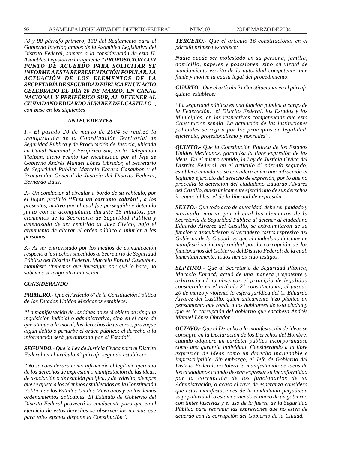*78 y 90 párrafo primero, 130 del Reglamento para el Gobierno Interior, ambos de la Asamblea Legislativa del Distrito Federal, someto a la consideración de esta H. Asamblea Legislativa la siguiente ''PROPOSICIÓN CON PUNTO DE ACUERDO PARA SOLICITAR SE INFORME A ESTA REPRESENTACIÓN POPULAR, LA ACTUACIÓN DE LOS ELEMENTOS DE LA SECRETARÍA DE SEGURIDAD PÚBLICA EN UN ACTO CELEBRADO EL DÍA 20 DE MARZO, EN CANAL NACIONAL Y PERIFÉRICO SUR, AL DETENER AL CIUDADANO EDUARDO ÁLVAREZ DEL CASTILLO'', con base en los siguientes*

#### *ANTECEDENTES*

*1.- El pasado 20 de marzo de 2004 se realizó la inauguración de la Coordinación Territorial de Seguridad Pública y de Procuración de Justicia, ubicada en Canal Nacional y Periférico Sur, en la Delegación Tlalpan, dicho evento fue encabezado por el Jefe de Gobierno Andrés Manuel López Obrador, el Secretario de Seguridad Pública Marcelo Ebrard Casaubon y el Procurador General de Justicia del Distrito Federal, Bernardo Bátiz.*

*2.- Un conductor al circular a bordo de su vehículo, por el lugar, profirió ''Eres un corrupto cabrón'', a los presentes, motivo por el cual fue perseguido y detenido junto con su acompañante durante 15 minutos, por elementos de la Secretaría de Seguridad Pública y amenazado de ser remitido al Juez Cívico, bajo el argumento de alterar el orden público e injuriar a las personas.*

*3.- Al ser entrevistado por los medios de comunicación respecto a los hechos sucedidos al Secretario de Seguridad Pública del Distrito Federal, Marcelo Ebrard Casaubon, manifestó ''tenemos que investigar por qué lo hace, no sabemos si tenga otra intención''.*

# *CONSIDERANDO*

*PRIMERO.- Que el Artículo 6º de la Constitución Política de los Estados Unidos Mexicanos establece:*

*''La manifestación de las ideas no será objeto de ninguna inquisición judicial o administrativa, sino en el caso de que ataque a la moral, los derechos de terceros, provoque algún delito o perturbe el orden público; el derecho a la información será garantizada por el Estado''.*

*SEGUNDO.- Que la Ley de Justicia Cívica para el Distrito Federal en el artículo 4º párrafo segundo establece:*

*''No se considerará como infracción el legítimo ejercicio de los derechos de expresión o manifestación de las ideas, de asociación o de reunión pacífica, y de tránsito, siempre que se ajuste a los términos establecidos en la Constitución Política de los Estados Unidos Mexicanos y en los demás ordenamientos aplicables. El Estatuto de Gobierno del Distrito Federal proveerá lo conducente para que en el ejercicio de estos derechos se observen las normas que para tales efectos dispone la Constitución''.*

*TERCERO.- Que el artículo 16 constitucional en el párrafo primero establece:*

*Nadie puede ser molestado en su persona, familia, domicilio, papeles y posesiones, sino en virtud de mandamiento escrito de la autoridad competente, que funde y motive la causa legal del procedimiento.*

*CUARTO.- Que el artículo 21 Constitucional en el párrafo quinto establece:*

*''La seguridad pública es una función pública a cargo de la Federación, el Distrito Federal, los Estados y los Municipios, en las respectivas competencias que esta Constitución señala. La actuación de las instituciones policiales se regirá por los principios de legalidad, eficiencia, profesionalismo y honradez''.*

*QUINTO.- Que la Constitución Política de los Estados Unidos Mexicanos, garantiza la libre expresión de las ideas. En el mismo sentido, la Ley de Justicia Cívica del Distrito Federal, en el articulo 4º párrafo segundo, establece cuando no se considera como una infracción el legítimo ejercicio del derecho de expresión, por lo que no procedía la detención del ciudadano Eduardo Álvarez del Castillo, quien únicamente ejerció uno de sus derechos irrenunciables: el de la libertad de expresión.*

*SEXTO.- Que todo acto de autoridad, debe ser fundado y motivado, motivo por el cual los elementos de la Secretaría de Seguridad Pública al detener al ciudadano Eduardo Álvarez del Castillo, se extralimitaron de su función y descubrieron el verdadero rostro represivo del Gobierno de la Ciudad, ya que el ciudadano únicamente manifestó su inconformidad por la corrupción de los funcionarios del Gobierno del Distrito Federal; de la cual, lamentablemente, todos hemos sido testigos.*

*SÉPTIMO.- Que al Secretario de Seguridad Pública, Marcelo Ebrard, actuó de una manera prepotente y arbitraria al no observar el principio de legalidad consagrado en el artículo 21 constitucional, el pasado 20 de marzo y violentó la esfera jurídica del C. Eduardo Álvarez del Castillo, quien únicamente hizo público un pensamiento que ronda a los habitantes de esta ciudad y que es la corrupción del gobierno que encabeza Andrés Manuel López Obrador.*

*OCTAVO.- Que el Derecho a la manifestación de ideas se consagra en la Declaración de los Derechos del Hombre, cuando adquiere un carácter público incorporándose como una garantía individual. Considerando a la libre expresión de ideas como un derecho inalienable e imprescriptible. Sin embargo, el Jefe de Gobierno del Distrito Federal, no tolera la manifestación de ideas de los ciudadanos cuando desean expresar su inconformidad por la corrupción de los funcionarios de su Administración, o acaso el rayo de esperanza considera que estas manifestaciones de la ciudadanía perjudican su popularidad; o estamos viendo el inicio de un gobierno con tintes fascistas y el uso de la fuerza de la Seguridad Pública para reprimir las expresiones que no estén de acuerdo con la corrupción del Gobierno de la Ciudad.*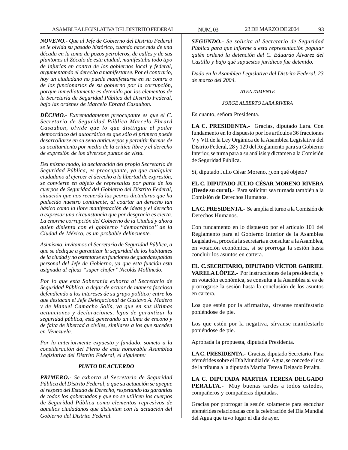*NOVENO.- Que al Jefe de Gobierno del Distrito Federal se le olvida su pasado histórico, cuando hace más de una década en la toma de pozos petroleros, de calles y de sus plantones al Zócalo de esta ciudad, manifestaba todo tipo de injurias en contra de los gobiernos local y federal, argumentando el derecho a manifestarse. Por el contrario, hoy un ciudadano no puede manifestarse en su contra o de los funcionarios de su gobierno por la corrupción, porque inmediatamente es detenido por los elementos de la Secretaría de Seguridad Pública del Distrito Federal, bajo las ordenes de Marcelo Ebrard Casaubon.*

*DÉCIMO.- Extremadamente preocupante es que el C. Secretario de Seguridad Pública Marcelo Ebrard Casaubon, olvide que lo que distingue el poder democrático del autocrático es que sólo el primero puede desarrollarse en su seno anticuerpos y permitir formas de su ocultamiento por medio de la crítica libre y el derecho de expresión de los diversos puntos de vista.*

*Del mismo modo, la declaración del propio Secretario de Seguridad Pública, es preocupante, ya que cualquier ciudadano al ejercer el derecho a la libertad de expresión, se convierte en objeto de represalias por parte de los cuerpos de Seguridad del Gobierno del Distrito Federal, situación que nos recuerda las peores dictaduras que ha padecido nuestro continente, al coartar un derecho tan básico como la libre manifestación de ideas y el derecho a expresar una circunstancia que por desgracia es cierta. La enorme corrupción del Gobierno de la Ciudad y ahora quien disienta con el gobierno ''democrático'' de la Ciudad de México, es un probable delincuente.*

*Asimismo, invitamos al Secretario de Seguridad Pública, a que se dedique a garantizar la seguridad de los habitantes de la ciudad y no ostentarse en funciones de guardaespaldas personal del Jefe de Gobierno, ya que esta función esta asignada al eficaz ''super chofer'' Nicolás Mollinedo.*

*Por lo que esta Soberanía exhorta al Secretario de Seguridad Pública, a dejar de actuar de manera facciosa defendiendo a los intereses de su grupo político; entre los que destacan el Jefe Delegacional de Gustavo A. Madero y de Manuel Camacho Solís, ya que en sus últimas actuaciones y declaraciones, lejos de garantizar la seguridad pública, está generando un clima de encono y de falta de libertad a civiles, similares a los que suceden en Venezuela.*

*Por lo anteriormente expuesto y fundado, someto a la consideración del Pleno de esta honorable Asamblea Legislativa del Distrito Federal, el siguiente:*

# *PUNTO DE ACUERDO*

*PRIMERO.- Se exhorta al Secretario de Seguridad Pública del Distrito Federal, a que su actuación se apegue al respeto del Estado de Derecho, respetando las garantías de todos los gobernados y que no se utilicen los cuerpos de Seguridad Pública como elementos represivos de aquellos ciudadanos que disientan con la actuación del Gobierno del Distrito Federal.*

*SEGUNDO.- Se solicita al Secretario de Seguridad Pública para que informe a esta representación popular quién ordenó la detención del C. Eduardo Álvarez del Castillo y bajo qué supuestos jurídicos fue detenido.*

*Dado en la Asamblea Legislativa del Distrito Federal, 23 de marzo del 2004.*

## *ATENTAMENTE*

#### *JORGE ALBERTO LARA RIVERA*

Es cuanto, señora Presidenta.

**LA C. PRESIDENTA.-** Gracias, diputado Lara. Con fundamento en lo dispuesto por los artículos 36 fracciones V y VII de la Ley Orgánica de la Asamblea Legislativa del Distrito Federal, 28 y 129 del Reglamento para su Gobierno Interior, se turna para a su análisis y dictamen a la Comisión de Seguridad Pública.

Sí, diputado Julio César Moreno, ¿con qué objeto?

**EL C. DIPUTADO JULIO CÉSAR MORENO RIVERA (Desde su curul).-** Para solicitar sea turnada también a la Comisión de Derechos Humanos.

**LA C. PRESIDENTA.-** Se amplía el turno a la Comisión de Derechos Humanos.

Con fundamento en lo dispuesto por el artículo 101 del Reglamento para el Gobierno Interior de la Asamblea Legislativa, proceda la secretaría a consultar a la Asamblea, en votación económica, si se prorroga la sesión hasta concluir los asuntos en cartera.

**EL C. SECRETARIO, DIPUTADO VÍCTOR GABRIEL VARELA LÓPEZ.-** Por instrucciones de la presidencia, y en votación económica, se consulta a la Asamblea si es de prorrogarse la sesión hasta la conclusión de los asuntos en cartera.

Los que estén por la afirmativa, sírvanse manifestarlo poniéndose de pie.

Los que estén por la negativa, sírvanse manifestarlo poniéndose de pie.

Aprobada la propuesta, diputada Presidenta.

**LA C. PRESIDENTA.-** Gracias, diputado Secretario. Para efemérides sobre el Día Mundial del Agua, se concede el uso de la tribuna a la diputada Martha Teresa Delgado Peralta.

**LA C. DIPUTADA MARTHA TERESA DELGADO PERALTA.-** Muy buenas tardes a todos ustedes, compañeros y compañeras diputadas.

Gracias por prorrogar la sesión solamente para escuchar efemérides relacionadas con la celebración del Día Mundial del Agua que tuvo lugar el día de ayer.